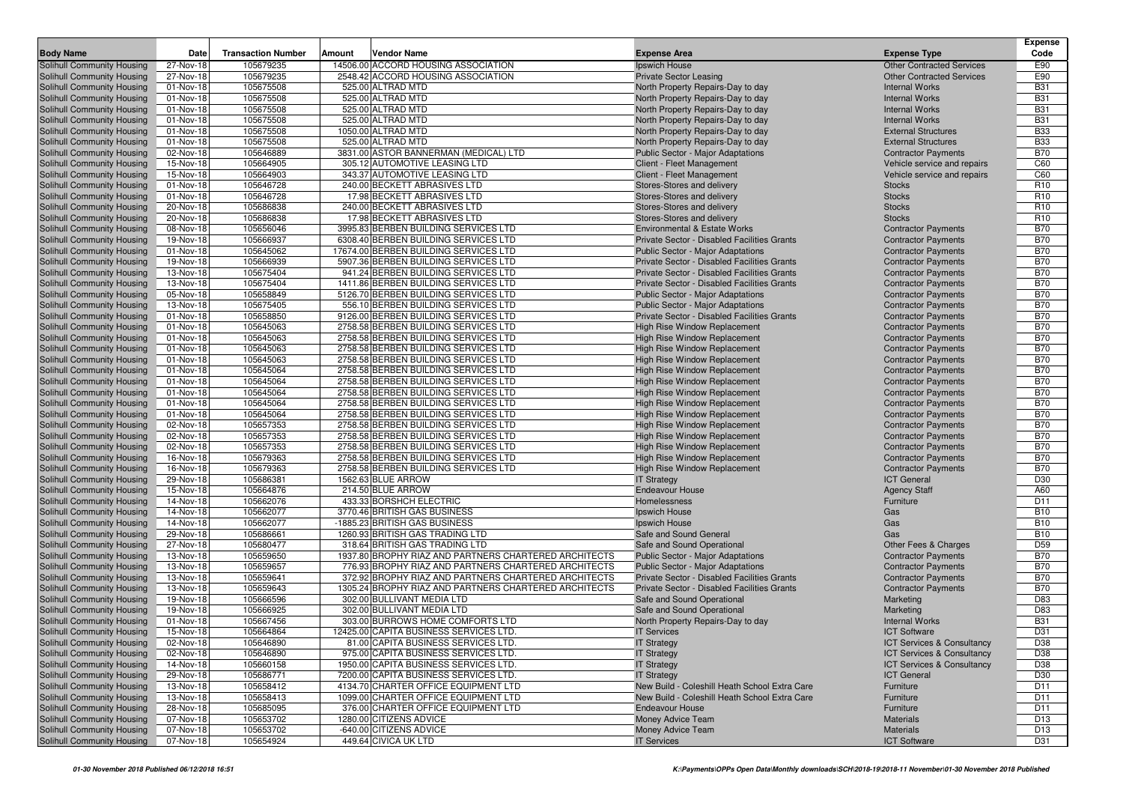|                                                          |                         |                           |                                                                              |                                                                        |                                                          | <b>Expense</b>           |
|----------------------------------------------------------|-------------------------|---------------------------|------------------------------------------------------------------------------|------------------------------------------------------------------------|----------------------------------------------------------|--------------------------|
| <b>Body Name</b>                                         | Date                    | <b>Transaction Number</b> | Vendor Name<br>Amount                                                        | <b>Expense Area</b>                                                    | <b>Expense Type</b>                                      | Code                     |
| Solihull Community Housing                               | 27-Nov-18               | 105679235                 | 14506.00 ACCORD HOUSING ASSOCIATION                                          | Ipswich House                                                          | <b>Other Contracted Services</b>                         | E90                      |
| Solihull Community Housing                               | 27-Nov-18               | 105679235                 | 2548.42 ACCORD HOUSING ASSOCIATION                                           | <b>Private Sector Leasing</b>                                          | <b>Other Contracted Services</b>                         | E90                      |
| Solihull Community Housing                               | 01-Nov-18               | 105675508                 | 525.00 ALTRAD MTD                                                            | North Property Repairs-Day to day                                      | <b>Internal Works</b>                                    | <b>B31</b>               |
| Solihull Community Housing<br>Solihull Community Housing | 01-Nov-18               | 105675508                 | 525.00 ALTRAD MTD<br>525.00 ALTRAD MTD                                       | North Property Repairs-Day to day<br>North Property Repairs-Day to day | <b>Internal Works</b><br><b>Internal Works</b>           | <b>B31</b><br><b>B31</b> |
| Solihull Community Housing                               | 01-Nov-18<br>01-Nov-18  | 105675508<br>105675508    | 525.00 ALTRAD MTD                                                            | North Property Repairs-Day to day                                      | <b>Internal Works</b>                                    | <b>B31</b>               |
| Solihull Community Housing                               | 01-Nov-18               | 105675508                 | 1050.00 ALTRAD MTD                                                           | North Property Repairs-Day to day                                      | <b>External Structures</b>                               | <b>B33</b>               |
| Solihull Community Housing                               | 01-Nov-18               | 105675508                 | 525.00 ALTRAD MTD                                                            | North Property Repairs-Day to day                                      | <b>External Structures</b>                               | <b>B33</b>               |
| Solihull Community Housing                               | 02-Nov-18               | 105646889                 | 3831.00 ASTOR BANNERMAN (MEDICAL) LTD                                        | Public Sector - Major Adaptations                                      | <b>Contractor Payments</b>                               | <b>B70</b>               |
| Solihull Community Housing                               | 15-Nov-18               | 105664905                 | 305.12 AUTOMOTIVE LEASING LTD                                                | Client - Fleet Management                                              | Vehicle service and repairs                              | C60                      |
| Solihull Community Housing                               | 15-Nov-18               | 105664903                 | 343.37 AUTOMOTIVE LEASING LTD                                                | Client - Fleet Management                                              | Vehicle service and repairs                              | C60                      |
| Solihull Community Housing                               | 01-Nov-18               | 105646728                 | 240.00 BECKETT ABRASIVES LTD                                                 | Stores-Stores and delivery                                             | <b>Stocks</b>                                            | R <sub>10</sub>          |
| Solihull Community Housing                               | 01-Nov-18               | 105646728                 | 17.98 BECKETT ABRASIVES LTD                                                  | Stores-Stores and delivery                                             | <b>Stocks</b>                                            | R <sub>10</sub>          |
| Solihull Community Housing                               | 20-Nov-18               | 105686838                 | 240.00 BECKETT ABRASIVES LTD                                                 | Stores-Stores and delivery                                             | <b>Stocks</b>                                            | R <sub>10</sub>          |
| Solihull Community Housing                               | 20-Nov-18               | 105686838                 | 17.98 BECKETT ABRASIVES LTD                                                  | Stores-Stores and delivery                                             | <b>Stocks</b>                                            | R <sub>10</sub>          |
| Solihull Community Housing                               | 08-Nov-18               | 105656046                 | 3995.83 BERBEN BUILDING SERVICES LTD                                         | <b>Environmental &amp; Estate Works</b>                                | <b>Contractor Payments</b>                               | <b>B70</b>               |
| Solihull Community Housing                               | 19-Nov-18               | 105666937                 | 6308.40 BERBEN BUILDING SERVICES LTD                                         | Private Sector - Disabled Facilities Grants                            | <b>Contractor Payments</b>                               | <b>B70</b>               |
| Solihull Community Housing                               | 01-Nov-18               | 105645062                 | 17674.00 BERBEN BUILDING SERVICES LTD                                        | <b>Public Sector - Major Adaptations</b>                               | <b>Contractor Payments</b>                               | <b>B70</b>               |
| Solihull Community Housing                               | 19-Nov-18               | 105666939                 | 5907.36 BERBEN BUILDING SERVICES LTD                                         | Private Sector - Disabled Facilities Grants                            | <b>Contractor Payments</b>                               | <b>B70</b>               |
| Solihull Community Housing                               | $\overline{1}3$ -Nov-18 | 105675404                 | 941.24 BERBEN BUILDING SERVICES LTD                                          | <b>Private Sector - Disabled Facilities Grants</b>                     | <b>Contractor Payments</b>                               | <b>B70</b>               |
| Solihull Community Housing                               | 13-Nov-18               | 105675404                 | 1411.86 BERBEN BUILDING SERVICES LTD                                         | Private Sector - Disabled Facilities Grants                            | <b>Contractor Payments</b>                               | <b>B70</b>               |
| Solihull Community Housing                               | 05-Nov-18               | 105658849                 | 5126.70 BERBEN BUILDING SERVICES LTD                                         | <b>Public Sector - Major Adaptations</b>                               | <b>Contractor Payments</b>                               | <b>B70</b>               |
| Solihull Community Housing                               | 13-Nov-18               | 105675405                 | 556.10 BERBEN BUILDING SERVICES LTD                                          | Public Sector - Major Adaptations                                      | <b>Contractor Payments</b>                               | <b>B70</b>               |
| Solihull Community Housing                               | 01-Nov-18               | 105658850                 | 9126.00 BERBEN BUILDING SERVICES LTD                                         | Private Sector - Disabled Facilities Grants                            | <b>Contractor Payments</b>                               | <b>B70</b>               |
| <b>Solihull Community Housing</b>                        | 01-Nov-18<br>01-Nov-18  | 105645063                 | 2758.58 BERBEN BUILDING SERVICES LTD                                         | <b>High Rise Window Replacement</b>                                    | <b>Contractor Payments</b>                               | <b>B70</b>               |
| Solihull Community Housing<br>Solihull Community Housing | 01-Nov-18               | 105645063<br>105645063    | 2758.58 BERBEN BUILDING SERVICES LTD<br>2758.58 BERBEN BUILDING SERVICES LTD | High Rise Window Replacement<br>High Rise Window Replacement           | <b>Contractor Payments</b>                               | <b>B70</b><br><b>B70</b> |
| Solihull Community Housing                               | 01-Nov-18               | 105645063                 | 2758.58 BERBEN BUILDING SERVICES LTD                                         | <b>High Rise Window Replacement</b>                                    | <b>Contractor Payments</b><br><b>Contractor Payments</b> | <b>B70</b>               |
| Solihull Community Housing                               | 01-Nov-18               | 105645064                 | 2758.58 BERBEN BUILDING SERVICES LTD                                         | <b>High Rise Window Replacement</b>                                    | <b>Contractor Payments</b>                               | <b>B70</b>               |
| Solihull Community Housing                               | 01-Nov-18               | 105645064                 | 2758.58 BERBEN BUILDING SERVICES LTD                                         | High Rise Window Replacement                                           | <b>Contractor Payments</b>                               | <b>B70</b>               |
| Solihull Community Housing                               | 01-Nov-18               | 105645064                 | 2758.58 BERBEN BUILDING SERVICES LTD                                         | <b>High Rise Window Replacement</b>                                    | <b>Contractor Payments</b>                               | <b>B70</b>               |
| Solihull Community Housing                               | 01-Nov-18               | 105645064                 | 2758.58 BERBEN BUILDING SERVICES LTD                                         | <b>High Rise Window Replacement</b>                                    | <b>Contractor Payments</b>                               | <b>B70</b>               |
| Solihull Community Housing                               | 01-Nov-18               | 105645064                 | 2758.58 BERBEN BUILDING SERVICES LTD                                         | <b>High Rise Window Replacement</b>                                    | <b>Contractor Payments</b>                               | <b>B70</b>               |
| Solihull Community Housing                               | 02-Nov-18               | 105657353                 | 2758.58 BERBEN BUILDING SERVICES LTD                                         | <b>High Rise Window Replacement</b>                                    | <b>Contractor Payments</b>                               | <b>B70</b>               |
| Solihull Community Housing                               | 02-Nov-18               | 105657353                 | 2758.58 BERBEN BUILDING SERVICES LTD                                         | <b>High Rise Window Replacement</b>                                    | <b>Contractor Payments</b>                               | <b>B70</b>               |
| Solihull Community Housing                               | 02-Nov-18               | 105657353                 | 2758.58 BERBEN BUILDING SERVICES LTD                                         | <b>High Rise Window Replacement</b>                                    | <b>Contractor Payments</b>                               | <b>B70</b>               |
| Solihull Community Housing                               | 16-Nov-18               | 105679363                 | 2758.58 BERBEN BUILDING SERVICES LTD                                         | <b>High Rise Window Replacement</b>                                    | <b>Contractor Payments</b>                               | <b>B70</b>               |
| Solihull Community Housing                               | 16-Nov-18               | 105679363                 | 2758.58 BERBEN BUILDING SERVICES LTD                                         | <b>High Rise Window Replacement</b>                                    | <b>Contractor Payments</b>                               | <b>B70</b>               |
| Solihull Community Housing                               | 29-Nov-18               | 105686381                 | 1562.63 BLUE ARROW                                                           | <b>IT Strategy</b>                                                     | <b>ICT General</b>                                       | D30                      |
| Solihull Community Housing                               | 15-Nov-18               | 105664876                 | 214.50 BLUE ARROW                                                            | <b>Endeavour House</b>                                                 | <b>Agency Staff</b>                                      | A60                      |
| Solihull Community Housing                               | 14-Nov-18               | 105662076                 | 433.33 BORSHCH ELECTRIC                                                      | Homelessness                                                           | Furniture                                                | D11                      |
| Solihull Community Housing                               | 14-Nov-18               | 105662077                 | 3770.46 BRITISH GAS BUSINESS                                                 | Ipswich House                                                          | Gas                                                      | <b>B10</b>               |
| Solihull Community Housing                               | 14-Nov-18<br>29-Nov-18  | 105662077                 | -1885.23 BRITISH GAS BUSINESS<br>1260.93 BRITISH GAS TRADING LTD             | Ipswich House<br>Safe and Sound General                                | Gas                                                      | <b>B10</b><br><b>B10</b> |
| Solihull Community Housing<br>Solihull Community Housing | 27-Nov-18               | 105686661<br>105680477    | 318.64 BRITISH GAS TRADING LTD                                               | Safe and Sound Operational                                             | Gas<br>Other Fees & Charges                              | D <sub>59</sub>          |
| Solihull Community Housing                               | 13-Nov-18               | 105659650                 | 1937.80 BROPHY RIAZ AND PARTNERS CHARTERED ARCHITECTS                        | <b>Public Sector - Major Adaptations</b>                               | <b>Contractor Payments</b>                               | <b>B70</b>               |
| Solihull Community Housing                               | 13-Nov-18               | 105659657                 | 776.93 BROPHY RIAZ AND PARTNERS CHARTERED ARCHITECTS                         | <b>Public Sector - Major Adaptations</b>                               | <b>Contractor Payments</b>                               | <b>B70</b>               |
| Solihull Community Housing                               | 13-Nov-18               | 105659641                 | 372.92 BROPHY RIAZ AND PARTNERS CHARTERED ARCHITECTS                         | Private Sector - Disabled Facilities Grants                            | <b>Contractor Payments</b>                               | <b>B70</b>               |
| Solihull Community Housing                               | 13-Nov-18               | 105659643                 | 1305.24 BROPHY RIAZ AND PARTNERS CHARTERED ARCHITECTS                        | Private Sector - Disabled Facilities Grants                            | <b>Contractor Payments</b>                               | <b>B70</b>               |
| Solihull Community Housing                               | 19-Nov-18               | 105666596                 | 302.00 BULLIVANT MEDIA LTD                                                   | Safe and Sound Operational                                             | Marketing                                                | D83                      |
| Solihull Community Housing                               | 19-Nov-18               | 105666925                 | 302.00 BULLIVANT MEDIA LTD                                                   | Safe and Sound Operational                                             | Marketing                                                | D83                      |
| Solihull Community Housing                               | 01-Nov-18               | 105667456                 | 303.00 BURROWS HOME COMFORTS LTD                                             | North Property Repairs-Day to day                                      | <b>Internal Works</b>                                    | <b>B31</b>               |
| <b>Solihull Community Housing</b>                        | 15-Nov-18               | 105664864                 | 12425.00 CAPITA BUSINESS SERVICES LTD.                                       | <b>IT Services</b>                                                     | <b>ICT Software</b>                                      | D31                      |
| <b>Solihull Community Housing</b>                        | 02-Nov-18               | 105646890                 | 81.00 CAPITA BUSINESS SERVICES LTD.                                          | <b>IT Strategy</b>                                                     | ICT Services & Consultancy                               | D <sub>38</sub>          |
| Solihull Community Housing                               | 02-Nov-18               | 105646890                 | 975.00 CAPITA BUSINESS SERVICES LTD.                                         | <b>IT Strategy</b>                                                     | ICT Services & Consultancy                               | D38                      |
| Solihull Community Housing                               | 14-Nov-18               | 105660158                 | 1950.00 CAPITA BUSINESS SERVICES LTD.                                        | <b>IT Strategy</b>                                                     | ICT Services & Consultancy                               | D38                      |
| Solihull Community Housing                               | 29-Nov-18               | 105686771                 | 7200.00 CAPITA BUSINESS SERVICES LTD.                                        | <b>IT Strategy</b>                                                     | <b>ICT General</b>                                       | D30                      |
| Solihull Community Housing                               | 13-Nov-18               | 105658412                 | 4134.70 CHARTER OFFICE EQUIPMENT LTD                                         | New Build - Coleshill Heath School Extra Care                          | Furniture                                                | D <sub>11</sub>          |
| Solihull Community Housing                               | 13-Nov-18               | 105658413                 | 1099.00 CHARTER OFFICE EQUIPMENT LTD                                         | New Build - Coleshill Heath School Extra Care                          | Furniture                                                | D11                      |
| Solihull Community Housing                               | 28-Nov-18               | 105685095                 | 376.00 CHARTER OFFICE EQUIPMENT LTD                                          | <b>Endeavour House</b>                                                 | Furniture                                                | D11                      |
| Solihull Community Housing                               | 07-Nov-18               | 105653702                 | 1280.00 CITIZENS ADVICE                                                      | Money Advice Team                                                      | <b>Materials</b>                                         | D <sub>13</sub>          |
| Solihull Community Housing                               | 07-Nov-18               | 105653702                 | -640.00 CITIZENS ADVICE                                                      | Money Advice Team                                                      | Materials                                                | D <sub>13</sub>          |
| Solihull Community Housing                               | 07-Nov-18               | 105654924                 | 449.64 CIVICA UK LTD                                                         | <b>IT Services</b>                                                     | <b>ICT Software</b>                                      | D31                      |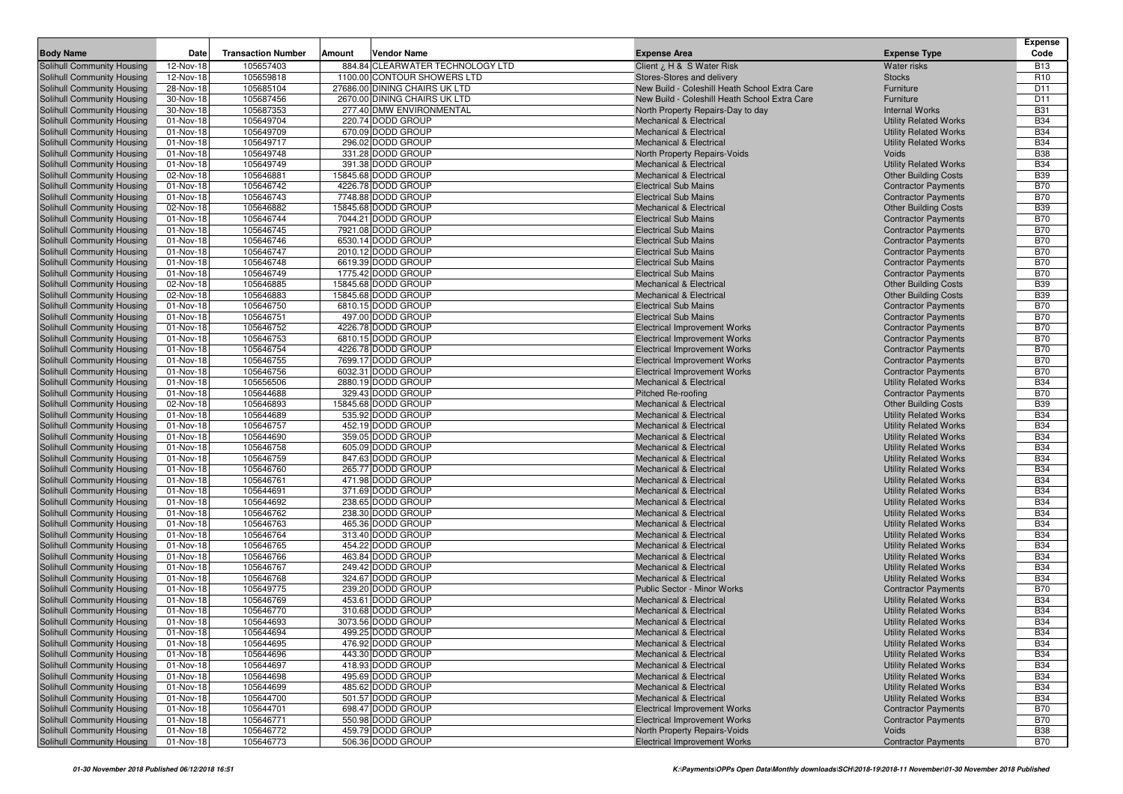| <b>Body Name</b>                                                | Date                   | <b>Transaction Number</b> | Amount<br>Vendor Name                      | <b>Expense Area</b>                                                      | <b>Expense Type</b>                                          | <b>Expense</b><br>Code   |
|-----------------------------------------------------------------|------------------------|---------------------------|--------------------------------------------|--------------------------------------------------------------------------|--------------------------------------------------------------|--------------------------|
| Solihull Community Housing                                      | 12-Nov-18              | 105657403                 | 884.84 CLEARWATER TECHNOLOGY LTD           | Client ¿ H & S Water Risk                                                | <b>Water risks</b>                                           | <b>B13</b>               |
| Solihull Community Housing                                      | 12-Nov-18              | 105659818                 | 1100.00 CONTOUR SHOWERS LTD                | Stores-Stores and delivery                                               | <b>Stocks</b>                                                | R <sub>10</sub>          |
| Solihull Community Housing                                      | 28-Nov-18              | 105685104                 | 27686.00 DINING CHAIRS UK LTD              | New Build - Coleshill Heath School Extra Care                            | Furniture                                                    | D <sub>11</sub>          |
| Solihull Community Housing                                      | 30-Nov-18              | 105687456                 | 2670.00 DINING CHAIRS UK LTD               | New Build - Coleshill Heath School Extra Care                            | Furniture                                                    | D <sub>11</sub>          |
| Solihull Community Housing                                      | 30-Nov-18              | 105687353                 | 277.40 DMW ENVIRONMENTAL                   | North Property Repairs-Day to day                                        | <b>Internal Works</b>                                        | <b>B31</b>               |
| Solihull Community Housing                                      | 01-Nov-18              | 105649704                 | 220.74 DODD GROUP                          | <b>Mechanical &amp; Electrical</b>                                       | <b>Utility Related Works</b>                                 | <b>B34</b>               |
| Solihull Community Housing                                      | 01-Nov-18              | 105649709                 | 670.09 DODD GROUP                          | <b>Mechanical &amp; Electrical</b>                                       | <b>Utility Related Works</b>                                 | <b>B34</b>               |
| Solihull Community Housing                                      | 01-Nov-18              | 105649717                 | 296.02 DODD GROUP                          | <b>Mechanical &amp; Electrical</b>                                       | <b>Utility Related Works</b>                                 | <b>B34</b>               |
| Solihull Community Housing                                      | 01-Nov-18              | 105649748                 | 331.28 DODD GROUP                          | North Property Repairs-Voids                                             | Voids                                                        | <b>B38</b>               |
| Solihull Community Housing                                      | 01-Nov-18              | 105649749                 | 391.38 DODD GROUP                          | <b>Mechanical &amp; Electrical</b>                                       | <b>Utility Related Works</b>                                 | <b>B34</b>               |
| Solihull Community Housing                                      | 02-Nov-18              | 105646881                 | 15845.68 DODD GROUP                        | <b>Mechanical &amp; Electrical</b>                                       | <b>Other Building Costs</b>                                  | <b>B39</b>               |
| Solihull Community Housing                                      | 01-Nov-18              | 105646742                 | 4226.78 DODD GROUP                         | <b>Electrical Sub Mains</b>                                              | <b>Contractor Payments</b>                                   | <b>B70</b>               |
| Solihull Community Housing                                      | 01-Nov-18              | 105646743                 | 7748.88 DODD GROUP                         | <b>Electrical Sub Mains</b>                                              | <b>Contractor Payments</b>                                   | <b>B70</b>               |
| Solihull Community Housing                                      | 02-Nov-18              | 105646882                 | 15845.68 DODD GROUP                        | <b>Mechanical &amp; Electrical</b>                                       | <b>Other Building Costs</b>                                  | <b>B39</b>               |
| Solihull Community Housing                                      | 01-Nov-18              | 105646744                 | 7044.21 DODD GROUP                         | <b>Electrical Sub Mains</b>                                              | <b>Contractor Payments</b>                                   | <b>B70</b>               |
| Solihull Community Housing                                      | 01-Nov-18              | 105646745                 | 7921.08 DODD GROUP                         | <b>Electrical Sub Mains</b>                                              | <b>Contractor Payments</b>                                   | <b>B70</b>               |
| Solihull Community Housing                                      | 01-Nov-18              | 105646746                 | 6530.14 DODD GROUP                         | <b>Electrical Sub Mains</b>                                              | <b>Contractor Payments</b>                                   | <b>B70</b>               |
| Solihull Community Housing                                      | 01-Nov-18              | 105646747                 | 2010.12 DODD GROUP                         | <b>Electrical Sub Mains</b>                                              | <b>Contractor Payments</b>                                   | <b>B70</b>               |
| Solihull Community Housing                                      | 01-Nov-18              | 105646748                 | 6619.39 DODD GROUP                         | <b>Electrical Sub Mains</b>                                              | <b>Contractor Payments</b>                                   | <b>B70</b>               |
| Solihull Community Housing                                      | 01-Nov-18              | 105646749                 | 1775.42 DODD GROUP                         | <b>Electrical Sub Mains</b>                                              | <b>Contractor Payments</b>                                   | <b>B70</b>               |
| Solihull Community Housing<br>Solihull Community Housing        | 02-Nov-18<br>02-Nov-18 | 105646885<br>105646883    | 15845.68 DODD GROUP<br>15845.68 DODD GROUP | <b>Mechanical &amp; Electrical</b><br><b>Mechanical &amp; Electrical</b> | <b>Other Building Costs</b><br><b>Other Building Costs</b>   | <b>B39</b><br><b>B39</b> |
| Solihull Community Housing                                      | 01-Nov-18              | 105646750                 | 6810.15 DODD GROUP                         | <b>Electrical Sub Mains</b>                                              | <b>Contractor Payments</b>                                   | <b>B70</b>               |
| Solihull Community Housing                                      | 01-Nov-18              | 105646751                 | 497.00 DODD GROUP                          | <b>Electrical Sub Mains</b>                                              | <b>Contractor Payments</b>                                   | <b>B70</b>               |
| Solihull Community Housing                                      | 01-Nov-18              | 105646752                 | 4226.78 DODD GROUP                         | <b>Electrical Improvement Works</b>                                      | <b>Contractor Payments</b>                                   | <b>B70</b>               |
| Solihull Community Housing                                      | 01-Nov-18              | 105646753                 | 6810.15 DODD GROUP                         | <b>Electrical Improvement Works</b>                                      | <b>Contractor Payments</b>                                   | <b>B70</b>               |
| Solihull Community Housing                                      | 01-Nov-18              | 105646754                 | 4226.78 DODD GROUP                         | <b>Electrical Improvement Works</b>                                      | <b>Contractor Payments</b>                                   | <b>B70</b>               |
| Solihull Community Housing                                      | 01-Nov-18              | 105646755                 | 7699.17 DODD GROUP                         | <b>Electrical Improvement Works</b>                                      | <b>Contractor Payments</b>                                   | <b>B70</b>               |
| Solihull Community Housing                                      | 01-Nov-18              | 105646756                 | 6032.31 DODD GROUP                         | <b>Electrical Improvement Works</b>                                      | <b>Contractor Payments</b>                                   | <b>B70</b>               |
| Solihull Community Housing                                      | 01-Nov-18              | 105656506                 | 2880.19 DODD GROUP                         | Mechanical & Electrical                                                  | <b>Utility Related Works</b>                                 | <b>B34</b>               |
| Solihull Community Housing                                      | 01-Nov-18              | 105644688                 | 329.43 DODD GROUP                          | <b>Pitched Re-roofing</b>                                                | <b>Contractor Payments</b>                                   | <b>B70</b>               |
| Solihull Community Housing                                      | 02-Nov-18              | 105646893                 | 15845.68 DODD GROUP                        | <b>Mechanical &amp; Electrical</b>                                       | <b>Other Building Costs</b>                                  | <b>B39</b>               |
| Solihull Community Housing                                      | 01-Nov-18              | 105644689                 | 535.92 DODD GROUP                          | <b>Mechanical &amp; Electrical</b>                                       | <b>Utility Related Works</b>                                 | <b>B34</b>               |
| Solihull Community Housing                                      | 01-Nov-18              | 105646757                 | 452.19 DODD GROUP                          | <b>Mechanical &amp; Electrical</b>                                       | <b>Utility Related Works</b>                                 | <b>B34</b>               |
| Solihull Community Housing                                      | 01-Nov-18              | 105644690                 | 359.05 DODD GROUP                          | <b>Mechanical &amp; Electrical</b>                                       | <b>Utility Related Works</b>                                 | <b>B34</b>               |
| Solihull Community Housing                                      | 01-Nov-18              | 105646758                 | 605.09 DODD GROUP                          | <b>Mechanical &amp; Electrical</b>                                       | <b>Utility Related Works</b>                                 | <b>B34</b>               |
| Solihull Community Housing                                      | 01-Nov-18              | 105646759                 | 847.63 DODD GROUP                          | <b>Mechanical &amp; Electrical</b>                                       | <b>Utility Related Works</b>                                 | <b>B34</b>               |
| <b>Solihull Community Housing</b>                               | 01-Nov-18              | 105646760                 | 265.77 DODD GROUP                          | <b>Mechanical &amp; Electrical</b>                                       | <b>Utility Related Works</b>                                 | <b>B34</b>               |
| Solihull Community Housing                                      | 01-Nov-18              | 105646761                 | 471.98 DODD GROUP                          | <b>Mechanical &amp; Electrical</b>                                       | <b>Utility Related Works</b>                                 | <b>B34</b>               |
| Solihull Community Housing                                      | 01-Nov-18              | 105644691                 | 371.69 DODD GROUP                          | <b>Mechanical &amp; Electrical</b>                                       | <b>Utility Related Works</b>                                 | <b>B34</b>               |
| Solihull Community Housing                                      | 01-Nov-18              | 105644692                 | 238.65 DODD GROUP                          | <b>Mechanical &amp; Electrical</b>                                       | <b>Utility Related Works</b>                                 | <b>B34</b>               |
| Solihull Community Housing                                      | 01-Nov-18              | 105646762                 | 238.30 DODD GROUP                          | <b>Mechanical &amp; Electrical</b>                                       | <b>Utility Related Works</b>                                 | <b>B34</b>               |
| Solihull Community Housing                                      | 01-Nov-18              | 105646763                 | 465.36 DODD GROUP                          | <b>Mechanical &amp; Electrical</b>                                       | <b>Utility Related Works</b>                                 | <b>B34</b>               |
| Solihull Community Housing                                      | 01-Nov-18              | 105646764                 | 313.40 DODD GROUP                          | <b>Mechanical &amp; Electrical</b>                                       | <b>Utility Related Works</b>                                 | <b>B34</b>               |
| Solihull Community Housing                                      | 01-Nov-18              | 105646765                 | 454.22 DODD GROUP                          | <b>Mechanical &amp; Electrical</b>                                       | <b>Utility Related Works</b>                                 | <b>B34</b>               |
| Solihull Community Housing                                      | 01-Nov-18              | 105646766                 | 463.84 DODD GROUP                          | <b>Mechanical &amp; Electrical</b>                                       | <b>Utility Related Works</b>                                 | <b>B34</b>               |
| Solihull Community Housing                                      | 01-Nov-18              | 105646767                 | 249.42 DODD GROUP                          | <b>Mechanical &amp; Electrical</b>                                       | <b>Utility Related Works</b>                                 | <b>B34</b>               |
| Solihull Community Housing                                      | 01-Nov-18              | 105646768                 | 324.67 DODD GROUP                          | <b>Mechanical &amp; Electrical</b>                                       | <b>Utility Related Works</b>                                 | <b>B34</b>               |
| Solihull Community Housing                                      | 01-Nov-18              | 105649775                 | 239.20 DODD GROUP                          | Public Sector - Minor Works                                              | <b>Contractor Payments</b>                                   | <b>B70</b>               |
| Solihull Community Housing                                      | 01-Nov-18              | 105646769                 | 453.61 DODD GROUP                          | <b>Mechanical &amp; Electrical</b>                                       | <b>Utility Related Works</b>                                 | <b>B34</b>               |
| Solihull Community Housing                                      | 01-Nov-18<br>01-Nov-18 | 105646770                 | 310.68 DODD GROUP                          | <b>Mechanical &amp; Electrical</b>                                       | <b>Utility Related Works</b>                                 | <b>B34</b>               |
| <b>Solihull Community Housing</b><br>Solihull Community Housing |                        | 105644693                 | 3073.56 DODD GROUP<br>499.25 DODD GROUP    | <b>Mechanical &amp; Electrical</b>                                       | <b>Utility Related Works</b>                                 | <b>B34</b><br><b>B34</b> |
|                                                                 | 01-Nov-18              | 105644694                 |                                            | <b>Mechanical &amp; Electrical</b>                                       | <b>Utility Related Works</b>                                 |                          |
| Solihull Community Housing<br>Solihull Community Housing        | 01-Nov-18              | 105644695                 | 476.92 DODD GROUP<br>443.30 DODD GROUP     | <b>Mechanical &amp; Electrical</b>                                       | <b>Utility Related Works</b>                                 | <b>B34</b>               |
| Solihull Community Housing                                      | 01-Nov-18<br>01-Nov-18 | 105644696<br>105644697    | 418.93 DODD GROUP                          | <b>Mechanical &amp; Electrical</b><br><b>Mechanical &amp; Electrical</b> | <b>Utility Related Works</b><br><b>Utility Related Works</b> | <b>B34</b><br><b>B34</b> |
| Solihull Community Housing                                      | 01-Nov-18              | 105644698                 | 495.69 DODD GROUP                          | Mechanical & Electrical                                                  | <b>Utility Related Works</b>                                 | <b>B34</b>               |
| Solihull Community Housing                                      | 01-Nov-18              | 105644699                 | 485.62 DODD GROUP                          | Mechanical & Electrical                                                  | <b>Utility Related Works</b>                                 | <b>B34</b>               |
| Solihull Community Housing                                      | 01-Nov-18              | 105644700                 | 501.57 DODD GROUP                          | <b>Mechanical &amp; Electrical</b>                                       | <b>Utility Related Works</b>                                 | <b>B34</b>               |
| Solihull Community Housing                                      | 01-Nov-18              | 105644701                 | 698.47 DODD GROUP                          | <b>Electrical Improvement Works</b>                                      | <b>Contractor Payments</b>                                   | <b>B70</b>               |
| Solihull Community Housing                                      | 01-Nov-18              | 105646771                 | 550.98 DODD GROUP                          | <b>Electrical Improvement Works</b>                                      | <b>Contractor Payments</b>                                   | <b>B70</b>               |
| Solihull Community Housing                                      | 01-Nov-18              | 105646772                 | 459.79 DODD GROUP                          | North Property Repairs-Voids                                             | Voids                                                        | <b>B38</b>               |
| Solihull Community Housing                                      | 01-Nov-18              | 105646773                 | 506.36 DODD GROUP                          | <b>Electrical Improvement Works</b>                                      | <b>Contractor Payments</b>                                   | <b>B70</b>               |
|                                                                 |                        |                           |                                            |                                                                          |                                                              |                          |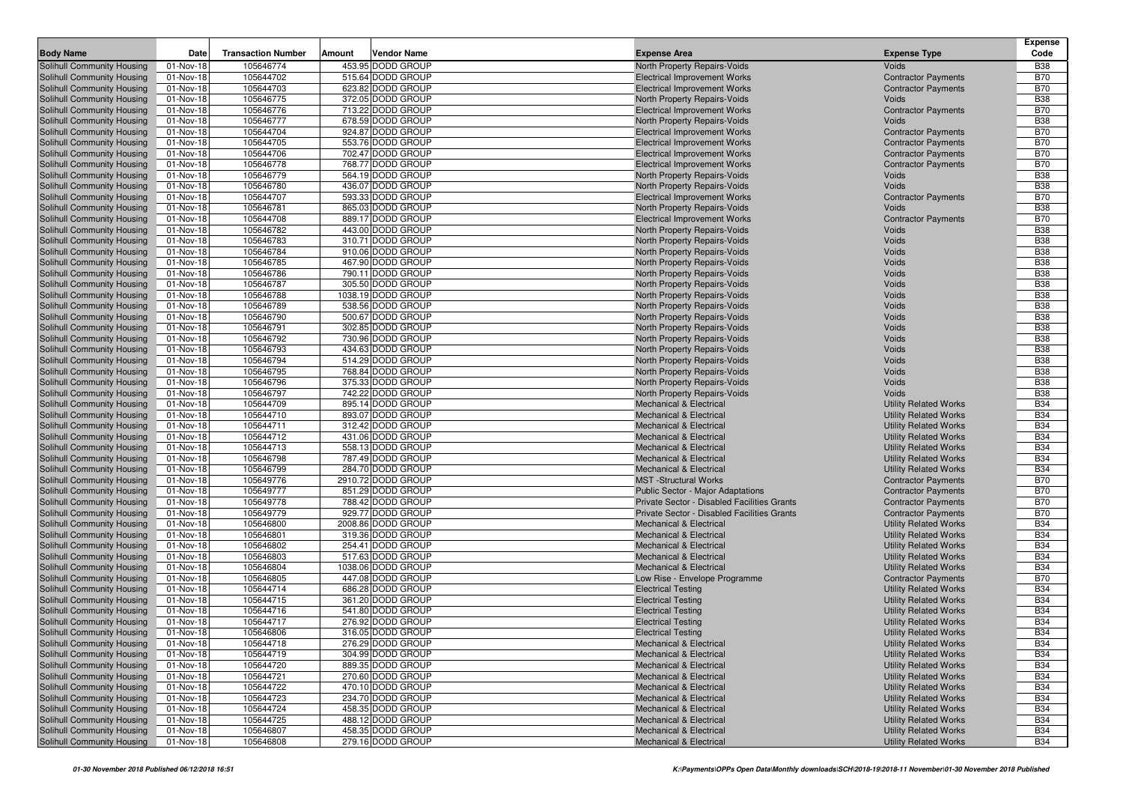| 105646774<br>Solihull Community Housing<br>453.95 DODD GROUP<br>North Property Repairs-Voids<br><b>B38</b><br>01-Nov-18<br>Voids<br>01-Nov-18<br>105644702<br>515.64 DODD GROUP<br><b>B70</b><br>Solihull Community Housing<br><b>Electrical Improvement Works</b><br><b>Contractor Payments</b><br><b>B70</b><br>105644703<br>623.82 DODD GROUP<br>Solihull Community Housing<br>01-Nov-18<br><b>Electrical Improvement Works</b><br><b>Contractor Payments</b><br>105646775<br>372.05 DODD GROUP<br><b>B38</b><br>Solihull Community Housing<br>01-Nov-18<br>North Property Repairs-Voids<br>Voids<br><b>B70</b><br>105646776<br>713.22 DODD GROUP<br>Solihull Community Housing<br>01-Nov-18<br><b>Electrical Improvement Works</b><br><b>Contractor Payments</b><br>105646777<br>678.59 DODD GROUP<br><b>B38</b><br>Solihull Community Housing<br>01-Nov-18<br>North Property Repairs-Voids<br>Voids<br>Solihull Community Housing<br>105644704<br>924.87 DODD GROUP<br><b>B70</b><br>01-Nov-18<br><b>Electrical Improvement Works</b><br><b>Contractor Payments</b><br>Solihull Community Housing<br>105644705<br>553.76 DODD GROUP<br><b>B70</b><br>01-Nov-18<br><b>Electrical Improvement Works</b><br><b>Contractor Payments</b><br>105644706<br>702.47 DODD GROUP<br><b>B70</b><br>Solihull Community Housing<br>01-Nov-18<br><b>Electrical Improvement Works</b><br><b>Contractor Payments</b><br><b>B70</b><br>01-Nov-18<br>105646778<br>768.77 DODD GROUP<br>Solihull Community Housing<br><b>Electrical Improvement Works</b><br><b>Contractor Payments</b><br>105646779<br>564.19 DODD GROUP<br><b>B38</b><br>01-Nov-18<br>North Property Repairs-Voids<br>Voids<br>105646780<br>436.07 DODD GROUP<br><b>B38</b><br>01-Nov-18<br>North Property Repairs-Voids<br>Voids<br>105644707<br>593.33 DODD GROUP<br><b>Contractor Payments</b><br><b>B70</b><br>01-Nov-18<br><b>Electrical Improvement Works</b><br>105646781<br>865.03 DODD GROUP<br><b>B38</b><br>01-Nov-18<br>North Property Repairs-Voids<br>Voids<br>105644708<br>889.17 DODD GROUP<br><b>B70</b><br>01-Nov-18<br><b>Electrical Improvement Works</b><br><b>Contractor Payments</b><br>443.00 DODD GROUP<br>Solihull Community Housing<br>105646782<br><b>B38</b><br>01-Nov-18<br>North Property Repairs-Voids<br>Voids<br>310.71 DODD GROUP<br><b>B38</b><br>Solihull Community Housing<br>01-Nov-18<br>105646783<br>North Property Repairs-Voids<br>Voids<br>105646784<br>910.06 DODD GROUP<br>Voids<br><b>B38</b><br>Solihull Community Housing<br>01-Nov-18<br>North Property Repairs-Voids<br>105646785<br>467.90 DODD GROUP<br><b>B38</b><br>Solihull Community Housing<br>01-Nov-18<br>North Property Repairs-Voids<br>Voids<br>01-Nov-18<br>105646786<br>790.11 DODD GROUP<br><b>B38</b><br>Solihull Community Housing<br>North Property Repairs-Voids<br>Voids<br>Solihull Community Housing<br>105646787<br>305.50 DODD GROUP<br>Voids<br><b>B38</b><br>01-Nov-18<br>North Property Repairs-Voids<br>105646788<br>1038.19 DODD GROUP<br><b>B38</b><br>Solihull Community Housing<br>01-Nov-18<br>North Property Repairs-Voids<br>Voids<br><b>B38</b><br>105646789<br>538.56 DODD GROUP<br>North Property Repairs-Voids<br>Solihull Community Housing<br>01-Nov-18<br>Voids<br>Solihull Community Housing<br>01-Nov-18<br>105646790<br>500.67 DODD GROUP<br>Voids<br><b>B38</b><br>North Property Repairs-Voids<br>302.85 DODD GROUP<br>Voids<br><b>B38</b><br>Solihull Community Housing<br>01-Nov-18<br>105646791<br>North Property Repairs-Voids<br>105646792<br>730.96 DODD GROUP<br><b>B38</b><br>Solihull Community Housing<br>01-Nov-18<br>North Property Repairs-Voids<br>Voids<br>01-Nov-18<br>105646793<br>434.63 DODD GROUP<br><b>B38</b><br>Solihull Community Housing<br>North Property Repairs-Voids<br>Voids<br>105646794<br>514.29 DODD GROUP<br>Voids<br><b>B38</b><br>Solihull Community Housing<br>01-Nov-18<br>North Property Repairs-Voids<br>105646795<br>768.84 DODD GROUP<br>Voids<br><b>B38</b><br>Solihull Community Housing<br>01-Nov-18<br>North Property Repairs-Voids<br><b>B38</b><br>105646796<br>375.33 DODD GROUP<br>01-Nov-18<br>North Property Repairs-Voids<br>Voids<br>105646797<br>742.22 DODD GROUP<br><b>B38</b><br>01-Nov-18<br>North Property Repairs-Voids<br>Voids<br><b>B34</b><br>105644709<br>895.14 DODD GROUP<br><b>Utility Related Works</b><br>01-Nov-18<br><b>Mechanical &amp; Electrical</b><br><b>B34</b><br>105644710<br>893.07 DODD GROUP<br>01-Nov-18<br><b>Mechanical &amp; Electrical</b><br><b>Utility Related Works</b><br>105644711<br>312.42 DODD GROUP<br><b>B34</b><br>01-Nov-18<br><b>Mechanical &amp; Electrical</b><br><b>Utility Related Works</b><br>01-Nov-18<br>105644712<br>431.06 DODD GROUP<br><b>B34</b><br>Solihull Community Housing<br><b>Mechanical &amp; Electrical</b><br><b>Utility Related Works</b><br><b>B34</b><br>105644713<br>558.13 DODD GROUP<br><b>Utility Related Works</b><br>Solihull Community Housing<br>01-Nov-18<br><b>Mechanical &amp; Electrical</b><br>105646798<br>787.49 DODD GROUP<br><b>B34</b><br>Solihull Community Housing<br>01-Nov-18<br><b>Mechanical &amp; Electrical</b><br><b>Utility Related Works</b><br>01-Nov-18<br>105646799<br>284.70 DODD GROUP<br><b>Utility Related Works</b><br><b>B34</b><br>Solihull Community Housing<br><b>Mechanical &amp; Electrical</b><br><b>B70</b><br>2910.72 DODD GROUP<br>Solihull Community Housing<br>01-Nov-18<br>105649776<br><b>MST</b> -Structural Works<br><b>Contractor Payments</b><br>105649777<br>851.29 DODD GROUP<br><b>B70</b><br>Solihull Community Housing<br>01-Nov-18<br>Public Sector - Major Adaptations<br><b>Contractor Payments</b><br><b>B70</b><br>Solihull Community Housing<br>01-Nov-18<br>105649778<br>788.42 DODD GROUP<br><b>Contractor Payments</b><br>Private Sector - Disabled Facilities Grants<br>01-Nov-18<br>105649779<br>929.77 DODD GROUP<br><b>B70</b><br>Solihull Community Housing<br>Private Sector - Disabled Facilities Grants<br><b>Contractor Payments</b><br>105646800<br>2008.86 DODD GROUP<br><b>Utility Related Works</b><br><b>B34</b><br>Solihull Community Housing<br>01-Nov-18<br><b>Mechanical &amp; Electrical</b><br>105646801<br>319.36 DODD GROUP<br><b>Utility Related Works</b><br><b>B34</b><br>Solihull Community Housing<br>01-Nov-18<br><b>Mechanical &amp; Electrical</b><br>105646802<br>254.41 DODD GROUP<br><b>Utility Related Works</b><br><b>B34</b><br>Solihull Community Housing<br>01-Nov-18<br><b>Mechanical &amp; Electrical</b><br>Solihull Community Housing<br>517.63 DODD GROUP<br><b>B34</b><br>01-Nov-18<br>105646803<br><b>Mechanical &amp; Electrical</b><br><b>Utility Related Works</b><br>105646804<br>1038.06 DODD GROUP<br><b>B34</b><br>01-Nov-18<br><b>Mechanical &amp; Electrical</b><br><b>Utility Related Works</b><br><b>B70</b><br>105646805<br>447.08 DODD GROUP<br>01-Nov-18<br>Low Rise - Envelope Programme<br><b>Contractor Payments</b><br>01-Nov-18<br>105644714<br>686.28 DODD GROUP<br><b>Utility Related Works</b><br><b>B34</b><br><b>Electrical Testing</b><br>105644715<br>361.20 DODD GROUP<br><b>Utility Related Works</b><br><b>B34</b><br>01-Nov-18<br><b>Electrical Testing</b><br>105644716<br>541.80 DODD GROUP<br><b>B34</b><br>01-Nov-18<br><b>Electrical Testing</b><br><b>Utility Related Works</b><br>Solihull Community Housing<br>01-Nov-18<br>105644717<br>276.92 DODD GROUP<br><b>B34</b><br><b>Electrical Testing</b><br><b>Utility Related Works</b><br>Solihull Community Housing<br><b>B34</b><br>01-Nov-18<br>105646806<br>316.05 DODD GROUP<br><b>Electrical Testing</b><br><b>Utility Related Works</b><br>Solihull Community Housing<br>276.29 DODD GROUP<br><b>Utility Related Works</b><br><b>B34</b><br>01-Nov-18<br>105644718<br>Mechanical & Electrical<br>Solihull Community Housing<br>105644719<br>304.99 DODD GROUP<br><b>Utility Related Works</b><br><b>B34</b><br>01-Nov-18<br><b>Mechanical &amp; Electrical</b><br>Solihull Community Housing<br>105644720<br>889.35 DODD GROUP<br><b>Utility Related Works</b><br><b>B34</b><br>01-Nov-18<br>Mechanical & Electrical<br>Solihull Community Housing<br>105644721<br>270.60 DODD GROUP<br><b>B34</b><br>01-Nov-18<br>Mechanical & Electrical<br><b>Utility Related Works</b><br>Solihull Community Housing<br>105644722<br>470.10 DODD GROUP<br><b>Utility Related Works</b><br><b>B34</b><br>01-Nov-18<br>Mechanical & Electrical<br>234.70 DODD GROUP<br>Solihull Community Housing<br>105644723<br><b>Utility Related Works</b><br><b>B34</b><br>01-Nov-18<br><b>Mechanical &amp; Electrical</b><br>Solihull Community Housing<br>105644724<br>458.35 DODD GROUP<br>01-Nov-18<br><b>Mechanical &amp; Electrical</b><br><b>Utility Related Works</b><br><b>B34</b><br>Solihull Community Housing<br>105644725<br>488.12 DODD GROUP<br><b>Utility Related Works</b><br><b>B34</b><br>01-Nov-18<br><b>Mechanical &amp; Electrical</b><br>458.35 DODD GROUP<br>Solihull Community Housing<br>105646807<br><b>Utility Related Works</b><br><b>B34</b><br>01-Nov-18<br><b>Mechanical &amp; Electrical</b><br>279.16 DODD GROUP<br><b>Utility Related Works</b><br><b>B34</b> |                            |           |                           |                       |                         |                     | Expense |
|-----------------------------------------------------------------------------------------------------------------------------------------------------------------------------------------------------------------------------------------------------------------------------------------------------------------------------------------------------------------------------------------------------------------------------------------------------------------------------------------------------------------------------------------------------------------------------------------------------------------------------------------------------------------------------------------------------------------------------------------------------------------------------------------------------------------------------------------------------------------------------------------------------------------------------------------------------------------------------------------------------------------------------------------------------------------------------------------------------------------------------------------------------------------------------------------------------------------------------------------------------------------------------------------------------------------------------------------------------------------------------------------------------------------------------------------------------------------------------------------------------------------------------------------------------------------------------------------------------------------------------------------------------------------------------------------------------------------------------------------------------------------------------------------------------------------------------------------------------------------------------------------------------------------------------------------------------------------------------------------------------------------------------------------------------------------------------------------------------------------------------------------------------------------------------------------------------------------------------------------------------------------------------------------------------------------------------------------------------------------------------------------------------------------------------------------------------------------------------------------------------------------------------------------------------------------------------------------------------------------------------------------------------------------------------------------------------------------------------------------------------------------------------------------------------------------------------------------------------------------------------------------------------------------------------------------------------------------------------------------------------------------------------------------------------------------------------------------------------------------------------------------------------------------------------------------------------------------------------------------------------------------------------------------------------------------------------------------------------------------------------------------------------------------------------------------------------------------------------------------------------------------------------------------------------------------------------------------------------------------------------------------------------------------------------------------------------------------------------------------------------------------------------------------------------------------------------------------------------------------------------------------------------------------------------------------------------------------------------------------------------------------------------------------------------------------------------------------------------------------------------------------------------------------------------------------------------------------------------------------------------------------------------------------------------------------------------------------------------------------------------------------------------------------------------------------------------------------------------------------------------------------------------------------------------------------------------------------------------------------------------------------------------------------------------------------------------------------------------------------------------------------------------------------------------------------------------------------------------------------------------------------------------------------------------------------------------------------------------------------------------------------------------------------------------------------------------------------------------------------------------------------------------------------------------------------------------------------------------------------------------------------------------------------------------------------------------------------------------------------------------------------------------------------------------------------------------------------------------------------------------------------------------------------------------------------------------------------------------------------------------------------------------------------------------------------------------------------------------------------------------------------------------------------------------------------------------------------------------------------------------------------------------------------------------------------------------------------------------------------------------------------------------------------------------------------------------------------------------------------------------------------------------------------------------------------------------------------------------------------------------------------------------------------------------------------------------------------------------------------------------------------------------------------------------------------------------------------------------------------------------------------------------------------------------------------------------------------------------------------------------------------------------------------------------------------------------------------------------------------------------------------------------------------------------------------------------------------------------------------------------------------------------------------------------------------------------------------------------------------------------------------------------------------------------------------------------------------------------------------------------------------------------------------------------------------------------------------------------------------------------------------------------------------------------------------------------------------------------------------------------------------------------------------------------------------------------------------------------------------------------------------------------------------------------------------------------------------------------------------------------------------------------------------------------------------------------------------------------------------------------------------------------------------------------------------------------------------------------------------------------------------------------------------------------------------------------------------------------------------------------------------------------------------------------------------------------------------------------------------------------------------------------------------------------------------------------------------------------------------------------------------------------------------------------------------------------------------------------------------------------------------------------------------------------------------------------------------------------------------------------------------------------------------------------------------------------------------------------------------------------------------------------------------------------------------------------------------------------------------------------------------------------------------------------------------------------------------------------------------------------------------------------------------------------------------------------------------------------------------------------------------------------------------------------------------------------------------------------------------------------------------------------------------------------------------------------------------------------|----------------------------|-----------|---------------------------|-----------------------|-------------------------|---------------------|---------|
|                                                                                                                                                                                                                                                                                                                                                                                                                                                                                                                                                                                                                                                                                                                                                                                                                                                                                                                                                                                                                                                                                                                                                                                                                                                                                                                                                                                                                                                                                                                                                                                                                                                                                                                                                                                                                                                                                                                                                                                                                                                                                                                                                                                                                                                                                                                                                                                                                                                                                                                                                                                                                                                                                                                                                                                                                                                                                                                                                                                                                                                                                                                                                                                                                                                                                                                                                                                                                                                                                                                                                                                                                                                                                                                                                                                                                                                                                                                                                                                                                                                                                                                                                                                                                                                                                                                                                                                                                                                                                                                                                                                                                                                                                                                                                                                                                                                                                                                                                                                                                                                                                                                                                                                                                                                                                                                                                                                                                                                                                                                                                                                                                                                                                                                                                                                                                                                                                                                                                                                                                                                                                                                                                                                                                                                                                                                                                                                                                                                                                                                                                                                                                                                                                                                                                                                                                                                                                                                                                                                                                                                                                                                                                                                                                                                                                                                                                                                                                                                                                                                                                                                                                                                                                                                                                                                                                                                                                                                                                                                                                                                                                                                                                                                                                                                                                                                                                                                                                                                                                                                                                                                                                                                                                                                                                                                                                                                                                                                                                                                                                                                                                                                                                                                                                             | <b>Body Name</b>           | Date      | <b>Transaction Number</b> | Vendor Name<br>Amount | <b>Expense Area</b>     | <b>Expense Type</b> | Code    |
|                                                                                                                                                                                                                                                                                                                                                                                                                                                                                                                                                                                                                                                                                                                                                                                                                                                                                                                                                                                                                                                                                                                                                                                                                                                                                                                                                                                                                                                                                                                                                                                                                                                                                                                                                                                                                                                                                                                                                                                                                                                                                                                                                                                                                                                                                                                                                                                                                                                                                                                                                                                                                                                                                                                                                                                                                                                                                                                                                                                                                                                                                                                                                                                                                                                                                                                                                                                                                                                                                                                                                                                                                                                                                                                                                                                                                                                                                                                                                                                                                                                                                                                                                                                                                                                                                                                                                                                                                                                                                                                                                                                                                                                                                                                                                                                                                                                                                                                                                                                                                                                                                                                                                                                                                                                                                                                                                                                                                                                                                                                                                                                                                                                                                                                                                                                                                                                                                                                                                                                                                                                                                                                                                                                                                                                                                                                                                                                                                                                                                                                                                                                                                                                                                                                                                                                                                                                                                                                                                                                                                                                                                                                                                                                                                                                                                                                                                                                                                                                                                                                                                                                                                                                                                                                                                                                                                                                                                                                                                                                                                                                                                                                                                                                                                                                                                                                                                                                                                                                                                                                                                                                                                                                                                                                                                                                                                                                                                                                                                                                                                                                                                                                                                                                                                             |                            |           |                           |                       |                         |                     |         |
|                                                                                                                                                                                                                                                                                                                                                                                                                                                                                                                                                                                                                                                                                                                                                                                                                                                                                                                                                                                                                                                                                                                                                                                                                                                                                                                                                                                                                                                                                                                                                                                                                                                                                                                                                                                                                                                                                                                                                                                                                                                                                                                                                                                                                                                                                                                                                                                                                                                                                                                                                                                                                                                                                                                                                                                                                                                                                                                                                                                                                                                                                                                                                                                                                                                                                                                                                                                                                                                                                                                                                                                                                                                                                                                                                                                                                                                                                                                                                                                                                                                                                                                                                                                                                                                                                                                                                                                                                                                                                                                                                                                                                                                                                                                                                                                                                                                                                                                                                                                                                                                                                                                                                                                                                                                                                                                                                                                                                                                                                                                                                                                                                                                                                                                                                                                                                                                                                                                                                                                                                                                                                                                                                                                                                                                                                                                                                                                                                                                                                                                                                                                                                                                                                                                                                                                                                                                                                                                                                                                                                                                                                                                                                                                                                                                                                                                                                                                                                                                                                                                                                                                                                                                                                                                                                                                                                                                                                                                                                                                                                                                                                                                                                                                                                                                                                                                                                                                                                                                                                                                                                                                                                                                                                                                                                                                                                                                                                                                                                                                                                                                                                                                                                                                                                             |                            |           |                           |                       |                         |                     |         |
|                                                                                                                                                                                                                                                                                                                                                                                                                                                                                                                                                                                                                                                                                                                                                                                                                                                                                                                                                                                                                                                                                                                                                                                                                                                                                                                                                                                                                                                                                                                                                                                                                                                                                                                                                                                                                                                                                                                                                                                                                                                                                                                                                                                                                                                                                                                                                                                                                                                                                                                                                                                                                                                                                                                                                                                                                                                                                                                                                                                                                                                                                                                                                                                                                                                                                                                                                                                                                                                                                                                                                                                                                                                                                                                                                                                                                                                                                                                                                                                                                                                                                                                                                                                                                                                                                                                                                                                                                                                                                                                                                                                                                                                                                                                                                                                                                                                                                                                                                                                                                                                                                                                                                                                                                                                                                                                                                                                                                                                                                                                                                                                                                                                                                                                                                                                                                                                                                                                                                                                                                                                                                                                                                                                                                                                                                                                                                                                                                                                                                                                                                                                                                                                                                                                                                                                                                                                                                                                                                                                                                                                                                                                                                                                                                                                                                                                                                                                                                                                                                                                                                                                                                                                                                                                                                                                                                                                                                                                                                                                                                                                                                                                                                                                                                                                                                                                                                                                                                                                                                                                                                                                                                                                                                                                                                                                                                                                                                                                                                                                                                                                                                                                                                                                                                             |                            |           |                           |                       |                         |                     |         |
|                                                                                                                                                                                                                                                                                                                                                                                                                                                                                                                                                                                                                                                                                                                                                                                                                                                                                                                                                                                                                                                                                                                                                                                                                                                                                                                                                                                                                                                                                                                                                                                                                                                                                                                                                                                                                                                                                                                                                                                                                                                                                                                                                                                                                                                                                                                                                                                                                                                                                                                                                                                                                                                                                                                                                                                                                                                                                                                                                                                                                                                                                                                                                                                                                                                                                                                                                                                                                                                                                                                                                                                                                                                                                                                                                                                                                                                                                                                                                                                                                                                                                                                                                                                                                                                                                                                                                                                                                                                                                                                                                                                                                                                                                                                                                                                                                                                                                                                                                                                                                                                                                                                                                                                                                                                                                                                                                                                                                                                                                                                                                                                                                                                                                                                                                                                                                                                                                                                                                                                                                                                                                                                                                                                                                                                                                                                                                                                                                                                                                                                                                                                                                                                                                                                                                                                                                                                                                                                                                                                                                                                                                                                                                                                                                                                                                                                                                                                                                                                                                                                                                                                                                                                                                                                                                                                                                                                                                                                                                                                                                                                                                                                                                                                                                                                                                                                                                                                                                                                                                                                                                                                                                                                                                                                                                                                                                                                                                                                                                                                                                                                                                                                                                                                                                             |                            |           |                           |                       |                         |                     |         |
|                                                                                                                                                                                                                                                                                                                                                                                                                                                                                                                                                                                                                                                                                                                                                                                                                                                                                                                                                                                                                                                                                                                                                                                                                                                                                                                                                                                                                                                                                                                                                                                                                                                                                                                                                                                                                                                                                                                                                                                                                                                                                                                                                                                                                                                                                                                                                                                                                                                                                                                                                                                                                                                                                                                                                                                                                                                                                                                                                                                                                                                                                                                                                                                                                                                                                                                                                                                                                                                                                                                                                                                                                                                                                                                                                                                                                                                                                                                                                                                                                                                                                                                                                                                                                                                                                                                                                                                                                                                                                                                                                                                                                                                                                                                                                                                                                                                                                                                                                                                                                                                                                                                                                                                                                                                                                                                                                                                                                                                                                                                                                                                                                                                                                                                                                                                                                                                                                                                                                                                                                                                                                                                                                                                                                                                                                                                                                                                                                                                                                                                                                                                                                                                                                                                                                                                                                                                                                                                                                                                                                                                                                                                                                                                                                                                                                                                                                                                                                                                                                                                                                                                                                                                                                                                                                                                                                                                                                                                                                                                                                                                                                                                                                                                                                                                                                                                                                                                                                                                                                                                                                                                                                                                                                                                                                                                                                                                                                                                                                                                                                                                                                                                                                                                                                             |                            |           |                           |                       |                         |                     |         |
|                                                                                                                                                                                                                                                                                                                                                                                                                                                                                                                                                                                                                                                                                                                                                                                                                                                                                                                                                                                                                                                                                                                                                                                                                                                                                                                                                                                                                                                                                                                                                                                                                                                                                                                                                                                                                                                                                                                                                                                                                                                                                                                                                                                                                                                                                                                                                                                                                                                                                                                                                                                                                                                                                                                                                                                                                                                                                                                                                                                                                                                                                                                                                                                                                                                                                                                                                                                                                                                                                                                                                                                                                                                                                                                                                                                                                                                                                                                                                                                                                                                                                                                                                                                                                                                                                                                                                                                                                                                                                                                                                                                                                                                                                                                                                                                                                                                                                                                                                                                                                                                                                                                                                                                                                                                                                                                                                                                                                                                                                                                                                                                                                                                                                                                                                                                                                                                                                                                                                                                                                                                                                                                                                                                                                                                                                                                                                                                                                                                                                                                                                                                                                                                                                                                                                                                                                                                                                                                                                                                                                                                                                                                                                                                                                                                                                                                                                                                                                                                                                                                                                                                                                                                                                                                                                                                                                                                                                                                                                                                                                                                                                                                                                                                                                                                                                                                                                                                                                                                                                                                                                                                                                                                                                                                                                                                                                                                                                                                                                                                                                                                                                                                                                                                                                             |                            |           |                           |                       |                         |                     |         |
|                                                                                                                                                                                                                                                                                                                                                                                                                                                                                                                                                                                                                                                                                                                                                                                                                                                                                                                                                                                                                                                                                                                                                                                                                                                                                                                                                                                                                                                                                                                                                                                                                                                                                                                                                                                                                                                                                                                                                                                                                                                                                                                                                                                                                                                                                                                                                                                                                                                                                                                                                                                                                                                                                                                                                                                                                                                                                                                                                                                                                                                                                                                                                                                                                                                                                                                                                                                                                                                                                                                                                                                                                                                                                                                                                                                                                                                                                                                                                                                                                                                                                                                                                                                                                                                                                                                                                                                                                                                                                                                                                                                                                                                                                                                                                                                                                                                                                                                                                                                                                                                                                                                                                                                                                                                                                                                                                                                                                                                                                                                                                                                                                                                                                                                                                                                                                                                                                                                                                                                                                                                                                                                                                                                                                                                                                                                                                                                                                                                                                                                                                                                                                                                                                                                                                                                                                                                                                                                                                                                                                                                                                                                                                                                                                                                                                                                                                                                                                                                                                                                                                                                                                                                                                                                                                                                                                                                                                                                                                                                                                                                                                                                                                                                                                                                                                                                                                                                                                                                                                                                                                                                                                                                                                                                                                                                                                                                                                                                                                                                                                                                                                                                                                                                                                             |                            |           |                           |                       |                         |                     |         |
|                                                                                                                                                                                                                                                                                                                                                                                                                                                                                                                                                                                                                                                                                                                                                                                                                                                                                                                                                                                                                                                                                                                                                                                                                                                                                                                                                                                                                                                                                                                                                                                                                                                                                                                                                                                                                                                                                                                                                                                                                                                                                                                                                                                                                                                                                                                                                                                                                                                                                                                                                                                                                                                                                                                                                                                                                                                                                                                                                                                                                                                                                                                                                                                                                                                                                                                                                                                                                                                                                                                                                                                                                                                                                                                                                                                                                                                                                                                                                                                                                                                                                                                                                                                                                                                                                                                                                                                                                                                                                                                                                                                                                                                                                                                                                                                                                                                                                                                                                                                                                                                                                                                                                                                                                                                                                                                                                                                                                                                                                                                                                                                                                                                                                                                                                                                                                                                                                                                                                                                                                                                                                                                                                                                                                                                                                                                                                                                                                                                                                                                                                                                                                                                                                                                                                                                                                                                                                                                                                                                                                                                                                                                                                                                                                                                                                                                                                                                                                                                                                                                                                                                                                                                                                                                                                                                                                                                                                                                                                                                                                                                                                                                                                                                                                                                                                                                                                                                                                                                                                                                                                                                                                                                                                                                                                                                                                                                                                                                                                                                                                                                                                                                                                                                                                             |                            |           |                           |                       |                         |                     |         |
|                                                                                                                                                                                                                                                                                                                                                                                                                                                                                                                                                                                                                                                                                                                                                                                                                                                                                                                                                                                                                                                                                                                                                                                                                                                                                                                                                                                                                                                                                                                                                                                                                                                                                                                                                                                                                                                                                                                                                                                                                                                                                                                                                                                                                                                                                                                                                                                                                                                                                                                                                                                                                                                                                                                                                                                                                                                                                                                                                                                                                                                                                                                                                                                                                                                                                                                                                                                                                                                                                                                                                                                                                                                                                                                                                                                                                                                                                                                                                                                                                                                                                                                                                                                                                                                                                                                                                                                                                                                                                                                                                                                                                                                                                                                                                                                                                                                                                                                                                                                                                                                                                                                                                                                                                                                                                                                                                                                                                                                                                                                                                                                                                                                                                                                                                                                                                                                                                                                                                                                                                                                                                                                                                                                                                                                                                                                                                                                                                                                                                                                                                                                                                                                                                                                                                                                                                                                                                                                                                                                                                                                                                                                                                                                                                                                                                                                                                                                                                                                                                                                                                                                                                                                                                                                                                                                                                                                                                                                                                                                                                                                                                                                                                                                                                                                                                                                                                                                                                                                                                                                                                                                                                                                                                                                                                                                                                                                                                                                                                                                                                                                                                                                                                                                                                             |                            |           |                           |                       |                         |                     |         |
|                                                                                                                                                                                                                                                                                                                                                                                                                                                                                                                                                                                                                                                                                                                                                                                                                                                                                                                                                                                                                                                                                                                                                                                                                                                                                                                                                                                                                                                                                                                                                                                                                                                                                                                                                                                                                                                                                                                                                                                                                                                                                                                                                                                                                                                                                                                                                                                                                                                                                                                                                                                                                                                                                                                                                                                                                                                                                                                                                                                                                                                                                                                                                                                                                                                                                                                                                                                                                                                                                                                                                                                                                                                                                                                                                                                                                                                                                                                                                                                                                                                                                                                                                                                                                                                                                                                                                                                                                                                                                                                                                                                                                                                                                                                                                                                                                                                                                                                                                                                                                                                                                                                                                                                                                                                                                                                                                                                                                                                                                                                                                                                                                                                                                                                                                                                                                                                                                                                                                                                                                                                                                                                                                                                                                                                                                                                                                                                                                                                                                                                                                                                                                                                                                                                                                                                                                                                                                                                                                                                                                                                                                                                                                                                                                                                                                                                                                                                                                                                                                                                                                                                                                                                                                                                                                                                                                                                                                                                                                                                                                                                                                                                                                                                                                                                                                                                                                                                                                                                                                                                                                                                                                                                                                                                                                                                                                                                                                                                                                                                                                                                                                                                                                                                                                             | Solihull Community Housing |           |                           |                       |                         |                     |         |
|                                                                                                                                                                                                                                                                                                                                                                                                                                                                                                                                                                                                                                                                                                                                                                                                                                                                                                                                                                                                                                                                                                                                                                                                                                                                                                                                                                                                                                                                                                                                                                                                                                                                                                                                                                                                                                                                                                                                                                                                                                                                                                                                                                                                                                                                                                                                                                                                                                                                                                                                                                                                                                                                                                                                                                                                                                                                                                                                                                                                                                                                                                                                                                                                                                                                                                                                                                                                                                                                                                                                                                                                                                                                                                                                                                                                                                                                                                                                                                                                                                                                                                                                                                                                                                                                                                                                                                                                                                                                                                                                                                                                                                                                                                                                                                                                                                                                                                                                                                                                                                                                                                                                                                                                                                                                                                                                                                                                                                                                                                                                                                                                                                                                                                                                                                                                                                                                                                                                                                                                                                                                                                                                                                                                                                                                                                                                                                                                                                                                                                                                                                                                                                                                                                                                                                                                                                                                                                                                                                                                                                                                                                                                                                                                                                                                                                                                                                                                                                                                                                                                                                                                                                                                                                                                                                                                                                                                                                                                                                                                                                                                                                                                                                                                                                                                                                                                                                                                                                                                                                                                                                                                                                                                                                                                                                                                                                                                                                                                                                                                                                                                                                                                                                                                                             | Solihull Community Housing |           |                           |                       |                         |                     |         |
|                                                                                                                                                                                                                                                                                                                                                                                                                                                                                                                                                                                                                                                                                                                                                                                                                                                                                                                                                                                                                                                                                                                                                                                                                                                                                                                                                                                                                                                                                                                                                                                                                                                                                                                                                                                                                                                                                                                                                                                                                                                                                                                                                                                                                                                                                                                                                                                                                                                                                                                                                                                                                                                                                                                                                                                                                                                                                                                                                                                                                                                                                                                                                                                                                                                                                                                                                                                                                                                                                                                                                                                                                                                                                                                                                                                                                                                                                                                                                                                                                                                                                                                                                                                                                                                                                                                                                                                                                                                                                                                                                                                                                                                                                                                                                                                                                                                                                                                                                                                                                                                                                                                                                                                                                                                                                                                                                                                                                                                                                                                                                                                                                                                                                                                                                                                                                                                                                                                                                                                                                                                                                                                                                                                                                                                                                                                                                                                                                                                                                                                                                                                                                                                                                                                                                                                                                                                                                                                                                                                                                                                                                                                                                                                                                                                                                                                                                                                                                                                                                                                                                                                                                                                                                                                                                                                                                                                                                                                                                                                                                                                                                                                                                                                                                                                                                                                                                                                                                                                                                                                                                                                                                                                                                                                                                                                                                                                                                                                                                                                                                                                                                                                                                                                                                             | Solihull Community Housing |           |                           |                       |                         |                     |         |
|                                                                                                                                                                                                                                                                                                                                                                                                                                                                                                                                                                                                                                                                                                                                                                                                                                                                                                                                                                                                                                                                                                                                                                                                                                                                                                                                                                                                                                                                                                                                                                                                                                                                                                                                                                                                                                                                                                                                                                                                                                                                                                                                                                                                                                                                                                                                                                                                                                                                                                                                                                                                                                                                                                                                                                                                                                                                                                                                                                                                                                                                                                                                                                                                                                                                                                                                                                                                                                                                                                                                                                                                                                                                                                                                                                                                                                                                                                                                                                                                                                                                                                                                                                                                                                                                                                                                                                                                                                                                                                                                                                                                                                                                                                                                                                                                                                                                                                                                                                                                                                                                                                                                                                                                                                                                                                                                                                                                                                                                                                                                                                                                                                                                                                                                                                                                                                                                                                                                                                                                                                                                                                                                                                                                                                                                                                                                                                                                                                                                                                                                                                                                                                                                                                                                                                                                                                                                                                                                                                                                                                                                                                                                                                                                                                                                                                                                                                                                                                                                                                                                                                                                                                                                                                                                                                                                                                                                                                                                                                                                                                                                                                                                                                                                                                                                                                                                                                                                                                                                                                                                                                                                                                                                                                                                                                                                                                                                                                                                                                                                                                                                                                                                                                                                                             | Solihull Community Housing |           |                           |                       |                         |                     |         |
|                                                                                                                                                                                                                                                                                                                                                                                                                                                                                                                                                                                                                                                                                                                                                                                                                                                                                                                                                                                                                                                                                                                                                                                                                                                                                                                                                                                                                                                                                                                                                                                                                                                                                                                                                                                                                                                                                                                                                                                                                                                                                                                                                                                                                                                                                                                                                                                                                                                                                                                                                                                                                                                                                                                                                                                                                                                                                                                                                                                                                                                                                                                                                                                                                                                                                                                                                                                                                                                                                                                                                                                                                                                                                                                                                                                                                                                                                                                                                                                                                                                                                                                                                                                                                                                                                                                                                                                                                                                                                                                                                                                                                                                                                                                                                                                                                                                                                                                                                                                                                                                                                                                                                                                                                                                                                                                                                                                                                                                                                                                                                                                                                                                                                                                                                                                                                                                                                                                                                                                                                                                                                                                                                                                                                                                                                                                                                                                                                                                                                                                                                                                                                                                                                                                                                                                                                                                                                                                                                                                                                                                                                                                                                                                                                                                                                                                                                                                                                                                                                                                                                                                                                                                                                                                                                                                                                                                                                                                                                                                                                                                                                                                                                                                                                                                                                                                                                                                                                                                                                                                                                                                                                                                                                                                                                                                                                                                                                                                                                                                                                                                                                                                                                                                                                             | Solihull Community Housing |           |                           |                       |                         |                     |         |
|                                                                                                                                                                                                                                                                                                                                                                                                                                                                                                                                                                                                                                                                                                                                                                                                                                                                                                                                                                                                                                                                                                                                                                                                                                                                                                                                                                                                                                                                                                                                                                                                                                                                                                                                                                                                                                                                                                                                                                                                                                                                                                                                                                                                                                                                                                                                                                                                                                                                                                                                                                                                                                                                                                                                                                                                                                                                                                                                                                                                                                                                                                                                                                                                                                                                                                                                                                                                                                                                                                                                                                                                                                                                                                                                                                                                                                                                                                                                                                                                                                                                                                                                                                                                                                                                                                                                                                                                                                                                                                                                                                                                                                                                                                                                                                                                                                                                                                                                                                                                                                                                                                                                                                                                                                                                                                                                                                                                                                                                                                                                                                                                                                                                                                                                                                                                                                                                                                                                                                                                                                                                                                                                                                                                                                                                                                                                                                                                                                                                                                                                                                                                                                                                                                                                                                                                                                                                                                                                                                                                                                                                                                                                                                                                                                                                                                                                                                                                                                                                                                                                                                                                                                                                                                                                                                                                                                                                                                                                                                                                                                                                                                                                                                                                                                                                                                                                                                                                                                                                                                                                                                                                                                                                                                                                                                                                                                                                                                                                                                                                                                                                                                                                                                                                                             |                            |           |                           |                       |                         |                     |         |
|                                                                                                                                                                                                                                                                                                                                                                                                                                                                                                                                                                                                                                                                                                                                                                                                                                                                                                                                                                                                                                                                                                                                                                                                                                                                                                                                                                                                                                                                                                                                                                                                                                                                                                                                                                                                                                                                                                                                                                                                                                                                                                                                                                                                                                                                                                                                                                                                                                                                                                                                                                                                                                                                                                                                                                                                                                                                                                                                                                                                                                                                                                                                                                                                                                                                                                                                                                                                                                                                                                                                                                                                                                                                                                                                                                                                                                                                                                                                                                                                                                                                                                                                                                                                                                                                                                                                                                                                                                                                                                                                                                                                                                                                                                                                                                                                                                                                                                                                                                                                                                                                                                                                                                                                                                                                                                                                                                                                                                                                                                                                                                                                                                                                                                                                                                                                                                                                                                                                                                                                                                                                                                                                                                                                                                                                                                                                                                                                                                                                                                                                                                                                                                                                                                                                                                                                                                                                                                                                                                                                                                                                                                                                                                                                                                                                                                                                                                                                                                                                                                                                                                                                                                                                                                                                                                                                                                                                                                                                                                                                                                                                                                                                                                                                                                                                                                                                                                                                                                                                                                                                                                                                                                                                                                                                                                                                                                                                                                                                                                                                                                                                                                                                                                                                                             |                            |           |                           |                       |                         |                     |         |
|                                                                                                                                                                                                                                                                                                                                                                                                                                                                                                                                                                                                                                                                                                                                                                                                                                                                                                                                                                                                                                                                                                                                                                                                                                                                                                                                                                                                                                                                                                                                                                                                                                                                                                                                                                                                                                                                                                                                                                                                                                                                                                                                                                                                                                                                                                                                                                                                                                                                                                                                                                                                                                                                                                                                                                                                                                                                                                                                                                                                                                                                                                                                                                                                                                                                                                                                                                                                                                                                                                                                                                                                                                                                                                                                                                                                                                                                                                                                                                                                                                                                                                                                                                                                                                                                                                                                                                                                                                                                                                                                                                                                                                                                                                                                                                                                                                                                                                                                                                                                                                                                                                                                                                                                                                                                                                                                                                                                                                                                                                                                                                                                                                                                                                                                                                                                                                                                                                                                                                                                                                                                                                                                                                                                                                                                                                                                                                                                                                                                                                                                                                                                                                                                                                                                                                                                                                                                                                                                                                                                                                                                                                                                                                                                                                                                                                                                                                                                                                                                                                                                                                                                                                                                                                                                                                                                                                                                                                                                                                                                                                                                                                                                                                                                                                                                                                                                                                                                                                                                                                                                                                                                                                                                                                                                                                                                                                                                                                                                                                                                                                                                                                                                                                                                                             |                            |           |                           |                       |                         |                     |         |
|                                                                                                                                                                                                                                                                                                                                                                                                                                                                                                                                                                                                                                                                                                                                                                                                                                                                                                                                                                                                                                                                                                                                                                                                                                                                                                                                                                                                                                                                                                                                                                                                                                                                                                                                                                                                                                                                                                                                                                                                                                                                                                                                                                                                                                                                                                                                                                                                                                                                                                                                                                                                                                                                                                                                                                                                                                                                                                                                                                                                                                                                                                                                                                                                                                                                                                                                                                                                                                                                                                                                                                                                                                                                                                                                                                                                                                                                                                                                                                                                                                                                                                                                                                                                                                                                                                                                                                                                                                                                                                                                                                                                                                                                                                                                                                                                                                                                                                                                                                                                                                                                                                                                                                                                                                                                                                                                                                                                                                                                                                                                                                                                                                                                                                                                                                                                                                                                                                                                                                                                                                                                                                                                                                                                                                                                                                                                                                                                                                                                                                                                                                                                                                                                                                                                                                                                                                                                                                                                                                                                                                                                                                                                                                                                                                                                                                                                                                                                                                                                                                                                                                                                                                                                                                                                                                                                                                                                                                                                                                                                                                                                                                                                                                                                                                                                                                                                                                                                                                                                                                                                                                                                                                                                                                                                                                                                                                                                                                                                                                                                                                                                                                                                                                                                                             |                            |           |                           |                       |                         |                     |         |
|                                                                                                                                                                                                                                                                                                                                                                                                                                                                                                                                                                                                                                                                                                                                                                                                                                                                                                                                                                                                                                                                                                                                                                                                                                                                                                                                                                                                                                                                                                                                                                                                                                                                                                                                                                                                                                                                                                                                                                                                                                                                                                                                                                                                                                                                                                                                                                                                                                                                                                                                                                                                                                                                                                                                                                                                                                                                                                                                                                                                                                                                                                                                                                                                                                                                                                                                                                                                                                                                                                                                                                                                                                                                                                                                                                                                                                                                                                                                                                                                                                                                                                                                                                                                                                                                                                                                                                                                                                                                                                                                                                                                                                                                                                                                                                                                                                                                                                                                                                                                                                                                                                                                                                                                                                                                                                                                                                                                                                                                                                                                                                                                                                                                                                                                                                                                                                                                                                                                                                                                                                                                                                                                                                                                                                                                                                                                                                                                                                                                                                                                                                                                                                                                                                                                                                                                                                                                                                                                                                                                                                                                                                                                                                                                                                                                                                                                                                                                                                                                                                                                                                                                                                                                                                                                                                                                                                                                                                                                                                                                                                                                                                                                                                                                                                                                                                                                                                                                                                                                                                                                                                                                                                                                                                                                                                                                                                                                                                                                                                                                                                                                                                                                                                                                                             |                            |           |                           |                       |                         |                     |         |
|                                                                                                                                                                                                                                                                                                                                                                                                                                                                                                                                                                                                                                                                                                                                                                                                                                                                                                                                                                                                                                                                                                                                                                                                                                                                                                                                                                                                                                                                                                                                                                                                                                                                                                                                                                                                                                                                                                                                                                                                                                                                                                                                                                                                                                                                                                                                                                                                                                                                                                                                                                                                                                                                                                                                                                                                                                                                                                                                                                                                                                                                                                                                                                                                                                                                                                                                                                                                                                                                                                                                                                                                                                                                                                                                                                                                                                                                                                                                                                                                                                                                                                                                                                                                                                                                                                                                                                                                                                                                                                                                                                                                                                                                                                                                                                                                                                                                                                                                                                                                                                                                                                                                                                                                                                                                                                                                                                                                                                                                                                                                                                                                                                                                                                                                                                                                                                                                                                                                                                                                                                                                                                                                                                                                                                                                                                                                                                                                                                                                                                                                                                                                                                                                                                                                                                                                                                                                                                                                                                                                                                                                                                                                                                                                                                                                                                                                                                                                                                                                                                                                                                                                                                                                                                                                                                                                                                                                                                                                                                                                                                                                                                                                                                                                                                                                                                                                                                                                                                                                                                                                                                                                                                                                                                                                                                                                                                                                                                                                                                                                                                                                                                                                                                                                                             |                            |           |                           |                       |                         |                     |         |
|                                                                                                                                                                                                                                                                                                                                                                                                                                                                                                                                                                                                                                                                                                                                                                                                                                                                                                                                                                                                                                                                                                                                                                                                                                                                                                                                                                                                                                                                                                                                                                                                                                                                                                                                                                                                                                                                                                                                                                                                                                                                                                                                                                                                                                                                                                                                                                                                                                                                                                                                                                                                                                                                                                                                                                                                                                                                                                                                                                                                                                                                                                                                                                                                                                                                                                                                                                                                                                                                                                                                                                                                                                                                                                                                                                                                                                                                                                                                                                                                                                                                                                                                                                                                                                                                                                                                                                                                                                                                                                                                                                                                                                                                                                                                                                                                                                                                                                                                                                                                                                                                                                                                                                                                                                                                                                                                                                                                                                                                                                                                                                                                                                                                                                                                                                                                                                                                                                                                                                                                                                                                                                                                                                                                                                                                                                                                                                                                                                                                                                                                                                                                                                                                                                                                                                                                                                                                                                                                                                                                                                                                                                                                                                                                                                                                                                                                                                                                                                                                                                                                                                                                                                                                                                                                                                                                                                                                                                                                                                                                                                                                                                                                                                                                                                                                                                                                                                                                                                                                                                                                                                                                                                                                                                                                                                                                                                                                                                                                                                                                                                                                                                                                                                                                                             |                            |           |                           |                       |                         |                     |         |
|                                                                                                                                                                                                                                                                                                                                                                                                                                                                                                                                                                                                                                                                                                                                                                                                                                                                                                                                                                                                                                                                                                                                                                                                                                                                                                                                                                                                                                                                                                                                                                                                                                                                                                                                                                                                                                                                                                                                                                                                                                                                                                                                                                                                                                                                                                                                                                                                                                                                                                                                                                                                                                                                                                                                                                                                                                                                                                                                                                                                                                                                                                                                                                                                                                                                                                                                                                                                                                                                                                                                                                                                                                                                                                                                                                                                                                                                                                                                                                                                                                                                                                                                                                                                                                                                                                                                                                                                                                                                                                                                                                                                                                                                                                                                                                                                                                                                                                                                                                                                                                                                                                                                                                                                                                                                                                                                                                                                                                                                                                                                                                                                                                                                                                                                                                                                                                                                                                                                                                                                                                                                                                                                                                                                                                                                                                                                                                                                                                                                                                                                                                                                                                                                                                                                                                                                                                                                                                                                                                                                                                                                                                                                                                                                                                                                                                                                                                                                                                                                                                                                                                                                                                                                                                                                                                                                                                                                                                                                                                                                                                                                                                                                                                                                                                                                                                                                                                                                                                                                                                                                                                                                                                                                                                                                                                                                                                                                                                                                                                                                                                                                                                                                                                                                                             |                            |           |                           |                       |                         |                     |         |
|                                                                                                                                                                                                                                                                                                                                                                                                                                                                                                                                                                                                                                                                                                                                                                                                                                                                                                                                                                                                                                                                                                                                                                                                                                                                                                                                                                                                                                                                                                                                                                                                                                                                                                                                                                                                                                                                                                                                                                                                                                                                                                                                                                                                                                                                                                                                                                                                                                                                                                                                                                                                                                                                                                                                                                                                                                                                                                                                                                                                                                                                                                                                                                                                                                                                                                                                                                                                                                                                                                                                                                                                                                                                                                                                                                                                                                                                                                                                                                                                                                                                                                                                                                                                                                                                                                                                                                                                                                                                                                                                                                                                                                                                                                                                                                                                                                                                                                                                                                                                                                                                                                                                                                                                                                                                                                                                                                                                                                                                                                                                                                                                                                                                                                                                                                                                                                                                                                                                                                                                                                                                                                                                                                                                                                                                                                                                                                                                                                                                                                                                                                                                                                                                                                                                                                                                                                                                                                                                                                                                                                                                                                                                                                                                                                                                                                                                                                                                                                                                                                                                                                                                                                                                                                                                                                                                                                                                                                                                                                                                                                                                                                                                                                                                                                                                                                                                                                                                                                                                                                                                                                                                                                                                                                                                                                                                                                                                                                                                                                                                                                                                                                                                                                                                                             |                            |           |                           |                       |                         |                     |         |
|                                                                                                                                                                                                                                                                                                                                                                                                                                                                                                                                                                                                                                                                                                                                                                                                                                                                                                                                                                                                                                                                                                                                                                                                                                                                                                                                                                                                                                                                                                                                                                                                                                                                                                                                                                                                                                                                                                                                                                                                                                                                                                                                                                                                                                                                                                                                                                                                                                                                                                                                                                                                                                                                                                                                                                                                                                                                                                                                                                                                                                                                                                                                                                                                                                                                                                                                                                                                                                                                                                                                                                                                                                                                                                                                                                                                                                                                                                                                                                                                                                                                                                                                                                                                                                                                                                                                                                                                                                                                                                                                                                                                                                                                                                                                                                                                                                                                                                                                                                                                                                                                                                                                                                                                                                                                                                                                                                                                                                                                                                                                                                                                                                                                                                                                                                                                                                                                                                                                                                                                                                                                                                                                                                                                                                                                                                                                                                                                                                                                                                                                                                                                                                                                                                                                                                                                                                                                                                                                                                                                                                                                                                                                                                                                                                                                                                                                                                                                                                                                                                                                                                                                                                                                                                                                                                                                                                                                                                                                                                                                                                                                                                                                                                                                                                                                                                                                                                                                                                                                                                                                                                                                                                                                                                                                                                                                                                                                                                                                                                                                                                                                                                                                                                                                                             |                            |           |                           |                       |                         |                     |         |
|                                                                                                                                                                                                                                                                                                                                                                                                                                                                                                                                                                                                                                                                                                                                                                                                                                                                                                                                                                                                                                                                                                                                                                                                                                                                                                                                                                                                                                                                                                                                                                                                                                                                                                                                                                                                                                                                                                                                                                                                                                                                                                                                                                                                                                                                                                                                                                                                                                                                                                                                                                                                                                                                                                                                                                                                                                                                                                                                                                                                                                                                                                                                                                                                                                                                                                                                                                                                                                                                                                                                                                                                                                                                                                                                                                                                                                                                                                                                                                                                                                                                                                                                                                                                                                                                                                                                                                                                                                                                                                                                                                                                                                                                                                                                                                                                                                                                                                                                                                                                                                                                                                                                                                                                                                                                                                                                                                                                                                                                                                                                                                                                                                                                                                                                                                                                                                                                                                                                                                                                                                                                                                                                                                                                                                                                                                                                                                                                                                                                                                                                                                                                                                                                                                                                                                                                                                                                                                                                                                                                                                                                                                                                                                                                                                                                                                                                                                                                                                                                                                                                                                                                                                                                                                                                                                                                                                                                                                                                                                                                                                                                                                                                                                                                                                                                                                                                                                                                                                                                                                                                                                                                                                                                                                                                                                                                                                                                                                                                                                                                                                                                                                                                                                                                                             |                            |           |                           |                       |                         |                     |         |
|                                                                                                                                                                                                                                                                                                                                                                                                                                                                                                                                                                                                                                                                                                                                                                                                                                                                                                                                                                                                                                                                                                                                                                                                                                                                                                                                                                                                                                                                                                                                                                                                                                                                                                                                                                                                                                                                                                                                                                                                                                                                                                                                                                                                                                                                                                                                                                                                                                                                                                                                                                                                                                                                                                                                                                                                                                                                                                                                                                                                                                                                                                                                                                                                                                                                                                                                                                                                                                                                                                                                                                                                                                                                                                                                                                                                                                                                                                                                                                                                                                                                                                                                                                                                                                                                                                                                                                                                                                                                                                                                                                                                                                                                                                                                                                                                                                                                                                                                                                                                                                                                                                                                                                                                                                                                                                                                                                                                                                                                                                                                                                                                                                                                                                                                                                                                                                                                                                                                                                                                                                                                                                                                                                                                                                                                                                                                                                                                                                                                                                                                                                                                                                                                                                                                                                                                                                                                                                                                                                                                                                                                                                                                                                                                                                                                                                                                                                                                                                                                                                                                                                                                                                                                                                                                                                                                                                                                                                                                                                                                                                                                                                                                                                                                                                                                                                                                                                                                                                                                                                                                                                                                                                                                                                                                                                                                                                                                                                                                                                                                                                                                                                                                                                                                                             |                            |           |                           |                       |                         |                     |         |
|                                                                                                                                                                                                                                                                                                                                                                                                                                                                                                                                                                                                                                                                                                                                                                                                                                                                                                                                                                                                                                                                                                                                                                                                                                                                                                                                                                                                                                                                                                                                                                                                                                                                                                                                                                                                                                                                                                                                                                                                                                                                                                                                                                                                                                                                                                                                                                                                                                                                                                                                                                                                                                                                                                                                                                                                                                                                                                                                                                                                                                                                                                                                                                                                                                                                                                                                                                                                                                                                                                                                                                                                                                                                                                                                                                                                                                                                                                                                                                                                                                                                                                                                                                                                                                                                                                                                                                                                                                                                                                                                                                                                                                                                                                                                                                                                                                                                                                                                                                                                                                                                                                                                                                                                                                                                                                                                                                                                                                                                                                                                                                                                                                                                                                                                                                                                                                                                                                                                                                                                                                                                                                                                                                                                                                                                                                                                                                                                                                                                                                                                                                                                                                                                                                                                                                                                                                                                                                                                                                                                                                                                                                                                                                                                                                                                                                                                                                                                                                                                                                                                                                                                                                                                                                                                                                                                                                                                                                                                                                                                                                                                                                                                                                                                                                                                                                                                                                                                                                                                                                                                                                                                                                                                                                                                                                                                                                                                                                                                                                                                                                                                                                                                                                                                                             |                            |           |                           |                       |                         |                     |         |
|                                                                                                                                                                                                                                                                                                                                                                                                                                                                                                                                                                                                                                                                                                                                                                                                                                                                                                                                                                                                                                                                                                                                                                                                                                                                                                                                                                                                                                                                                                                                                                                                                                                                                                                                                                                                                                                                                                                                                                                                                                                                                                                                                                                                                                                                                                                                                                                                                                                                                                                                                                                                                                                                                                                                                                                                                                                                                                                                                                                                                                                                                                                                                                                                                                                                                                                                                                                                                                                                                                                                                                                                                                                                                                                                                                                                                                                                                                                                                                                                                                                                                                                                                                                                                                                                                                                                                                                                                                                                                                                                                                                                                                                                                                                                                                                                                                                                                                                                                                                                                                                                                                                                                                                                                                                                                                                                                                                                                                                                                                                                                                                                                                                                                                                                                                                                                                                                                                                                                                                                                                                                                                                                                                                                                                                                                                                                                                                                                                                                                                                                                                                                                                                                                                                                                                                                                                                                                                                                                                                                                                                                                                                                                                                                                                                                                                                                                                                                                                                                                                                                                                                                                                                                                                                                                                                                                                                                                                                                                                                                                                                                                                                                                                                                                                                                                                                                                                                                                                                                                                                                                                                                                                                                                                                                                                                                                                                                                                                                                                                                                                                                                                                                                                                                                             | Solihull Community Housing |           |                           |                       |                         |                     |         |
|                                                                                                                                                                                                                                                                                                                                                                                                                                                                                                                                                                                                                                                                                                                                                                                                                                                                                                                                                                                                                                                                                                                                                                                                                                                                                                                                                                                                                                                                                                                                                                                                                                                                                                                                                                                                                                                                                                                                                                                                                                                                                                                                                                                                                                                                                                                                                                                                                                                                                                                                                                                                                                                                                                                                                                                                                                                                                                                                                                                                                                                                                                                                                                                                                                                                                                                                                                                                                                                                                                                                                                                                                                                                                                                                                                                                                                                                                                                                                                                                                                                                                                                                                                                                                                                                                                                                                                                                                                                                                                                                                                                                                                                                                                                                                                                                                                                                                                                                                                                                                                                                                                                                                                                                                                                                                                                                                                                                                                                                                                                                                                                                                                                                                                                                                                                                                                                                                                                                                                                                                                                                                                                                                                                                                                                                                                                                                                                                                                                                                                                                                                                                                                                                                                                                                                                                                                                                                                                                                                                                                                                                                                                                                                                                                                                                                                                                                                                                                                                                                                                                                                                                                                                                                                                                                                                                                                                                                                                                                                                                                                                                                                                                                                                                                                                                                                                                                                                                                                                                                                                                                                                                                                                                                                                                                                                                                                                                                                                                                                                                                                                                                                                                                                                                                             | Solihull Community Housing |           |                           |                       |                         |                     |         |
|                                                                                                                                                                                                                                                                                                                                                                                                                                                                                                                                                                                                                                                                                                                                                                                                                                                                                                                                                                                                                                                                                                                                                                                                                                                                                                                                                                                                                                                                                                                                                                                                                                                                                                                                                                                                                                                                                                                                                                                                                                                                                                                                                                                                                                                                                                                                                                                                                                                                                                                                                                                                                                                                                                                                                                                                                                                                                                                                                                                                                                                                                                                                                                                                                                                                                                                                                                                                                                                                                                                                                                                                                                                                                                                                                                                                                                                                                                                                                                                                                                                                                                                                                                                                                                                                                                                                                                                                                                                                                                                                                                                                                                                                                                                                                                                                                                                                                                                                                                                                                                                                                                                                                                                                                                                                                                                                                                                                                                                                                                                                                                                                                                                                                                                                                                                                                                                                                                                                                                                                                                                                                                                                                                                                                                                                                                                                                                                                                                                                                                                                                                                                                                                                                                                                                                                                                                                                                                                                                                                                                                                                                                                                                                                                                                                                                                                                                                                                                                                                                                                                                                                                                                                                                                                                                                                                                                                                                                                                                                                                                                                                                                                                                                                                                                                                                                                                                                                                                                                                                                                                                                                                                                                                                                                                                                                                                                                                                                                                                                                                                                                                                                                                                                                                                             | Solihull Community Housing |           |                           |                       |                         |                     |         |
|                                                                                                                                                                                                                                                                                                                                                                                                                                                                                                                                                                                                                                                                                                                                                                                                                                                                                                                                                                                                                                                                                                                                                                                                                                                                                                                                                                                                                                                                                                                                                                                                                                                                                                                                                                                                                                                                                                                                                                                                                                                                                                                                                                                                                                                                                                                                                                                                                                                                                                                                                                                                                                                                                                                                                                                                                                                                                                                                                                                                                                                                                                                                                                                                                                                                                                                                                                                                                                                                                                                                                                                                                                                                                                                                                                                                                                                                                                                                                                                                                                                                                                                                                                                                                                                                                                                                                                                                                                                                                                                                                                                                                                                                                                                                                                                                                                                                                                                                                                                                                                                                                                                                                                                                                                                                                                                                                                                                                                                                                                                                                                                                                                                                                                                                                                                                                                                                                                                                                                                                                                                                                                                                                                                                                                                                                                                                                                                                                                                                                                                                                                                                                                                                                                                                                                                                                                                                                                                                                                                                                                                                                                                                                                                                                                                                                                                                                                                                                                                                                                                                                                                                                                                                                                                                                                                                                                                                                                                                                                                                                                                                                                                                                                                                                                                                                                                                                                                                                                                                                                                                                                                                                                                                                                                                                                                                                                                                                                                                                                                                                                                                                                                                                                                                                             | Solihull Community Housing |           |                           |                       |                         |                     |         |
|                                                                                                                                                                                                                                                                                                                                                                                                                                                                                                                                                                                                                                                                                                                                                                                                                                                                                                                                                                                                                                                                                                                                                                                                                                                                                                                                                                                                                                                                                                                                                                                                                                                                                                                                                                                                                                                                                                                                                                                                                                                                                                                                                                                                                                                                                                                                                                                                                                                                                                                                                                                                                                                                                                                                                                                                                                                                                                                                                                                                                                                                                                                                                                                                                                                                                                                                                                                                                                                                                                                                                                                                                                                                                                                                                                                                                                                                                                                                                                                                                                                                                                                                                                                                                                                                                                                                                                                                                                                                                                                                                                                                                                                                                                                                                                                                                                                                                                                                                                                                                                                                                                                                                                                                                                                                                                                                                                                                                                                                                                                                                                                                                                                                                                                                                                                                                                                                                                                                                                                                                                                                                                                                                                                                                                                                                                                                                                                                                                                                                                                                                                                                                                                                                                                                                                                                                                                                                                                                                                                                                                                                                                                                                                                                                                                                                                                                                                                                                                                                                                                                                                                                                                                                                                                                                                                                                                                                                                                                                                                                                                                                                                                                                                                                                                                                                                                                                                                                                                                                                                                                                                                                                                                                                                                                                                                                                                                                                                                                                                                                                                                                                                                                                                                                                             | Solihull Community Housing |           |                           |                       |                         |                     |         |
|                                                                                                                                                                                                                                                                                                                                                                                                                                                                                                                                                                                                                                                                                                                                                                                                                                                                                                                                                                                                                                                                                                                                                                                                                                                                                                                                                                                                                                                                                                                                                                                                                                                                                                                                                                                                                                                                                                                                                                                                                                                                                                                                                                                                                                                                                                                                                                                                                                                                                                                                                                                                                                                                                                                                                                                                                                                                                                                                                                                                                                                                                                                                                                                                                                                                                                                                                                                                                                                                                                                                                                                                                                                                                                                                                                                                                                                                                                                                                                                                                                                                                                                                                                                                                                                                                                                                                                                                                                                                                                                                                                                                                                                                                                                                                                                                                                                                                                                                                                                                                                                                                                                                                                                                                                                                                                                                                                                                                                                                                                                                                                                                                                                                                                                                                                                                                                                                                                                                                                                                                                                                                                                                                                                                                                                                                                                                                                                                                                                                                                                                                                                                                                                                                                                                                                                                                                                                                                                                                                                                                                                                                                                                                                                                                                                                                                                                                                                                                                                                                                                                                                                                                                                                                                                                                                                                                                                                                                                                                                                                                                                                                                                                                                                                                                                                                                                                                                                                                                                                                                                                                                                                                                                                                                                                                                                                                                                                                                                                                                                                                                                                                                                                                                                                                             |                            |           |                           |                       |                         |                     |         |
|                                                                                                                                                                                                                                                                                                                                                                                                                                                                                                                                                                                                                                                                                                                                                                                                                                                                                                                                                                                                                                                                                                                                                                                                                                                                                                                                                                                                                                                                                                                                                                                                                                                                                                                                                                                                                                                                                                                                                                                                                                                                                                                                                                                                                                                                                                                                                                                                                                                                                                                                                                                                                                                                                                                                                                                                                                                                                                                                                                                                                                                                                                                                                                                                                                                                                                                                                                                                                                                                                                                                                                                                                                                                                                                                                                                                                                                                                                                                                                                                                                                                                                                                                                                                                                                                                                                                                                                                                                                                                                                                                                                                                                                                                                                                                                                                                                                                                                                                                                                                                                                                                                                                                                                                                                                                                                                                                                                                                                                                                                                                                                                                                                                                                                                                                                                                                                                                                                                                                                                                                                                                                                                                                                                                                                                                                                                                                                                                                                                                                                                                                                                                                                                                                                                                                                                                                                                                                                                                                                                                                                                                                                                                                                                                                                                                                                                                                                                                                                                                                                                                                                                                                                                                                                                                                                                                                                                                                                                                                                                                                                                                                                                                                                                                                                                                                                                                                                                                                                                                                                                                                                                                                                                                                                                                                                                                                                                                                                                                                                                                                                                                                                                                                                                                                             |                            |           |                           |                       |                         |                     |         |
|                                                                                                                                                                                                                                                                                                                                                                                                                                                                                                                                                                                                                                                                                                                                                                                                                                                                                                                                                                                                                                                                                                                                                                                                                                                                                                                                                                                                                                                                                                                                                                                                                                                                                                                                                                                                                                                                                                                                                                                                                                                                                                                                                                                                                                                                                                                                                                                                                                                                                                                                                                                                                                                                                                                                                                                                                                                                                                                                                                                                                                                                                                                                                                                                                                                                                                                                                                                                                                                                                                                                                                                                                                                                                                                                                                                                                                                                                                                                                                                                                                                                                                                                                                                                                                                                                                                                                                                                                                                                                                                                                                                                                                                                                                                                                                                                                                                                                                                                                                                                                                                                                                                                                                                                                                                                                                                                                                                                                                                                                                                                                                                                                                                                                                                                                                                                                                                                                                                                                                                                                                                                                                                                                                                                                                                                                                                                                                                                                                                                                                                                                                                                                                                                                                                                                                                                                                                                                                                                                                                                                                                                                                                                                                                                                                                                                                                                                                                                                                                                                                                                                                                                                                                                                                                                                                                                                                                                                                                                                                                                                                                                                                                                                                                                                                                                                                                                                                                                                                                                                                                                                                                                                                                                                                                                                                                                                                                                                                                                                                                                                                                                                                                                                                                                                             |                            |           |                           |                       |                         |                     |         |
|                                                                                                                                                                                                                                                                                                                                                                                                                                                                                                                                                                                                                                                                                                                                                                                                                                                                                                                                                                                                                                                                                                                                                                                                                                                                                                                                                                                                                                                                                                                                                                                                                                                                                                                                                                                                                                                                                                                                                                                                                                                                                                                                                                                                                                                                                                                                                                                                                                                                                                                                                                                                                                                                                                                                                                                                                                                                                                                                                                                                                                                                                                                                                                                                                                                                                                                                                                                                                                                                                                                                                                                                                                                                                                                                                                                                                                                                                                                                                                                                                                                                                                                                                                                                                                                                                                                                                                                                                                                                                                                                                                                                                                                                                                                                                                                                                                                                                                                                                                                                                                                                                                                                                                                                                                                                                                                                                                                                                                                                                                                                                                                                                                                                                                                                                                                                                                                                                                                                                                                                                                                                                                                                                                                                                                                                                                                                                                                                                                                                                                                                                                                                                                                                                                                                                                                                                                                                                                                                                                                                                                                                                                                                                                                                                                                                                                                                                                                                                                                                                                                                                                                                                                                                                                                                                                                                                                                                                                                                                                                                                                                                                                                                                                                                                                                                                                                                                                                                                                                                                                                                                                                                                                                                                                                                                                                                                                                                                                                                                                                                                                                                                                                                                                                                                             |                            |           |                           |                       |                         |                     |         |
|                                                                                                                                                                                                                                                                                                                                                                                                                                                                                                                                                                                                                                                                                                                                                                                                                                                                                                                                                                                                                                                                                                                                                                                                                                                                                                                                                                                                                                                                                                                                                                                                                                                                                                                                                                                                                                                                                                                                                                                                                                                                                                                                                                                                                                                                                                                                                                                                                                                                                                                                                                                                                                                                                                                                                                                                                                                                                                                                                                                                                                                                                                                                                                                                                                                                                                                                                                                                                                                                                                                                                                                                                                                                                                                                                                                                                                                                                                                                                                                                                                                                                                                                                                                                                                                                                                                                                                                                                                                                                                                                                                                                                                                                                                                                                                                                                                                                                                                                                                                                                                                                                                                                                                                                                                                                                                                                                                                                                                                                                                                                                                                                                                                                                                                                                                                                                                                                                                                                                                                                                                                                                                                                                                                                                                                                                                                                                                                                                                                                                                                                                                                                                                                                                                                                                                                                                                                                                                                                                                                                                                                                                                                                                                                                                                                                                                                                                                                                                                                                                                                                                                                                                                                                                                                                                                                                                                                                                                                                                                                                                                                                                                                                                                                                                                                                                                                                                                                                                                                                                                                                                                                                                                                                                                                                                                                                                                                                                                                                                                                                                                                                                                                                                                                                                             |                            |           |                           |                       |                         |                     |         |
|                                                                                                                                                                                                                                                                                                                                                                                                                                                                                                                                                                                                                                                                                                                                                                                                                                                                                                                                                                                                                                                                                                                                                                                                                                                                                                                                                                                                                                                                                                                                                                                                                                                                                                                                                                                                                                                                                                                                                                                                                                                                                                                                                                                                                                                                                                                                                                                                                                                                                                                                                                                                                                                                                                                                                                                                                                                                                                                                                                                                                                                                                                                                                                                                                                                                                                                                                                                                                                                                                                                                                                                                                                                                                                                                                                                                                                                                                                                                                                                                                                                                                                                                                                                                                                                                                                                                                                                                                                                                                                                                                                                                                                                                                                                                                                                                                                                                                                                                                                                                                                                                                                                                                                                                                                                                                                                                                                                                                                                                                                                                                                                                                                                                                                                                                                                                                                                                                                                                                                                                                                                                                                                                                                                                                                                                                                                                                                                                                                                                                                                                                                                                                                                                                                                                                                                                                                                                                                                                                                                                                                                                                                                                                                                                                                                                                                                                                                                                                                                                                                                                                                                                                                                                                                                                                                                                                                                                                                                                                                                                                                                                                                                                                                                                                                                                                                                                                                                                                                                                                                                                                                                                                                                                                                                                                                                                                                                                                                                                                                                                                                                                                                                                                                                                                             |                            |           |                           |                       |                         |                     |         |
|                                                                                                                                                                                                                                                                                                                                                                                                                                                                                                                                                                                                                                                                                                                                                                                                                                                                                                                                                                                                                                                                                                                                                                                                                                                                                                                                                                                                                                                                                                                                                                                                                                                                                                                                                                                                                                                                                                                                                                                                                                                                                                                                                                                                                                                                                                                                                                                                                                                                                                                                                                                                                                                                                                                                                                                                                                                                                                                                                                                                                                                                                                                                                                                                                                                                                                                                                                                                                                                                                                                                                                                                                                                                                                                                                                                                                                                                                                                                                                                                                                                                                                                                                                                                                                                                                                                                                                                                                                                                                                                                                                                                                                                                                                                                                                                                                                                                                                                                                                                                                                                                                                                                                                                                                                                                                                                                                                                                                                                                                                                                                                                                                                                                                                                                                                                                                                                                                                                                                                                                                                                                                                                                                                                                                                                                                                                                                                                                                                                                                                                                                                                                                                                                                                                                                                                                                                                                                                                                                                                                                                                                                                                                                                                                                                                                                                                                                                                                                                                                                                                                                                                                                                                                                                                                                                                                                                                                                                                                                                                                                                                                                                                                                                                                                                                                                                                                                                                                                                                                                                                                                                                                                                                                                                                                                                                                                                                                                                                                                                                                                                                                                                                                                                                                                             |                            |           |                           |                       |                         |                     |         |
|                                                                                                                                                                                                                                                                                                                                                                                                                                                                                                                                                                                                                                                                                                                                                                                                                                                                                                                                                                                                                                                                                                                                                                                                                                                                                                                                                                                                                                                                                                                                                                                                                                                                                                                                                                                                                                                                                                                                                                                                                                                                                                                                                                                                                                                                                                                                                                                                                                                                                                                                                                                                                                                                                                                                                                                                                                                                                                                                                                                                                                                                                                                                                                                                                                                                                                                                                                                                                                                                                                                                                                                                                                                                                                                                                                                                                                                                                                                                                                                                                                                                                                                                                                                                                                                                                                                                                                                                                                                                                                                                                                                                                                                                                                                                                                                                                                                                                                                                                                                                                                                                                                                                                                                                                                                                                                                                                                                                                                                                                                                                                                                                                                                                                                                                                                                                                                                                                                                                                                                                                                                                                                                                                                                                                                                                                                                                                                                                                                                                                                                                                                                                                                                                                                                                                                                                                                                                                                                                                                                                                                                                                                                                                                                                                                                                                                                                                                                                                                                                                                                                                                                                                                                                                                                                                                                                                                                                                                                                                                                                                                                                                                                                                                                                                                                                                                                                                                                                                                                                                                                                                                                                                                                                                                                                                                                                                                                                                                                                                                                                                                                                                                                                                                                                                             |                            |           |                           |                       |                         |                     |         |
|                                                                                                                                                                                                                                                                                                                                                                                                                                                                                                                                                                                                                                                                                                                                                                                                                                                                                                                                                                                                                                                                                                                                                                                                                                                                                                                                                                                                                                                                                                                                                                                                                                                                                                                                                                                                                                                                                                                                                                                                                                                                                                                                                                                                                                                                                                                                                                                                                                                                                                                                                                                                                                                                                                                                                                                                                                                                                                                                                                                                                                                                                                                                                                                                                                                                                                                                                                                                                                                                                                                                                                                                                                                                                                                                                                                                                                                                                                                                                                                                                                                                                                                                                                                                                                                                                                                                                                                                                                                                                                                                                                                                                                                                                                                                                                                                                                                                                                                                                                                                                                                                                                                                                                                                                                                                                                                                                                                                                                                                                                                                                                                                                                                                                                                                                                                                                                                                                                                                                                                                                                                                                                                                                                                                                                                                                                                                                                                                                                                                                                                                                                                                                                                                                                                                                                                                                                                                                                                                                                                                                                                                                                                                                                                                                                                                                                                                                                                                                                                                                                                                                                                                                                                                                                                                                                                                                                                                                                                                                                                                                                                                                                                                                                                                                                                                                                                                                                                                                                                                                                                                                                                                                                                                                                                                                                                                                                                                                                                                                                                                                                                                                                                                                                                                                             |                            |           |                           |                       |                         |                     |         |
|                                                                                                                                                                                                                                                                                                                                                                                                                                                                                                                                                                                                                                                                                                                                                                                                                                                                                                                                                                                                                                                                                                                                                                                                                                                                                                                                                                                                                                                                                                                                                                                                                                                                                                                                                                                                                                                                                                                                                                                                                                                                                                                                                                                                                                                                                                                                                                                                                                                                                                                                                                                                                                                                                                                                                                                                                                                                                                                                                                                                                                                                                                                                                                                                                                                                                                                                                                                                                                                                                                                                                                                                                                                                                                                                                                                                                                                                                                                                                                                                                                                                                                                                                                                                                                                                                                                                                                                                                                                                                                                                                                                                                                                                                                                                                                                                                                                                                                                                                                                                                                                                                                                                                                                                                                                                                                                                                                                                                                                                                                                                                                                                                                                                                                                                                                                                                                                                                                                                                                                                                                                                                                                                                                                                                                                                                                                                                                                                                                                                                                                                                                                                                                                                                                                                                                                                                                                                                                                                                                                                                                                                                                                                                                                                                                                                                                                                                                                                                                                                                                                                                                                                                                                                                                                                                                                                                                                                                                                                                                                                                                                                                                                                                                                                                                                                                                                                                                                                                                                                                                                                                                                                                                                                                                                                                                                                                                                                                                                                                                                                                                                                                                                                                                                                                             |                            |           |                           |                       |                         |                     |         |
|                                                                                                                                                                                                                                                                                                                                                                                                                                                                                                                                                                                                                                                                                                                                                                                                                                                                                                                                                                                                                                                                                                                                                                                                                                                                                                                                                                                                                                                                                                                                                                                                                                                                                                                                                                                                                                                                                                                                                                                                                                                                                                                                                                                                                                                                                                                                                                                                                                                                                                                                                                                                                                                                                                                                                                                                                                                                                                                                                                                                                                                                                                                                                                                                                                                                                                                                                                                                                                                                                                                                                                                                                                                                                                                                                                                                                                                                                                                                                                                                                                                                                                                                                                                                                                                                                                                                                                                                                                                                                                                                                                                                                                                                                                                                                                                                                                                                                                                                                                                                                                                                                                                                                                                                                                                                                                                                                                                                                                                                                                                                                                                                                                                                                                                                                                                                                                                                                                                                                                                                                                                                                                                                                                                                                                                                                                                                                                                                                                                                                                                                                                                                                                                                                                                                                                                                                                                                                                                                                                                                                                                                                                                                                                                                                                                                                                                                                                                                                                                                                                                                                                                                                                                                                                                                                                                                                                                                                                                                                                                                                                                                                                                                                                                                                                                                                                                                                                                                                                                                                                                                                                                                                                                                                                                                                                                                                                                                                                                                                                                                                                                                                                                                                                                                                             |                            |           |                           |                       |                         |                     |         |
|                                                                                                                                                                                                                                                                                                                                                                                                                                                                                                                                                                                                                                                                                                                                                                                                                                                                                                                                                                                                                                                                                                                                                                                                                                                                                                                                                                                                                                                                                                                                                                                                                                                                                                                                                                                                                                                                                                                                                                                                                                                                                                                                                                                                                                                                                                                                                                                                                                                                                                                                                                                                                                                                                                                                                                                                                                                                                                                                                                                                                                                                                                                                                                                                                                                                                                                                                                                                                                                                                                                                                                                                                                                                                                                                                                                                                                                                                                                                                                                                                                                                                                                                                                                                                                                                                                                                                                                                                                                                                                                                                                                                                                                                                                                                                                                                                                                                                                                                                                                                                                                                                                                                                                                                                                                                                                                                                                                                                                                                                                                                                                                                                                                                                                                                                                                                                                                                                                                                                                                                                                                                                                                                                                                                                                                                                                                                                                                                                                                                                                                                                                                                                                                                                                                                                                                                                                                                                                                                                                                                                                                                                                                                                                                                                                                                                                                                                                                                                                                                                                                                                                                                                                                                                                                                                                                                                                                                                                                                                                                                                                                                                                                                                                                                                                                                                                                                                                                                                                                                                                                                                                                                                                                                                                                                                                                                                                                                                                                                                                                                                                                                                                                                                                                                                             | Solihull Community Housing |           |                           |                       |                         |                     |         |
|                                                                                                                                                                                                                                                                                                                                                                                                                                                                                                                                                                                                                                                                                                                                                                                                                                                                                                                                                                                                                                                                                                                                                                                                                                                                                                                                                                                                                                                                                                                                                                                                                                                                                                                                                                                                                                                                                                                                                                                                                                                                                                                                                                                                                                                                                                                                                                                                                                                                                                                                                                                                                                                                                                                                                                                                                                                                                                                                                                                                                                                                                                                                                                                                                                                                                                                                                                                                                                                                                                                                                                                                                                                                                                                                                                                                                                                                                                                                                                                                                                                                                                                                                                                                                                                                                                                                                                                                                                                                                                                                                                                                                                                                                                                                                                                                                                                                                                                                                                                                                                                                                                                                                                                                                                                                                                                                                                                                                                                                                                                                                                                                                                                                                                                                                                                                                                                                                                                                                                                                                                                                                                                                                                                                                                                                                                                                                                                                                                                                                                                                                                                                                                                                                                                                                                                                                                                                                                                                                                                                                                                                                                                                                                                                                                                                                                                                                                                                                                                                                                                                                                                                                                                                                                                                                                                                                                                                                                                                                                                                                                                                                                                                                                                                                                                                                                                                                                                                                                                                                                                                                                                                                                                                                                                                                                                                                                                                                                                                                                                                                                                                                                                                                                                                                             | Solihull Community Housing |           |                           |                       |                         |                     |         |
|                                                                                                                                                                                                                                                                                                                                                                                                                                                                                                                                                                                                                                                                                                                                                                                                                                                                                                                                                                                                                                                                                                                                                                                                                                                                                                                                                                                                                                                                                                                                                                                                                                                                                                                                                                                                                                                                                                                                                                                                                                                                                                                                                                                                                                                                                                                                                                                                                                                                                                                                                                                                                                                                                                                                                                                                                                                                                                                                                                                                                                                                                                                                                                                                                                                                                                                                                                                                                                                                                                                                                                                                                                                                                                                                                                                                                                                                                                                                                                                                                                                                                                                                                                                                                                                                                                                                                                                                                                                                                                                                                                                                                                                                                                                                                                                                                                                                                                                                                                                                                                                                                                                                                                                                                                                                                                                                                                                                                                                                                                                                                                                                                                                                                                                                                                                                                                                                                                                                                                                                                                                                                                                                                                                                                                                                                                                                                                                                                                                                                                                                                                                                                                                                                                                                                                                                                                                                                                                                                                                                                                                                                                                                                                                                                                                                                                                                                                                                                                                                                                                                                                                                                                                                                                                                                                                                                                                                                                                                                                                                                                                                                                                                                                                                                                                                                                                                                                                                                                                                                                                                                                                                                                                                                                                                                                                                                                                                                                                                                                                                                                                                                                                                                                                                                             | Solihull Community Housing |           |                           |                       |                         |                     |         |
|                                                                                                                                                                                                                                                                                                                                                                                                                                                                                                                                                                                                                                                                                                                                                                                                                                                                                                                                                                                                                                                                                                                                                                                                                                                                                                                                                                                                                                                                                                                                                                                                                                                                                                                                                                                                                                                                                                                                                                                                                                                                                                                                                                                                                                                                                                                                                                                                                                                                                                                                                                                                                                                                                                                                                                                                                                                                                                                                                                                                                                                                                                                                                                                                                                                                                                                                                                                                                                                                                                                                                                                                                                                                                                                                                                                                                                                                                                                                                                                                                                                                                                                                                                                                                                                                                                                                                                                                                                                                                                                                                                                                                                                                                                                                                                                                                                                                                                                                                                                                                                                                                                                                                                                                                                                                                                                                                                                                                                                                                                                                                                                                                                                                                                                                                                                                                                                                                                                                                                                                                                                                                                                                                                                                                                                                                                                                                                                                                                                                                                                                                                                                                                                                                                                                                                                                                                                                                                                                                                                                                                                                                                                                                                                                                                                                                                                                                                                                                                                                                                                                                                                                                                                                                                                                                                                                                                                                                                                                                                                                                                                                                                                                                                                                                                                                                                                                                                                                                                                                                                                                                                                                                                                                                                                                                                                                                                                                                                                                                                                                                                                                                                                                                                                                                             | Solihull Community Housing |           |                           |                       |                         |                     |         |
|                                                                                                                                                                                                                                                                                                                                                                                                                                                                                                                                                                                                                                                                                                                                                                                                                                                                                                                                                                                                                                                                                                                                                                                                                                                                                                                                                                                                                                                                                                                                                                                                                                                                                                                                                                                                                                                                                                                                                                                                                                                                                                                                                                                                                                                                                                                                                                                                                                                                                                                                                                                                                                                                                                                                                                                                                                                                                                                                                                                                                                                                                                                                                                                                                                                                                                                                                                                                                                                                                                                                                                                                                                                                                                                                                                                                                                                                                                                                                                                                                                                                                                                                                                                                                                                                                                                                                                                                                                                                                                                                                                                                                                                                                                                                                                                                                                                                                                                                                                                                                                                                                                                                                                                                                                                                                                                                                                                                                                                                                                                                                                                                                                                                                                                                                                                                                                                                                                                                                                                                                                                                                                                                                                                                                                                                                                                                                                                                                                                                                                                                                                                                                                                                                                                                                                                                                                                                                                                                                                                                                                                                                                                                                                                                                                                                                                                                                                                                                                                                                                                                                                                                                                                                                                                                                                                                                                                                                                                                                                                                                                                                                                                                                                                                                                                                                                                                                                                                                                                                                                                                                                                                                                                                                                                                                                                                                                                                                                                                                                                                                                                                                                                                                                                                                             | Solihull Community Housing |           |                           |                       |                         |                     |         |
|                                                                                                                                                                                                                                                                                                                                                                                                                                                                                                                                                                                                                                                                                                                                                                                                                                                                                                                                                                                                                                                                                                                                                                                                                                                                                                                                                                                                                                                                                                                                                                                                                                                                                                                                                                                                                                                                                                                                                                                                                                                                                                                                                                                                                                                                                                                                                                                                                                                                                                                                                                                                                                                                                                                                                                                                                                                                                                                                                                                                                                                                                                                                                                                                                                                                                                                                                                                                                                                                                                                                                                                                                                                                                                                                                                                                                                                                                                                                                                                                                                                                                                                                                                                                                                                                                                                                                                                                                                                                                                                                                                                                                                                                                                                                                                                                                                                                                                                                                                                                                                                                                                                                                                                                                                                                                                                                                                                                                                                                                                                                                                                                                                                                                                                                                                                                                                                                                                                                                                                                                                                                                                                                                                                                                                                                                                                                                                                                                                                                                                                                                                                                                                                                                                                                                                                                                                                                                                                                                                                                                                                                                                                                                                                                                                                                                                                                                                                                                                                                                                                                                                                                                                                                                                                                                                                                                                                                                                                                                                                                                                                                                                                                                                                                                                                                                                                                                                                                                                                                                                                                                                                                                                                                                                                                                                                                                                                                                                                                                                                                                                                                                                                                                                                                                             |                            |           |                           |                       |                         |                     |         |
|                                                                                                                                                                                                                                                                                                                                                                                                                                                                                                                                                                                                                                                                                                                                                                                                                                                                                                                                                                                                                                                                                                                                                                                                                                                                                                                                                                                                                                                                                                                                                                                                                                                                                                                                                                                                                                                                                                                                                                                                                                                                                                                                                                                                                                                                                                                                                                                                                                                                                                                                                                                                                                                                                                                                                                                                                                                                                                                                                                                                                                                                                                                                                                                                                                                                                                                                                                                                                                                                                                                                                                                                                                                                                                                                                                                                                                                                                                                                                                                                                                                                                                                                                                                                                                                                                                                                                                                                                                                                                                                                                                                                                                                                                                                                                                                                                                                                                                                                                                                                                                                                                                                                                                                                                                                                                                                                                                                                                                                                                                                                                                                                                                                                                                                                                                                                                                                                                                                                                                                                                                                                                                                                                                                                                                                                                                                                                                                                                                                                                                                                                                                                                                                                                                                                                                                                                                                                                                                                                                                                                                                                                                                                                                                                                                                                                                                                                                                                                                                                                                                                                                                                                                                                                                                                                                                                                                                                                                                                                                                                                                                                                                                                                                                                                                                                                                                                                                                                                                                                                                                                                                                                                                                                                                                                                                                                                                                                                                                                                                                                                                                                                                                                                                                                                             |                            |           |                           |                       |                         |                     |         |
|                                                                                                                                                                                                                                                                                                                                                                                                                                                                                                                                                                                                                                                                                                                                                                                                                                                                                                                                                                                                                                                                                                                                                                                                                                                                                                                                                                                                                                                                                                                                                                                                                                                                                                                                                                                                                                                                                                                                                                                                                                                                                                                                                                                                                                                                                                                                                                                                                                                                                                                                                                                                                                                                                                                                                                                                                                                                                                                                                                                                                                                                                                                                                                                                                                                                                                                                                                                                                                                                                                                                                                                                                                                                                                                                                                                                                                                                                                                                                                                                                                                                                                                                                                                                                                                                                                                                                                                                                                                                                                                                                                                                                                                                                                                                                                                                                                                                                                                                                                                                                                                                                                                                                                                                                                                                                                                                                                                                                                                                                                                                                                                                                                                                                                                                                                                                                                                                                                                                                                                                                                                                                                                                                                                                                                                                                                                                                                                                                                                                                                                                                                                                                                                                                                                                                                                                                                                                                                                                                                                                                                                                                                                                                                                                                                                                                                                                                                                                                                                                                                                                                                                                                                                                                                                                                                                                                                                                                                                                                                                                                                                                                                                                                                                                                                                                                                                                                                                                                                                                                                                                                                                                                                                                                                                                                                                                                                                                                                                                                                                                                                                                                                                                                                                                                             |                            |           |                           |                       |                         |                     |         |
|                                                                                                                                                                                                                                                                                                                                                                                                                                                                                                                                                                                                                                                                                                                                                                                                                                                                                                                                                                                                                                                                                                                                                                                                                                                                                                                                                                                                                                                                                                                                                                                                                                                                                                                                                                                                                                                                                                                                                                                                                                                                                                                                                                                                                                                                                                                                                                                                                                                                                                                                                                                                                                                                                                                                                                                                                                                                                                                                                                                                                                                                                                                                                                                                                                                                                                                                                                                                                                                                                                                                                                                                                                                                                                                                                                                                                                                                                                                                                                                                                                                                                                                                                                                                                                                                                                                                                                                                                                                                                                                                                                                                                                                                                                                                                                                                                                                                                                                                                                                                                                                                                                                                                                                                                                                                                                                                                                                                                                                                                                                                                                                                                                                                                                                                                                                                                                                                                                                                                                                                                                                                                                                                                                                                                                                                                                                                                                                                                                                                                                                                                                                                                                                                                                                                                                                                                                                                                                                                                                                                                                                                                                                                                                                                                                                                                                                                                                                                                                                                                                                                                                                                                                                                                                                                                                                                                                                                                                                                                                                                                                                                                                                                                                                                                                                                                                                                                                                                                                                                                                                                                                                                                                                                                                                                                                                                                                                                                                                                                                                                                                                                                                                                                                                                                             |                            |           |                           |                       |                         |                     |         |
|                                                                                                                                                                                                                                                                                                                                                                                                                                                                                                                                                                                                                                                                                                                                                                                                                                                                                                                                                                                                                                                                                                                                                                                                                                                                                                                                                                                                                                                                                                                                                                                                                                                                                                                                                                                                                                                                                                                                                                                                                                                                                                                                                                                                                                                                                                                                                                                                                                                                                                                                                                                                                                                                                                                                                                                                                                                                                                                                                                                                                                                                                                                                                                                                                                                                                                                                                                                                                                                                                                                                                                                                                                                                                                                                                                                                                                                                                                                                                                                                                                                                                                                                                                                                                                                                                                                                                                                                                                                                                                                                                                                                                                                                                                                                                                                                                                                                                                                                                                                                                                                                                                                                                                                                                                                                                                                                                                                                                                                                                                                                                                                                                                                                                                                                                                                                                                                                                                                                                                                                                                                                                                                                                                                                                                                                                                                                                                                                                                                                                                                                                                                                                                                                                                                                                                                                                                                                                                                                                                                                                                                                                                                                                                                                                                                                                                                                                                                                                                                                                                                                                                                                                                                                                                                                                                                                                                                                                                                                                                                                                                                                                                                                                                                                                                                                                                                                                                                                                                                                                                                                                                                                                                                                                                                                                                                                                                                                                                                                                                                                                                                                                                                                                                                                                             |                            |           |                           |                       |                         |                     |         |
|                                                                                                                                                                                                                                                                                                                                                                                                                                                                                                                                                                                                                                                                                                                                                                                                                                                                                                                                                                                                                                                                                                                                                                                                                                                                                                                                                                                                                                                                                                                                                                                                                                                                                                                                                                                                                                                                                                                                                                                                                                                                                                                                                                                                                                                                                                                                                                                                                                                                                                                                                                                                                                                                                                                                                                                                                                                                                                                                                                                                                                                                                                                                                                                                                                                                                                                                                                                                                                                                                                                                                                                                                                                                                                                                                                                                                                                                                                                                                                                                                                                                                                                                                                                                                                                                                                                                                                                                                                                                                                                                                                                                                                                                                                                                                                                                                                                                                                                                                                                                                                                                                                                                                                                                                                                                                                                                                                                                                                                                                                                                                                                                                                                                                                                                                                                                                                                                                                                                                                                                                                                                                                                                                                                                                                                                                                                                                                                                                                                                                                                                                                                                                                                                                                                                                                                                                                                                                                                                                                                                                                                                                                                                                                                                                                                                                                                                                                                                                                                                                                                                                                                                                                                                                                                                                                                                                                                                                                                                                                                                                                                                                                                                                                                                                                                                                                                                                                                                                                                                                                                                                                                                                                                                                                                                                                                                                                                                                                                                                                                                                                                                                                                                                                                                                             |                            |           |                           |                       |                         |                     |         |
|                                                                                                                                                                                                                                                                                                                                                                                                                                                                                                                                                                                                                                                                                                                                                                                                                                                                                                                                                                                                                                                                                                                                                                                                                                                                                                                                                                                                                                                                                                                                                                                                                                                                                                                                                                                                                                                                                                                                                                                                                                                                                                                                                                                                                                                                                                                                                                                                                                                                                                                                                                                                                                                                                                                                                                                                                                                                                                                                                                                                                                                                                                                                                                                                                                                                                                                                                                                                                                                                                                                                                                                                                                                                                                                                                                                                                                                                                                                                                                                                                                                                                                                                                                                                                                                                                                                                                                                                                                                                                                                                                                                                                                                                                                                                                                                                                                                                                                                                                                                                                                                                                                                                                                                                                                                                                                                                                                                                                                                                                                                                                                                                                                                                                                                                                                                                                                                                                                                                                                                                                                                                                                                                                                                                                                                                                                                                                                                                                                                                                                                                                                                                                                                                                                                                                                                                                                                                                                                                                                                                                                                                                                                                                                                                                                                                                                                                                                                                                                                                                                                                                                                                                                                                                                                                                                                                                                                                                                                                                                                                                                                                                                                                                                                                                                                                                                                                                                                                                                                                                                                                                                                                                                                                                                                                                                                                                                                                                                                                                                                                                                                                                                                                                                                                                             |                            |           |                           |                       |                         |                     |         |
|                                                                                                                                                                                                                                                                                                                                                                                                                                                                                                                                                                                                                                                                                                                                                                                                                                                                                                                                                                                                                                                                                                                                                                                                                                                                                                                                                                                                                                                                                                                                                                                                                                                                                                                                                                                                                                                                                                                                                                                                                                                                                                                                                                                                                                                                                                                                                                                                                                                                                                                                                                                                                                                                                                                                                                                                                                                                                                                                                                                                                                                                                                                                                                                                                                                                                                                                                                                                                                                                                                                                                                                                                                                                                                                                                                                                                                                                                                                                                                                                                                                                                                                                                                                                                                                                                                                                                                                                                                                                                                                                                                                                                                                                                                                                                                                                                                                                                                                                                                                                                                                                                                                                                                                                                                                                                                                                                                                                                                                                                                                                                                                                                                                                                                                                                                                                                                                                                                                                                                                                                                                                                                                                                                                                                                                                                                                                                                                                                                                                                                                                                                                                                                                                                                                                                                                                                                                                                                                                                                                                                                                                                                                                                                                                                                                                                                                                                                                                                                                                                                                                                                                                                                                                                                                                                                                                                                                                                                                                                                                                                                                                                                                                                                                                                                                                                                                                                                                                                                                                                                                                                                                                                                                                                                                                                                                                                                                                                                                                                                                                                                                                                                                                                                                                                             |                            |           |                           |                       |                         |                     |         |
|                                                                                                                                                                                                                                                                                                                                                                                                                                                                                                                                                                                                                                                                                                                                                                                                                                                                                                                                                                                                                                                                                                                                                                                                                                                                                                                                                                                                                                                                                                                                                                                                                                                                                                                                                                                                                                                                                                                                                                                                                                                                                                                                                                                                                                                                                                                                                                                                                                                                                                                                                                                                                                                                                                                                                                                                                                                                                                                                                                                                                                                                                                                                                                                                                                                                                                                                                                                                                                                                                                                                                                                                                                                                                                                                                                                                                                                                                                                                                                                                                                                                                                                                                                                                                                                                                                                                                                                                                                                                                                                                                                                                                                                                                                                                                                                                                                                                                                                                                                                                                                                                                                                                                                                                                                                                                                                                                                                                                                                                                                                                                                                                                                                                                                                                                                                                                                                                                                                                                                                                                                                                                                                                                                                                                                                                                                                                                                                                                                                                                                                                                                                                                                                                                                                                                                                                                                                                                                                                                                                                                                                                                                                                                                                                                                                                                                                                                                                                                                                                                                                                                                                                                                                                                                                                                                                                                                                                                                                                                                                                                                                                                                                                                                                                                                                                                                                                                                                                                                                                                                                                                                                                                                                                                                                                                                                                                                                                                                                                                                                                                                                                                                                                                                                                                             |                            |           |                           |                       |                         |                     |         |
|                                                                                                                                                                                                                                                                                                                                                                                                                                                                                                                                                                                                                                                                                                                                                                                                                                                                                                                                                                                                                                                                                                                                                                                                                                                                                                                                                                                                                                                                                                                                                                                                                                                                                                                                                                                                                                                                                                                                                                                                                                                                                                                                                                                                                                                                                                                                                                                                                                                                                                                                                                                                                                                                                                                                                                                                                                                                                                                                                                                                                                                                                                                                                                                                                                                                                                                                                                                                                                                                                                                                                                                                                                                                                                                                                                                                                                                                                                                                                                                                                                                                                                                                                                                                                                                                                                                                                                                                                                                                                                                                                                                                                                                                                                                                                                                                                                                                                                                                                                                                                                                                                                                                                                                                                                                                                                                                                                                                                                                                                                                                                                                                                                                                                                                                                                                                                                                                                                                                                                                                                                                                                                                                                                                                                                                                                                                                                                                                                                                                                                                                                                                                                                                                                                                                                                                                                                                                                                                                                                                                                                                                                                                                                                                                                                                                                                                                                                                                                                                                                                                                                                                                                                                                                                                                                                                                                                                                                                                                                                                                                                                                                                                                                                                                                                                                                                                                                                                                                                                                                                                                                                                                                                                                                                                                                                                                                                                                                                                                                                                                                                                                                                                                                                                                                             |                            |           |                           |                       |                         |                     |         |
|                                                                                                                                                                                                                                                                                                                                                                                                                                                                                                                                                                                                                                                                                                                                                                                                                                                                                                                                                                                                                                                                                                                                                                                                                                                                                                                                                                                                                                                                                                                                                                                                                                                                                                                                                                                                                                                                                                                                                                                                                                                                                                                                                                                                                                                                                                                                                                                                                                                                                                                                                                                                                                                                                                                                                                                                                                                                                                                                                                                                                                                                                                                                                                                                                                                                                                                                                                                                                                                                                                                                                                                                                                                                                                                                                                                                                                                                                                                                                                                                                                                                                                                                                                                                                                                                                                                                                                                                                                                                                                                                                                                                                                                                                                                                                                                                                                                                                                                                                                                                                                                                                                                                                                                                                                                                                                                                                                                                                                                                                                                                                                                                                                                                                                                                                                                                                                                                                                                                                                                                                                                                                                                                                                                                                                                                                                                                                                                                                                                                                                                                                                                                                                                                                                                                                                                                                                                                                                                                                                                                                                                                                                                                                                                                                                                                                                                                                                                                                                                                                                                                                                                                                                                                                                                                                                                                                                                                                                                                                                                                                                                                                                                                                                                                                                                                                                                                                                                                                                                                                                                                                                                                                                                                                                                                                                                                                                                                                                                                                                                                                                                                                                                                                                                                                             | Solihull Community Housing | 01-Nov-18 | 105646808                 |                       | Mechanical & Electrical |                     |         |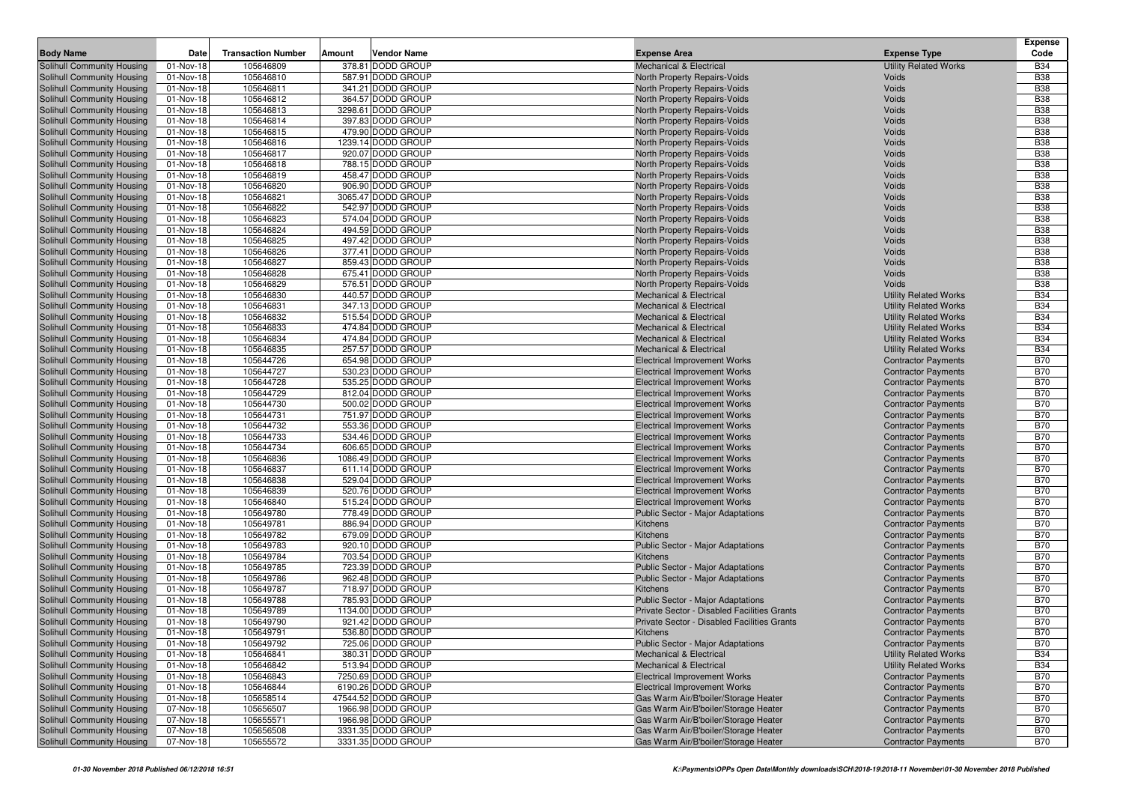| <b>Body Name</b>                                         | Date                   | <b>Transaction Number</b> | Amount | <b>Vendor Name</b>                     | <b>Expense Area</b>                                                      | <b>Expense Type</b>                                          | <b>Expense</b><br>Code   |
|----------------------------------------------------------|------------------------|---------------------------|--------|----------------------------------------|--------------------------------------------------------------------------|--------------------------------------------------------------|--------------------------|
| Solihull Community Housing                               | 01-Nov-18              | 105646809                 |        | 378.81 DODD GROUP                      | <b>Mechanical &amp; Electrical</b>                                       | <b>Utility Related Works</b>                                 | <b>B34</b>               |
| Solihull Community Housing                               | 01-Nov-18              | 105646810                 |        | 587.91 DODD GROUP                      | North Property Repairs-Voids                                             | Voids                                                        | <b>B38</b>               |
| Solihull Community Housing                               | 01-Nov-18              | 105646811                 |        | 341.21 DODD GROUP                      | North Property Repairs-Voids                                             | Voids                                                        | <b>B38</b>               |
| Solihull Community Housing                               | 01-Nov-18              | 105646812                 |        | 364.57 DODD GROUP                      | North Property Repairs-Voids                                             | Voids                                                        | <b>B38</b>               |
| Solihull Community Housing                               | 01-Nov-18              | 105646813                 |        | 3298.61 DODD GROUP                     | North Property Repairs-Voids                                             | Voids                                                        | <b>B38</b>               |
| Solihull Community Housing                               | 01-Nov-18              | 105646814                 |        | 397.83 DODD GROUP                      | North Property Repairs-Voids                                             | Voids                                                        | <b>B38</b>               |
| Solihull Community Housing                               | 01-Nov-18              | 105646815                 |        | 479.90 DODD GROUP                      | North Property Repairs-Voids                                             | Voids                                                        | <b>B38</b>               |
| Solihull Community Housing                               | 01-Nov-18              | 105646816                 |        | 1239.14 DODD GROUP                     | North Property Repairs-Voids                                             | Voids                                                        | <b>B38</b>               |
| Solihull Community Housing                               | 01-Nov-18              | 105646817                 |        | 920.07 DODD GROUP                      | North Property Repairs-Voids                                             | Voids                                                        | <b>B38</b>               |
| Solihull Community Housing                               | 01-Nov-18              | 105646818                 |        | 788.15 DODD GROUP                      | North Property Repairs-Voids                                             | Voids                                                        | <b>B38</b>               |
| Solihull Community Housing                               | 01-Nov-18              | 105646819                 |        | 458.47 DODD GROUP                      | North Property Repairs-Voids                                             | Voids                                                        | <b>B38</b>               |
| Solihull Community Housing                               | 01-Nov-18              | 105646820                 |        | 906.90 DODD GROUP                      | <b>North Property Repairs-Voids</b>                                      | Voids                                                        | <b>B38</b>               |
| Solihull Community Housing                               | 01-Nov-18              | 105646821                 |        | 3065.47 DODD GROUP                     | North Property Repairs-Voids                                             | Voids                                                        | <b>B38</b>               |
| Solihull Community Housing                               | 01-Nov-18              | 105646822                 |        | 542.97 DODD GROUP                      | North Property Repairs-Voids                                             | Voids                                                        | <b>B38</b>               |
| Solihull Community Housing                               | 01-Nov-18              | 105646823                 |        | 574.04 DODD GROUP                      | North Property Repairs-Voids                                             | Voids                                                        | <b>B38</b>               |
| Solihull Community Housing                               | 01-Nov-18              | 105646824                 |        | 494.59 DODD GROUP                      | North Property Repairs-Voids                                             | Voids                                                        | <b>B38</b>               |
| Solihull Community Housing                               | 01-Nov-18              | 105646825                 |        | 497.42 DODD GROUP                      | North Property Repairs-Voids                                             | Voids                                                        | <b>B38</b>               |
| Solihull Community Housing                               | 01-Nov-18              | 105646826                 |        | 377.41 DODD GROUP                      | North Property Repairs-Voids                                             | Voids                                                        | <b>B38</b>               |
| Solihull Community Housing                               | 01-Nov-18              | 105646827                 |        | 859.43 DODD GROUP                      | North Property Repairs-Voids                                             | Voids                                                        | <b>B38</b>               |
| Solihull Community Housing                               | 01-Nov-18              | 105646828                 |        | 675.41 DODD GROUP                      | North Property Repairs-Voids                                             | Voids                                                        | <b>B38</b>               |
| Solihull Community Housing                               | 01-Nov-18              | 105646829                 |        | 576.51 DODD GROUP                      | North Property Repairs-Voids                                             | Voids                                                        | <b>B38</b>               |
| Solihull Community Housing                               | 01-Nov-18              | 105646830                 |        | 440.57 DODD GROUP                      | <b>Mechanical &amp; Electrical</b>                                       | <b>Utility Related Works</b>                                 | <b>B34</b>               |
| Solihull Community Housing                               | 01-Nov-18              | 105646831                 |        | 347.13 DODD GROUP                      | <b>Mechanical &amp; Electrical</b>                                       | <b>Utility Related Works</b>                                 | <b>B34</b>               |
| Solihull Community Housing                               | 01-Nov-18              | 105646832                 |        | 515.54 DODD GROUP                      | <b>Mechanical &amp; Electrical</b><br><b>Mechanical &amp; Electrical</b> | <b>Utility Related Works</b>                                 | <b>B34</b>               |
| Solihull Community Housing<br>Solihull Community Housing | 01-Nov-18<br>01-Nov-18 | 105646833<br>105646834    |        | 474.84 DODD GROUP<br>474.84 DODD GROUP | <b>Mechanical &amp; Electrical</b>                                       | <b>Utility Related Works</b>                                 | <b>B34</b><br><b>B34</b> |
| Solihull Community Housing                               | 01-Nov-18              | 105646835                 |        | 257.57 DODD GROUP                      | <b>Mechanical &amp; Electrical</b>                                       | <b>Utility Related Works</b><br><b>Utility Related Works</b> | <b>B34</b>               |
| Solihull Community Housing                               | 01-Nov-18              | 105644726                 |        | 654.98 DODD GROUP                      | <b>Electrical Improvement Works</b>                                      | <b>Contractor Payments</b>                                   | <b>B70</b>               |
| Solihull Community Housing                               | 01-Nov-18              | 105644727                 |        | 530.23 DODD GROUP                      | <b>Electrical Improvement Works</b>                                      | <b>Contractor Payments</b>                                   | <b>B70</b>               |
| Solihull Community Housing                               | 01-Nov-18              | 105644728                 |        | 535.25 DODD GROUP                      | <b>Electrical Improvement Works</b>                                      | <b>Contractor Payments</b>                                   | <b>B70</b>               |
| Solihull Community Housing                               | 01-Nov-18              | 105644729                 |        | 812.04 DODD GROUP                      | <b>Electrical Improvement Works</b>                                      | <b>Contractor Payments</b>                                   | <b>B70</b>               |
| Solihull Community Housing                               | 01-Nov-18              | 105644730                 |        | 500.02 DODD GROUP                      | <b>Electrical Improvement Works</b>                                      | <b>Contractor Payments</b>                                   | <b>B70</b>               |
| Solihull Community Housing                               | 01-Nov-18              | 105644731                 |        | 751.97 DODD GROUP                      | <b>Electrical Improvement Works</b>                                      | <b>Contractor Payments</b>                                   | <b>B70</b>               |
| Solihull Community Housing                               | 01-Nov-18              | 105644732                 |        | 553.36 DODD GROUP                      | <b>Electrical Improvement Works</b>                                      | <b>Contractor Payments</b>                                   | <b>B70</b>               |
| Solihull Community Housing                               | 01-Nov-18              | 105644733                 |        | 534.46 DODD GROUP                      | <b>Electrical Improvement Works</b>                                      | <b>Contractor Payments</b>                                   | <b>B70</b>               |
| Solihull Community Housing                               | 01-Nov-18              | 105644734                 |        | 606.65 DODD GROUP                      | <b>Electrical Improvement Works</b>                                      | <b>Contractor Payments</b>                                   | <b>B70</b>               |
| Solihull Community Housing                               | 01-Nov-18              | 105646836                 |        | 1086.49 DODD GROUP                     | <b>Electrical Improvement Works</b>                                      | <b>Contractor Payments</b>                                   | <b>B70</b>               |
| Solihull Community Housing                               | 01-Nov-18              | 105646837                 |        | 611.14 DODD GROUP                      | <b>Electrical Improvement Works</b>                                      | <b>Contractor Payments</b>                                   | <b>B70</b>               |
| Solihull Community Housing                               | 01-Nov-18              | 105646838                 |        | 529.04 DODD GROUP                      | <b>Electrical Improvement Works</b>                                      | <b>Contractor Payments</b>                                   | <b>B70</b>               |
| Solihull Community Housing                               | 01-Nov-18              | 105646839                 |        | 520.76 DODD GROUP                      | <b>Electrical Improvement Works</b>                                      | <b>Contractor Payments</b>                                   | <b>B70</b>               |
| Solihull Community Housing                               | 01-Nov-18              | 105646840                 |        | 515.24 DODD GROUP                      | <b>Electrical Improvement Works</b>                                      | <b>Contractor Payments</b>                                   | <b>B70</b>               |
| Solihull Community Housing                               | 01-Nov-18              | 105649780                 |        | 778.49 DODD GROUP                      | Public Sector - Major Adaptations                                        | <b>Contractor Payments</b>                                   | <b>B70</b>               |
| Solihull Community Housing                               | 01-Nov-18              | 105649781                 |        | 886.94 DODD GROUP                      | Kitchens                                                                 | <b>Contractor Payments</b>                                   | <b>B70</b>               |
| Solihull Community Housing                               | 01-Nov-18              | 105649782                 |        | 679.09 DODD GROUP                      | Kitchens                                                                 | <b>Contractor Payments</b>                                   | <b>B70</b>               |
| Solihull Community Housing                               | 01-Nov-18              | 105649783                 |        | 920.10 DODD GROUP                      | Public Sector - Major Adaptations                                        | <b>Contractor Payments</b>                                   | <b>B70</b>               |
| Solihull Community Housing                               | 01-Nov-18              | 105649784                 |        | 703.54 DODD GROUP                      | Kitchens                                                                 | <b>Contractor Payments</b>                                   | <b>B70</b>               |
| Solihull Community Housing                               | 01-Nov-18              | 105649785                 |        | 723.39 DODD GROUP                      | <b>Public Sector - Major Adaptations</b>                                 | <b>Contractor Payments</b>                                   | <b>B70</b>               |
| Solihull Community Housing                               | 01-Nov-18              | 105649786                 |        | 962.48 DODD GROUP                      | Public Sector - Major Adaptations                                        | <b>Contractor Payments</b>                                   | <b>B70</b>               |
| Solihull Community Housing                               | 01-Nov-18              | 105649787                 |        | 718.97 DODD GROUP                      | Kitchens                                                                 | <b>Contractor Payments</b>                                   | <b>B70</b>               |
| Solihull Community Housing                               | 01-Nov-18              | 105649788                 |        | 785.93 DODD GROUP                      | Public Sector - Major Adaptations                                        | <b>Contractor Payments</b>                                   | <b>B70</b>               |
| Solihull Community Housing                               | 01-Nov-18              | 105649789                 |        | 1134.00 DODD GROUP                     | Private Sector - Disabled Facilities Grants                              | <b>Contractor Payments</b>                                   | <b>B70</b>               |
| Solihull Community Housing                               | 01-Nov-18              | 105649790                 |        | 921.42 DODD GROUP                      | Private Sector - Disabled Facilities Grants                              | <b>Contractor Payments</b>                                   | <b>B70</b>               |
| Solihull Community Housing                               | 01-Nov-18              | 105649791                 |        | 536.80 DODD GROUP                      | Kitchens                                                                 | <b>Contractor Payments</b>                                   | <b>B70</b>               |
| Solihull Community Housing                               | 01-Nov-18              | 105649792                 |        | 725.06 DODD GROUP                      | Public Sector - Major Adaptations                                        | <b>Contractor Payments</b>                                   | <b>B70</b>               |
| Solihull Community Housing<br>Solihull Community Housing | 01-Nov-18<br>01-Nov-18 | 105646841<br>105646842    |        | 380.31 DODD GROUP<br>513.94 DODD GROUP | <b>Mechanical &amp; Electrical</b><br>Mechanical & Electrical            | <b>Utility Related Works</b><br><b>Utility Related Works</b> | <b>B34</b><br><b>B34</b> |
| Solihull Community Housing                               | 01-Nov-18              | 105646843                 |        | 7250.69 DODD GROUP                     | <b>Electrical Improvement Works</b>                                      | <b>Contractor Payments</b>                                   | <b>B70</b>               |
| Solihull Community Housing                               | 01-Nov-18              | 105646844                 |        | 6190.26 DODD GROUP                     | <b>Electrical Improvement Works</b>                                      | <b>Contractor Payments</b>                                   | <b>B70</b>               |
| Solihull Community Housing                               | 01-Nov-18              | 105658514                 |        | 47544.52 DODD GROUP                    | Gas Warm Air/B'boiler/Storage Heater                                     | <b>Contractor Payments</b>                                   | <b>B70</b>               |
| Solihull Community Housing                               | 07-Nov-18              | 105656507                 |        | 1966.98 DODD GROUP                     | Gas Warm Air/B'boiler/Storage Heater                                     | <b>Contractor Payments</b>                                   | <b>B70</b>               |
| Solihull Community Housing                               | 07-Nov-18              | 105655571                 |        | 1966.98 DODD GROUP                     | Gas Warm Air/B'boiler/Storage Heater                                     | <b>Contractor Payments</b>                                   | <b>B70</b>               |
| Solihull Community Housing                               | 07-Nov-18              | 105656508                 |        | 3331.35 DODD GROUP                     | Gas Warm Air/B'boiler/Storage Heater                                     | <b>Contractor Payments</b>                                   | <b>B70</b>               |
| Solihull Community Housing                               | 07-Nov-18              | 105655572                 |        | 3331.35 DODD GROUP                     | Gas Warm Air/B'boiler/Storage Heater                                     | <b>Contractor Payments</b>                                   | <b>B70</b>               |
|                                                          |                        |                           |        |                                        |                                                                          |                                                              |                          |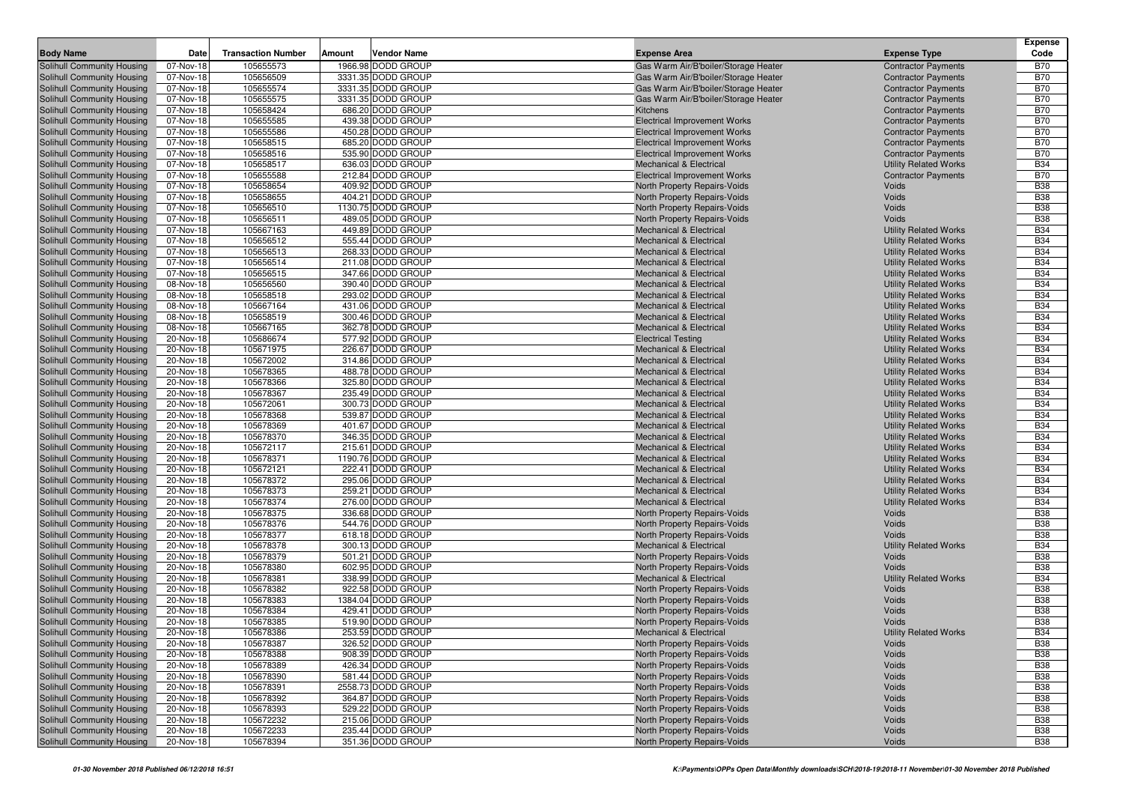|                                                          |                         |                           |        |                                        |                                                                           |                                                              | <b>Expense</b>           |
|----------------------------------------------------------|-------------------------|---------------------------|--------|----------------------------------------|---------------------------------------------------------------------------|--------------------------------------------------------------|--------------------------|
| <b>Body Name</b>                                         | Date                    | <b>Transaction Number</b> | Amount | <b>Vendor Name</b>                     | <b>Expense Area</b>                                                       | <b>Expense Type</b>                                          | Code                     |
| Solihull Community Housing                               | 07-Nov-18               | 105655573                 |        | 1966.98 DODD GROUP                     | Gas Warm Air/B'boiler/Storage Heater                                      | <b>Contractor Payments</b>                                   | <b>B70</b>               |
| Solihull Community Housing                               | 07-Nov-18               | 105656509                 |        | 3331.35 DODD GROUP                     | Gas Warm Air/B'boiler/Storage Heater                                      | <b>Contractor Payments</b>                                   | <b>B70</b>               |
| Solihull Community Housing                               | 07-Nov-18               | 105655574                 |        | 3331.35 DODD GROUP                     | Gas Warm Air/B'boiler/Storage Heater                                      | <b>Contractor Payments</b>                                   | <b>B70</b>               |
| Solihull Community Housing                               | 07-Nov-18               | 105655575                 |        | 3331.35 DODD GROUP                     | Gas Warm Air/B'boiler/Storage Heater                                      | <b>Contractor Payments</b>                                   | <b>B70</b>               |
| Solihull Community Housing                               | 07-Nov-18               | 105658424                 |        | 686.20 DODD GROUP                      | Kitchens                                                                  | <b>Contractor Payments</b>                                   | <b>B70</b>               |
| Solihull Community Housing                               | 07-Nov-18               | 105655585                 |        | 439.38 DODD GROUP                      | <b>Electrical Improvement Works</b>                                       | <b>Contractor Payments</b>                                   | <b>B70</b>               |
| Solihull Community Housing                               | $\overline{0}$ 7-Nov-18 | 105655586                 |        | 450.28 DODD GROUP                      | <b>Electrical Improvement Works</b>                                       | <b>Contractor Payments</b>                                   | <b>B70</b>               |
| Solihull Community Housing                               | 07-Nov-18               | 105658515<br>105658516    |        | 685.20 DODD GROUP<br>535.90 DODD GROUP | <b>Electrical Improvement Works</b>                                       | <b>Contractor Payments</b>                                   | <b>B70</b><br><b>B70</b> |
| Solihull Community Housing<br>Solihull Community Housing | 07-Nov-18<br>07-Nov-18  | 105658517                 |        | 636.03 DODD GROUP                      | <b>Electrical Improvement Works</b><br><b>Mechanical &amp; Electrical</b> | <b>Contractor Payments</b><br><b>Utility Related Works</b>   | <b>B34</b>               |
| Solihull Community Housing                               | 07-Nov-18               | 105655588                 |        | 212.84 DODD GROUP                      | <b>Electrical Improvement Works</b>                                       | <b>Contractor Payments</b>                                   | <b>B70</b>               |
| Solihull Community Housing                               | 07-Nov-18               | 105658654                 |        | 409.92 DODD GROUP                      | North Property Repairs-Voids                                              | Voids                                                        | <b>B38</b>               |
| Solihull Community Housing                               | 07-Nov-18               | 105658655                 |        | 404.21 DODD GROUP                      | North Property Repairs-Voids                                              | Voids                                                        | <b>B38</b>               |
| Solihull Community Housing                               | 07-Nov-18               | 105656510                 |        | 1130.75 DODD GROUP                     | North Property Repairs-Voids                                              | Voids                                                        | <b>B38</b>               |
| Solihull Community Housing                               | 07-Nov-18               | 105656511                 |        | 489.05 DODD GROUP                      | North Property Repairs-Voids                                              | Voids                                                        | <b>B38</b>               |
| Solihull Community Housing                               | 07-Nov-18               | 105667163                 |        | 449.89 DODD GROUP                      | <b>Mechanical &amp; Electrical</b>                                        | <b>Utility Related Works</b>                                 | <b>B34</b>               |
| Solihull Community Housing                               | 07-Nov-18               | 105656512                 |        | 555.44 DODD GROUP                      | <b>Mechanical &amp; Electrical</b>                                        | <b>Utility Related Works</b>                                 | <b>B34</b>               |
| Solihull Community Housing                               | 07-Nov-18               | 105656513                 |        | 268.33 DODD GROUP                      | <b>Mechanical &amp; Electrical</b>                                        | <b>Utility Related Works</b>                                 | <b>B34</b>               |
| Solihull Community Housing                               | 07-Nov-18               | 105656514                 |        | 211.08 DODD GROUP                      | <b>Mechanical &amp; Electrical</b>                                        | <b>Utility Related Works</b>                                 | <b>B34</b>               |
| Solihull Community Housing                               | 07-Nov-18               | 105656515                 |        | 347.66 DODD GROUP                      | <b>Mechanical &amp; Electrical</b>                                        | <b>Utility Related Works</b>                                 | <b>B34</b>               |
| Solihull Community Housing                               | 08-Nov-18               | 105656560                 |        | 390.40 DODD GROUP                      | <b>Mechanical &amp; Electrical</b>                                        | <b>Utility Related Works</b>                                 | <b>B34</b>               |
| Solihull Community Housing                               | 08-Nov-18               | 105658518                 |        | 293.02 DODD GROUP                      | <b>Mechanical &amp; Electrical</b>                                        | <b>Utility Related Works</b>                                 | <b>B34</b>               |
| Solihull Community Housing                               | 08-Nov-18               | 105667164                 |        | 431.06 DODD GROUP                      | <b>Mechanical &amp; Electrical</b>                                        | <b>Utility Related Works</b>                                 | <b>B34</b>               |
| Solihull Community Housing                               | 08-Nov-18               | 105658519                 |        | 300.46 DODD GROUP                      | <b>Mechanical &amp; Electrical</b>                                        | <b>Utility Related Works</b>                                 | <b>B34</b>               |
| Solihull Community Housing                               | 08-Nov-18               | 105667165                 |        | 362.78 DODD GROUP                      | <b>Mechanical &amp; Electrical</b>                                        | <b>Utility Related Works</b>                                 | <b>B34</b>               |
| Solihull Community Housing                               | 20-Nov-18               | 105686674                 |        | 577.92 DODD GROUP                      | <b>Electrical Testing</b>                                                 | <b>Utility Related Works</b>                                 | <b>B34</b>               |
| Solihull Community Housing                               | 20-Nov-18               | 105671975                 |        | 226.67 DODD GROUP                      | <b>Mechanical &amp; Electrical</b>                                        | <b>Utility Related Works</b>                                 | <b>B34</b>               |
| Solihull Community Housing                               | 20-Nov-18               | 105672002                 |        | 314.86 DODD GROUP                      | <b>Mechanical &amp; Electrical</b>                                        | <b>Utility Related Works</b>                                 | <b>B34</b>               |
| Solihull Community Housing                               | 20-Nov-18               | 105678365                 |        | 488.78 DODD GROUP                      | <b>Mechanical &amp; Electrical</b>                                        | <b>Utility Related Works</b>                                 | <b>B34</b>               |
| Solihull Community Housing                               | 20-Nov-18               | 105678366                 |        | 325.80 DODD GROUP                      | <b>Mechanical &amp; Electrical</b>                                        | <b>Utility Related Works</b>                                 | <b>B34</b>               |
| Solihull Community Housing                               | 20-Nov-18               | 105678367                 |        | 235.49 DODD GROUP                      | <b>Mechanical &amp; Electrical</b>                                        | <b>Utility Related Works</b>                                 | <b>B34</b>               |
| Solihull Community Housing                               | 20-Nov-18               | 105672061                 |        | 300.73 DODD GROUP<br>539.87 DODD GROUP | <b>Mechanical &amp; Electrical</b>                                        | <b>Utility Related Works</b>                                 | <b>B34</b>               |
| Solihull Community Housing                               | 20-Nov-18               | 105678368<br>105678369    |        | 401.67 DODD GROUP                      | <b>Mechanical &amp; Electrical</b>                                        | <b>Utility Related Works</b><br><b>Utility Related Works</b> | <b>B34</b><br><b>B34</b> |
| Solihull Community Housing<br>Solihull Community Housing | 20-Nov-18<br>20-Nov-18  | 105678370                 |        | 346.35 DODD GROUP                      | <b>Mechanical &amp; Electrical</b><br><b>Mechanical &amp; Electrical</b>  | <b>Utility Related Works</b>                                 | <b>B34</b>               |
| Solihull Community Housing                               | 20-Nov-18               | 105672117                 |        | 215.61 DODD GROUP                      | <b>Mechanical &amp; Electrical</b>                                        | <b>Utility Related Works</b>                                 | <b>B34</b>               |
| Solihull Community Housing                               | 20-Nov-18               | 105678371                 |        | 1190.76 DODD GROUP                     | <b>Mechanical &amp; Electrical</b>                                        | <b>Utility Related Works</b>                                 | <b>B34</b>               |
| Solihull Community Housing                               | 20-Nov-18               | 105672121                 |        | 222.41 DODD GROUP                      | <b>Mechanical &amp; Electrical</b>                                        | <b>Utility Related Works</b>                                 | <b>B34</b>               |
| Solihull Community Housing                               | 20-Nov-18               | 105678372                 |        | 295.06 DODD GROUP                      | <b>Mechanical &amp; Electrical</b>                                        | <b>Utility Related Works</b>                                 | <b>B34</b>               |
| Solihull Community Housing                               | 20-Nov-18               | 105678373                 |        | 259.21 DODD GROUP                      | <b>Mechanical &amp; Electrical</b>                                        | <b>Utility Related Works</b>                                 | <b>B34</b>               |
| Solihull Community Housing                               | 20-Nov-18               | 105678374                 |        | 276.00 DODD GROUP                      | <b>Mechanical &amp; Electrical</b>                                        | <b>Utility Related Works</b>                                 | <b>B34</b>               |
| Solihull Community Housing                               | 20-Nov-18               | 105678375                 |        | 336.68 DODD GROUP                      | North Property Repairs-Voids                                              | Voids                                                        | <b>B38</b>               |
| Solihull Community Housing                               | 20-Nov-18               | 105678376                 |        | 544.76 DODD GROUP                      | North Property Repairs-Voids                                              | Voids                                                        | <b>B38</b>               |
| Solihull Community Housing                               | 20-Nov-18               | 105678377                 |        | 618.18 DODD GROUP                      | North Property Repairs-Voids                                              | Voids                                                        | <b>B38</b>               |
| Solihull Community Housing                               | 20-Nov-18               | 105678378                 |        | 300.13 DODD GROUP                      | <b>Mechanical &amp; Electrical</b>                                        | <b>Utility Related Works</b>                                 | <b>B34</b>               |
| Solihull Community Housing                               | 20-Nov-18               | 105678379                 |        | 501.21 DODD GROUP                      | North Property Repairs-Voids                                              | Voids                                                        | <b>B38</b>               |
| Solihull Community Housing                               | 20-Nov-18               | 105678380                 |        | 602.95 DODD GROUP                      | North Property Repairs-Voids                                              | Voids                                                        | <b>B38</b>               |
| Solihull Community Housing                               | 20-Nov-18               | 105678381                 |        | 338.99 DODD GROUP                      | <b>Mechanical &amp; Electrical</b>                                        | <b>Utility Related Works</b>                                 | <b>B34</b>               |
| Solihull Community Housing                               | 20-Nov-18               | 105678382                 |        | 922.58 DODD GROUP                      | North Property Repairs-Voids                                              | Voids                                                        | <b>B38</b>               |
| Solihull Community Housing                               | 20-Nov-18               | 105678383                 |        | 1384.04 DODD GROUP                     | North Property Repairs-Voids                                              | Voids                                                        | <b>B38</b>               |
| Solihull Community Housing                               | 20-Nov-18               | 105678384                 |        | 429.41 DODD GROUP                      | North Property Repairs-Voids                                              | Voids                                                        | <b>B38</b>               |
| Solihull Community Housing                               | 20-Nov-18               | 105678385                 |        | 519.90 DODD GROUP                      | North Property Repairs-Voids                                              | Voids                                                        | <b>B38</b>               |
| Solihull Community Housing                               | 20-Nov-18               | 105678386                 |        | 253.59 DODD GROUP                      | <b>Mechanical &amp; Electrical</b>                                        | <b>Utility Related Works</b>                                 | <b>B34</b>               |
| Solihull Community Housing                               | 20-Nov-18               | 105678387                 |        | 326.52 DODD GROUP                      | North Property Repairs-Voids                                              | Voids                                                        | <b>B38</b>               |
| Solihull Community Housing                               | 20-Nov-18               | 105678388                 |        | 908.39 DODD GROUP                      | North Property Repairs-Voids                                              | Voids                                                        | <b>B38</b>               |
| Solihull Community Housing                               | 20-Nov-18               | 105678389                 |        | 426.34 DODD GROUP                      | North Property Repairs-Voids                                              | Voids                                                        | <b>B38</b>               |
| Solihull Community Housing                               | 20-Nov-18               | 105678390                 |        | 581.44 DODD GROUP                      | North Property Repairs-Voids                                              | Voids                                                        | <b>B38</b>               |
| Solihull Community Housing                               | 20-Nov-18               | 105678391                 |        | 2558.73 DODD GROUP                     | North Property Repairs-Voids                                              | Voids                                                        | <b>B38</b>               |
| Solihull Community Housing<br>Solihull Community Housing | 20-Nov-18               | 105678392<br>105678393    |        | 364.87 DODD GROUP<br>529.22 DODD GROUP | North Property Repairs-Voids<br>North Property Repairs-Voids              | Voids<br>Voids                                               | <b>B38</b><br><b>B38</b> |
| Solihull Community Housing                               | 20-Nov-18<br>20-Nov-18  | 105672232                 |        | 215.06 DODD GROUP                      | North Property Repairs-Voids                                              | Voids                                                        | <b>B38</b>               |
| Solihull Community Housing                               | 20-Nov-18               | 105672233                 |        | 235.44 DODD GROUP                      | North Property Repairs-Voids                                              | Voids                                                        | <b>B38</b>               |
| Solihull Community Housing                               | 20-Nov-18               | 105678394                 |        | 351.36 DODD GROUP                      | North Property Repairs-Voids                                              | Voids                                                        | <b>B38</b>               |
|                                                          |                         |                           |        |                                        |                                                                           |                                                              |                          |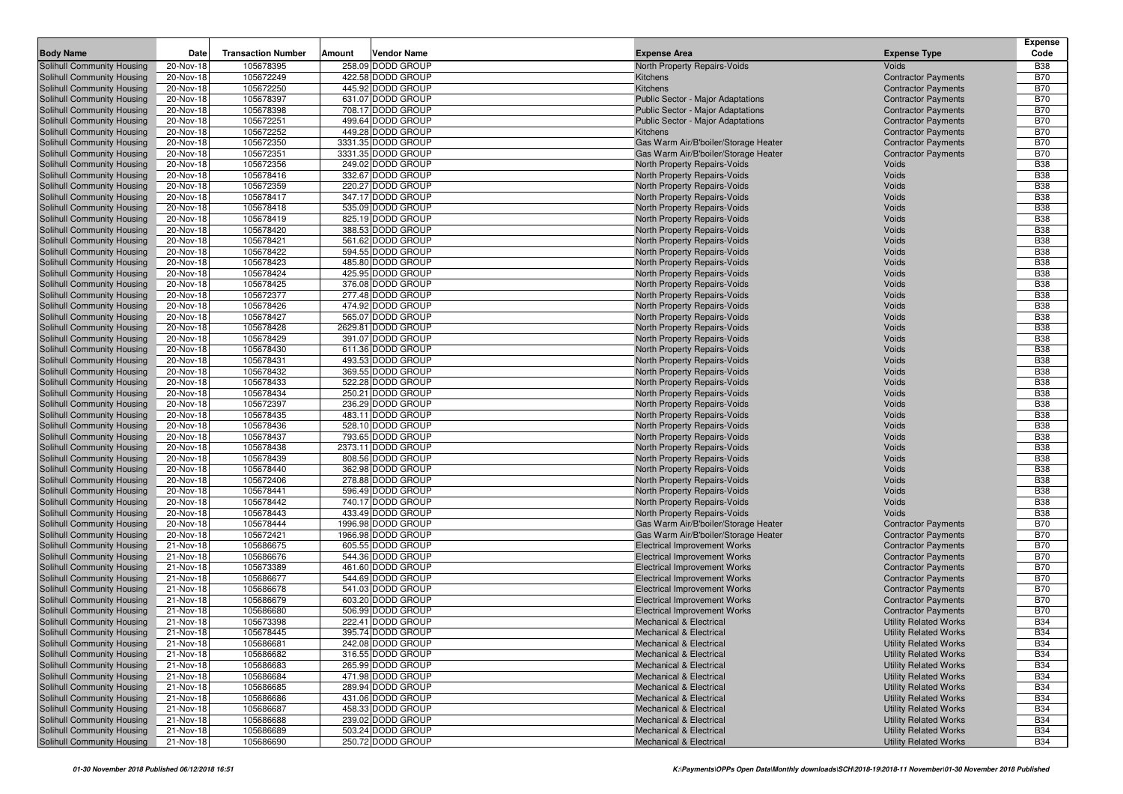|                                                          |                        |                           |        |                                         |                                                                          |                                                              | <b>Expense</b>           |
|----------------------------------------------------------|------------------------|---------------------------|--------|-----------------------------------------|--------------------------------------------------------------------------|--------------------------------------------------------------|--------------------------|
| <b>Body Name</b>                                         | Date                   | <b>Transaction Number</b> | Amount | <b>Vendor Name</b>                      | <b>Expense Area</b>                                                      | <b>Expense Type</b>                                          | Code                     |
| Solihull Community Housing                               | 20-Nov-18              | 105678395                 |        | 258.09 DODD GROUP                       | North Property Repairs-Voids                                             | Voids                                                        | <b>B38</b>               |
| Solihull Community Housing                               | 20-Nov-18              | 105672249                 |        | 422.58 DODD GROUP                       | Kitchens                                                                 | <b>Contractor Payments</b>                                   | <b>B70</b>               |
| Solihull Community Housing                               | 20-Nov-18              | 105672250                 |        | 445.92 DODD GROUP                       | Kitchens                                                                 | <b>Contractor Payments</b>                                   | <b>B70</b>               |
| Solihull Community Housing<br>Solihull Community Housing | 20-Nov-18<br>20-Nov-18 | 105678397<br>105678398    |        | 631.07 DODD GROUP<br>708.17 DODD GROUP  | Public Sector - Major Adaptations<br>Public Sector - Major Adaptations   | <b>Contractor Payments</b><br><b>Contractor Payments</b>     | <b>B70</b><br><b>B70</b> |
| Solihull Community Housing                               | 20-Nov-18              | 105672251                 |        | 499.64 DODD GROUP                       | Public Sector - Major Adaptations                                        | <b>Contractor Payments</b>                                   | <b>B70</b>               |
| Solihull Community Housing                               | 20-Nov-18              | 105672252                 |        | 449.28 DODD GROUP                       | Kitchens                                                                 | <b>Contractor Payments</b>                                   | <b>B70</b>               |
| Solihull Community Housing                               | 20-Nov-18              | 105672350                 |        | 3331.35 DODD GROUP                      | Gas Warm Air/B'boiler/Storage Heater                                     | <b>Contractor Payments</b>                                   | <b>B70</b>               |
| Solihull Community Housing                               | 20-Nov-18              | 105672351                 |        | 3331.35 DODD GROUP                      | Gas Warm Air/B'boiler/Storage Heater                                     | <b>Contractor Payments</b>                                   | <b>B70</b>               |
| Solihull Community Housing                               | 20-Nov-18              | 105672356                 |        | 249.02 DODD GROUP                       | North Property Repairs-Voids                                             | Voids                                                        | <b>B38</b>               |
| Solihull Community Housing                               | 20-Nov-18              | 105678416                 |        | 332.67 DODD GROUP                       | North Property Repairs-Voids                                             | Voids                                                        | <b>B38</b>               |
| Solihull Community Housing                               | 20-Nov-18              | 105672359                 |        | 220.27 DODD GROUP                       | North Property Repairs-Voids                                             | Voids                                                        | <b>B38</b>               |
| Solihull Community Housing                               | 20-Nov-18              | 105678417                 |        | 347.17 DODD GROUP                       | North Property Repairs-Voids                                             | Voids                                                        | <b>B38</b>               |
| Solihull Community Housing                               | 20-Nov-18              | 105678418                 |        | 535.09 DODD GROUP                       | North Property Repairs-Voids                                             | Voids                                                        | <b>B38</b>               |
| Solihull Community Housing                               | 20-Nov-18              | 105678419                 |        | 825.19 DODD GROUP                       | North Property Repairs-Voids                                             | Voids                                                        | <b>B38</b>               |
| Solihull Community Housing                               | 20-Nov-18              | 105678420                 |        | 388.53 DODD GROUP                       | North Property Repairs-Voids                                             | Voids                                                        | <b>B38</b>               |
| Solihull Community Housing                               | 20-Nov-18              | 105678421                 |        | 561.62 DODD GROUP                       | North Property Repairs-Voids                                             | Voids                                                        | <b>B38</b>               |
| Solihull Community Housing                               | 20-Nov-18              | 105678422                 |        | 594.55 DODD GROUP                       | North Property Repairs-Voids                                             | Voids                                                        | <b>B38</b>               |
| Solihull Community Housing                               | 20-Nov-18              | 105678423                 |        | 485.80 DODD GROUP                       | North Property Repairs-Voids                                             | Voids                                                        | <b>B38</b>               |
| Solihull Community Housing                               | 20-Nov-18              | 105678424                 |        | 425.95 DODD GROUP                       | North Property Repairs-Voids                                             | Voids                                                        | <b>B38</b>               |
| Solihull Community Housing                               | 20-Nov-18              | 105678425                 |        | 376.08 DODD GROUP                       | North Property Repairs-Voids                                             | Voids                                                        | <b>B38</b>               |
| Solihull Community Housing                               | 20-Nov-18              | 105672377                 |        | 277.48 DODD GROUP                       | North Property Repairs-Voids                                             | Voids                                                        | <b>B38</b>               |
| Solihull Community Housing                               | 20-Nov-18              | 105678426                 |        | 474.92 DODD GROUP<br>565.07 DODD GROUP  | North Property Repairs-Voids                                             | Voids                                                        | <b>B38</b>               |
| Solihull Community Housing                               | 20-Nov-18              | 105678427                 |        |                                         | North Property Repairs-Voids                                             | Voids<br>Voids                                               | <b>B38</b><br><b>B38</b> |
| Solihull Community Housing<br>Solihull Community Housing | 20-Nov-18<br>20-Nov-18 | 105678428<br>105678429    |        | 2629.81 DODD GROUP<br>391.07 DODD GROUP | North Property Repairs-Voids<br>North Property Repairs-Voids             | Voids                                                        | <b>B38</b>               |
| Solihull Community Housing                               | 20-Nov-18              | 105678430                 |        | 611.36 DODD GROUP                       | North Property Repairs-Voids                                             | Voids                                                        | <b>B38</b>               |
| Solihull Community Housing                               | 20-Nov-18              | 105678431                 |        | 493.53 DODD GROUP                       | North Property Repairs-Voids                                             | Voids                                                        | <b>B38</b>               |
| Solihull Community Housing                               | 20-Nov-18              | 105678432                 |        | 369.55 DODD GROUP                       | North Property Repairs-Voids                                             | Voids                                                        | <b>B38</b>               |
| Solihull Community Housing                               | 20-Nov-18              | 105678433                 |        | 522.28 DODD GROUP                       | North Property Repairs-Voids                                             | Voids                                                        | <b>B38</b>               |
| Solihull Community Housing                               | 20-Nov-18              | 105678434                 |        | 250.21 DODD GROUP                       | North Property Repairs-Voids                                             | Voids                                                        | <b>B38</b>               |
| Solihull Community Housing                               | 20-Nov-18              | 105672397                 |        | 236.29 DODD GROUP                       | North Property Repairs-Voids                                             | Voids                                                        | <b>B38</b>               |
| Solihull Community Housing                               | 20-Nov-18              | 105678435                 |        | 483.11 DODD GROUP                       | North Property Repairs-Voids                                             | Voids                                                        | <b>B38</b>               |
| Solihull Community Housing                               | 20-Nov-18              | 105678436                 |        | 528.10 DODD GROUP                       | North Property Repairs-Voids                                             | Voids                                                        | <b>B38</b>               |
| Solihull Community Housing                               | 20-Nov-18              | 105678437                 |        | 793.65 DODD GROUP                       | North Property Repairs-Voids                                             | Voids                                                        | <b>B38</b>               |
| Solihull Community Housing                               | 20-Nov-18              | 105678438                 |        | 2373.11 DODD GROUP                      | North Property Repairs-Voids                                             | Voids                                                        | <b>B38</b>               |
| Solihull Community Housing                               | 20-Nov-18              | 105678439                 |        | 808.56 DODD GROUP                       | North Property Repairs-Voids                                             | Voids                                                        | <b>B38</b>               |
| Solihull Community Housing                               | 20-Nov-18              | 105678440                 |        | 362.98 DODD GROUP                       | North Property Repairs-Voids                                             | Voids                                                        | <b>B38</b>               |
| Solihull Community Housing                               | 20-Nov-18              | 105672406                 |        | 278.88 DODD GROUP                       | North Property Repairs-Voids                                             | Voids                                                        | <b>B38</b>               |
| Solihull Community Housing                               | 20-Nov-18              | 105678441                 |        | 596.49 DODD GROUP                       | North Property Repairs-Voids                                             | Voids                                                        | <b>B38</b><br><b>B38</b> |
| Solihull Community Housing                               | 20-Nov-18              | 105678442                 |        | 740.17 DODD GROUP<br>433.49 DODD GROUP  | North Property Repairs-Voids                                             | Voids<br>Voids                                               | <b>B38</b>               |
| Solihull Community Housing<br>Solihull Community Housing | 20-Nov-18<br>20-Nov-18 | 105678443<br>105678444    |        | 1996.98 DODD GROUP                      | North Property Repairs-Voids<br>Gas Warm Air/B'boiler/Storage Heater     | <b>Contractor Payments</b>                                   | <b>B70</b>               |
| Solihull Community Housing                               | 20-Nov-18              | 105672421                 |        | 1966.98 DODD GROUP                      | Gas Warm Air/B'boiler/Storage Heater                                     | <b>Contractor Payments</b>                                   | <b>B70</b>               |
| Solihull Community Housing                               | 21-Nov-18              | 105686675                 |        | 605.55 DODD GROUP                       | <b>Electrical Improvement Works</b>                                      | <b>Contractor Payments</b>                                   | <b>B70</b>               |
| Solihull Community Housing                               | 21-Nov-18              | 105686676                 |        | 544.36 DODD GROUP                       | <b>Electrical Improvement Works</b>                                      | <b>Contractor Payments</b>                                   | <b>B70</b>               |
| Solihull Community Housing                               | 21-Nov-18              | 105673389                 |        | 461.60 DODD GROUP                       | Electrical Improvement Works                                             | <b>Contractor Payments</b>                                   | <b>B70</b>               |
| Solihull Community Housing                               | 21-Nov-18              | 105686677                 |        | 544.69 DODD GROUP                       | <b>Electrical Improvement Works</b>                                      | <b>Contractor Payments</b>                                   | <b>B70</b>               |
| Solihull Community Housing                               | 21-Nov-18              | 105686678                 |        | 541.03 DODD GROUP                       | <b>Electrical Improvement Works</b>                                      | <b>Contractor Payments</b>                                   | <b>B70</b>               |
| Solihull Community Housing                               | 21-Nov-18              | 105686679                 |        | 603.20 DODD GROUP                       | <b>Electrical Improvement Works</b>                                      | <b>Contractor Payments</b>                                   | <b>B70</b>               |
| Solihull Community Housing                               | 21-Nov-18              | 105686680                 |        | 506.99 DODD GROUP                       | <b>Electrical Improvement Works</b>                                      | <b>Contractor Payments</b>                                   | <b>B70</b>               |
| Solihull Community Housing                               | 21-Nov-18              | 105673398                 |        | 222.41 DODD GROUP                       | <b>Mechanical &amp; Electrical</b>                                       | <b>Utility Related Works</b>                                 | <b>B34</b>               |
| Solihull Community Housing                               | 21-Nov-18              | 105678445                 |        | 395.74 DODD GROUP                       | <b>Mechanical &amp; Electrical</b>                                       | <b>Utility Related Works</b>                                 | <b>B34</b>               |
| Solihull Community Housing                               | 21-Nov-18              | 105686681                 |        | 242.08 DODD GROUP                       | <b>Mechanical &amp; Electrical</b>                                       | <b>Utility Related Works</b>                                 | <b>B34</b>               |
| Solihull Community Housing                               | 21-Nov-18              | 105686682                 |        | 316.55 DODD GROUP                       | <b>Mechanical &amp; Electrical</b>                                       | <b>Utility Related Works</b>                                 | <b>B34</b>               |
| Solihull Community Housing                               | 21-Nov-18              | 105686683                 |        | 265.99 DODD GROUP                       | <b>Mechanical &amp; Electrical</b>                                       | <b>Utility Related Works</b>                                 | <b>B34</b>               |
| Solihull Community Housing                               | 21-Nov-18              | 105686684                 |        | 471.98 DODD GROUP                       | <b>Mechanical &amp; Electrical</b>                                       | <b>Utility Related Works</b>                                 | <b>B34</b>               |
| Solihull Community Housing                               | 21-Nov-18              | 105686685                 |        | 289.94 DODD GROUP                       | <b>Mechanical &amp; Electrical</b>                                       | <b>Utility Related Works</b>                                 | <b>B34</b>               |
| Solihull Community Housing                               | 21-Nov-18              | 105686686                 |        | 431.06 DODD GROUP                       | <b>Mechanical &amp; Electrical</b>                                       | <b>Utility Related Works</b>                                 | <b>B34</b>               |
| Solihull Community Housing                               | 21-Nov-18              | 105686687                 |        | 458.33 DODD GROUP<br>239.02 DODD GROUP  | <b>Mechanical &amp; Electrical</b>                                       | <b>Utility Related Works</b>                                 | <b>B34</b>               |
| Solihull Community Housing<br>Solihull Community Housing | 21-Nov-18<br>21-Nov-18 | 105686688<br>105686689    |        | 503.24 DODD GROUP                       | <b>Mechanical &amp; Electrical</b><br><b>Mechanical &amp; Electrical</b> | <b>Utility Related Works</b><br><b>Utility Related Works</b> | <b>B34</b><br><b>B34</b> |
| Solihull Community Housing                               | 21-Nov-18              | 105686690                 |        | 250.72 DODD GROUP                       | <b>Mechanical &amp; Electrical</b>                                       | <b>Utility Related Works</b>                                 | <b>B34</b>               |
|                                                          |                        |                           |        |                                         |                                                                          |                                                              |                          |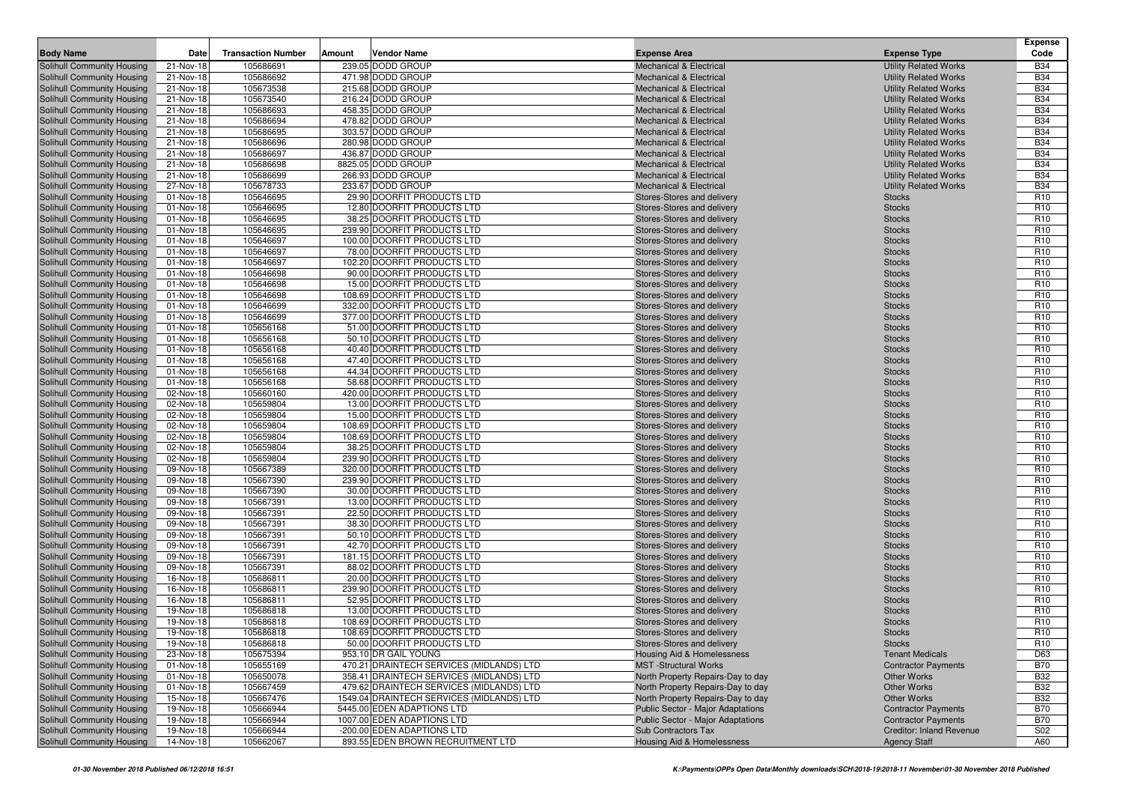| <b>Body Name</b>                                         | Date                   | <b>Transaction Number</b> | Amount | Vendor Name                                              | <b>Expense Area</b>                                      | <b>Expense Type</b>            | Expense<br>Code                    |
|----------------------------------------------------------|------------------------|---------------------------|--------|----------------------------------------------------------|----------------------------------------------------------|--------------------------------|------------------------------------|
| Solihull Community Housing                               | 21-Nov-18              | 105686691                 |        | 239.05 DODD GROUP                                        | <b>Mechanical &amp; Electrical</b>                       | <b>Utility Related Works</b>   | <b>B34</b>                         |
| Solihull Community Housing                               | 21-Nov-18              | 105686692                 |        | 471.98 DODD GROUP                                        | <b>Mechanical &amp; Electrical</b>                       | <b>Utility Related Works</b>   | <b>B34</b>                         |
| Solihull Community Housing                               | 21-Nov-18              | 105673538                 |        | 215.68 DODD GROUP                                        | <b>Mechanical &amp; Electrical</b>                       | <b>Utility Related Works</b>   | <b>B34</b>                         |
| Solihull Community Housing                               | 21-Nov-18              | 105673540                 |        | 216.24 DODD GROUP                                        | Mechanical & Electrical                                  | <b>Utility Related Works</b>   | <b>B34</b>                         |
| Solihull Community Housing                               | 21-Nov-18              | 105686693                 |        | 458.35 DODD GROUP                                        | <b>Mechanical &amp; Electrical</b>                       | <b>Utility Related Works</b>   | <b>B34</b>                         |
| Solihull Community Housing                               | 21-Nov-18              | 105686694                 |        | 478.82 DODD GROUP                                        | Mechanical & Electrical                                  | <b>Utility Related Works</b>   | <b>B34</b>                         |
| Solihull Community Housing                               | 21-Nov-18              | 105686695                 |        | 303.57 DODD GROUP                                        | Mechanical & Electrical                                  | <b>Utility Related Works</b>   | <b>B34</b>                         |
| Solihull Community Housing                               | 21-Nov-18              | 105686696                 |        | 280.98 DODD GROUP                                        | <b>Mechanical &amp; Electrical</b>                       | <b>Utility Related Works</b>   | <b>B34</b>                         |
| Solihull Community Housing                               | 21-Nov-18              | 105686697                 |        | 436.87 DODD GROUP                                        | <b>Mechanical &amp; Electrical</b>                       | <b>Utility Related Works</b>   | <b>B34</b>                         |
| Solihull Community Housing                               | 21-Nov-18              | 105686698                 |        | 8825.05 DODD GROUP                                       | <b>Mechanical &amp; Electrical</b>                       | <b>Utility Related Works</b>   | <b>B34</b>                         |
| Solihull Community Housing                               | 21-Nov-18              | 105686699                 |        | 266.93 DODD GROUP                                        | <b>Mechanical &amp; Electrical</b>                       | <b>Utility Related Works</b>   | <b>B34</b>                         |
| Solihull Community Housing                               | 27-Nov-18              | 105678733                 |        | 233.67 DODD GROUP                                        | <b>Mechanical &amp; Electrical</b>                       | <b>Utility Related Works</b>   | <b>B34</b>                         |
| Solihull Community Housing                               | 01-Nov-18              | 105646695                 |        | 29.90 DOORFIT PRODUCTS LTD                               | Stores-Stores and delivery                               | <b>Stocks</b>                  | R <sub>10</sub>                    |
| Solihull Community Housing                               | 01-Nov-18              | 105646695                 |        | 12.80 DOORFIT PRODUCTS LTD                               | Stores-Stores and delivery                               | <b>Stocks</b>                  | R <sub>10</sub>                    |
| Solihull Community Housing                               | 01-Nov-18              | 105646695                 |        | 38.25 DOORFIT PRODUCTS LTD                               | Stores-Stores and delivery                               | <b>Stocks</b>                  | R <sub>10</sub>                    |
| Solihull Community Housing                               | 01-Nov-18              | 105646695                 |        | 239.90 DOORFIT PRODUCTS LTD                              | Stores-Stores and delivery                               | <b>Stocks</b>                  | R <sub>10</sub>                    |
| Solihull Community Housing                               | 01-Nov-18              | 105646697                 |        | 100.00 DOORFIT PRODUCTS LTD                              | Stores-Stores and delivery                               | <b>Stocks</b>                  | R <sub>10</sub>                    |
| Solihull Community Housing                               | 01-Nov-18              | 105646697                 |        | 78.00 DOORFIT PRODUCTS LTD                               | Stores-Stores and delivery                               | <b>Stocks</b>                  | R <sub>10</sub>                    |
| Solihull Community Housing                               | 01-Nov-18              | 105646697                 |        | 102.20 DOORFIT PRODUCTS LTD                              | Stores-Stores and delivery                               | <b>Stocks</b>                  | R <sub>10</sub>                    |
| Solihull Community Housing                               | 01-Nov-18              | 105646698                 |        | 90.00 DOORFIT PRODUCTS LTD                               | Stores-Stores and delivery                               | <b>Stocks</b>                  | R <sub>10</sub>                    |
| Solihull Community Housing                               | 01-Nov-18              | 105646698                 |        | 15.00 DOORFIT PRODUCTS LTD                               | Stores-Stores and delivery                               | <b>Stocks</b>                  | R <sub>10</sub>                    |
| Solihull Community Housing                               | 01-Nov-18              | 105646698                 |        | 108.69 DOORFIT PRODUCTS LTD                              | Stores-Stores and delivery                               | <b>Stocks</b>                  | R <sub>10</sub>                    |
| Solihull Community Housing                               | 01-Nov-18              | 105646699                 |        | 332.00 DOORFIT PRODUCTS LTD                              | Stores-Stores and delivery                               | <b>Stocks</b>                  | R <sub>10</sub>                    |
| Solihull Community Housing                               | 01-Nov-18              | 105646699                 |        | 377.00 DOORFIT PRODUCTS LTD                              | Stores-Stores and delivery                               | <b>Stocks</b>                  | R <sub>10</sub>                    |
| Solihull Community Housing                               | 01-Nov-18              | 105656168                 |        | 51.00 DOORFIT PRODUCTS LTD                               | Stores-Stores and delivery                               | <b>Stocks</b>                  | R <sub>10</sub>                    |
| Solihull Community Housing                               | 01-Nov-18              | 105656168                 |        | 50.10 DOORFIT PRODUCTS LTD                               | Stores-Stores and delivery                               | <b>Stocks</b>                  | R <sub>10</sub>                    |
| Solihull Community Housing                               | 01-Nov-18              | 105656168                 |        | 40.40 DOORFIT PRODUCTS LTD                               | Stores-Stores and delivery                               | <b>Stocks</b>                  | R <sub>10</sub>                    |
| Solihull Community Housing                               | 01-Nov-18              | 105656168                 |        | 47.40 DOORFIT PRODUCTS LTD                               | Stores-Stores and delivery                               | <b>Stocks</b>                  | R <sub>10</sub>                    |
| Solihull Community Housing                               | 01-Nov-18              | 105656168                 |        | 44.34 DOORFIT PRODUCTS LTD                               | Stores-Stores and delivery                               | <b>Stocks</b>                  | R <sub>10</sub>                    |
| Solihull Community Housing                               | 01-Nov-18              | 105656168                 |        | 58.68 DOORFIT PRODUCTS LTD                               | Stores-Stores and delivery                               | <b>Stocks</b>                  | R <sub>10</sub>                    |
| Solihull Community Housing                               | 02-Nov-18              | 105660160                 |        | 420.00 DOORFIT PRODUCTS LTD                              | Stores-Stores and delivery                               | <b>Stocks</b>                  | R <sub>10</sub>                    |
| Solihull Community Housing                               | 02-Nov-18              | 105659804                 |        | 13.00 DOORFIT PRODUCTS LTD                               | Stores-Stores and delivery                               | <b>Stocks</b>                  | R <sub>10</sub>                    |
| Solihull Community Housing                               | 02-Nov-18              | 105659804                 |        | 15.00 DOORFIT PRODUCTS LTD                               | Stores-Stores and delivery                               | <b>Stocks</b>                  | R <sub>10</sub>                    |
| Solihull Community Housing                               | 02-Nov-18              | 105659804                 |        | 108.69 DOORFIT PRODUCTS LTD                              | Stores-Stores and delivery                               | <b>Stocks</b>                  | R <sub>10</sub>                    |
| Solihull Community Housing                               | 02-Nov-18              | 105659804                 |        | 108.69 DOORFIT PRODUCTS LTD                              | Stores-Stores and delivery                               | <b>Stocks</b>                  | R <sub>10</sub>                    |
| Solihull Community Housing                               | 02-Nov-18              | 105659804                 |        | 38.25 DOORFIT PRODUCTS LTD                               | Stores-Stores and delivery                               | <b>Stocks</b>                  | R <sub>10</sub>                    |
| Solihull Community Housing                               | 02-Nov-18              | 105659804                 |        | 239.90 DOORFIT PRODUCTS LTD                              | Stores-Stores and delivery                               | <b>Stocks</b>                  | R <sub>10</sub>                    |
| Solihull Community Housing                               | 09-Nov-18              | 105667389                 |        | 320.00 DOORFIT PRODUCTS LTD                              | Stores-Stores and delivery                               | <b>Stocks</b>                  | R <sub>10</sub>                    |
| Solihull Community Housing                               | 09-Nov-18              | 105667390                 |        | 239.90 DOORFIT PRODUCTS LTD                              | Stores-Stores and delivery                               | <b>Stocks</b>                  | R <sub>10</sub>                    |
| Solihull Community Housing                               | 09-Nov-18              | 105667390                 |        | 30.00 DOORFIT PRODUCTS LTD                               | Stores-Stores and delivery                               | <b>Stocks</b>                  | R <sub>10</sub>                    |
| Solihull Community Housing                               | 09-Nov-18              | 105667391                 |        | 13.00 DOORFIT PRODUCTS LTD                               | Stores-Stores and delivery                               | <b>Stocks</b>                  | R <sub>10</sub>                    |
| Solihull Community Housing                               | 09-Nov-18              | 105667391                 |        | 22.50 DOORFIT PRODUCTS LTD<br>38.30 DOORFIT PRODUCTS LTD | Stores-Stores and delivery                               | <b>Stocks</b>                  | R <sub>10</sub><br>R <sub>10</sub> |
| Solihull Community Housing                               | 09-Nov-18              | 105667391                 |        | 50.10 DOORFIT PRODUCTS LTD                               | Stores-Stores and delivery                               | <b>Stocks</b>                  | R <sub>10</sub>                    |
| Solihull Community Housing<br>Solihull Community Housing | 09-Nov-18<br>09-Nov-18 | 105667391<br>105667391    |        | 42.70 DOORFIT PRODUCTS LTD                               | Stores-Stores and delivery<br>Stores-Stores and delivery | <b>Stocks</b><br><b>Stocks</b> | R <sub>10</sub>                    |
| Solihull Community Housing                               | 09-Nov-18              | 105667391                 |        | 181.15 DOORFIT PRODUCTS LTD                              | Stores-Stores and delivery                               | <b>Stocks</b>                  | R <sub>10</sub>                    |
| Solihull Community Housing                               | 09-Nov-18              | 105667391                 |        | 88.02 DOORFIT PRODUCTS LTD                               | Stores-Stores and delivery                               | <b>Stocks</b>                  | R <sub>10</sub>                    |
| Solihull Community Housing                               | 16-Nov-18              | 105686811                 |        | 20.00 DOORFIT PRODUCTS LTD                               | Stores-Stores and delivery                               | <b>Stocks</b>                  | R <sub>10</sub>                    |
| Solihull Community Housing                               | 16-Nov-18              | 105686811                 |        | 239.90 DOORFIT PRODUCTS LTD                              | Stores-Stores and delivery                               | <b>Stocks</b>                  | R <sub>10</sub>                    |
| Solihull Community Housing                               | 16-Nov-18              | 105686811                 |        | 52.95 DOORFIT PRODUCTS LTD                               | Stores-Stores and delivery                               | <b>Stocks</b>                  | R <sub>10</sub>                    |
| Solihull Community Housing                               | 19-Nov-18              | 105686818                 |        | 13.00 DOORFIT PRODUCTS LTD                               | Stores-Stores and delivery                               | <b>Stocks</b>                  | R <sub>10</sub>                    |
| <b>Solihull Community Housing</b>                        | 19-Nov-18              | 105686818                 |        | 108.69 DOORFIT PRODUCTS LTD                              | Stores-Stores and delivery                               | <b>Stocks</b>                  | R <sub>10</sub>                    |
| Solihull Community Housing                               | 19-Nov-18              | 105686818                 |        | 108.69 DOORFIT PRODUCTS LTD                              | Stores-Stores and delivery                               | <b>Stocks</b>                  | R <sub>10</sub>                    |
| Solihull Community Housing                               | 19-Nov-18              | 105686818                 |        | 50.00 DOORFIT PRODUCTS LTD                               | Stores-Stores and delivery                               | <b>Stocks</b>                  | R <sub>10</sub>                    |
| Solihull Community Housing                               | 23-Nov-18              | 105675394                 |        | 953.10 DR GAIL YOUNG                                     | <b>Housing Aid &amp; Homelessness</b>                    | <b>Tenant Medicals</b>         | D63                                |
| Solihull Community Housing                               | 01-Nov-18              | 105655169                 |        | 470.21 DRAINTECH SERVICES (MIDLANDS) LTD                 | <b>MST</b> -Structural Works                             | <b>Contractor Payments</b>     | <b>B70</b>                         |
| Solihull Community Housing                               | 01-Nov-18              | 105650078                 |        | 358.41 DRAINTECH SERVICES (MIDLANDS) LTD                 | North Property Repairs-Day to day                        | Other Works                    | <b>B32</b>                         |
| Solihull Community Housing                               | 01-Nov-18              | 105667459                 |        | 479.62 DRAINTECH SERVICES (MIDLANDS) LTD                 | North Property Repairs-Day to day                        | Other Works                    | <b>B32</b>                         |
| Solihull Community Housing                               | 15-Nov-18              | 105667476                 |        | 1549.04 DRAINTECH SERVICES (MIDLANDS) LTD                | North Property Repairs-Day to day                        | Other Works                    | <b>B32</b>                         |
| Solihull Community Housing                               | 19-Nov-18              | 105666944                 |        | 5445.00 EDEN ADAPTIONS LTD                               | Public Sector - Major Adaptations                        | <b>Contractor Payments</b>     | <b>B70</b>                         |
| Solihull Community Housing                               | 19-Nov-18              | 105666944                 |        | 1007.00 EDEN ADAPTIONS LTD                               | <b>Public Sector - Major Adaptations</b>                 | <b>Contractor Payments</b>     | <b>B70</b>                         |
| Solihull Community Housing                               | 19-Nov-18              | 105666944                 |        | -200.00 EDEN ADAPTIONS LTD                               | Sub Contractors Tax                                      | Creditor: Inland Revenue       | S02                                |
| Solihull Community Housing                               | 14-Nov-18              | 105662067                 |        | 893.55 EDEN BROWN RECRUITMENT LTD                        | <b>Housing Aid &amp; Homelessness</b>                    | <b>Agency Staff</b>            | A60                                |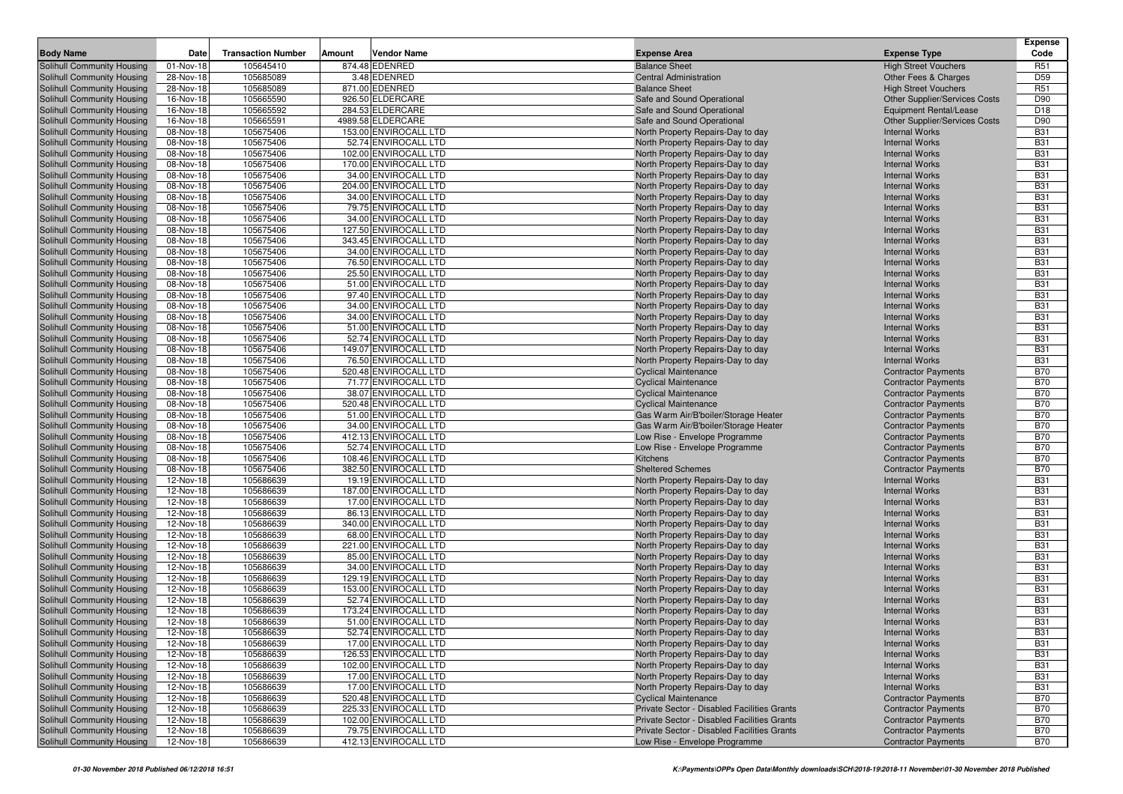|                                                          |                         |                           |                                               |                                                                                            |                                                                | <b>Expense</b>           |
|----------------------------------------------------------|-------------------------|---------------------------|-----------------------------------------------|--------------------------------------------------------------------------------------------|----------------------------------------------------------------|--------------------------|
| <b>Body Name</b>                                         | Date                    | <b>Transaction Number</b> | Amount<br>Vendor Name                         | <b>Expense Area</b>                                                                        | <b>Expense Type</b>                                            | Code                     |
| Solihull Community Housing                               | 01-Nov-18               | 105645410                 | 874.48 EDENRED                                | <b>Balance Sheet</b>                                                                       | <b>High Street Vouchers</b>                                    | R <sub>51</sub>          |
| Solihull Community Housing                               | 28-Nov-18               | 105685089                 | 3.48 EDENRED                                  | <b>Central Administration</b>                                                              | Other Fees & Charges                                           | D <sub>59</sub>          |
| Solihull Community Housing                               | 28-Nov-18               | 105685089                 | 871.00 EDENRED                                | <b>Balance Sheet</b>                                                                       | <b>High Street Vouchers</b>                                    | R <sub>51</sub><br>D90   |
| Solihull Community Housing<br>Solihull Community Housing | 16-Nov-18<br>16-Nov-18  | 105665590<br>105665592    | 926.50 ELDERCARE<br>284.53 ELDERCARE          | Safe and Sound Operational<br>Safe and Sound Operational                                   | Other Supplier/Services Costs<br><b>Equipment Rental/Lease</b> | D <sub>18</sub>          |
| Solihull Community Housing                               | 16-Nov-18               | 105665591                 | 4989.58 ELDERCARE                             | Safe and Sound Operational                                                                 | Other Supplier/Services Costs                                  | D90                      |
| Solihull Community Housing                               | 08-Nov-18               | 105675406                 | 153.00 ENVIROCALL LTD                         | North Property Repairs-Day to day                                                          | <b>Internal Works</b>                                          | <b>B31</b>               |
| Solihull Community Housing                               | 08-Nov-18               | 105675406                 | 52.74 ENVIROCALL LTD                          | North Property Repairs-Day to day                                                          | <b>Internal Works</b>                                          | <b>B31</b>               |
| Solihull Community Housing                               | 08-Nov-18               | 105675406                 | 102.00 ENVIROCALL LTD                         | North Property Repairs-Day to day                                                          | <b>Internal Works</b>                                          | <b>B31</b>               |
| Solihull Community Housing                               | $\overline{08}$ -Nov-18 | 105675406                 | 170.00 ENVIROCALL LTD                         | North Property Repairs-Day to day                                                          | <b>Internal Works</b>                                          | <b>B31</b>               |
| Solihull Community Housing                               | 08-Nov-18               | 105675406                 | 34.00 ENVIROCALL LTD                          | North Property Repairs-Day to day                                                          | <b>Internal Works</b>                                          | <b>B31</b>               |
| Solihull Community Housing                               | 08-Nov-18               | 105675406                 | 204.00 ENVIROCALL LTD                         | North Property Repairs-Day to day                                                          | <b>Internal Works</b>                                          | <b>B31</b>               |
| Solihull Community Housing                               | 08-Nov-18               | 105675406                 | 34.00 ENVIROCALL LTD                          | North Property Repairs-Day to day                                                          | <b>Internal Works</b>                                          | <b>B31</b>               |
| Solihull Community Housing                               | 08-Nov-18               | 105675406                 | 79.75 ENVIROCALL LTD                          | North Property Repairs-Day to day                                                          | <b>Internal Works</b>                                          | <b>B31</b>               |
| Solihull Community Housing                               | 08-Nov-18               | 105675406                 | 34.00 ENVIROCALL LTD                          | North Property Repairs-Day to day                                                          | <b>Internal Works</b>                                          | <b>B31</b>               |
| <b>Solihull Community Housing</b>                        | 08-Nov-18               | 105675406                 | 127.50 ENVIROCALL LTD                         | North Property Repairs-Day to day                                                          | <b>Internal Works</b>                                          | <b>B31</b>               |
| Solihull Community Housing                               | 08-Nov-18               | 105675406                 | 343.45 ENVIROCALL LTD                         | North Property Repairs-Day to day                                                          | <b>Internal Works</b>                                          | <b>B31</b>               |
| Solihull Community Housing                               | 08-Nov-18               | 105675406                 | 34.00 ENVIROCALL LTD                          | North Property Repairs-Day to day                                                          | <b>Internal Works</b>                                          | <b>B31</b>               |
| Solihull Community Housing                               | 08-Nov-18               | 105675406                 | 76.50 ENVIROCALL LTD                          | North Property Repairs-Day to day                                                          | <b>Internal Works</b>                                          | <b>B31</b>               |
| Solihull Community Housing                               | 08-Nov-18               | 105675406                 | 25.50 ENVIROCALL LTD                          | North Property Repairs-Day to day                                                          | <b>Internal Works</b>                                          | <b>B31</b>               |
| <b>Solihull Community Housing</b>                        | 08-Nov-18               | 105675406                 | 51.00 ENVIROCALL LTD                          | North Property Repairs-Day to day                                                          | <b>Internal Works</b>                                          | <b>B31</b>               |
| Solihull Community Housing                               | 08-Nov-18               | 105675406                 | 97.40 ENVIROCALL LTD                          | North Property Repairs-Day to day                                                          | <b>Internal Works</b>                                          | <b>B31</b>               |
| Solihull Community Housing                               | 08-Nov-18               | 105675406                 | 34.00 ENVIROCALL LTD                          | North Property Repairs-Day to day                                                          | <b>Internal Works</b>                                          | <b>B31</b>               |
| Solihull Community Housing                               | 08-Nov-18               | 105675406                 | 34.00 ENVIROCALL LTD                          | North Property Repairs-Day to day                                                          | <b>Internal Works</b>                                          | <b>B31</b>               |
| Solihull Community Housing<br>Solihull Community Housing | 08-Nov-18<br>08-Nov-18  | 105675406<br>105675406    | 51.00 ENVIROCALL LTD<br>52.74 ENVIROCALL LTD  | North Property Repairs-Day to day<br>North Property Repairs-Day to day                     | <b>Internal Works</b><br><b>Internal Works</b>                 | <b>B31</b><br><b>B31</b> |
| Solihull Community Housing                               | 08-Nov-18               | 105675406                 | 149.07 ENVIROCALL LTD                         | North Property Repairs-Day to day                                                          | <b>Internal Works</b>                                          | <b>B31</b>               |
| Solihull Community Housing                               | 08-Nov-18               | 105675406                 | 76.50 ENVIROCALL LTD                          | North Property Repairs-Day to day                                                          | <b>Internal Works</b>                                          | <b>B31</b>               |
| Solihull Community Housing                               | 08-Nov-18               | 105675406                 | 520.48 ENVIROCALL LTD                         | <b>Cyclical Maintenance</b>                                                                | <b>Contractor Payments</b>                                     | <b>B70</b>               |
| Solihull Community Housing                               | 08-Nov-18               | 105675406                 | 71.77 ENVIROCALL LTD                          | <b>Cyclical Maintenance</b>                                                                | <b>Contractor Payments</b>                                     | <b>B70</b>               |
| Solihull Community Housing                               | 08-Nov-18               | 105675406                 | 38.07 ENVIROCALL LTD                          | <b>Cyclical Maintenance</b>                                                                | <b>Contractor Payments</b>                                     | <b>B70</b>               |
| Solihull Community Housing                               | 08-Nov-18               | 105675406                 | 520.48 ENVIROCALL LTD                         | <b>Cyclical Maintenance</b>                                                                | <b>Contractor Payments</b>                                     | <b>B70</b>               |
| Solihull Community Housing                               | 08-Nov-18               | 105675406                 | 51.00 ENVIROCALL LTD                          | Gas Warm Air/B'boiler/Storage Heater                                                       | <b>Contractor Payments</b>                                     | <b>B70</b>               |
| Solihull Community Housing                               | 08-Nov-18               | 105675406                 | 34.00 ENVIROCALL LTD                          | Gas Warm Air/B'boiler/Storage Heater                                                       | <b>Contractor Payments</b>                                     | <b>B70</b>               |
| Solihull Community Housing                               | $\overline{08}$ -Nov-18 | 105675406                 | 412.13 ENVIROCALL LTD                         | Low Rise - Envelope Programme                                                              | <b>Contractor Payments</b>                                     | <b>B70</b>               |
| Solihull Community Housing                               | 08-Nov-18               | 105675406                 | 52.74 ENVIROCALL LTD                          | Low Rise - Envelope Programme                                                              | <b>Contractor Payments</b>                                     | <b>B70</b>               |
| Solihull Community Housing                               | 08-Nov-18               | 105675406                 | 108.46 ENVIROCALL LTD                         | Kitchens                                                                                   | <b>Contractor Payments</b>                                     | <b>B70</b>               |
| Solihull Community Housing                               | 08-Nov-18               | 105675406                 | 382.50 ENVIROCALL LTD                         | <b>Sheltered Schemes</b>                                                                   | <b>Contractor Payments</b>                                     | <b>B70</b>               |
| Solihull Community Housing                               | 12-Nov-18               | 105686639                 | 19.19 ENVIROCALL LTD                          | North Property Repairs-Day to day                                                          | <b>Internal Works</b>                                          | <b>B31</b>               |
| Solihull Community Housing                               | 12-Nov-18               | 105686639                 | 187.00 ENVIROCALL LTD                         | North Property Repairs-Day to day                                                          | <b>Internal Works</b>                                          | <b>B31</b>               |
| <b>Solihull Community Housing</b>                        | 12-Nov-18               | 105686639                 | 17.00 ENVIROCALL LTD                          | North Property Repairs-Day to day                                                          | <b>Internal Works</b>                                          | <b>B31</b>               |
| Solihull Community Housing                               | 12-Nov-18               | 105686639                 | 86.13 ENVIROCALL LTD                          | North Property Repairs-Day to day                                                          | <b>Internal Works</b>                                          | <b>B31</b>               |
| Solihull Community Housing<br>Solihull Community Housing | 12-Nov-18<br>12-Nov-18  | 105686639<br>105686639    | 340.00 ENVIROCALL LTD<br>68.00 ENVIROCALL LTD | North Property Repairs-Day to day                                                          | <b>Internal Works</b><br><b>Internal Works</b>                 | <b>B31</b><br><b>B31</b> |
| Solihull Community Housing                               | 12-Nov-18               | 105686639                 | 221.00 ENVIROCALL LTD                         | North Property Repairs-Day to day<br>North Property Repairs-Day to day                     | <b>Internal Works</b>                                          | <b>B31</b>               |
| Solihull Community Housing                               | 12-Nov-18               | 105686639                 | 85.00 ENVIROCALL LTD                          | North Property Repairs-Day to day                                                          | <b>Internal Works</b>                                          | <b>B31</b>               |
| Solihull Community Housing                               | 12-Nov-18               | 105686639                 | 34.00 ENVIROCALL LTD                          | North Property Repairs-Day to day                                                          | <b>Internal Works</b>                                          | <b>B31</b>               |
| Solihull Community Housing                               | 12-Nov-18               | 105686639                 | 129.19 ENVIROCALL LTD                         | North Property Repairs-Day to day                                                          | <b>Internal Works</b>                                          | <b>B31</b>               |
| Solihull Community Housing                               | 12-Nov-18               | 105686639                 | 153.00 ENVIROCALL LTD                         | North Property Repairs-Day to day                                                          | <b>Internal Works</b>                                          | <b>B31</b>               |
| <b>Solihull Community Housing</b>                        | 12-Nov-18               | 105686639                 | 52.74 ENVIROCALL LTD                          | North Property Repairs-Day to day                                                          | <b>Internal Works</b>                                          | <b>B31</b>               |
| Solihull Community Housing                               | 12-Nov-18               | 105686639                 | 173.24 ENVIROCALL LTD                         | North Property Repairs-Day to day                                                          | <b>Internal Works</b>                                          | <b>B31</b>               |
| Solihull Community Housing                               | 12-Nov-18               | 105686639                 | 51.00 ENVIROCALL LTD                          | North Property Repairs-Day to day                                                          | <b>Internal Works</b>                                          | <b>B31</b>               |
| Solihull Community Housing                               | 12-Nov-18               | 105686639                 | 52.74 ENVIROCALL LTD                          | North Property Repairs-Day to day                                                          | <b>Internal Works</b>                                          | <b>B31</b>               |
| Solihull Community Housing                               | 12-Nov-18               | 105686639                 | 17.00 ENVIROCALL LTD                          | North Property Repairs-Day to day                                                          | <b>Internal Works</b>                                          | <b>B31</b>               |
| Solihull Community Housing                               | 12-Nov-18               | 105686639                 | 126.53 ENVIROCALL LTD                         | North Property Repairs-Day to day                                                          | <b>Internal Works</b>                                          | <b>B31</b>               |
| Solihull Community Housing                               | 12-Nov-18               | 105686639                 | 102.00 ENVIROCALL LTD                         | North Property Repairs-Day to day                                                          | <b>Internal Works</b>                                          | <b>B31</b>               |
| Solihull Community Housing                               | 12-Nov-18               | 105686639                 | 17.00 ENVIROCALL LTD                          | North Property Repairs-Day to day                                                          | <b>Internal Works</b>                                          | <b>B31</b>               |
| Solihull Community Housing                               | 12-Nov-18               | 105686639                 | 17.00 ENVIROCALL LTD                          | North Property Repairs-Day to day                                                          | <b>Internal Works</b>                                          | <b>B31</b>               |
| Solihull Community Housing                               | 12-Nov-18               | 105686639                 | 520.48 ENVIROCALL LTD                         | <b>Cyclical Maintenance</b>                                                                | <b>Contractor Payments</b>                                     | <b>B70</b>               |
| Solihull Community Housing                               | 12-Nov-18               | 105686639                 | 225.33 ENVIROCALL LTD                         | Private Sector - Disabled Facilities Grants                                                | <b>Contractor Payments</b>                                     | <b>B70</b>               |
| Solihull Community Housing<br>Solihull Community Housing | $\overline{12}$ -Nov-18 | 105686639                 | 102.00 ENVIROCALL LTD                         | Private Sector - Disabled Facilities Grants<br>Private Sector - Disabled Facilities Grants | <b>Contractor Payments</b>                                     | <b>B70</b>               |
|                                                          | 12-Nov-18               | 105686639                 | 79.75 ENVIROCALL LTD                          |                                                                                            | <b>Contractor Payments</b><br><b>Contractor Payments</b>       | <b>B70</b>               |
| Solihull Community Housing                               | 12-Nov-18               | 105686639                 | 412.13 ENVIROCALL LTD                         | Low Rise - Envelope Programme                                                              |                                                                | <b>B70</b>               |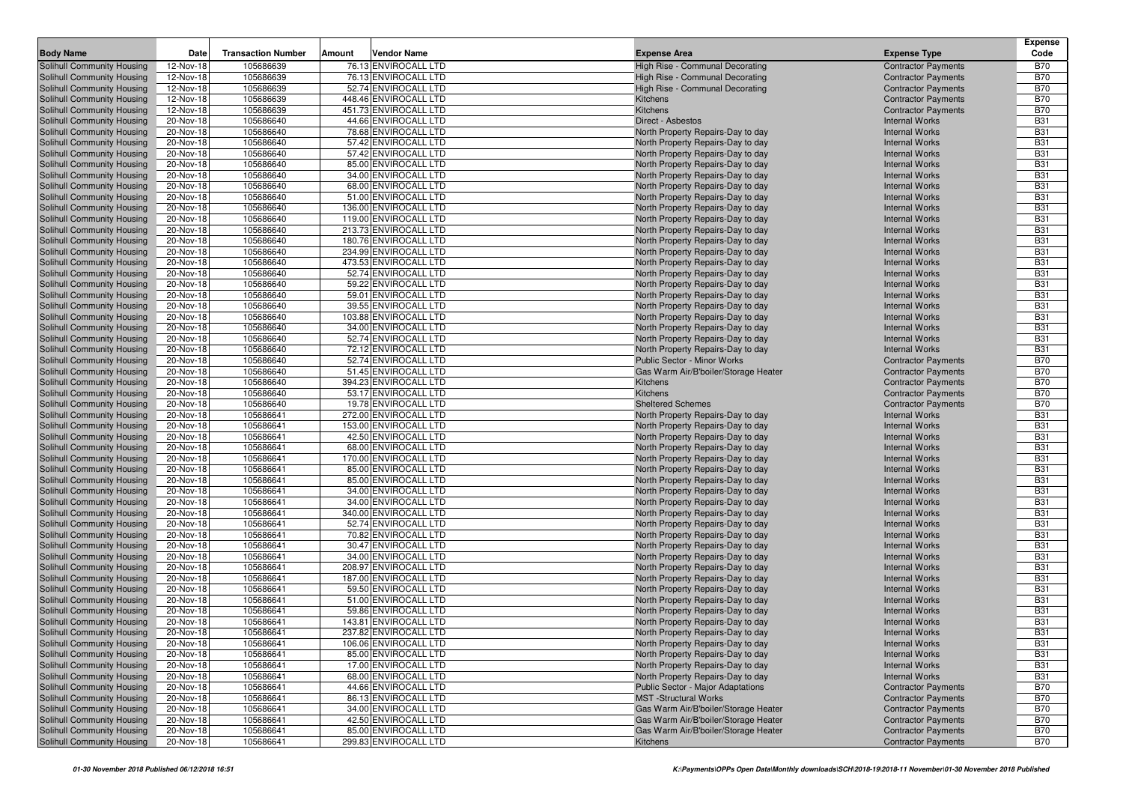|                                                                 |                        | <b>Transaction Number</b> |        | <b>Vendor Name</b>                             |                                                                        |                                                          | <b>Expense</b><br>Code   |
|-----------------------------------------------------------------|------------------------|---------------------------|--------|------------------------------------------------|------------------------------------------------------------------------|----------------------------------------------------------|--------------------------|
| <b>Body Name</b>                                                | Date                   |                           | Amount |                                                | <b>Expense Area</b>                                                    | <b>Expense Type</b>                                      |                          |
| Solihull Community Housing                                      | 12-Nov-18              | 105686639                 |        | 76.13 ENVIROCALL LTD<br>76.13 ENVIROCALL LTD   | High Rise - Communal Decorating                                        | <b>Contractor Payments</b>                               | <b>B70</b>               |
| Solihull Community Housing<br>Solihull Community Housing        | 12-Nov-18<br>12-Nov-18 | 105686639<br>105686639    |        | 52.74 ENVIROCALL LTD                           | High Rise - Communal Decorating<br>High Rise - Communal Decorating     | <b>Contractor Payments</b><br><b>Contractor Payments</b> | <b>B70</b><br><b>B70</b> |
| Solihull Community Housing                                      | 12-Nov-18              | 105686639                 |        | 448.46 ENVIROCALL LTD                          | Kitchens                                                               | <b>Contractor Payments</b>                               | <b>B70</b>               |
| Solihull Community Housing                                      | 12-Nov-18              | 105686639                 |        | 451.73 ENVIROCALL LTD                          | Kitchens                                                               | <b>Contractor Payments</b>                               | <b>B70</b>               |
| Solihull Community Housing                                      | 20-Nov-18              | 105686640                 |        | 44.66 ENVIROCALL LTD                           | Direct - Asbestos                                                      | <b>Internal Works</b>                                    | <b>B31</b>               |
| Solihull Community Housing                                      | 20-Nov-18              | 105686640                 |        | 78.68 ENVIROCALL LTD                           | North Property Repairs-Day to day                                      | <b>Internal Works</b>                                    | <b>B31</b>               |
| Solihull Community Housing                                      | 20-Nov-18              | 105686640                 |        | 57.42 ENVIROCALL LTD                           | North Property Repairs-Day to day                                      | <b>Internal Works</b>                                    | <b>B31</b>               |
| Solihull Community Housing                                      | 20-Nov-18              | 105686640                 |        | 57.42 ENVIROCALL LTD                           | North Property Repairs-Day to day                                      | <b>Internal Works</b>                                    | <b>B31</b>               |
| Solihull Community Housing                                      | 20-Nov-18              | 105686640                 |        | 85.00 ENVIROCALL LTD                           | North Property Repairs-Day to day                                      | <b>Internal Works</b>                                    | <b>B31</b>               |
| Solihull Community Housing                                      | 20-Nov-18              | 105686640                 |        | 34.00 ENVIROCALL LTD                           | North Property Repairs-Day to day                                      | <b>Internal Works</b>                                    | <b>B31</b>               |
| Solihull Community Housing                                      | 20-Nov-18              | 105686640                 |        | 68.00 ENVIROCALL LTD                           | North Property Repairs-Day to day                                      | <b>Internal Works</b>                                    | <b>B31</b>               |
| Solihull Community Housing                                      | 20-Nov-18              | 105686640                 |        | 51.00 ENVIROCALL LTD                           | North Property Repairs-Day to day                                      | <b>Internal Works</b>                                    | <b>B31</b>               |
| Solihull Community Housing                                      | 20-Nov-18              | 105686640                 |        | 136.00 ENVIROCALL LTD                          | North Property Repairs-Day to day                                      | <b>Internal Works</b>                                    | <b>B31</b>               |
| Solihull Community Housing                                      | 20-Nov-18              | 105686640                 |        | 119.00 ENVIROCALL LTD                          | North Property Repairs-Day to day                                      | <b>Internal Works</b>                                    | <b>B31</b>               |
| Solihull Community Housing                                      | 20-Nov-18              | 105686640                 |        | 213.73 ENVIROCALL LTD                          | North Property Repairs-Day to day                                      | <b>Internal Works</b>                                    | <b>B31</b>               |
| Solihull Community Housing                                      | 20-Nov-18              | 105686640                 |        | 180.76 ENVIROCALL LTD                          | North Property Repairs-Day to day                                      | <b>Internal Works</b>                                    | <b>B31</b>               |
| Solihull Community Housing                                      | 20-Nov-18              | 105686640                 |        | 234.99 ENVIROCALL LTD                          | North Property Repairs-Day to day                                      | <b>Internal Works</b>                                    | <b>B31</b>               |
| Solihull Community Housing                                      | 20-Nov-18              | 105686640                 |        | 473.53 ENVIROCALL LTD                          | North Property Repairs-Day to day                                      | <b>Internal Works</b>                                    | <b>B31</b><br><b>B31</b> |
| Solihull Community Housing<br><b>Solihull Community Housing</b> | 20-Nov-18<br>20-Nov-18 | 105686640<br>105686640    |        | 52.74 ENVIROCALL LTD<br>59.22 ENVIROCALL LTD   | North Property Repairs-Day to day<br>North Property Repairs-Day to day | <b>Internal Works</b><br><b>Internal Works</b>           | <b>B31</b>               |
| Solihull Community Housing                                      | 20-Nov-18              | 105686640                 |        | 59.01 ENVIROCALL LTD                           | North Property Repairs-Day to day                                      | <b>Internal Works</b>                                    | <b>B31</b>               |
| Solihull Community Housing                                      | 20-Nov-18              | 105686640                 |        | 39.55 ENVIROCALL LTD                           | North Property Repairs-Day to day                                      | <b>Internal Works</b>                                    | <b>B31</b>               |
| Solihull Community Housing                                      | 20-Nov-18              | 105686640                 |        | 103.88 ENVIROCALL LTD                          | North Property Repairs-Day to day                                      | <b>Internal Works</b>                                    | <b>B31</b>               |
| Solihull Community Housing                                      | 20-Nov-18              | 105686640                 |        | 34.00 ENVIROCALL LTD                           | North Property Repairs-Day to day                                      | <b>Internal Works</b>                                    | <b>B31</b>               |
| Solihull Community Housing                                      | 20-Nov-18              | 105686640                 |        | 52.74 ENVIROCALL LTD                           | North Property Repairs-Day to day                                      | <b>Internal Works</b>                                    | <b>B31</b>               |
| Solihull Community Housing                                      | 20-Nov-18              | 105686640                 |        | 72.12 ENVIROCALL LTD                           | North Property Repairs-Day to day                                      | <b>Internal Works</b>                                    | <b>B31</b>               |
| Solihull Community Housing                                      | 20-Nov-18              | 105686640                 |        | 52.74 ENVIROCALL LTD                           | <b>Public Sector - Minor Works</b>                                     | <b>Contractor Payments</b>                               | <b>B70</b>               |
| Solihull Community Housing                                      | 20-Nov-18              | 105686640                 |        | 51.45 ENVIROCALL LTD                           | Gas Warm Air/B'boiler/Storage Heater                                   | <b>Contractor Payments</b>                               | <b>B70</b>               |
| Solihull Community Housing                                      | 20-Nov-18              | 105686640                 |        | 394.23 ENVIROCALL LTD                          | Kitchens                                                               | <b>Contractor Payments</b>                               | <b>B70</b>               |
| Solihull Community Housing                                      | 20-Nov-18              | 105686640                 |        | 53.17 ENVIROCALL LTD                           | Kitchens                                                               | <b>Contractor Payments</b>                               | <b>B70</b>               |
| Solihull Community Housing                                      | 20-Nov-18              | 105686640                 |        | 19.78 ENVIROCALL LTD                           | <b>Sheltered Schemes</b>                                               | <b>Contractor Payments</b>                               | <b>B70</b>               |
| Solihull Community Housing                                      | 20-Nov-18              | 105686641                 |        | 272.00 ENVIROCALL LTD                          | North Property Repairs-Day to day                                      | <b>Internal Works</b>                                    | <b>B31</b>               |
| Solihull Community Housing                                      | 20-Nov-18              | 105686641                 |        | 153.00 ENVIROCALL LTD                          | North Property Repairs-Day to day                                      | <b>Internal Works</b>                                    | <b>B31</b>               |
| Solihull Community Housing                                      | 20-Nov-18              | 105686641                 |        | 42.50 ENVIROCALL LTD                           | North Property Repairs-Day to day                                      | <b>Internal Works</b>                                    | <b>B31</b>               |
| Solihull Community Housing                                      | 20-Nov-18              | 105686641<br>105686641    |        | 68.00 ENVIROCALL LTD<br>170.00 ENVIROCALL LTD  | North Property Repairs-Day to day<br>North Property Repairs-Day to day | <b>Internal Works</b><br><b>Internal Works</b>           | <b>B31</b><br><b>B31</b> |
| Solihull Community Housing<br>Solihull Community Housing        | 20-Nov-18<br>20-Nov-18 | 105686641                 |        | 85.00 ENVIROCALL LTD                           | North Property Repairs-Day to day                                      | <b>Internal Works</b>                                    | <b>B31</b>               |
| Solihull Community Housing                                      | 20-Nov-18              | 105686641                 |        | 85.00 ENVIROCALL LTD                           | North Property Repairs-Day to day                                      | <b>Internal Works</b>                                    | <b>B31</b>               |
| Solihull Community Housing                                      | 20-Nov-18              | 105686641                 |        | 34.00 ENVIROCALL LTD                           | North Property Repairs-Day to day                                      | <b>Internal Works</b>                                    | <b>B31</b>               |
| Solihull Community Housing                                      | 20-Nov-18              | 105686641                 |        | 34.00 ENVIROCALL LTD                           | North Property Repairs-Day to day                                      | <b>Internal Works</b>                                    | <b>B31</b>               |
| Solihull Community Housing                                      | 20-Nov-18              | 105686641                 |        | 340.00 ENVIROCALL LTD                          | North Property Repairs-Day to day                                      | <b>Internal Works</b>                                    | <b>B31</b>               |
| Solihull Community Housing                                      | 20-Nov-18              | 105686641                 |        | 52.74 ENVIROCALL LTD                           | North Property Repairs-Day to day                                      | <b>Internal Works</b>                                    | <b>B31</b>               |
| Solihull Community Housing                                      | 20-Nov-18              | 105686641                 |        | 70.82 ENVIROCALL LTD                           | North Property Repairs-Day to day                                      | <b>Internal Works</b>                                    | <b>B31</b>               |
| Solihull Community Housing                                      | 20-Nov-18              | 105686641                 |        | 30.47 ENVIROCALL LTD                           | North Property Repairs-Day to day                                      | <b>Internal Works</b>                                    | <b>B31</b>               |
| Solihull Community Housing                                      | 20-Nov-18              | 105686641                 |        | 34.00 ENVIROCALL LTD                           | North Property Repairs-Day to day                                      | <b>Internal Works</b>                                    | <b>B31</b>               |
| Solihull Community Housing                                      | 20-Nov-18              | 105686641                 |        | 208.97 ENVIROCALL LTD                          | North Property Repairs-Day to day                                      | <b>Internal Works</b>                                    | <b>B31</b>               |
| Solihull Community Housing                                      | 20-Nov-18              | 105686641                 |        | 187.00 ENVIROCALL LTD                          | North Property Repairs-Day to day                                      | <b>Internal Works</b>                                    | <b>B31</b>               |
| Solihull Community Housing                                      | 20-Nov-18              | 105686641                 |        | 59.50 ENVIROCALL LTD                           | North Property Repairs-Day to day                                      | <b>Internal Works</b>                                    | <b>B31</b>               |
| <b>Solihull Community Housing</b>                               | 20-Nov-18              | 105686641                 |        | 51.00 ENVIROCALL LTD                           | North Property Repairs-Day to day                                      | <b>Internal Works</b>                                    | <b>B31</b>               |
| Solihull Community Housing                                      | 20-Nov-18              | 105686641                 |        | 59.86 ENVIROCALL LTD                           | North Property Repairs-Day to day                                      | <b>Internal Works</b><br><b>Internal Works</b>           | <b>B31</b>               |
| Solihull Community Housing<br>Solihull Community Housing        | 20-Nov-18<br>20-Nov-18 | 105686641<br>105686641    |        | 143.81 ENVIROCALL LTD<br>237.82 ENVIROCALL LTD | North Property Repairs-Day to day<br>North Property Repairs-Day to day | <b>Internal Works</b>                                    | <b>B31</b><br><b>B31</b> |
| Solihull Community Housing                                      | 20-Nov-18              | 105686641                 |        | 106.06 ENVIROCALL LTD                          | North Property Repairs-Day to day                                      | <b>Internal Works</b>                                    | <b>B31</b>               |
| Solihull Community Housing                                      | 20-Nov-18              | 105686641                 |        | 85.00 ENVIROCALL LTD                           | North Property Repairs-Day to day                                      | <b>Internal Works</b>                                    | <b>B31</b>               |
| Solihull Community Housing                                      | 20-Nov-18              | 105686641                 |        | 17.00 ENVIROCALL LTD                           | North Property Repairs-Day to day                                      | <b>Internal Works</b>                                    | <b>B31</b>               |
| Solihull Community Housing                                      | 20-Nov-18              | 105686641                 |        | 68.00 ENVIROCALL LTD                           | North Property Repairs-Day to day                                      | <b>Internal Works</b>                                    | <b>B31</b>               |
| Solihull Community Housing                                      | 20-Nov-18              | 105686641                 |        | 44.66 ENVIROCALL LTD                           | Public Sector - Major Adaptations                                      | <b>Contractor Payments</b>                               | <b>B70</b>               |
| Solihull Community Housing                                      | 20-Nov-18              | 105686641                 |        | 86.13 ENVIROCALL LTD                           | <b>MST</b> -Structural Works                                           | <b>Contractor Payments</b>                               | <b>B70</b>               |
| Solihull Community Housing                                      | 20-Nov-18              | 105686641                 |        | 34.00 ENVIROCALL LTD                           | Gas Warm Air/B'boiler/Storage Heater                                   | <b>Contractor Payments</b>                               | <b>B70</b>               |
| Solihull Community Housing                                      | 20-Nov-18              | 105686641                 |        | 42.50 ENVIROCALL LTD                           | Gas Warm Air/B'boiler/Storage Heater                                   | <b>Contractor Payments</b>                               | <b>B70</b>               |
| Solihull Community Housing                                      | 20-Nov-18              | 105686641                 |        | 85.00 ENVIROCALL LTD                           | Gas Warm Air/B'boiler/Storage Heater                                   | <b>Contractor Payments</b>                               | <b>B70</b>               |
| Solihull Community Housing                                      | 20-Nov-18              | 105686641                 |        | 299.83 ENVIROCALL LTD                          | Kitchens                                                               | <b>Contractor Payments</b>                               | <b>B70</b>               |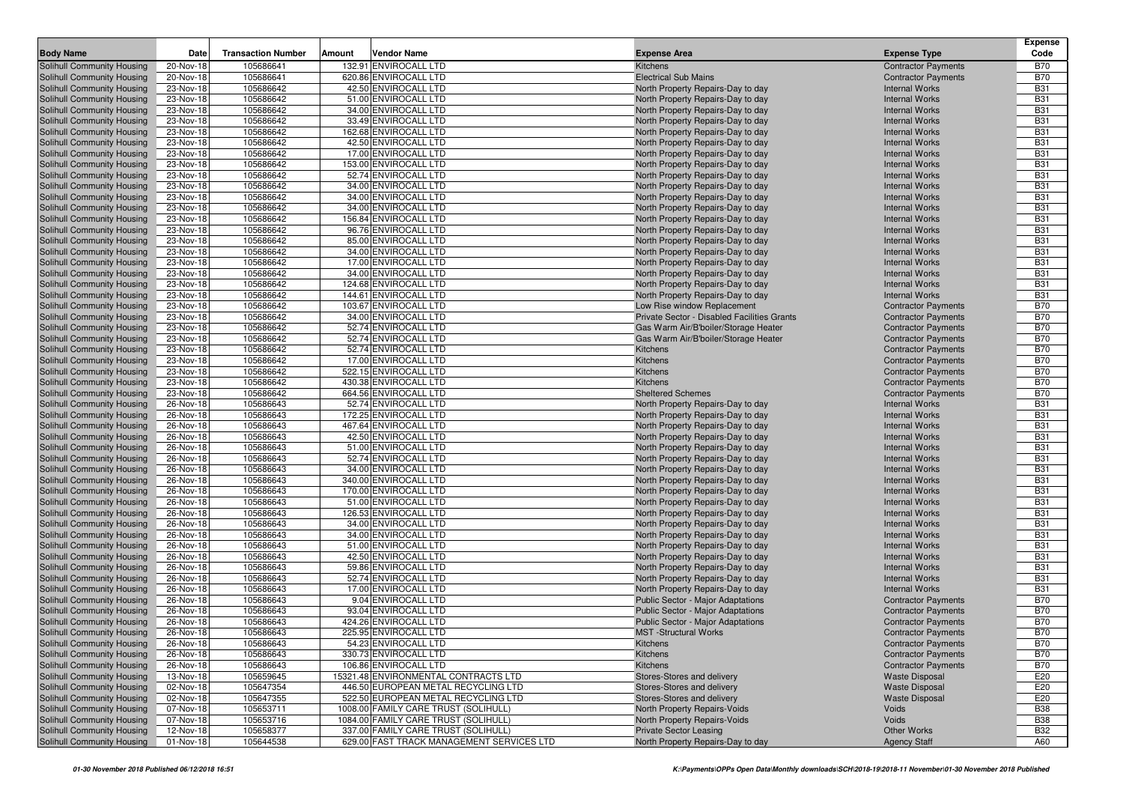| <b>Body Name</b>                                         | Date                   | <b>Transaction Number</b> | Amount | <b>Vendor Name</b>                            | <b>Expense Area</b>                                                    | <b>Expense Type</b>                            | <b>Expense</b><br>Code   |
|----------------------------------------------------------|------------------------|---------------------------|--------|-----------------------------------------------|------------------------------------------------------------------------|------------------------------------------------|--------------------------|
| Solihull Community Housing                               | 20-Nov-18              | 105686641                 |        | 132.91 ENVIROCALL LTD                         | <b>Kitchens</b>                                                        | <b>Contractor Payments</b>                     | <b>B70</b>               |
| Solihull Community Housing                               | 20-Nov-18              | 105686641                 |        | 620.86 ENVIROCALL LTD                         | <b>Electrical Sub Mains</b>                                            | <b>Contractor Payments</b>                     | <b>B70</b>               |
| Solihull Community Housing                               | 23-Nov-18              | 105686642                 |        | 42.50 ENVIROCALL LTD                          | North Property Repairs-Day to day                                      | <b>Internal Works</b>                          | <b>B31</b>               |
| Solihull Community Housing                               | 23-Nov-18              | 105686642                 |        | 51.00 ENVIROCALL LTD                          | North Property Repairs-Day to day                                      | <b>Internal Works</b>                          | <b>B31</b>               |
| Solihull Community Housing                               | 23-Nov-18              | 105686642                 |        | 34.00 ENVIROCALL LTD                          | North Property Repairs-Day to day                                      | <b>Internal Works</b>                          | <b>B31</b>               |
| Solihull Community Housing                               | 23-Nov-18              | 105686642                 |        | 33.49 ENVIROCALL LTD                          | North Property Repairs-Day to day                                      | <b>Internal Works</b>                          | <b>B31</b>               |
| Solihull Community Housing                               | 23-Nov-18              | 105686642                 |        | 162.68 ENVIROCALL LTD                         | North Property Repairs-Day to day                                      | <b>Internal Works</b>                          | <b>B31</b>               |
| Solihull Community Housing                               | 23-Nov-18              | 105686642                 |        | 42.50 ENVIROCALL LTD                          | North Property Repairs-Day to day                                      | <b>Internal Works</b>                          | <b>B31</b>               |
| Solihull Community Housing                               | 23-Nov-18              | 105686642                 |        | 17.00 ENVIROCALL LTD                          | North Property Repairs-Day to day                                      | <b>Internal Works</b>                          | <b>B31</b>               |
| Solihull Community Housing                               | 23-Nov-18              | 105686642                 |        | 153.00 ENVIROCALL LTD                         | North Property Repairs-Day to day                                      | <b>Internal Works</b>                          | <b>B31</b>               |
| Solihull Community Housing                               | 23-Nov-18              | 105686642                 |        | 52.74 ENVIROCALL LTD                          | North Property Repairs-Day to day                                      | <b>Internal Works</b>                          | <b>B31</b>               |
| Solihull Community Housing                               | 23-Nov-18              | 105686642                 |        | 34.00 ENVIROCALL LTD                          | North Property Repairs-Day to day                                      | <b>Internal Works</b>                          | <b>B31</b>               |
| Solihull Community Housing                               | 23-Nov-18              | 105686642                 |        | 34.00 ENVIROCALL LTD                          | North Property Repairs-Day to day                                      | <b>Internal Works</b>                          | <b>B31</b>               |
| Solihull Community Housing                               | 23-Nov-18              | 105686642                 |        | 34.00 ENVIROCALL LTD                          | North Property Repairs-Day to day                                      | <b>Internal Works</b>                          | <b>B31</b>               |
| Solihull Community Housing                               | 23-Nov-18              | 105686642                 |        | 156.84 ENVIROCALL LTD                         | North Property Repairs-Day to day                                      | <b>Internal Works</b>                          | <b>B31</b>               |
| Solihull Community Housing                               | 23-Nov-18              | 105686642                 |        | 96.76 ENVIROCALL LTD                          | North Property Repairs-Day to day                                      | <b>Internal Works</b>                          | <b>B31</b>               |
| Solihull Community Housing                               | 23-Nov-18              | 105686642                 |        | 85.00 ENVIROCALL LTD                          | North Property Repairs-Day to day                                      | <b>Internal Works</b>                          | <b>B31</b>               |
| Solihull Community Housing                               | 23-Nov-18              | 105686642                 |        | 34.00 ENVIROCALL LTD                          | North Property Repairs-Day to day                                      | <b>Internal Works</b>                          | <b>B31</b>               |
| Solihull Community Housing                               | 23-Nov-18              | 105686642                 |        | 17.00 ENVIROCALL LTD                          | North Property Repairs-Day to day                                      | <b>Internal Works</b>                          | <b>B31</b>               |
| Solihull Community Housing                               | 23-Nov-18              | 105686642                 |        | 34.00 ENVIROCALL LTD                          | North Property Repairs-Day to day                                      | <b>Internal Works</b>                          | <b>B31</b>               |
| Solihull Community Housing                               | 23-Nov-18              | 105686642                 |        | 124.68 ENVIROCALL LTD                         | North Property Repairs-Day to day                                      | <b>Internal Works</b>                          | <b>B31</b>               |
| Solihull Community Housing                               | 23-Nov-18              | 105686642                 |        | 144.61 ENVIROCALL LTD                         | North Property Repairs-Day to day                                      | <b>Internal Works</b>                          | <b>B31</b>               |
| Solihull Community Housing                               | 23-Nov-18              | 105686642                 |        | 103.67 ENVIROCALL LTD                         | Low Rise window Replacement                                            | <b>Contractor Payments</b>                     | <b>B70</b>               |
| Solihull Community Housing                               | 23-Nov-18              | 105686642                 |        | 34.00 ENVIROCALL LTD                          | Private Sector - Disabled Facilities Grants                            | <b>Contractor Payments</b>                     | <b>B70</b>               |
| Solihull Community Housing                               | 23-Nov-18              | 105686642                 |        | 52.74 ENVIROCALL LTD                          | Gas Warm Air/B'boiler/Storage Heater                                   | <b>Contractor Payments</b>                     | <b>B70</b>               |
| Solihull Community Housing                               | 23-Nov-18              | 105686642                 |        | 52.74 ENVIROCALL LTD                          | Gas Warm Air/B'boiler/Storage Heater                                   | <b>Contractor Payments</b>                     | <b>B70</b>               |
| Solihull Community Housing                               | 23-Nov-18              | 105686642                 |        | 52.74 ENVIROCALL LTD                          | Kitchens                                                               | <b>Contractor Payments</b>                     | <b>B70</b>               |
| Solihull Community Housing                               | 23-Nov-18              | 105686642                 |        | 17.00 ENVIROCALL LTD                          | Kitchens                                                               | <b>Contractor Payments</b>                     | <b>B70</b>               |
| Solihull Community Housing                               | 23-Nov-18              | 105686642                 |        | 522.15 ENVIROCALL LTD                         | Kitchens                                                               | <b>Contractor Payments</b>                     | <b>B70</b>               |
| Solihull Community Housing                               | 23-Nov-18              | 105686642                 |        | 430.38 ENVIROCALL LTD                         | Kitchens                                                               | <b>Contractor Payments</b>                     | <b>B70</b>               |
| Solihull Community Housing                               | 23-Nov-18              | 105686642                 |        | 664.56 ENVIROCALL LTD                         | <b>Sheltered Schemes</b>                                               | <b>Contractor Payments</b>                     | <b>B70</b>               |
| Solihull Community Housing                               | 26-Nov-18              | 105686643                 |        | 52.74 ENVIROCALL LTD                          | North Property Repairs-Day to day                                      | <b>Internal Works</b>                          | <b>B31</b>               |
| Solihull Community Housing                               | 26-Nov-18              | 105686643                 |        | 172.25 ENVIROCALL LTD                         | North Property Repairs-Day to day                                      | <b>Internal Works</b>                          | <b>B31</b>               |
| Solihull Community Housing                               | 26-Nov-18              | 105686643                 |        | 467.64 ENVIROCALL LTD                         | North Property Repairs-Day to day                                      | <b>Internal Works</b>                          | <b>B31</b>               |
| Solihull Community Housing                               | 26-Nov-18              | 105686643                 |        | 42.50 ENVIROCALL LTD                          | North Property Repairs-Day to day                                      | <b>Internal Works</b>                          | <b>B31</b>               |
| Solihull Community Housing                               | 26-Nov-18              | 105686643                 |        | 51.00 ENVIROCALL LTD                          | North Property Repairs-Day to day                                      | <b>Internal Works</b>                          | <b>B31</b>               |
| Solihull Community Housing                               | 26-Nov-18              | 105686643                 |        | 52.74 ENVIROCALL LTD                          | North Property Repairs-Day to day                                      | <b>Internal Works</b>                          | <b>B31</b>               |
| Solihull Community Housing                               | 26-Nov-18              | 105686643                 |        | 34.00 ENVIROCALL LTD                          | North Property Repairs-Day to day                                      | <b>Internal Works</b>                          | <b>B31</b>               |
| Solihull Community Housing                               | 26-Nov-18              | 105686643                 |        | 340.00 ENVIROCALL LTD                         | North Property Repairs-Day to day                                      | <b>Internal Works</b>                          | <b>B31</b>               |
| Solihull Community Housing                               | 26-Nov-18              | 105686643                 |        | 170.00 ENVIROCALL LTD                         | North Property Repairs-Day to day                                      | <b>Internal Works</b>                          | <b>B31</b>               |
| Solihull Community Housing                               | 26-Nov-18              | 105686643                 |        | 51.00 ENVIROCALL LTD                          | North Property Repairs-Day to day                                      | <b>Internal Works</b>                          | <b>B31</b>               |
| Solihull Community Housing                               | 26-Nov-18              | 105686643<br>105686643    |        | 126.53 ENVIROCALL LTD<br>34.00 ENVIROCALL LTD | North Property Repairs-Day to day                                      | <b>Internal Works</b><br><b>Internal Works</b> | <b>B31</b><br><b>B31</b> |
| Solihull Community Housing                               | 26-Nov-18              | 105686643                 |        | 34.00 ENVIROCALL LTD                          | North Property Repairs-Day to day                                      | <b>Internal Works</b>                          | <b>B31</b>               |
| Solihull Community Housing                               | 26-Nov-18<br>26-Nov-18 | 105686643                 |        |                                               | North Property Repairs-Day to day                                      | <b>Internal Works</b>                          | <b>B31</b>               |
| Solihull Community Housing<br>Solihull Community Housing | 26-Nov-18              | 105686643                 |        | 51.00 ENVIROCALL LTD<br>42.50 ENVIROCALL LTD  | North Property Repairs-Day to day<br>North Property Repairs-Day to day | <b>Internal Works</b>                          | <b>B31</b>               |
| Solihull Community Housing                               | 26-Nov-18              | 105686643                 |        | 59.86 ENVIROCALL LTD                          | North Property Repairs-Day to day                                      | <b>Internal Works</b>                          | <b>B31</b>               |
| Solihull Community Housing                               | 26-Nov-18              | 105686643                 |        | 52.74 ENVIROCALL LTD                          | North Property Repairs-Day to day                                      | <b>Internal Works</b>                          | <b>B31</b>               |
| Solihull Community Housing                               | 26-Nov-18              | 105686643                 |        | 17.00 ENVIROCALL LTD                          | North Property Repairs-Day to day                                      | <b>Internal Works</b>                          | <b>B31</b>               |
| Solihull Community Housing                               | 26-Nov-18              | 105686643                 |        | 9.04 ENVIROCALL LTD                           | Public Sector - Major Adaptations                                      | <b>Contractor Payments</b>                     | <b>B70</b>               |
| Solihull Community Housing                               | 26-Nov-18              | 105686643                 |        | 93.04 ENVIROCALL LTD                          | Public Sector - Major Adaptations                                      | <b>Contractor Payments</b>                     | <b>B70</b>               |
| <b>Solihull Community Housing</b>                        | 26-Nov-18              | 105686643                 |        | 424.26 ENVIROCALL LTD                         | Public Sector - Major Adaptations                                      | <b>Contractor Payments</b>                     | <b>B70</b>               |
| Solihull Community Housing                               | $26-Nov-18$            | 105686643                 |        | 225.95 ENVIROCALL LTD                         | <b>MST</b> -Structural Works                                           | <b>Contractor Payments</b>                     | <b>B70</b>               |
| Solihull Community Housing                               | 26-Nov-18              | 105686643                 |        | 54.23 ENVIROCALL LTD                          | Kitchens                                                               | <b>Contractor Payments</b>                     | <b>B70</b>               |
| Solihull Community Housing                               | 26-Nov-18              | 105686643                 |        | 330.73 ENVIROCALL LTD                         | Kitchens                                                               | <b>Contractor Payments</b>                     | <b>B70</b>               |
| Solihull Community Housing                               | 26-Nov-18              | 105686643                 |        | 106.86 ENVIROCALL LTD                         | Kitchens                                                               | <b>Contractor Payments</b>                     | <b>B70</b>               |
| Solihull Community Housing                               | 13-Nov-18              | 105659645                 |        | 15321.48 ENVIRONMENTAL CONTRACTS LTD          | Stores-Stores and delivery                                             | <b>Waste Disposal</b>                          | E20                      |
| Solihull Community Housing                               | 02-Nov-18              | 105647354                 |        | 446.50 EUROPEAN METAL RECYCLING LTD           | Stores-Stores and delivery                                             | <b>Waste Disposal</b>                          | E20                      |
| Solihull Community Housing                               | 02-Nov-18              | 105647355                 |        | 522.50 EUROPEAN METAL RECYCLING LTD           | Stores-Stores and delivery                                             | <b>Waste Disposal</b>                          | E20                      |
| Solihull Community Housing                               | 07-Nov-18              | 105653711                 |        | 1008.00 FAMILY CARE TRUST (SOLIHULL)          | North Property Repairs-Voids                                           | Voids                                          | <b>B38</b>               |
| Solihull Community Housing                               | 07-Nov-18              | 105653716                 |        | 1084.00 FAMILY CARE TRUST (SOLIHULL)          | North Property Repairs-Voids                                           | Voids                                          | <b>B38</b>               |
| Solihull Community Housing                               | 12-Nov-18              | 105658377                 |        | 337.00 FAMILY CARE TRUST (SOLIHULL)           | <b>Private Sector Leasing</b>                                          | <b>Other Works</b>                             | <b>B32</b>               |
| Solihull Community Housing                               | 01-Nov-18              | 105644538                 |        | 629.00 FAST TRACK MANAGEMENT SERVICES LTD     | North Property Repairs-Day to day                                      | <b>Agency Staff</b>                            | A60                      |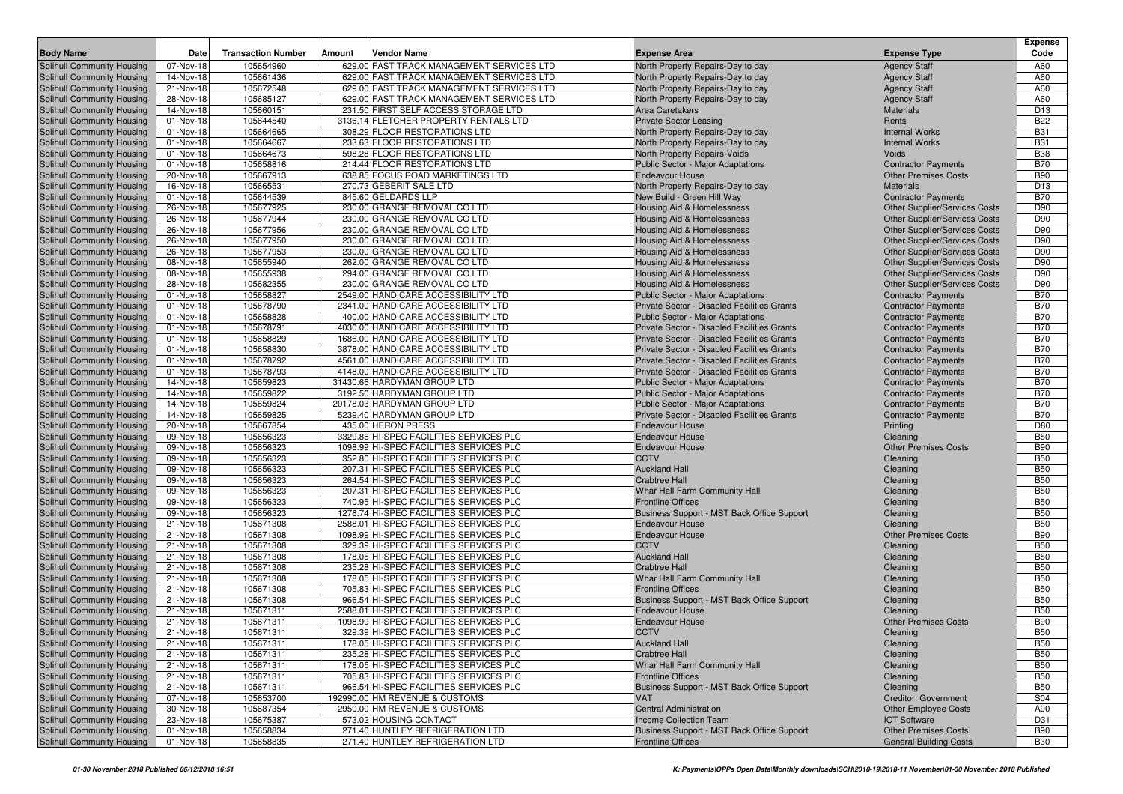|                                                          |                        |                           |        |                                                                                        |                                                                        |                                                                       | <b>Expense</b>           |
|----------------------------------------------------------|------------------------|---------------------------|--------|----------------------------------------------------------------------------------------|------------------------------------------------------------------------|-----------------------------------------------------------------------|--------------------------|
| <b>Body Name</b>                                         | Date                   | <b>Transaction Number</b> | Amount | Vendor Name                                                                            | <b>Expense Area</b>                                                    | <b>Expense Type</b>                                                   | Code                     |
| Solihull Community Housing<br>Solihull Community Housing | 07-Nov-18              | 105654960                 |        | 629.00 FAST TRACK MANAGEMENT SERVICES LTD<br>629.00 FAST TRACK MANAGEMENT SERVICES LTD | North Property Repairs-Day to day                                      | <b>Agency Staff</b>                                                   | A60                      |
| Solihull Community Housing                               | 14-Nov-18<br>21-Nov-18 | 105661436<br>105672548    |        | 629.00 FAST TRACK MANAGEMENT SERVICES LTD                                              | North Property Repairs-Day to day<br>North Property Repairs-Day to day | <b>Agency Staff</b>                                                   | A60<br>A60               |
| Solihull Community Housing                               | 28-Nov-18              | 105685127                 |        | 629.00 FAST TRACK MANAGEMENT SERVICES LTD                                              | North Property Repairs-Day to day                                      | <b>Agency Staff</b><br><b>Agency Staff</b>                            | A60                      |
| Solihull Community Housing                               | 14-Nov-18              | 105660151                 |        | 231.50 FIRST SELF ACCESS STORAGE LTD                                                   | Area Caretakers                                                        | <b>Materials</b>                                                      | D <sub>13</sub>          |
| Solihull Community Housing                               | 01-Nov-18              | 105644540                 |        | 3136.14 FLETCHER PROPERTY RENTALS LTD                                                  | <b>Private Sector Leasing</b>                                          | Rents                                                                 | <b>B22</b>               |
| Solihull Community Housing                               | 01-Nov-18              | 105664665                 |        | 308.29 FLOOR RESTORATIONS LTD                                                          | North Property Repairs-Day to day                                      | <b>Internal Works</b>                                                 | <b>B31</b>               |
| Solihull Community Housing                               | 01-Nov-18              | 105664667                 |        | 233.63 FLOOR RESTORATIONS LTD                                                          | North Property Repairs-Day to day                                      | <b>Internal Works</b>                                                 | <b>B31</b>               |
| Solihull Community Housing                               | 01-Nov-18              | 105664673                 |        | 598.28 FLOOR RESTORATIONS LTD                                                          | North Property Repairs-Voids                                           | Voids                                                                 | <b>B38</b>               |
| Solihull Community Housing                               | 01-Nov-18              | 105658816                 |        | 214.44 FLOOR RESTORATIONS LTD                                                          | Public Sector - Major Adaptations                                      | <b>Contractor Payments</b>                                            | <b>B70</b>               |
| Solihull Community Housing                               | 20-Nov-18              | 105667913                 |        | 638.85 FOCUS ROAD MARKETINGS LTD                                                       | <b>Endeavour House</b>                                                 | <b>Other Premises Costs</b>                                           | <b>B90</b>               |
| Solihull Community Housing                               | 16-Nov-18              | 105665531                 |        | 270.73 GEBERIT SALE LTD                                                                | North Property Repairs-Day to day                                      | <b>Materials</b>                                                      | D <sub>13</sub>          |
| Solihull Community Housing                               | 01-Nov-18              | 105644539                 |        | 845.60 GELDARDS LLP                                                                    | New Build - Green Hill Way                                             | <b>Contractor Payments</b>                                            | <b>B70</b>               |
| Solihull Community Housing                               | 26-Nov-18              | 105677925                 |        | 230.00 GRANGE REMOVAL CO LTD                                                           | Housing Aid & Homelessness                                             | Other Supplier/Services Costs                                         | D90                      |
| Solihull Community Housing                               | 26-Nov-18              | 105677944                 |        | 230.00 GRANGE REMOVAL CO LTD                                                           | <b>Housing Aid &amp; Homelessness</b>                                  | Other Supplier/Services Costs                                         | D90                      |
| <b>Solihull Community Housing</b>                        | 26-Nov-18              | 105677956                 |        | 230.00 GRANGE REMOVAL CO LTD                                                           | Housing Aid & Homelessness                                             | Other Supplier/Services Costs                                         | D90                      |
| Solihull Community Housing                               | 26-Nov-18              | 105677950<br>105677953    |        | 230.00 GRANGE REMOVAL CO LTD<br>230.00 GRANGE REMOVAL CO LTD                           | Housing Aid & Homelessness                                             | <b>Other Supplier/Services Costs</b><br>Other Supplier/Services Costs | D90<br>D90               |
| Solihull Community Housing<br>Solihull Community Housing | 26-Nov-18<br>08-Nov-18 | 105655940                 |        | 262.00 GRANGE REMOVAL CO LTD                                                           | Housing Aid & Homelessness<br>Housing Aid & Homelessness               | Other Supplier/Services Costs                                         | D90                      |
| Solihull Community Housing                               | 08-Nov-18              | 105655938                 |        | 294.00 GRANGE REMOVAL CO LTD                                                           | Housing Aid & Homelessness                                             | Other Supplier/Services Costs                                         | D90                      |
| Solihull Community Housing                               | 28-Nov-18              | 105682355                 |        | 230.00 GRANGE REMOVAL CO LTD                                                           | Housing Aid & Homelessness                                             | Other Supplier/Services Costs                                         | D90                      |
| Solihull Community Housing                               | 01-Nov-18              | 105658827                 |        | 2549.00 HANDICARE ACCESSIBILITY LTD                                                    | Public Sector - Major Adaptations                                      | <b>Contractor Payments</b>                                            | <b>B70</b>               |
| Solihull Community Housing                               | 01-Nov-18              | 105678790                 |        | 2341.00 HANDICARE ACCESSIBILITY LTD                                                    | Private Sector - Disabled Facilities Grants                            | <b>Contractor Payments</b>                                            | <b>B70</b>               |
| Solihull Community Housing                               | 01-Nov-18              | 105658828                 |        | 400.00 HANDICARE ACCESSIBILITY LTD                                                     | <b>Public Sector - Major Adaptations</b>                               | <b>Contractor Payments</b>                                            | <b>B70</b>               |
| Solihull Community Housing                               | 01-Nov-18              | 105678791                 |        | 4030.00 HANDICARE ACCESSIBILITY LTD                                                    | Private Sector - Disabled Facilities Grants                            | <b>Contractor Payments</b>                                            | <b>B70</b>               |
| Solihull Community Housing                               | 01-Nov-18              | 105658829                 |        | 1686.00 HANDICARE ACCESSIBILITY LTD                                                    | Private Sector - Disabled Facilities Grants                            | <b>Contractor Payments</b>                                            | <b>B70</b>               |
| Solihull Community Housing                               | 01-Nov-18              | 105658830                 |        | 3878.00 HANDICARE ACCESSIBILITY LTD                                                    | Private Sector - Disabled Facilities Grants                            | <b>Contractor Payments</b>                                            | <b>B70</b>               |
| Solihull Community Housing                               | 01-Nov-18              | 105678792                 |        | 4561.00 HANDICARE ACCESSIBILITY LTD                                                    | Private Sector - Disabled Facilities Grants                            | <b>Contractor Payments</b>                                            | <b>B70</b>               |
| Solihull Community Housing                               | 01-Nov-18              | 105678793                 |        | 4148.00 HANDICARE ACCESSIBILITY LTD                                                    | Private Sector - Disabled Facilities Grants                            | <b>Contractor Payments</b>                                            | <b>B70</b>               |
| Solihull Community Housing                               | 14-Nov-18              | 105659823                 |        | 31430.66 HARDYMAN GROUP LTD                                                            | <b>Public Sector - Major Adaptations</b>                               | <b>Contractor Payments</b>                                            | <b>B70</b>               |
| Solihull Community Housing                               | 14-Nov-18              | 105659822                 |        | 3192.50 HARDYMAN GROUP LTD                                                             | Public Sector - Major Adaptations                                      | <b>Contractor Payments</b>                                            | <b>B70</b>               |
| Solihull Community Housing                               | 14-Nov-18              | 105659824                 |        | 20178.03 HARDYMAN GROUP LTD                                                            | <b>Public Sector - Major Adaptations</b>                               | <b>Contractor Payments</b>                                            | <b>B70</b>               |
| Solihull Community Housing                               | 14-Nov-18<br>20-Nov-18 | 105659825<br>105667854    |        | 5239.40 HARDYMAN GROUP LTD<br>435.00 HERON PRESS                                       | Private Sector - Disabled Facilities Grants<br><b>Endeavour House</b>  | <b>Contractor Payments</b>                                            | <b>B70</b><br>D80        |
| Solihull Community Housing<br>Solihull Community Housing | 09-Nov-18              | 105656323                 |        | 3329.86 HI-SPEC FACILITIES SERVICES PLC                                                | <b>Endeavour House</b>                                                 | Printing<br>Cleaning                                                  | <b>B50</b>               |
| Solihull Community Housing                               | 09-Nov-18              | 105656323                 |        | 1098.99 HI-SPEC FACILITIES SERVICES PLC                                                | <b>Endeavour House</b>                                                 | <b>Other Premises Costs</b>                                           | <b>B90</b>               |
| Solihull Community Housing                               | 09-Nov-18              | 105656323                 |        | 352.80 HI-SPEC FACILITIES SERVICES PLC                                                 | <b>CCTV</b>                                                            | Cleaning                                                              | <b>B50</b>               |
| Solihull Community Housing                               | 09-Nov-18              | 105656323                 |        | 207.31 HI-SPEC FACILITIES SERVICES PLC                                                 | <b>Auckland Hall</b>                                                   | Cleaning                                                              | <b>B50</b>               |
| Solihull Community Housing                               | 09-Nov-18              | 105656323                 |        | 264.54 HI-SPEC FACILITIES SERVICES PLC                                                 | <b>Crabtree Hall</b>                                                   | Cleaning                                                              | <b>B50</b>               |
| Solihull Community Housing                               | 09-Nov-18              | 105656323                 |        | 207.31 HI-SPEC FACILITIES SERVICES PLC                                                 | Whar Hall Farm Community Hall                                          | Cleaning                                                              | <b>B50</b>               |
| Solihull Community Housing                               | 09-Nov-18              | 105656323                 |        | 740.95 HI-SPEC FACILITIES SERVICES PLC                                                 | <b>Frontline Offices</b>                                               | Cleaning                                                              | <b>B50</b>               |
| Solihull Community Housing                               | 09-Nov-18              | 105656323                 |        | 1276.74 HI-SPEC FACILITIES SERVICES PLC                                                | Business Support - MST Back Office Support                             | Cleaning                                                              | <b>B50</b>               |
| Solihull Community Housing                               | 21-Nov-18              | 105671308                 |        | 2588.01 HI-SPEC FACILITIES SERVICES PLC                                                | <b>Endeavour House</b>                                                 | Cleaning                                                              | <b>B50</b>               |
| Solihull Community Housing                               | 21-Nov-18              | 105671308                 |        | 1098.99 HI-SPEC FACILITIES SERVICES PLC                                                | <b>Endeavour House</b>                                                 | <b>Other Premises Costs</b>                                           | <b>B90</b>               |
| Solihull Community Housing                               | 21-Nov-18              | 105671308                 |        | 329.39 HI-SPEC FACILITIES SERVICES PLC                                                 | <b>CCTV</b>                                                            | Cleaning                                                              | <b>B50</b>               |
| Solihull Community Housing                               | 21-Nov-18              | 105671308                 |        | 178.05 HI-SPEC FACILITIES SERVICES PLC                                                 | <b>Auckland Hall</b>                                                   | Cleaning                                                              | <b>B50</b>               |
| Solihull Community Housing                               | 21-Nov-18<br>21-Nov-18 | 105671308<br>105671308    |        | 235.28 HI-SPEC FACILITIES SERVICES PLC<br>178.05 HI-SPEC FACILITIES SERVICES PLC       | <b>Crabtree Hall</b><br>Whar Hall Farm Community Hall                  | Cleaning                                                              | <b>B50</b><br><b>B50</b> |
| Solihull Community Housing<br>Solihull Community Housing | 21-Nov-18              | 105671308                 |        | 705.83 HI-SPEC FACILITIES SERVICES PLC                                                 | <b>Frontline Offices</b>                                               | Cleaning<br>Cleaning                                                  | <b>B50</b>               |
| Solihull Community Housing                               | 21-Nov-18              | 105671308                 |        | 966.54 HI-SPEC FACILITIES SERVICES PLC                                                 | Business Support - MST Back Office Support                             | Cleaning                                                              | <b>B50</b>               |
| Solihull Community Housing                               | 21-Nov-18              | 105671311                 |        | 2588.01 HI-SPEC FACILITIES SERVICES PLC                                                | <b>Endeavour House</b>                                                 | Cleaning                                                              | <b>B50</b>               |
| Solihull Community Housing                               | 21-Nov-18              | 105671311                 |        | 1098.99 HI-SPEC FACILITIES SERVICES PLC                                                | <b>Endeavour House</b>                                                 | <b>Other Premises Costs</b>                                           | <b>B90</b>               |
| Solihull Community Housing                               | 21-Nov-18              | 105671311                 |        | 329.39 HI-SPEC FACILITIES SERVICES PLC                                                 | <b>CCTV</b>                                                            | Cleaning                                                              | <b>B50</b>               |
| Solihull Community Housing                               | 21-Nov-18              | 105671311                 |        | 178.05 HI-SPEC FACILITIES SERVICES PLC                                                 | <b>Auckland Hall</b>                                                   | Cleaning                                                              | <b>B50</b>               |
| Solihull Community Housing                               | 21-Nov-18              | 105671311                 |        | 235.28 HI-SPEC FACILITIES SERVICES PLC                                                 | <b>Crabtree Hall</b>                                                   | Cleaning                                                              | <b>B50</b>               |
| Solihull Community Housing                               | 21-Nov-18              | 105671311                 |        | 178.05 HI-SPEC FACILITIES SERVICES PLC                                                 | Whar Hall Farm Community Hall                                          | Cleaning                                                              | <b>B50</b>               |
| Solihull Community Housing                               | 21-Nov-18              | 105671311                 |        | 705.83 HI-SPEC FACILITIES SERVICES PLC                                                 | <b>Frontline Offices</b>                                               | Cleaning                                                              | <b>B50</b>               |
| Solihull Community Housing                               | 21-Nov-18              | 105671311                 |        | 966.54 HI-SPEC FACILITIES SERVICES PLC                                                 | Business Support - MST Back Office Support                             | Cleaning                                                              | <b>B50</b>               |
| Solihull Community Housing                               | 07-Nov-18              | 105653700                 |        | 192990.00 HM REVENUE & CUSTOMS                                                         | <b>VAT</b>                                                             | <b>Creditor: Government</b>                                           | S04                      |
| Solihull Community Housing                               | 30-Nov-18              | 105687354                 |        | 2950.00 HM REVENUE & CUSTOMS                                                           | <b>Central Administration</b>                                          | <b>Other Employee Costs</b>                                           | A90                      |
| Solihull Community Housing                               | 23-Nov-18              | 105675387                 |        | 573.02 HOUSING CONTACT                                                                 | Income Collection Team                                                 | <b>ICT Software</b>                                                   | D31                      |
| Solihull Community Housing                               | 01-Nov-18              | 105658834                 |        | 271.40 HUNTLEY REFRIGERATION LTD                                                       | Business Support - MST Back Office Support                             | <b>Other Premises Costs</b>                                           | <b>B90</b>               |
| Solihull Community Housing                               | 01-Nov-18              | 105658835                 |        | 271.40 HUNTLEY REFRIGERATION LTD                                                       | <b>Frontline Offices</b>                                               | <b>General Building Costs</b>                                         | <b>B30</b>               |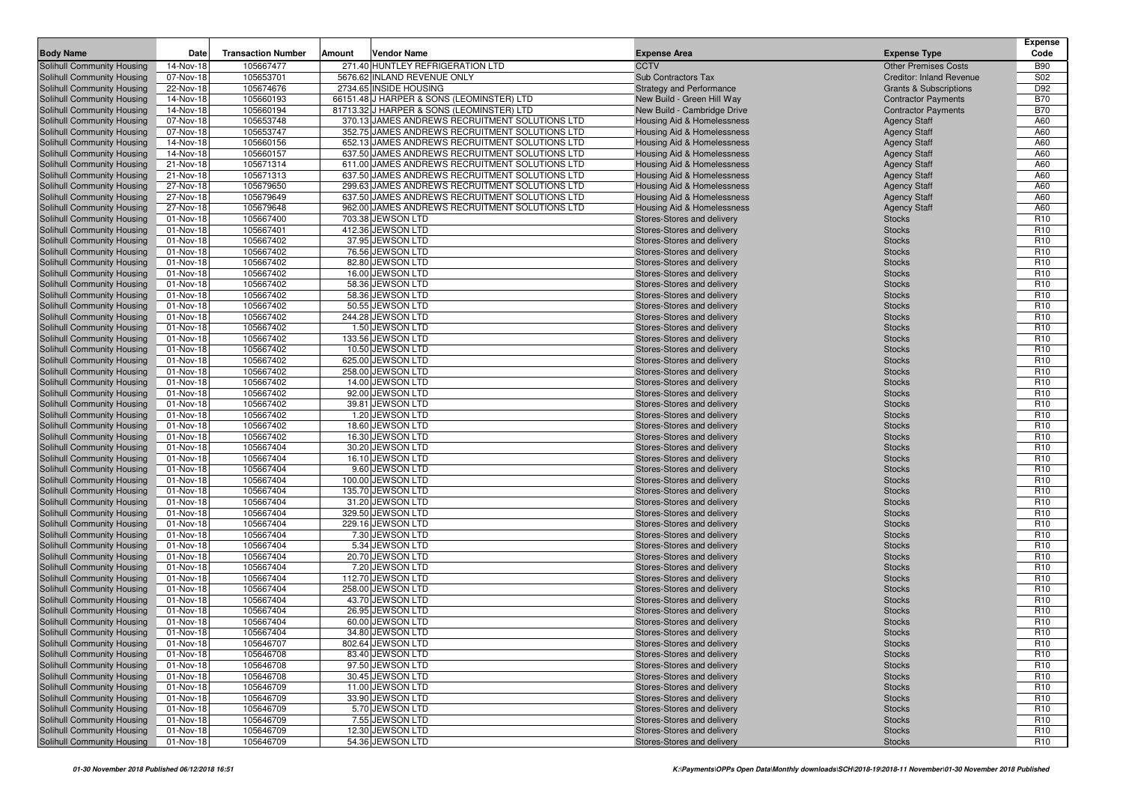|                                                          |                        |                           |        |                                                                                        |                                                           |                                                          | <b>Expense</b>                     |
|----------------------------------------------------------|------------------------|---------------------------|--------|----------------------------------------------------------------------------------------|-----------------------------------------------------------|----------------------------------------------------------|------------------------------------|
| <b>Body Name</b>                                         | Date                   | <b>Transaction Number</b> | Amount | <b>Vendor Name</b>                                                                     | <b>Expense Area</b>                                       | <b>Expense Type</b>                                      | Code                               |
| Solihull Community Housing                               | 14-Nov-18              | 105667477                 |        | 271.40 HUNTLEY REFRIGERATION LTD                                                       | <b>CCTV</b>                                               | <b>Other Premises Costs</b>                              | <b>B90</b>                         |
| Solihull Community Housing                               | 07-Nov-18              | 105653701                 |        | 5676.62 INLAND REVENUE ONLY                                                            | Sub Contractors Tax                                       | <b>Creditor: Inland Revenue</b>                          | S02                                |
| Solihull Community Housing                               | 22-Nov-18              | 105674676                 |        | 2734.65 INSIDE HOUSING                                                                 | <b>Strategy and Performance</b>                           | <b>Grants &amp; Subscriptions</b>                        | D92                                |
| Solihull Community Housing<br>Solihull Community Housing | 14-Nov-18<br>14-Nov-18 | 105660193<br>105660194    |        | 66151.48 J HARPER & SONS (LEOMINSTER) LTD<br>81713.32 J HARPER & SONS (LEOMINSTER) LTD | New Build - Green Hill Way<br>New Build - Cambridge Drive | <b>Contractor Payments</b><br><b>Contractor Payments</b> | <b>B70</b><br><b>B70</b>           |
| Solihull Community Housing                               | 07-Nov-18              | 105653748                 |        | 370.13 JAMES ANDREWS RECRUITMENT SOLUTIONS LTD                                         | Housing Aid & Homelessness                                | <b>Agency Staff</b>                                      | A60                                |
| Solihull Community Housing                               | 07-Nov-18              | 105653747                 |        | 352.75 JAMES ANDREWS RECRUITMENT SOLUTIONS LTD                                         | Housing Aid & Homelessness                                | <b>Agency Staff</b>                                      | A60                                |
| <b>Solihull Community Housing</b>                        | 14-Nov-18              | 105660156                 |        | 652.13 JAMES ANDREWS RECRUITMENT SOLUTIONS LTD                                         | Housing Aid & Homelessness                                | <b>Agency Staff</b>                                      | A60                                |
| Solihull Community Housing                               | 14-Nov-18              | 105660157                 |        | 637.50 JAMES ANDREWS RECRUITMENT SOLUTIONS LTD                                         | Housing Aid & Homelessness                                | <b>Agency Staff</b>                                      | A60                                |
| Solihull Community Housing                               | 21-Nov-18              | 105671314                 |        | 611.00 JAMES ANDREWS RECRUITMENT SOLUTIONS LTD                                         | Housing Aid & Homelessness                                | <b>Agency Staff</b>                                      | A60                                |
| Solihull Community Housing                               | 21-Nov-18              | 105671313                 |        | 637.50 JAMES ANDREWS RECRUITMENT SOLUTIONS LTD                                         | <b>Housing Aid &amp; Homelessness</b>                     | <b>Agency Staff</b>                                      | A60                                |
| Solihull Community Housing                               | 27-Nov-18              | 105679650                 |        | 299.63 JAMES ANDREWS RECRUITMENT SOLUTIONS LTD                                         | Housing Aid & Homelessness                                | <b>Agency Staff</b>                                      | A60                                |
| Solihull Community Housing                               | 27-Nov-18              | 105679649                 |        | 637.50 JAMES ANDREWS RECRUITMENT SOLUTIONS LTD                                         | Housing Aid & Homelessness                                | <b>Agency Staff</b>                                      | A60                                |
| Solihull Community Housing                               | 27-Nov-18              | 105679648                 |        | 962.00 JAMES ANDREWS RECRUITMENT SOLUTIONS LTD                                         | Housing Aid & Homelessness                                | <b>Agency Staff</b>                                      | A60                                |
| Solihull Community Housing                               | 01-Nov-18              | 105667400                 |        | 703.38 JEWSON LTD                                                                      | Stores-Stores and delivery                                | <b>Stocks</b>                                            | R <sub>10</sub>                    |
| <b>Solihull Community Housing</b>                        | 01-Nov-18              | 105667401                 |        | 412.36 JEWSON LTD                                                                      | Stores-Stores and delivery                                | <b>Stocks</b>                                            | R <sub>10</sub>                    |
| Solihull Community Housing                               | 01-Nov-18              | 105667402                 |        | 37.95 JEWSON LTD                                                                       | Stores-Stores and delivery                                | <b>Stocks</b>                                            | R <sub>10</sub>                    |
| Solihull Community Housing                               | 01-Nov-18              | 105667402                 |        | 76.56 JEWSON LTD                                                                       | Stores-Stores and delivery                                | <b>Stocks</b>                                            | R <sub>10</sub>                    |
| Solihull Community Housing                               | 01-Nov-18              | 105667402                 |        | 82.80 JEWSON LTD                                                                       | Stores-Stores and delivery                                | <b>Stocks</b>                                            | R <sub>10</sub>                    |
| Solihull Community Housing                               | 01-Nov-18              | 105667402                 |        | 16.00 JEWSON LTD                                                                       | Stores-Stores and delivery                                | <b>Stocks</b>                                            | R <sub>10</sub>                    |
| Solihull Community Housing                               | 01-Nov-18              | 105667402                 |        | 58.36 JEWSON LTD                                                                       | Stores-Stores and delivery                                | <b>Stocks</b>                                            | R <sub>10</sub>                    |
| Solihull Community Housing                               | 01-Nov-18              | 105667402                 |        | 58.36 JEWSON LTD                                                                       | Stores-Stores and delivery                                | <b>Stocks</b>                                            | R <sub>10</sub>                    |
| Solihull Community Housing                               | 01-Nov-18              | 105667402                 |        | 50.55 JEWSON LTD                                                                       | Stores-Stores and delivery                                | <b>Stocks</b>                                            | R <sub>10</sub>                    |
| Solihull Community Housing<br>Solihull Community Housing | 01-Nov-18              | 105667402<br>105667402    |        | 244.28 JEWSON LTD<br>1.50 JEWSON LTD                                                   | Stores-Stores and delivery                                | <b>Stocks</b>                                            | R <sub>10</sub><br>R <sub>10</sub> |
| Solihull Community Housing                               | 01-Nov-18<br>01-Nov-18 | 105667402                 |        | 133.56 JEWSON LTD                                                                      | Stores-Stores and delivery<br>Stores-Stores and delivery  | <b>Stocks</b><br><b>Stocks</b>                           | R <sub>10</sub>                    |
| Solihull Community Housing                               | 01-Nov-18              | 105667402                 |        | 10.50 JEWSON LTD                                                                       | Stores-Stores and delivery                                | <b>Stocks</b>                                            | R <sub>10</sub>                    |
| Solihull Community Housing                               | 01-Nov-18              | 105667402                 |        | 625.00 JEWSON LTD                                                                      | Stores-Stores and delivery                                | <b>Stocks</b>                                            | R <sub>10</sub>                    |
| Solihull Community Housing                               | 01-Nov-18              | 105667402                 |        | 258.00 JEWSON LTD                                                                      | Stores-Stores and delivery                                | <b>Stocks</b>                                            | R <sub>10</sub>                    |
| Solihull Community Housing                               | 01-Nov-18              | 105667402                 |        | 14.00 JEWSON LTD                                                                       | Stores-Stores and delivery                                | <b>Stocks</b>                                            | R <sub>10</sub>                    |
| Solihull Community Housing                               | 01-Nov-18              | 105667402                 |        | 92.00 JEWSON LTD                                                                       | Stores-Stores and delivery                                | <b>Stocks</b>                                            | R <sub>10</sub>                    |
| Solihull Community Housing                               | 01-Nov-18              | 105667402                 |        | 39.81 JEWSON LTD                                                                       | Stores-Stores and delivery                                | <b>Stocks</b>                                            | R <sub>10</sub>                    |
| Solihull Community Housing                               | 01-Nov-18              | 105667402                 |        | 1.20 JEWSON LTD                                                                        | Stores-Stores and delivery                                | <b>Stocks</b>                                            | R <sub>10</sub>                    |
| Solihull Community Housing                               | 01-Nov-18              | 105667402                 |        | 18.60 JEWSON LTD                                                                       | Stores-Stores and delivery                                | <b>Stocks</b>                                            | R <sub>10</sub>                    |
| Solihull Community Housing                               | 01-Nov-18              | 105667402                 |        | 16.30 JEWSON LTD                                                                       | Stores-Stores and delivery                                | <b>Stocks</b>                                            | R <sub>10</sub>                    |
| Solihull Community Housing                               | 01-Nov-18              | 105667404                 |        | 30.20 JEWSON LTD                                                                       | Stores-Stores and delivery                                | <b>Stocks</b>                                            | R <sub>10</sub>                    |
| Solihull Community Housing                               | 01-Nov-18              | 105667404                 |        | 16.10 JEWSON LTD                                                                       | Stores-Stores and delivery                                | <b>Stocks</b>                                            | R <sub>10</sub>                    |
| Solihull Community Housing                               | 01-Nov-18              | 105667404                 |        | 9.60 JEWSON LTD                                                                        | Stores-Stores and delivery                                | <b>Stocks</b>                                            | R <sub>10</sub>                    |
| Solihull Community Housing                               | 01-Nov-18              | 105667404                 |        | 100.00 JEWSON LTD                                                                      | Stores-Stores and delivery                                | <b>Stocks</b>                                            | R <sub>10</sub>                    |
| Solihull Community Housing                               | 01-Nov-18              | 105667404                 |        | 135.70 JEWSON LTD                                                                      | Stores-Stores and delivery                                | <b>Stocks</b>                                            | R <sub>10</sub>                    |
| Solihull Community Housing                               | 01-Nov-18              | 105667404                 |        | 31.20 JEWSON LTD                                                                       | Stores-Stores and delivery                                | <b>Stocks</b>                                            | R <sub>10</sub>                    |
| Solihull Community Housing<br>Solihull Community Housing | 01-Nov-18<br>01-Nov-18 | 105667404<br>105667404    |        | 329.50 JEWSON LTD<br>229.16 JEWSON LTD                                                 | Stores-Stores and delivery<br>Stores-Stores and delivery  | <b>Stocks</b><br><b>Stocks</b>                           | R <sub>10</sub><br>R <sub>10</sub> |
| Solihull Community Housing                               | 01-Nov-18              | 105667404                 |        | 7.30 JEWSON LTD                                                                        | Stores-Stores and delivery                                | <b>Stocks</b>                                            | R <sub>10</sub>                    |
| Solihull Community Housing                               | 01-Nov-18              | 105667404                 |        | 5.34 JEWSON LTD                                                                        | Stores-Stores and delivery                                | <b>Stocks</b>                                            | R <sub>10</sub>                    |
| Solihull Community Housing                               | 01-Nov-18              | 105667404                 |        | 20.70 JEWSON LTD                                                                       | Stores-Stores and delivery                                | <b>Stocks</b>                                            | R <sub>10</sub>                    |
| Solihull Community Housing                               | 01-Nov-18              | 105667404                 |        | 7.20 JEWSON LTD                                                                        | Stores-Stores and delivery                                | <b>Stocks</b>                                            | R <sub>10</sub>                    |
| Solihull Community Housing                               | 01-Nov-18              | 105667404                 |        | 112.70 JEWSON LTD                                                                      | Stores-Stores and delivery                                | <b>Stocks</b>                                            | R <sub>10</sub>                    |
| Solihull Community Housing                               | 01-Nov-18              | 105667404                 |        | 258.00 JEWSON LTD                                                                      | Stores-Stores and delivery                                | <b>Stocks</b>                                            | R <sub>10</sub>                    |
| Solihull Community Housing                               | 01-Nov-18              | 105667404                 |        | 43.70 JEWSON LTD                                                                       | Stores-Stores and delivery                                | <b>Stocks</b>                                            | R <sub>10</sub>                    |
| Solihull Community Housing                               | 01-Nov-18              | 105667404                 |        | 26.95 JEWSON LTD                                                                       | Stores-Stores and delivery                                | <b>Stocks</b>                                            | R <sub>10</sub>                    |
| Solihull Community Housing                               | 01-Nov-18              | 105667404                 |        | 60.00 JEWSON LTD                                                                       | Stores-Stores and delivery                                | <b>Stocks</b>                                            | R <sub>10</sub>                    |
| Solihull Community Housing                               | 01-Nov-18              | 105667404                 |        | 34.80 JEWSON LTD                                                                       | Stores-Stores and delivery                                | <b>Stocks</b>                                            | R <sub>10</sub>                    |
| Solihull Community Housing                               | 01-Nov-18              | 105646707                 |        | 802.64 JEWSON LTD                                                                      | Stores-Stores and delivery                                | <b>Stocks</b>                                            | R <sub>10</sub>                    |
| Solihull Community Housing                               | 01-Nov-18              | 105646708                 |        | 83.40 JEWSON LTD                                                                       | Stores-Stores and delivery                                | <b>Stocks</b>                                            | R <sub>10</sub>                    |
| Solihull Community Housing                               | 01-Nov-18              | 105646708                 |        | 97.50 JEWSON LTD                                                                       | Stores-Stores and delivery                                | <b>Stocks</b>                                            | R <sub>10</sub>                    |
| Solihull Community Housing                               | 01-Nov-18              | 105646708                 |        | 30.45 JEWSON LTD                                                                       | Stores-Stores and delivery                                | <b>Stocks</b>                                            | R <sub>10</sub>                    |
| Solihull Community Housing                               | 01-Nov-18              | 105646709                 |        | 11.00 JEWSON LTD                                                                       | Stores-Stores and delivery                                | <b>Stocks</b>                                            | R <sub>10</sub>                    |
| Solihull Community Housing                               | 01-Nov-18              | 105646709                 |        | 33.90 JEWSON LTD                                                                       | Stores-Stores and delivery                                | <b>Stocks</b>                                            | R <sub>10</sub>                    |
| Solihull Community Housing<br>Solihull Community Housing | 01-Nov-18              | 105646709                 |        | 5.70 JEWSON LTD                                                                        | Stores-Stores and delivery                                | <b>Stocks</b>                                            | R <sub>10</sub>                    |
| Solihull Community Housing                               | 01-Nov-18<br>01-Nov-18 | 105646709<br>105646709    |        | 7.55 JEWSON LTD<br>12.30 JEWSON LTD                                                    | Stores-Stores and delivery<br>Stores-Stores and delivery  | <b>Stocks</b><br><b>Stocks</b>                           | R <sub>10</sub><br>R <sub>10</sub> |
| Solihull Community Housing                               | 01-Nov-18              | 105646709                 |        | 54.36 JEWSON LTD                                                                       | Stores-Stores and delivery                                |                                                          | R <sub>10</sub>                    |
|                                                          |                        |                           |        |                                                                                        |                                                           | <b>Stocks</b>                                            |                                    |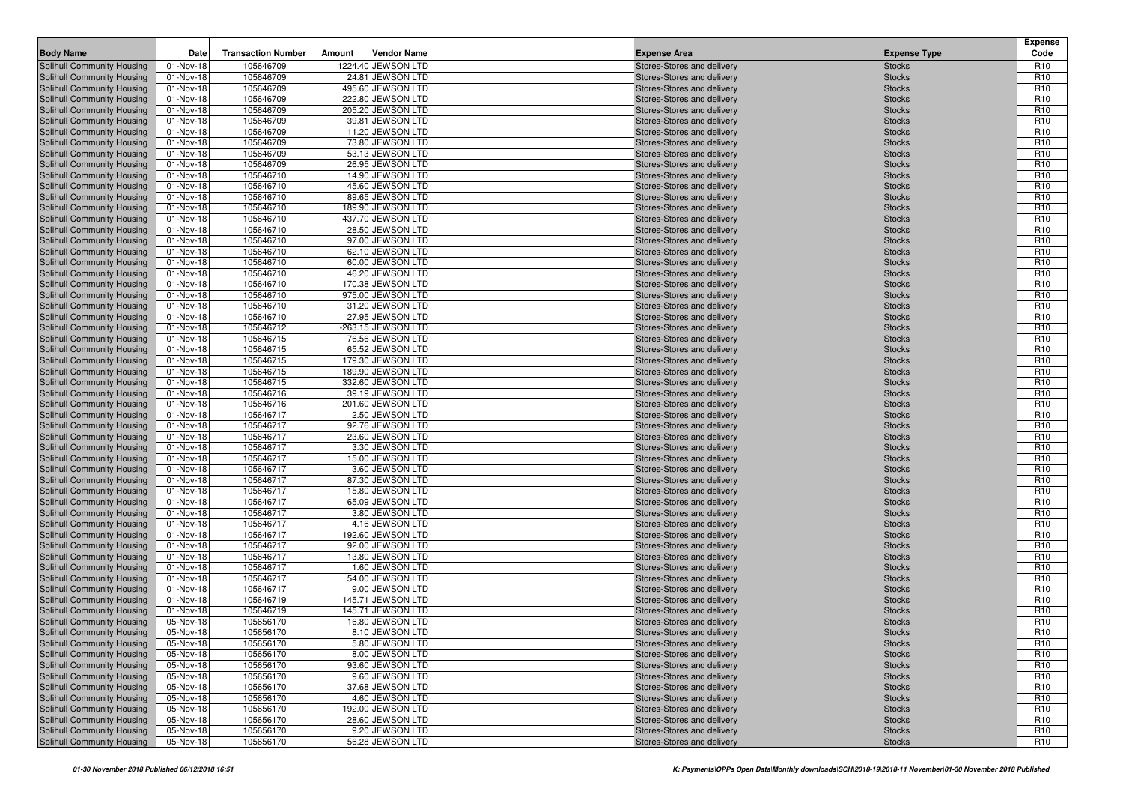| 105646709<br>Solihull Community Housing<br>01-Nov-18<br>1224.40 JEWSON LTD<br>R <sub>10</sub><br>Stores-Stores and delivery<br><b>Stocks</b><br>105646709<br>24.81 JEWSON LTD<br>R <sub>10</sub><br>Solihull Community Housing<br>01-Nov-18<br>Stores-Stores and delivery<br><b>Stocks</b><br>495.60 JEWSON LTD<br><b>Stocks</b><br>R <sub>10</sub><br>Solihull Community Housing<br>01-Nov-18<br>105646709<br>Stores-Stores and delivery<br>105646709<br>222.80 JEWSON LTD<br>R <sub>10</sub><br>Solihull Community Housing<br>01-Nov-18<br>Stores-Stores and delivery<br><b>Stocks</b><br>105646709<br>205.20 JEWSON LTD<br>R <sub>10</sub><br>Solihull Community Housing<br>01-Nov-18<br>Stores-Stores and delivery<br><b>Stocks</b><br>105646709<br>R <sub>10</sub><br>Solihull Community Housing<br>01-Nov-18<br>39.81 JEWSON LTD<br>Stores-Stores and delivery<br><b>Stocks</b><br>105646709<br>11.20 JEWSON LTD<br>R <sub>10</sub><br>Solihull Community Housing<br>01-Nov-18<br>Stores-Stores and delivery<br><b>Stocks</b><br>73.80 JEWSON LTD<br>R <sub>10</sub><br>Solihull Community Housing<br>01-Nov-18<br>105646709<br>Stores-Stores and delivery<br><b>Stocks</b><br>105646709<br>53.13 JEWSON LTD<br>R <sub>10</sub><br>01-Nov-18<br>Stores-Stores and delivery<br><b>Stocks</b><br>R <sub>10</sub><br>105646709<br>26.95 JEWSON LTD<br>01-Nov-18<br>Stores-Stores and delivery<br><b>Stocks</b><br>105646710<br>14.90 JEWSON LTD<br>R <sub>10</sub><br>01-Nov-18<br>Stores-Stores and delivery<br><b>Stocks</b><br>105646710<br>45.60 JEWSON LTD<br>R <sub>10</sub><br>01-Nov-18<br>Stores-Stores and delivery<br><b>Stocks</b><br>105646710<br>R <sub>10</sub><br>Solihull Community Housing<br>01-Nov-18<br>89.65 JEWSON LTD<br>Stores-Stores and delivery<br><b>Stocks</b><br>105646710<br>R <sub>10</sub><br>Solihull Community Housing<br>01-Nov-18<br>189.90 JEWSON LTD<br>Stores-Stores and delivery<br><b>Stocks</b><br>105646710<br>437.70 JEWSON LTD<br>R <sub>10</sub><br>Solihull Community Housing<br>01-Nov-18<br>Stores-Stores and delivery<br><b>Stocks</b><br>105646710<br>28.50 JEWSON LTD<br>R <sub>10</sub><br>Solihull Community Housing<br>01-Nov-18<br>Stores-Stores and delivery<br><b>Stocks</b><br>R <sub>10</sub><br>Solihull Community Housing<br>01-Nov-18<br>105646710<br>97.00 JEWSON LTD<br>Stores-Stores and delivery<br><b>Stocks</b><br>105646710<br>62.10 JEWSON LTD<br>R <sub>10</sub><br>Solihull Community Housing<br>01-Nov-18<br>Stores-Stores and delivery<br><b>Stocks</b><br>R <sub>10</sub><br>105646710<br>60.00 JEWSON LTD<br>Solihull Community Housing<br>01-Nov-18<br>Stores-Stores and delivery<br><b>Stocks</b><br>105646710<br>46.20 JEWSON LTD<br>R <sub>10</sub><br>Solihull Community Housing<br>01-Nov-18<br>Stores-Stores and delivery<br><b>Stocks</b><br>105646710<br>170.38 JEWSON LTD<br>R <sub>10</sub><br>Solihull Community Housing<br>01-Nov-18<br>Stores-Stores and delivery<br><b>Stocks</b><br>R <sub>10</sub><br>Solihull Community Housing<br>01-Nov-18<br>105646710<br>975.00 JEWSON LTD<br>Stores-Stores and delivery<br><b>Stocks</b><br>105646710<br>31.20 JEWSON LTD<br>R <sub>10</sub><br>Solihull Community Housing<br>01-Nov-18<br>Stores-Stores and delivery<br><b>Stocks</b><br>R <sub>10</sub><br>105646710<br>27.95 JEWSON LTD<br>01-Nov-18<br>Stores-Stores and delivery<br><b>Stocks</b><br>105646712<br>-263.15 JEWSON LTD<br>R <sub>10</sub><br>01-Nov-18<br>Stores-Stores and delivery<br><b>Stocks</b><br>105646715<br>R <sub>10</sub><br>Solihull Community Housing<br>01-Nov-18<br>76.56 JEWSON LTD<br><b>Stocks</b><br>Stores-Stores and delivery<br>105646715<br>65.52 JEWSON LTD<br>R <sub>10</sub><br>01-Nov-18<br>Stores-Stores and delivery<br><b>Stocks</b><br>R <sub>10</sub><br>01-Nov-18<br>105646715<br>179.30 JEWSON LTD<br>Stores-Stores and delivery<br><b>Stocks</b><br>105646715<br>189.90 JEWSON LTD<br>R <sub>10</sub><br>Solihull Community Housing<br>01-Nov-18<br>Stores-Stores and delivery<br><b>Stocks</b><br>105646715<br>332.60 JEWSON LTD<br>R <sub>10</sub><br>Solihull Community Housing<br>01-Nov-18<br>Stores-Stores and delivery<br><b>Stocks</b><br>R <sub>10</sub><br>105646716<br>Solihull Community Housing<br>01-Nov-18<br>39.19 JEWSON LTD<br>Stores-Stores and delivery<br><b>Stocks</b><br>105646716<br>201.60 JEWSON LTD<br>R <sub>10</sub><br>Solihull Community Housing<br>01-Nov-18<br>Stores-Stores and delivery<br><b>Stocks</b><br>R <sub>10</sub><br>105646717<br>2.50 JEWSON LTD<br>Solihull Community Housing<br>01-Nov-18<br>Stores-Stores and delivery<br><b>Stocks</b><br>105646717<br>92.76 JEWSON LTD<br>R <sub>10</sub><br>Solihull Community Housing<br>01-Nov-18<br>Stores-Stores and delivery<br><b>Stocks</b><br>105646717<br>R <sub>10</sub><br>Solihull Community Housing<br>01-Nov-18<br>23.60 JEWSON LTD<br>Stores-Stores and delivery<br><b>Stocks</b><br>105646717<br>3.30 JEWSON LTD<br>R <sub>10</sub><br>Solihull Community Housing<br>01-Nov-18<br>Stores-Stores and delivery<br><b>Stocks</b><br>105646717<br>15.00 JEWSON LTD<br>R <sub>10</sub><br>01-Nov-18<br>Stores-Stores and delivery<br><b>Stocks</b><br>105646717<br>3.60 JEWSON LTD<br>R <sub>10</sub><br>01-Nov-18<br>Stores-Stores and delivery<br><b>Stocks</b><br>105646717<br>R <sub>10</sub><br>87.30 JEWSON LTD<br>Stores-Stores and delivery<br><b>Stocks</b><br>01-Nov-18<br>105646717<br>R <sub>10</sub><br>01-Nov-18<br>15.80 JEWSON LTD<br>Stores-Stores and delivery<br><b>Stocks</b><br>105646717<br>65.09 JEWSON LTD<br>R <sub>10</sub><br>Solihull Community Housing<br>01-Nov-18<br>Stores-Stores and delivery<br><b>Stocks</b><br>R <sub>10</sub><br>Solihull Community Housing<br>01-Nov-18<br>105646717<br>3.80 JEWSON LTD<br>Stores-Stores and delivery<br><b>Stocks</b><br>105646717<br>4.16 JEWSON LTD<br>R <sub>10</sub><br>Solihull Community Housing<br>01-Nov-18<br>Stores-Stores and delivery<br><b>Stocks</b><br>R <sub>10</sub><br>105646717<br>192.60 JEWSON LTD<br>Solihull Community Housing<br>01-Nov-18<br>Stores-Stores and delivery<br><b>Stocks</b><br>105646717<br>92.00 JEWSON LTD<br>R <sub>10</sub><br>Solihull Community Housing<br>01-Nov-18<br>Stores-Stores and delivery<br><b>Stocks</b><br>105646717<br>R <sub>10</sub><br>Solihull Community Housing<br>01-Nov-18<br>13.80 JEWSON LTD<br>Stores-Stores and delivery<br><b>Stocks</b><br>105646717<br>1.60 JEWSON LTD<br>R <sub>10</sub><br>Solihull Community Housing<br>01-Nov-18<br>Stores-Stores and delivery<br><b>Stocks</b><br>105646717<br>54.00 JEWSON LTD<br>R <sub>10</sub><br>Solihull Community Housing<br>01-Nov-18<br>Stores-Stores and delivery<br><b>Stocks</b><br>105646717<br>9.00 JEWSON LTD<br>R <sub>10</sub><br>Solihull Community Housing<br>01-Nov-18<br>Stores-Stores and delivery<br><b>Stocks</b><br>105646719<br>145.71 JEWSON LTD<br>R <sub>10</sub><br>01-Nov-18<br>Stores-Stores and delivery<br><b>Stocks</b><br>105646719<br>145.71 JEWSON LTD<br>R <sub>10</sub><br>Solihull Community Housing<br>01-Nov-18<br>Stores-Stores and delivery<br><b>Stocks</b><br>05-Nov-18<br>105656170<br>16.80 JEWSON LTD<br>R <sub>10</sub><br>Stores-Stores and delivery<br><b>Stocks</b><br>Solihull Community Housing<br>R <sub>10</sub><br>05-Nov-18<br>105656170<br>8.10 JEWSON LTD<br>Stores-Stores and delivery<br><b>Stocks</b><br>Solihull Community Housing<br>5.80 JEWSON LTD<br>R <sub>10</sub><br>05-Nov-18<br>105656170<br>Stores-Stores and delivery<br><b>Stocks</b><br>8.00 JEWSON LTD<br>Solihull Community Housing<br>05-Nov-18<br>105656170<br>Stores-Stores and delivery<br>R <sub>10</sub><br><b>Stocks</b><br>93.60 JEWSON LTD<br>R <sub>10</sub><br>Solihull Community Housing<br>05-Nov-18<br>105656170<br>Stores-Stores and delivery<br><b>Stocks</b><br>Solihull Community Housing<br>105656170<br>9.60 JEWSON LTD<br>Stores-Stores and delivery<br>05-Nov-18<br><b>Stocks</b><br>R <sub>10</sub><br>Solihull Community Housing<br>105656170<br>37.68 JEWSON LTD<br>Stores-Stores and delivery<br>R <sub>10</sub><br>05-Nov-18<br><b>Stocks</b><br>Solihull Community Housing<br>105656170<br>4.60 JEWSON LTD<br>Stores-Stores and delivery<br>R <sub>10</sub><br>05-Nov-18<br><b>Stocks</b><br>Solihull Community Housing<br>105656170<br>Stores-Stores and delivery<br>R <sub>10</sub><br>05-Nov-18<br>192.00 JEWSON LTD<br><b>Stocks</b><br>Solihull Community Housing<br>105656170<br>28.60 JEWSON LTD<br>Stores-Stores and delivery<br>R <sub>10</sub><br>05-Nov-18<br><b>Stocks</b><br>Solihull Community Housing<br>105656170<br>9.20 JEWSON LTD<br>Stores-Stores and delivery<br>R <sub>10</sub><br>05-Nov-18<br><b>Stocks</b><br>56.28 JEWSON LTD<br>Stores-Stores and delivery<br>R <sub>10</sub><br><b>Stocks</b> | <b>Body Name</b>           | Date      | <b>Transaction Number</b> | Amount | <b>Vendor Name</b> | <b>Expense Area</b> | <b>Expense Type</b> | <b>Expense</b><br>Code |
|--------------------------------------------------------------------------------------------------------------------------------------------------------------------------------------------------------------------------------------------------------------------------------------------------------------------------------------------------------------------------------------------------------------------------------------------------------------------------------------------------------------------------------------------------------------------------------------------------------------------------------------------------------------------------------------------------------------------------------------------------------------------------------------------------------------------------------------------------------------------------------------------------------------------------------------------------------------------------------------------------------------------------------------------------------------------------------------------------------------------------------------------------------------------------------------------------------------------------------------------------------------------------------------------------------------------------------------------------------------------------------------------------------------------------------------------------------------------------------------------------------------------------------------------------------------------------------------------------------------------------------------------------------------------------------------------------------------------------------------------------------------------------------------------------------------------------------------------------------------------------------------------------------------------------------------------------------------------------------------------------------------------------------------------------------------------------------------------------------------------------------------------------------------------------------------------------------------------------------------------------------------------------------------------------------------------------------------------------------------------------------------------------------------------------------------------------------------------------------------------------------------------------------------------------------------------------------------------------------------------------------------------------------------------------------------------------------------------------------------------------------------------------------------------------------------------------------------------------------------------------------------------------------------------------------------------------------------------------------------------------------------------------------------------------------------------------------------------------------------------------------------------------------------------------------------------------------------------------------------------------------------------------------------------------------------------------------------------------------------------------------------------------------------------------------------------------------------------------------------------------------------------------------------------------------------------------------------------------------------------------------------------------------------------------------------------------------------------------------------------------------------------------------------------------------------------------------------------------------------------------------------------------------------------------------------------------------------------------------------------------------------------------------------------------------------------------------------------------------------------------------------------------------------------------------------------------------------------------------------------------------------------------------------------------------------------------------------------------------------------------------------------------------------------------------------------------------------------------------------------------------------------------------------------------------------------------------------------------------------------------------------------------------------------------------------------------------------------------------------------------------------------------------------------------------------------------------------------------------------------------------------------------------------------------------------------------------------------------------------------------------------------------------------------------------------------------------------------------------------------------------------------------------------------------------------------------------------------------------------------------------------------------------------------------------------------------------------------------------------------------------------------------------------------------------------------------------------------------------------------------------------------------------------------------------------------------------------------------------------------------------------------------------------------------------------------------------------------------------------------------------------------------------------------------------------------------------------------------------------------------------------------------------------------------------------------------------------------------------------------------------------------------------------------------------------------------------------------------------------------------------------------------------------------------------------------------------------------------------------------------------------------------------------------------------------------------------------------------------------------------------------------------------------------------------------------------------------------------------------------------------------------------------------------------------------------------------------------------------------------------------------------------------------------------------------------------------------------------------------------------------------------------------------------------------------------------------------------------------------------------------------------------------------------------------------------------------------------------------------------------------------------------------------------------------------------------------------------------------------------------------------------------------------------------------------------------------------------------------------------------------------------------------------------------------------------------------------------------------------------------------------------------------------------------------------------------------------------------------------------------------------------------------------------------------------------------------------------------------------------------------------------------------------------------------------------------------------------------------------------------------------------------------------------------------------------------------------------------------------------------------------------------------------------------------------------------------------------------------------------------------------------------------------------------------------------------------------------------------------------------------------------------------------------------------------------------------------------------------------------------------------------------------------------------------------------------------------------------------------------------------------------------------------------------------------------------------------------------------------------------------------------------------------------------------------------------------------------------------------------------------------------------------------------------------------------------------------------------------------------------------------------------------------------------------------------------|----------------------------|-----------|---------------------------|--------|--------------------|---------------------|---------------------|------------------------|
|                                                                                                                                                                                                                                                                                                                                                                                                                                                                                                                                                                                                                                                                                                                                                                                                                                                                                                                                                                                                                                                                                                                                                                                                                                                                                                                                                                                                                                                                                                                                                                                                                                                                                                                                                                                                                                                                                                                                                                                                                                                                                                                                                                                                                                                                                                                                                                                                                                                                                                                                                                                                                                                                                                                                                                                                                                                                                                                                                                                                                                                                                                                                                                                                                                                                                                                                                                                                                                                                                                                                                                                                                                                                                                                                                                                                                                                                                                                                                                                                                                                                                                                                                                                                                                                                                                                                                                                                                                                                                                                                                                                                                                                                                                                                                                                                                                                                                                                                                                                                                                                                                                                                                                                                                                                                                                                                                                                                                                                                                                                                                                                                                                                                                                                                                                                                                                                                                                                                                                                                                                                                                                                                                                                                                                                                                                                                                                                                                                                                                                                                                                                                                                                                                                                                                                                                                                                                                                                                                                                                                                                                                                                                                                                                                                                                                                                                                                                                                                                                                                                                                                                                                                                                                                                                                                                                                                                                                                                                                                                                                                                                                                                                                                                                                                                                                                                                                                                                                                                                                                                                                                                                                                                                                                                                                                                                                          |                            |           |                           |        |                    |                     |                     |                        |
|                                                                                                                                                                                                                                                                                                                                                                                                                                                                                                                                                                                                                                                                                                                                                                                                                                                                                                                                                                                                                                                                                                                                                                                                                                                                                                                                                                                                                                                                                                                                                                                                                                                                                                                                                                                                                                                                                                                                                                                                                                                                                                                                                                                                                                                                                                                                                                                                                                                                                                                                                                                                                                                                                                                                                                                                                                                                                                                                                                                                                                                                                                                                                                                                                                                                                                                                                                                                                                                                                                                                                                                                                                                                                                                                                                                                                                                                                                                                                                                                                                                                                                                                                                                                                                                                                                                                                                                                                                                                                                                                                                                                                                                                                                                                                                                                                                                                                                                                                                                                                                                                                                                                                                                                                                                                                                                                                                                                                                                                                                                                                                                                                                                                                                                                                                                                                                                                                                                                                                                                                                                                                                                                                                                                                                                                                                                                                                                                                                                                                                                                                                                                                                                                                                                                                                                                                                                                                                                                                                                                                                                                                                                                                                                                                                                                                                                                                                                                                                                                                                                                                                                                                                                                                                                                                                                                                                                                                                                                                                                                                                                                                                                                                                                                                                                                                                                                                                                                                                                                                                                                                                                                                                                                                                                                                                                                                          |                            |           |                           |        |                    |                     |                     |                        |
|                                                                                                                                                                                                                                                                                                                                                                                                                                                                                                                                                                                                                                                                                                                                                                                                                                                                                                                                                                                                                                                                                                                                                                                                                                                                                                                                                                                                                                                                                                                                                                                                                                                                                                                                                                                                                                                                                                                                                                                                                                                                                                                                                                                                                                                                                                                                                                                                                                                                                                                                                                                                                                                                                                                                                                                                                                                                                                                                                                                                                                                                                                                                                                                                                                                                                                                                                                                                                                                                                                                                                                                                                                                                                                                                                                                                                                                                                                                                                                                                                                                                                                                                                                                                                                                                                                                                                                                                                                                                                                                                                                                                                                                                                                                                                                                                                                                                                                                                                                                                                                                                                                                                                                                                                                                                                                                                                                                                                                                                                                                                                                                                                                                                                                                                                                                                                                                                                                                                                                                                                                                                                                                                                                                                                                                                                                                                                                                                                                                                                                                                                                                                                                                                                                                                                                                                                                                                                                                                                                                                                                                                                                                                                                                                                                                                                                                                                                                                                                                                                                                                                                                                                                                                                                                                                                                                                                                                                                                                                                                                                                                                                                                                                                                                                                                                                                                                                                                                                                                                                                                                                                                                                                                                                                                                                                                                                          |                            |           |                           |        |                    |                     |                     |                        |
|                                                                                                                                                                                                                                                                                                                                                                                                                                                                                                                                                                                                                                                                                                                                                                                                                                                                                                                                                                                                                                                                                                                                                                                                                                                                                                                                                                                                                                                                                                                                                                                                                                                                                                                                                                                                                                                                                                                                                                                                                                                                                                                                                                                                                                                                                                                                                                                                                                                                                                                                                                                                                                                                                                                                                                                                                                                                                                                                                                                                                                                                                                                                                                                                                                                                                                                                                                                                                                                                                                                                                                                                                                                                                                                                                                                                                                                                                                                                                                                                                                                                                                                                                                                                                                                                                                                                                                                                                                                                                                                                                                                                                                                                                                                                                                                                                                                                                                                                                                                                                                                                                                                                                                                                                                                                                                                                                                                                                                                                                                                                                                                                                                                                                                                                                                                                                                                                                                                                                                                                                                                                                                                                                                                                                                                                                                                                                                                                                                                                                                                                                                                                                                                                                                                                                                                                                                                                                                                                                                                                                                                                                                                                                                                                                                                                                                                                                                                                                                                                                                                                                                                                                                                                                                                                                                                                                                                                                                                                                                                                                                                                                                                                                                                                                                                                                                                                                                                                                                                                                                                                                                                                                                                                                                                                                                                                                          |                            |           |                           |        |                    |                     |                     |                        |
|                                                                                                                                                                                                                                                                                                                                                                                                                                                                                                                                                                                                                                                                                                                                                                                                                                                                                                                                                                                                                                                                                                                                                                                                                                                                                                                                                                                                                                                                                                                                                                                                                                                                                                                                                                                                                                                                                                                                                                                                                                                                                                                                                                                                                                                                                                                                                                                                                                                                                                                                                                                                                                                                                                                                                                                                                                                                                                                                                                                                                                                                                                                                                                                                                                                                                                                                                                                                                                                                                                                                                                                                                                                                                                                                                                                                                                                                                                                                                                                                                                                                                                                                                                                                                                                                                                                                                                                                                                                                                                                                                                                                                                                                                                                                                                                                                                                                                                                                                                                                                                                                                                                                                                                                                                                                                                                                                                                                                                                                                                                                                                                                                                                                                                                                                                                                                                                                                                                                                                                                                                                                                                                                                                                                                                                                                                                                                                                                                                                                                                                                                                                                                                                                                                                                                                                                                                                                                                                                                                                                                                                                                                                                                                                                                                                                                                                                                                                                                                                                                                                                                                                                                                                                                                                                                                                                                                                                                                                                                                                                                                                                                                                                                                                                                                                                                                                                                                                                                                                                                                                                                                                                                                                                                                                                                                                                                          |                            |           |                           |        |                    |                     |                     |                        |
|                                                                                                                                                                                                                                                                                                                                                                                                                                                                                                                                                                                                                                                                                                                                                                                                                                                                                                                                                                                                                                                                                                                                                                                                                                                                                                                                                                                                                                                                                                                                                                                                                                                                                                                                                                                                                                                                                                                                                                                                                                                                                                                                                                                                                                                                                                                                                                                                                                                                                                                                                                                                                                                                                                                                                                                                                                                                                                                                                                                                                                                                                                                                                                                                                                                                                                                                                                                                                                                                                                                                                                                                                                                                                                                                                                                                                                                                                                                                                                                                                                                                                                                                                                                                                                                                                                                                                                                                                                                                                                                                                                                                                                                                                                                                                                                                                                                                                                                                                                                                                                                                                                                                                                                                                                                                                                                                                                                                                                                                                                                                                                                                                                                                                                                                                                                                                                                                                                                                                                                                                                                                                                                                                                                                                                                                                                                                                                                                                                                                                                                                                                                                                                                                                                                                                                                                                                                                                                                                                                                                                                                                                                                                                                                                                                                                                                                                                                                                                                                                                                                                                                                                                                                                                                                                                                                                                                                                                                                                                                                                                                                                                                                                                                                                                                                                                                                                                                                                                                                                                                                                                                                                                                                                                                                                                                                                                          |                            |           |                           |        |                    |                     |                     |                        |
|                                                                                                                                                                                                                                                                                                                                                                                                                                                                                                                                                                                                                                                                                                                                                                                                                                                                                                                                                                                                                                                                                                                                                                                                                                                                                                                                                                                                                                                                                                                                                                                                                                                                                                                                                                                                                                                                                                                                                                                                                                                                                                                                                                                                                                                                                                                                                                                                                                                                                                                                                                                                                                                                                                                                                                                                                                                                                                                                                                                                                                                                                                                                                                                                                                                                                                                                                                                                                                                                                                                                                                                                                                                                                                                                                                                                                                                                                                                                                                                                                                                                                                                                                                                                                                                                                                                                                                                                                                                                                                                                                                                                                                                                                                                                                                                                                                                                                                                                                                                                                                                                                                                                                                                                                                                                                                                                                                                                                                                                                                                                                                                                                                                                                                                                                                                                                                                                                                                                                                                                                                                                                                                                                                                                                                                                                                                                                                                                                                                                                                                                                                                                                                                                                                                                                                                                                                                                                                                                                                                                                                                                                                                                                                                                                                                                                                                                                                                                                                                                                                                                                                                                                                                                                                                                                                                                                                                                                                                                                                                                                                                                                                                                                                                                                                                                                                                                                                                                                                                                                                                                                                                                                                                                                                                                                                                                                          |                            |           |                           |        |                    |                     |                     |                        |
|                                                                                                                                                                                                                                                                                                                                                                                                                                                                                                                                                                                                                                                                                                                                                                                                                                                                                                                                                                                                                                                                                                                                                                                                                                                                                                                                                                                                                                                                                                                                                                                                                                                                                                                                                                                                                                                                                                                                                                                                                                                                                                                                                                                                                                                                                                                                                                                                                                                                                                                                                                                                                                                                                                                                                                                                                                                                                                                                                                                                                                                                                                                                                                                                                                                                                                                                                                                                                                                                                                                                                                                                                                                                                                                                                                                                                                                                                                                                                                                                                                                                                                                                                                                                                                                                                                                                                                                                                                                                                                                                                                                                                                                                                                                                                                                                                                                                                                                                                                                                                                                                                                                                                                                                                                                                                                                                                                                                                                                                                                                                                                                                                                                                                                                                                                                                                                                                                                                                                                                                                                                                                                                                                                                                                                                                                                                                                                                                                                                                                                                                                                                                                                                                                                                                                                                                                                                                                                                                                                                                                                                                                                                                                                                                                                                                                                                                                                                                                                                                                                                                                                                                                                                                                                                                                                                                                                                                                                                                                                                                                                                                                                                                                                                                                                                                                                                                                                                                                                                                                                                                                                                                                                                                                                                                                                                                                          |                            |           |                           |        |                    |                     |                     |                        |
|                                                                                                                                                                                                                                                                                                                                                                                                                                                                                                                                                                                                                                                                                                                                                                                                                                                                                                                                                                                                                                                                                                                                                                                                                                                                                                                                                                                                                                                                                                                                                                                                                                                                                                                                                                                                                                                                                                                                                                                                                                                                                                                                                                                                                                                                                                                                                                                                                                                                                                                                                                                                                                                                                                                                                                                                                                                                                                                                                                                                                                                                                                                                                                                                                                                                                                                                                                                                                                                                                                                                                                                                                                                                                                                                                                                                                                                                                                                                                                                                                                                                                                                                                                                                                                                                                                                                                                                                                                                                                                                                                                                                                                                                                                                                                                                                                                                                                                                                                                                                                                                                                                                                                                                                                                                                                                                                                                                                                                                                                                                                                                                                                                                                                                                                                                                                                                                                                                                                                                                                                                                                                                                                                                                                                                                                                                                                                                                                                                                                                                                                                                                                                                                                                                                                                                                                                                                                                                                                                                                                                                                                                                                                                                                                                                                                                                                                                                                                                                                                                                                                                                                                                                                                                                                                                                                                                                                                                                                                                                                                                                                                                                                                                                                                                                                                                                                                                                                                                                                                                                                                                                                                                                                                                                                                                                                                                          | Solihull Community Housing |           |                           |        |                    |                     |                     |                        |
|                                                                                                                                                                                                                                                                                                                                                                                                                                                                                                                                                                                                                                                                                                                                                                                                                                                                                                                                                                                                                                                                                                                                                                                                                                                                                                                                                                                                                                                                                                                                                                                                                                                                                                                                                                                                                                                                                                                                                                                                                                                                                                                                                                                                                                                                                                                                                                                                                                                                                                                                                                                                                                                                                                                                                                                                                                                                                                                                                                                                                                                                                                                                                                                                                                                                                                                                                                                                                                                                                                                                                                                                                                                                                                                                                                                                                                                                                                                                                                                                                                                                                                                                                                                                                                                                                                                                                                                                                                                                                                                                                                                                                                                                                                                                                                                                                                                                                                                                                                                                                                                                                                                                                                                                                                                                                                                                                                                                                                                                                                                                                                                                                                                                                                                                                                                                                                                                                                                                                                                                                                                                                                                                                                                                                                                                                                                                                                                                                                                                                                                                                                                                                                                                                                                                                                                                                                                                                                                                                                                                                                                                                                                                                                                                                                                                                                                                                                                                                                                                                                                                                                                                                                                                                                                                                                                                                                                                                                                                                                                                                                                                                                                                                                                                                                                                                                                                                                                                                                                                                                                                                                                                                                                                                                                                                                                                                          | Solihull Community Housing |           |                           |        |                    |                     |                     |                        |
|                                                                                                                                                                                                                                                                                                                                                                                                                                                                                                                                                                                                                                                                                                                                                                                                                                                                                                                                                                                                                                                                                                                                                                                                                                                                                                                                                                                                                                                                                                                                                                                                                                                                                                                                                                                                                                                                                                                                                                                                                                                                                                                                                                                                                                                                                                                                                                                                                                                                                                                                                                                                                                                                                                                                                                                                                                                                                                                                                                                                                                                                                                                                                                                                                                                                                                                                                                                                                                                                                                                                                                                                                                                                                                                                                                                                                                                                                                                                                                                                                                                                                                                                                                                                                                                                                                                                                                                                                                                                                                                                                                                                                                                                                                                                                                                                                                                                                                                                                                                                                                                                                                                                                                                                                                                                                                                                                                                                                                                                                                                                                                                                                                                                                                                                                                                                                                                                                                                                                                                                                                                                                                                                                                                                                                                                                                                                                                                                                                                                                                                                                                                                                                                                                                                                                                                                                                                                                                                                                                                                                                                                                                                                                                                                                                                                                                                                                                                                                                                                                                                                                                                                                                                                                                                                                                                                                                                                                                                                                                                                                                                                                                                                                                                                                                                                                                                                                                                                                                                                                                                                                                                                                                                                                                                                                                                                                          | Solihull Community Housing |           |                           |        |                    |                     |                     |                        |
|                                                                                                                                                                                                                                                                                                                                                                                                                                                                                                                                                                                                                                                                                                                                                                                                                                                                                                                                                                                                                                                                                                                                                                                                                                                                                                                                                                                                                                                                                                                                                                                                                                                                                                                                                                                                                                                                                                                                                                                                                                                                                                                                                                                                                                                                                                                                                                                                                                                                                                                                                                                                                                                                                                                                                                                                                                                                                                                                                                                                                                                                                                                                                                                                                                                                                                                                                                                                                                                                                                                                                                                                                                                                                                                                                                                                                                                                                                                                                                                                                                                                                                                                                                                                                                                                                                                                                                                                                                                                                                                                                                                                                                                                                                                                                                                                                                                                                                                                                                                                                                                                                                                                                                                                                                                                                                                                                                                                                                                                                                                                                                                                                                                                                                                                                                                                                                                                                                                                                                                                                                                                                                                                                                                                                                                                                                                                                                                                                                                                                                                                                                                                                                                                                                                                                                                                                                                                                                                                                                                                                                                                                                                                                                                                                                                                                                                                                                                                                                                                                                                                                                                                                                                                                                                                                                                                                                                                                                                                                                                                                                                                                                                                                                                                                                                                                                                                                                                                                                                                                                                                                                                                                                                                                                                                                                                                                          | Solihull Community Housing |           |                           |        |                    |                     |                     |                        |
|                                                                                                                                                                                                                                                                                                                                                                                                                                                                                                                                                                                                                                                                                                                                                                                                                                                                                                                                                                                                                                                                                                                                                                                                                                                                                                                                                                                                                                                                                                                                                                                                                                                                                                                                                                                                                                                                                                                                                                                                                                                                                                                                                                                                                                                                                                                                                                                                                                                                                                                                                                                                                                                                                                                                                                                                                                                                                                                                                                                                                                                                                                                                                                                                                                                                                                                                                                                                                                                                                                                                                                                                                                                                                                                                                                                                                                                                                                                                                                                                                                                                                                                                                                                                                                                                                                                                                                                                                                                                                                                                                                                                                                                                                                                                                                                                                                                                                                                                                                                                                                                                                                                                                                                                                                                                                                                                                                                                                                                                                                                                                                                                                                                                                                                                                                                                                                                                                                                                                                                                                                                                                                                                                                                                                                                                                                                                                                                                                                                                                                                                                                                                                                                                                                                                                                                                                                                                                                                                                                                                                                                                                                                                                                                                                                                                                                                                                                                                                                                                                                                                                                                                                                                                                                                                                                                                                                                                                                                                                                                                                                                                                                                                                                                                                                                                                                                                                                                                                                                                                                                                                                                                                                                                                                                                                                                                                          |                            |           |                           |        |                    |                     |                     |                        |
|                                                                                                                                                                                                                                                                                                                                                                                                                                                                                                                                                                                                                                                                                                                                                                                                                                                                                                                                                                                                                                                                                                                                                                                                                                                                                                                                                                                                                                                                                                                                                                                                                                                                                                                                                                                                                                                                                                                                                                                                                                                                                                                                                                                                                                                                                                                                                                                                                                                                                                                                                                                                                                                                                                                                                                                                                                                                                                                                                                                                                                                                                                                                                                                                                                                                                                                                                                                                                                                                                                                                                                                                                                                                                                                                                                                                                                                                                                                                                                                                                                                                                                                                                                                                                                                                                                                                                                                                                                                                                                                                                                                                                                                                                                                                                                                                                                                                                                                                                                                                                                                                                                                                                                                                                                                                                                                                                                                                                                                                                                                                                                                                                                                                                                                                                                                                                                                                                                                                                                                                                                                                                                                                                                                                                                                                                                                                                                                                                                                                                                                                                                                                                                                                                                                                                                                                                                                                                                                                                                                                                                                                                                                                                                                                                                                                                                                                                                                                                                                                                                                                                                                                                                                                                                                                                                                                                                                                                                                                                                                                                                                                                                                                                                                                                                                                                                                                                                                                                                                                                                                                                                                                                                                                                                                                                                                                                          |                            |           |                           |        |                    |                     |                     |                        |
|                                                                                                                                                                                                                                                                                                                                                                                                                                                                                                                                                                                                                                                                                                                                                                                                                                                                                                                                                                                                                                                                                                                                                                                                                                                                                                                                                                                                                                                                                                                                                                                                                                                                                                                                                                                                                                                                                                                                                                                                                                                                                                                                                                                                                                                                                                                                                                                                                                                                                                                                                                                                                                                                                                                                                                                                                                                                                                                                                                                                                                                                                                                                                                                                                                                                                                                                                                                                                                                                                                                                                                                                                                                                                                                                                                                                                                                                                                                                                                                                                                                                                                                                                                                                                                                                                                                                                                                                                                                                                                                                                                                                                                                                                                                                                                                                                                                                                                                                                                                                                                                                                                                                                                                                                                                                                                                                                                                                                                                                                                                                                                                                                                                                                                                                                                                                                                                                                                                                                                                                                                                                                                                                                                                                                                                                                                                                                                                                                                                                                                                                                                                                                                                                                                                                                                                                                                                                                                                                                                                                                                                                                                                                                                                                                                                                                                                                                                                                                                                                                                                                                                                                                                                                                                                                                                                                                                                                                                                                                                                                                                                                                                                                                                                                                                                                                                                                                                                                                                                                                                                                                                                                                                                                                                                                                                                                                          |                            |           |                           |        |                    |                     |                     |                        |
|                                                                                                                                                                                                                                                                                                                                                                                                                                                                                                                                                                                                                                                                                                                                                                                                                                                                                                                                                                                                                                                                                                                                                                                                                                                                                                                                                                                                                                                                                                                                                                                                                                                                                                                                                                                                                                                                                                                                                                                                                                                                                                                                                                                                                                                                                                                                                                                                                                                                                                                                                                                                                                                                                                                                                                                                                                                                                                                                                                                                                                                                                                                                                                                                                                                                                                                                                                                                                                                                                                                                                                                                                                                                                                                                                                                                                                                                                                                                                                                                                                                                                                                                                                                                                                                                                                                                                                                                                                                                                                                                                                                                                                                                                                                                                                                                                                                                                                                                                                                                                                                                                                                                                                                                                                                                                                                                                                                                                                                                                                                                                                                                                                                                                                                                                                                                                                                                                                                                                                                                                                                                                                                                                                                                                                                                                                                                                                                                                                                                                                                                                                                                                                                                                                                                                                                                                                                                                                                                                                                                                                                                                                                                                                                                                                                                                                                                                                                                                                                                                                                                                                                                                                                                                                                                                                                                                                                                                                                                                                                                                                                                                                                                                                                                                                                                                                                                                                                                                                                                                                                                                                                                                                                                                                                                                                                                                          |                            |           |                           |        |                    |                     |                     |                        |
|                                                                                                                                                                                                                                                                                                                                                                                                                                                                                                                                                                                                                                                                                                                                                                                                                                                                                                                                                                                                                                                                                                                                                                                                                                                                                                                                                                                                                                                                                                                                                                                                                                                                                                                                                                                                                                                                                                                                                                                                                                                                                                                                                                                                                                                                                                                                                                                                                                                                                                                                                                                                                                                                                                                                                                                                                                                                                                                                                                                                                                                                                                                                                                                                                                                                                                                                                                                                                                                                                                                                                                                                                                                                                                                                                                                                                                                                                                                                                                                                                                                                                                                                                                                                                                                                                                                                                                                                                                                                                                                                                                                                                                                                                                                                                                                                                                                                                                                                                                                                                                                                                                                                                                                                                                                                                                                                                                                                                                                                                                                                                                                                                                                                                                                                                                                                                                                                                                                                                                                                                                                                                                                                                                                                                                                                                                                                                                                                                                                                                                                                                                                                                                                                                                                                                                                                                                                                                                                                                                                                                                                                                                                                                                                                                                                                                                                                                                                                                                                                                                                                                                                                                                                                                                                                                                                                                                                                                                                                                                                                                                                                                                                                                                                                                                                                                                                                                                                                                                                                                                                                                                                                                                                                                                                                                                                                                          |                            |           |                           |        |                    |                     |                     |                        |
|                                                                                                                                                                                                                                                                                                                                                                                                                                                                                                                                                                                                                                                                                                                                                                                                                                                                                                                                                                                                                                                                                                                                                                                                                                                                                                                                                                                                                                                                                                                                                                                                                                                                                                                                                                                                                                                                                                                                                                                                                                                                                                                                                                                                                                                                                                                                                                                                                                                                                                                                                                                                                                                                                                                                                                                                                                                                                                                                                                                                                                                                                                                                                                                                                                                                                                                                                                                                                                                                                                                                                                                                                                                                                                                                                                                                                                                                                                                                                                                                                                                                                                                                                                                                                                                                                                                                                                                                                                                                                                                                                                                                                                                                                                                                                                                                                                                                                                                                                                                                                                                                                                                                                                                                                                                                                                                                                                                                                                                                                                                                                                                                                                                                                                                                                                                                                                                                                                                                                                                                                                                                                                                                                                                                                                                                                                                                                                                                                                                                                                                                                                                                                                                                                                                                                                                                                                                                                                                                                                                                                                                                                                                                                                                                                                                                                                                                                                                                                                                                                                                                                                                                                                                                                                                                                                                                                                                                                                                                                                                                                                                                                                                                                                                                                                                                                                                                                                                                                                                                                                                                                                                                                                                                                                                                                                                                                          |                            |           |                           |        |                    |                     |                     |                        |
|                                                                                                                                                                                                                                                                                                                                                                                                                                                                                                                                                                                                                                                                                                                                                                                                                                                                                                                                                                                                                                                                                                                                                                                                                                                                                                                                                                                                                                                                                                                                                                                                                                                                                                                                                                                                                                                                                                                                                                                                                                                                                                                                                                                                                                                                                                                                                                                                                                                                                                                                                                                                                                                                                                                                                                                                                                                                                                                                                                                                                                                                                                                                                                                                                                                                                                                                                                                                                                                                                                                                                                                                                                                                                                                                                                                                                                                                                                                                                                                                                                                                                                                                                                                                                                                                                                                                                                                                                                                                                                                                                                                                                                                                                                                                                                                                                                                                                                                                                                                                                                                                                                                                                                                                                                                                                                                                                                                                                                                                                                                                                                                                                                                                                                                                                                                                                                                                                                                                                                                                                                                                                                                                                                                                                                                                                                                                                                                                                                                                                                                                                                                                                                                                                                                                                                                                                                                                                                                                                                                                                                                                                                                                                                                                                                                                                                                                                                                                                                                                                                                                                                                                                                                                                                                                                                                                                                                                                                                                                                                                                                                                                                                                                                                                                                                                                                                                                                                                                                                                                                                                                                                                                                                                                                                                                                                                                          |                            |           |                           |        |                    |                     |                     |                        |
|                                                                                                                                                                                                                                                                                                                                                                                                                                                                                                                                                                                                                                                                                                                                                                                                                                                                                                                                                                                                                                                                                                                                                                                                                                                                                                                                                                                                                                                                                                                                                                                                                                                                                                                                                                                                                                                                                                                                                                                                                                                                                                                                                                                                                                                                                                                                                                                                                                                                                                                                                                                                                                                                                                                                                                                                                                                                                                                                                                                                                                                                                                                                                                                                                                                                                                                                                                                                                                                                                                                                                                                                                                                                                                                                                                                                                                                                                                                                                                                                                                                                                                                                                                                                                                                                                                                                                                                                                                                                                                                                                                                                                                                                                                                                                                                                                                                                                                                                                                                                                                                                                                                                                                                                                                                                                                                                                                                                                                                                                                                                                                                                                                                                                                                                                                                                                                                                                                                                                                                                                                                                                                                                                                                                                                                                                                                                                                                                                                                                                                                                                                                                                                                                                                                                                                                                                                                                                                                                                                                                                                                                                                                                                                                                                                                                                                                                                                                                                                                                                                                                                                                                                                                                                                                                                                                                                                                                                                                                                                                                                                                                                                                                                                                                                                                                                                                                                                                                                                                                                                                                                                                                                                                                                                                                                                                                                          |                            |           |                           |        |                    |                     |                     |                        |
|                                                                                                                                                                                                                                                                                                                                                                                                                                                                                                                                                                                                                                                                                                                                                                                                                                                                                                                                                                                                                                                                                                                                                                                                                                                                                                                                                                                                                                                                                                                                                                                                                                                                                                                                                                                                                                                                                                                                                                                                                                                                                                                                                                                                                                                                                                                                                                                                                                                                                                                                                                                                                                                                                                                                                                                                                                                                                                                                                                                                                                                                                                                                                                                                                                                                                                                                                                                                                                                                                                                                                                                                                                                                                                                                                                                                                                                                                                                                                                                                                                                                                                                                                                                                                                                                                                                                                                                                                                                                                                                                                                                                                                                                                                                                                                                                                                                                                                                                                                                                                                                                                                                                                                                                                                                                                                                                                                                                                                                                                                                                                                                                                                                                                                                                                                                                                                                                                                                                                                                                                                                                                                                                                                                                                                                                                                                                                                                                                                                                                                                                                                                                                                                                                                                                                                                                                                                                                                                                                                                                                                                                                                                                                                                                                                                                                                                                                                                                                                                                                                                                                                                                                                                                                                                                                                                                                                                                                                                                                                                                                                                                                                                                                                                                                                                                                                                                                                                                                                                                                                                                                                                                                                                                                                                                                                                                                          |                            |           |                           |        |                    |                     |                     |                        |
|                                                                                                                                                                                                                                                                                                                                                                                                                                                                                                                                                                                                                                                                                                                                                                                                                                                                                                                                                                                                                                                                                                                                                                                                                                                                                                                                                                                                                                                                                                                                                                                                                                                                                                                                                                                                                                                                                                                                                                                                                                                                                                                                                                                                                                                                                                                                                                                                                                                                                                                                                                                                                                                                                                                                                                                                                                                                                                                                                                                                                                                                                                                                                                                                                                                                                                                                                                                                                                                                                                                                                                                                                                                                                                                                                                                                                                                                                                                                                                                                                                                                                                                                                                                                                                                                                                                                                                                                                                                                                                                                                                                                                                                                                                                                                                                                                                                                                                                                                                                                                                                                                                                                                                                                                                                                                                                                                                                                                                                                                                                                                                                                                                                                                                                                                                                                                                                                                                                                                                                                                                                                                                                                                                                                                                                                                                                                                                                                                                                                                                                                                                                                                                                                                                                                                                                                                                                                                                                                                                                                                                                                                                                                                                                                                                                                                                                                                                                                                                                                                                                                                                                                                                                                                                                                                                                                                                                                                                                                                                                                                                                                                                                                                                                                                                                                                                                                                                                                                                                                                                                                                                                                                                                                                                                                                                                                                          |                            |           |                           |        |                    |                     |                     |                        |
|                                                                                                                                                                                                                                                                                                                                                                                                                                                                                                                                                                                                                                                                                                                                                                                                                                                                                                                                                                                                                                                                                                                                                                                                                                                                                                                                                                                                                                                                                                                                                                                                                                                                                                                                                                                                                                                                                                                                                                                                                                                                                                                                                                                                                                                                                                                                                                                                                                                                                                                                                                                                                                                                                                                                                                                                                                                                                                                                                                                                                                                                                                                                                                                                                                                                                                                                                                                                                                                                                                                                                                                                                                                                                                                                                                                                                                                                                                                                                                                                                                                                                                                                                                                                                                                                                                                                                                                                                                                                                                                                                                                                                                                                                                                                                                                                                                                                                                                                                                                                                                                                                                                                                                                                                                                                                                                                                                                                                                                                                                                                                                                                                                                                                                                                                                                                                                                                                                                                                                                                                                                                                                                                                                                                                                                                                                                                                                                                                                                                                                                                                                                                                                                                                                                                                                                                                                                                                                                                                                                                                                                                                                                                                                                                                                                                                                                                                                                                                                                                                                                                                                                                                                                                                                                                                                                                                                                                                                                                                                                                                                                                                                                                                                                                                                                                                                                                                                                                                                                                                                                                                                                                                                                                                                                                                                                                                          | Solihull Community Housing |           |                           |        |                    |                     |                     |                        |
|                                                                                                                                                                                                                                                                                                                                                                                                                                                                                                                                                                                                                                                                                                                                                                                                                                                                                                                                                                                                                                                                                                                                                                                                                                                                                                                                                                                                                                                                                                                                                                                                                                                                                                                                                                                                                                                                                                                                                                                                                                                                                                                                                                                                                                                                                                                                                                                                                                                                                                                                                                                                                                                                                                                                                                                                                                                                                                                                                                                                                                                                                                                                                                                                                                                                                                                                                                                                                                                                                                                                                                                                                                                                                                                                                                                                                                                                                                                                                                                                                                                                                                                                                                                                                                                                                                                                                                                                                                                                                                                                                                                                                                                                                                                                                                                                                                                                                                                                                                                                                                                                                                                                                                                                                                                                                                                                                                                                                                                                                                                                                                                                                                                                                                                                                                                                                                                                                                                                                                                                                                                                                                                                                                                                                                                                                                                                                                                                                                                                                                                                                                                                                                                                                                                                                                                                                                                                                                                                                                                                                                                                                                                                                                                                                                                                                                                                                                                                                                                                                                                                                                                                                                                                                                                                                                                                                                                                                                                                                                                                                                                                                                                                                                                                                                                                                                                                                                                                                                                                                                                                                                                                                                                                                                                                                                                                                          | Solihull Community Housing |           |                           |        |                    |                     |                     |                        |
|                                                                                                                                                                                                                                                                                                                                                                                                                                                                                                                                                                                                                                                                                                                                                                                                                                                                                                                                                                                                                                                                                                                                                                                                                                                                                                                                                                                                                                                                                                                                                                                                                                                                                                                                                                                                                                                                                                                                                                                                                                                                                                                                                                                                                                                                                                                                                                                                                                                                                                                                                                                                                                                                                                                                                                                                                                                                                                                                                                                                                                                                                                                                                                                                                                                                                                                                                                                                                                                                                                                                                                                                                                                                                                                                                                                                                                                                                                                                                                                                                                                                                                                                                                                                                                                                                                                                                                                                                                                                                                                                                                                                                                                                                                                                                                                                                                                                                                                                                                                                                                                                                                                                                                                                                                                                                                                                                                                                                                                                                                                                                                                                                                                                                                                                                                                                                                                                                                                                                                                                                                                                                                                                                                                                                                                                                                                                                                                                                                                                                                                                                                                                                                                                                                                                                                                                                                                                                                                                                                                                                                                                                                                                                                                                                                                                                                                                                                                                                                                                                                                                                                                                                                                                                                                                                                                                                                                                                                                                                                                                                                                                                                                                                                                                                                                                                                                                                                                                                                                                                                                                                                                                                                                                                                                                                                                                                          |                            |           |                           |        |                    |                     |                     |                        |
|                                                                                                                                                                                                                                                                                                                                                                                                                                                                                                                                                                                                                                                                                                                                                                                                                                                                                                                                                                                                                                                                                                                                                                                                                                                                                                                                                                                                                                                                                                                                                                                                                                                                                                                                                                                                                                                                                                                                                                                                                                                                                                                                                                                                                                                                                                                                                                                                                                                                                                                                                                                                                                                                                                                                                                                                                                                                                                                                                                                                                                                                                                                                                                                                                                                                                                                                                                                                                                                                                                                                                                                                                                                                                                                                                                                                                                                                                                                                                                                                                                                                                                                                                                                                                                                                                                                                                                                                                                                                                                                                                                                                                                                                                                                                                                                                                                                                                                                                                                                                                                                                                                                                                                                                                                                                                                                                                                                                                                                                                                                                                                                                                                                                                                                                                                                                                                                                                                                                                                                                                                                                                                                                                                                                                                                                                                                                                                                                                                                                                                                                                                                                                                                                                                                                                                                                                                                                                                                                                                                                                                                                                                                                                                                                                                                                                                                                                                                                                                                                                                                                                                                                                                                                                                                                                                                                                                                                                                                                                                                                                                                                                                                                                                                                                                                                                                                                                                                                                                                                                                                                                                                                                                                                                                                                                                                                                          | Solihull Community Housing |           |                           |        |                    |                     |                     |                        |
|                                                                                                                                                                                                                                                                                                                                                                                                                                                                                                                                                                                                                                                                                                                                                                                                                                                                                                                                                                                                                                                                                                                                                                                                                                                                                                                                                                                                                                                                                                                                                                                                                                                                                                                                                                                                                                                                                                                                                                                                                                                                                                                                                                                                                                                                                                                                                                                                                                                                                                                                                                                                                                                                                                                                                                                                                                                                                                                                                                                                                                                                                                                                                                                                                                                                                                                                                                                                                                                                                                                                                                                                                                                                                                                                                                                                                                                                                                                                                                                                                                                                                                                                                                                                                                                                                                                                                                                                                                                                                                                                                                                                                                                                                                                                                                                                                                                                                                                                                                                                                                                                                                                                                                                                                                                                                                                                                                                                                                                                                                                                                                                                                                                                                                                                                                                                                                                                                                                                                                                                                                                                                                                                                                                                                                                                                                                                                                                                                                                                                                                                                                                                                                                                                                                                                                                                                                                                                                                                                                                                                                                                                                                                                                                                                                                                                                                                                                                                                                                                                                                                                                                                                                                                                                                                                                                                                                                                                                                                                                                                                                                                                                                                                                                                                                                                                                                                                                                                                                                                                                                                                                                                                                                                                                                                                                                                                          | Solihull Community Housing |           |                           |        |                    |                     |                     |                        |
|                                                                                                                                                                                                                                                                                                                                                                                                                                                                                                                                                                                                                                                                                                                                                                                                                                                                                                                                                                                                                                                                                                                                                                                                                                                                                                                                                                                                                                                                                                                                                                                                                                                                                                                                                                                                                                                                                                                                                                                                                                                                                                                                                                                                                                                                                                                                                                                                                                                                                                                                                                                                                                                                                                                                                                                                                                                                                                                                                                                                                                                                                                                                                                                                                                                                                                                                                                                                                                                                                                                                                                                                                                                                                                                                                                                                                                                                                                                                                                                                                                                                                                                                                                                                                                                                                                                                                                                                                                                                                                                                                                                                                                                                                                                                                                                                                                                                                                                                                                                                                                                                                                                                                                                                                                                                                                                                                                                                                                                                                                                                                                                                                                                                                                                                                                                                                                                                                                                                                                                                                                                                                                                                                                                                                                                                                                                                                                                                                                                                                                                                                                                                                                                                                                                                                                                                                                                                                                                                                                                                                                                                                                                                                                                                                                                                                                                                                                                                                                                                                                                                                                                                                                                                                                                                                                                                                                                                                                                                                                                                                                                                                                                                                                                                                                                                                                                                                                                                                                                                                                                                                                                                                                                                                                                                                                                                                          |                            |           |                           |        |                    |                     |                     |                        |
|                                                                                                                                                                                                                                                                                                                                                                                                                                                                                                                                                                                                                                                                                                                                                                                                                                                                                                                                                                                                                                                                                                                                                                                                                                                                                                                                                                                                                                                                                                                                                                                                                                                                                                                                                                                                                                                                                                                                                                                                                                                                                                                                                                                                                                                                                                                                                                                                                                                                                                                                                                                                                                                                                                                                                                                                                                                                                                                                                                                                                                                                                                                                                                                                                                                                                                                                                                                                                                                                                                                                                                                                                                                                                                                                                                                                                                                                                                                                                                                                                                                                                                                                                                                                                                                                                                                                                                                                                                                                                                                                                                                                                                                                                                                                                                                                                                                                                                                                                                                                                                                                                                                                                                                                                                                                                                                                                                                                                                                                                                                                                                                                                                                                                                                                                                                                                                                                                                                                                                                                                                                                                                                                                                                                                                                                                                                                                                                                                                                                                                                                                                                                                                                                                                                                                                                                                                                                                                                                                                                                                                                                                                                                                                                                                                                                                                                                                                                                                                                                                                                                                                                                                                                                                                                                                                                                                                                                                                                                                                                                                                                                                                                                                                                                                                                                                                                                                                                                                                                                                                                                                                                                                                                                                                                                                                                                                          |                            |           |                           |        |                    |                     |                     |                        |
|                                                                                                                                                                                                                                                                                                                                                                                                                                                                                                                                                                                                                                                                                                                                                                                                                                                                                                                                                                                                                                                                                                                                                                                                                                                                                                                                                                                                                                                                                                                                                                                                                                                                                                                                                                                                                                                                                                                                                                                                                                                                                                                                                                                                                                                                                                                                                                                                                                                                                                                                                                                                                                                                                                                                                                                                                                                                                                                                                                                                                                                                                                                                                                                                                                                                                                                                                                                                                                                                                                                                                                                                                                                                                                                                                                                                                                                                                                                                                                                                                                                                                                                                                                                                                                                                                                                                                                                                                                                                                                                                                                                                                                                                                                                                                                                                                                                                                                                                                                                                                                                                                                                                                                                                                                                                                                                                                                                                                                                                                                                                                                                                                                                                                                                                                                                                                                                                                                                                                                                                                                                                                                                                                                                                                                                                                                                                                                                                                                                                                                                                                                                                                                                                                                                                                                                                                                                                                                                                                                                                                                                                                                                                                                                                                                                                                                                                                                                                                                                                                                                                                                                                                                                                                                                                                                                                                                                                                                                                                                                                                                                                                                                                                                                                                                                                                                                                                                                                                                                                                                                                                                                                                                                                                                                                                                                                                          |                            |           |                           |        |                    |                     |                     |                        |
|                                                                                                                                                                                                                                                                                                                                                                                                                                                                                                                                                                                                                                                                                                                                                                                                                                                                                                                                                                                                                                                                                                                                                                                                                                                                                                                                                                                                                                                                                                                                                                                                                                                                                                                                                                                                                                                                                                                                                                                                                                                                                                                                                                                                                                                                                                                                                                                                                                                                                                                                                                                                                                                                                                                                                                                                                                                                                                                                                                                                                                                                                                                                                                                                                                                                                                                                                                                                                                                                                                                                                                                                                                                                                                                                                                                                                                                                                                                                                                                                                                                                                                                                                                                                                                                                                                                                                                                                                                                                                                                                                                                                                                                                                                                                                                                                                                                                                                                                                                                                                                                                                                                                                                                                                                                                                                                                                                                                                                                                                                                                                                                                                                                                                                                                                                                                                                                                                                                                                                                                                                                                                                                                                                                                                                                                                                                                                                                                                                                                                                                                                                                                                                                                                                                                                                                                                                                                                                                                                                                                                                                                                                                                                                                                                                                                                                                                                                                                                                                                                                                                                                                                                                                                                                                                                                                                                                                                                                                                                                                                                                                                                                                                                                                                                                                                                                                                                                                                                                                                                                                                                                                                                                                                                                                                                                                                                          |                            |           |                           |        |                    |                     |                     |                        |
|                                                                                                                                                                                                                                                                                                                                                                                                                                                                                                                                                                                                                                                                                                                                                                                                                                                                                                                                                                                                                                                                                                                                                                                                                                                                                                                                                                                                                                                                                                                                                                                                                                                                                                                                                                                                                                                                                                                                                                                                                                                                                                                                                                                                                                                                                                                                                                                                                                                                                                                                                                                                                                                                                                                                                                                                                                                                                                                                                                                                                                                                                                                                                                                                                                                                                                                                                                                                                                                                                                                                                                                                                                                                                                                                                                                                                                                                                                                                                                                                                                                                                                                                                                                                                                                                                                                                                                                                                                                                                                                                                                                                                                                                                                                                                                                                                                                                                                                                                                                                                                                                                                                                                                                                                                                                                                                                                                                                                                                                                                                                                                                                                                                                                                                                                                                                                                                                                                                                                                                                                                                                                                                                                                                                                                                                                                                                                                                                                                                                                                                                                                                                                                                                                                                                                                                                                                                                                                                                                                                                                                                                                                                                                                                                                                                                                                                                                                                                                                                                                                                                                                                                                                                                                                                                                                                                                                                                                                                                                                                                                                                                                                                                                                                                                                                                                                                                                                                                                                                                                                                                                                                                                                                                                                                                                                                                                          |                            |           |                           |        |                    |                     |                     |                        |
|                                                                                                                                                                                                                                                                                                                                                                                                                                                                                                                                                                                                                                                                                                                                                                                                                                                                                                                                                                                                                                                                                                                                                                                                                                                                                                                                                                                                                                                                                                                                                                                                                                                                                                                                                                                                                                                                                                                                                                                                                                                                                                                                                                                                                                                                                                                                                                                                                                                                                                                                                                                                                                                                                                                                                                                                                                                                                                                                                                                                                                                                                                                                                                                                                                                                                                                                                                                                                                                                                                                                                                                                                                                                                                                                                                                                                                                                                                                                                                                                                                                                                                                                                                                                                                                                                                                                                                                                                                                                                                                                                                                                                                                                                                                                                                                                                                                                                                                                                                                                                                                                                                                                                                                                                                                                                                                                                                                                                                                                                                                                                                                                                                                                                                                                                                                                                                                                                                                                                                                                                                                                                                                                                                                                                                                                                                                                                                                                                                                                                                                                                                                                                                                                                                                                                                                                                                                                                                                                                                                                                                                                                                                                                                                                                                                                                                                                                                                                                                                                                                                                                                                                                                                                                                                                                                                                                                                                                                                                                                                                                                                                                                                                                                                                                                                                                                                                                                                                                                                                                                                                                                                                                                                                                                                                                                                                                          |                            |           |                           |        |                    |                     |                     |                        |
|                                                                                                                                                                                                                                                                                                                                                                                                                                                                                                                                                                                                                                                                                                                                                                                                                                                                                                                                                                                                                                                                                                                                                                                                                                                                                                                                                                                                                                                                                                                                                                                                                                                                                                                                                                                                                                                                                                                                                                                                                                                                                                                                                                                                                                                                                                                                                                                                                                                                                                                                                                                                                                                                                                                                                                                                                                                                                                                                                                                                                                                                                                                                                                                                                                                                                                                                                                                                                                                                                                                                                                                                                                                                                                                                                                                                                                                                                                                                                                                                                                                                                                                                                                                                                                                                                                                                                                                                                                                                                                                                                                                                                                                                                                                                                                                                                                                                                                                                                                                                                                                                                                                                                                                                                                                                                                                                                                                                                                                                                                                                                                                                                                                                                                                                                                                                                                                                                                                                                                                                                                                                                                                                                                                                                                                                                                                                                                                                                                                                                                                                                                                                                                                                                                                                                                                                                                                                                                                                                                                                                                                                                                                                                                                                                                                                                                                                                                                                                                                                                                                                                                                                                                                                                                                                                                                                                                                                                                                                                                                                                                                                                                                                                                                                                                                                                                                                                                                                                                                                                                                                                                                                                                                                                                                                                                                                                          |                            |           |                           |        |                    |                     |                     |                        |
|                                                                                                                                                                                                                                                                                                                                                                                                                                                                                                                                                                                                                                                                                                                                                                                                                                                                                                                                                                                                                                                                                                                                                                                                                                                                                                                                                                                                                                                                                                                                                                                                                                                                                                                                                                                                                                                                                                                                                                                                                                                                                                                                                                                                                                                                                                                                                                                                                                                                                                                                                                                                                                                                                                                                                                                                                                                                                                                                                                                                                                                                                                                                                                                                                                                                                                                                                                                                                                                                                                                                                                                                                                                                                                                                                                                                                                                                                                                                                                                                                                                                                                                                                                                                                                                                                                                                                                                                                                                                                                                                                                                                                                                                                                                                                                                                                                                                                                                                                                                                                                                                                                                                                                                                                                                                                                                                                                                                                                                                                                                                                                                                                                                                                                                                                                                                                                                                                                                                                                                                                                                                                                                                                                                                                                                                                                                                                                                                                                                                                                                                                                                                                                                                                                                                                                                                                                                                                                                                                                                                                                                                                                                                                                                                                                                                                                                                                                                                                                                                                                                                                                                                                                                                                                                                                                                                                                                                                                                                                                                                                                                                                                                                                                                                                                                                                                                                                                                                                                                                                                                                                                                                                                                                                                                                                                                                                          | Solihull Community Housing |           |                           |        |                    |                     |                     |                        |
|                                                                                                                                                                                                                                                                                                                                                                                                                                                                                                                                                                                                                                                                                                                                                                                                                                                                                                                                                                                                                                                                                                                                                                                                                                                                                                                                                                                                                                                                                                                                                                                                                                                                                                                                                                                                                                                                                                                                                                                                                                                                                                                                                                                                                                                                                                                                                                                                                                                                                                                                                                                                                                                                                                                                                                                                                                                                                                                                                                                                                                                                                                                                                                                                                                                                                                                                                                                                                                                                                                                                                                                                                                                                                                                                                                                                                                                                                                                                                                                                                                                                                                                                                                                                                                                                                                                                                                                                                                                                                                                                                                                                                                                                                                                                                                                                                                                                                                                                                                                                                                                                                                                                                                                                                                                                                                                                                                                                                                                                                                                                                                                                                                                                                                                                                                                                                                                                                                                                                                                                                                                                                                                                                                                                                                                                                                                                                                                                                                                                                                                                                                                                                                                                                                                                                                                                                                                                                                                                                                                                                                                                                                                                                                                                                                                                                                                                                                                                                                                                                                                                                                                                                                                                                                                                                                                                                                                                                                                                                                                                                                                                                                                                                                                                                                                                                                                                                                                                                                                                                                                                                                                                                                                                                                                                                                                                                          | Solihull Community Housing |           |                           |        |                    |                     |                     |                        |
|                                                                                                                                                                                                                                                                                                                                                                                                                                                                                                                                                                                                                                                                                                                                                                                                                                                                                                                                                                                                                                                                                                                                                                                                                                                                                                                                                                                                                                                                                                                                                                                                                                                                                                                                                                                                                                                                                                                                                                                                                                                                                                                                                                                                                                                                                                                                                                                                                                                                                                                                                                                                                                                                                                                                                                                                                                                                                                                                                                                                                                                                                                                                                                                                                                                                                                                                                                                                                                                                                                                                                                                                                                                                                                                                                                                                                                                                                                                                                                                                                                                                                                                                                                                                                                                                                                                                                                                                                                                                                                                                                                                                                                                                                                                                                                                                                                                                                                                                                                                                                                                                                                                                                                                                                                                                                                                                                                                                                                                                                                                                                                                                                                                                                                                                                                                                                                                                                                                                                                                                                                                                                                                                                                                                                                                                                                                                                                                                                                                                                                                                                                                                                                                                                                                                                                                                                                                                                                                                                                                                                                                                                                                                                                                                                                                                                                                                                                                                                                                                                                                                                                                                                                                                                                                                                                                                                                                                                                                                                                                                                                                                                                                                                                                                                                                                                                                                                                                                                                                                                                                                                                                                                                                                                                                                                                                                                          | Solihull Community Housing |           |                           |        |                    |                     |                     |                        |
|                                                                                                                                                                                                                                                                                                                                                                                                                                                                                                                                                                                                                                                                                                                                                                                                                                                                                                                                                                                                                                                                                                                                                                                                                                                                                                                                                                                                                                                                                                                                                                                                                                                                                                                                                                                                                                                                                                                                                                                                                                                                                                                                                                                                                                                                                                                                                                                                                                                                                                                                                                                                                                                                                                                                                                                                                                                                                                                                                                                                                                                                                                                                                                                                                                                                                                                                                                                                                                                                                                                                                                                                                                                                                                                                                                                                                                                                                                                                                                                                                                                                                                                                                                                                                                                                                                                                                                                                                                                                                                                                                                                                                                                                                                                                                                                                                                                                                                                                                                                                                                                                                                                                                                                                                                                                                                                                                                                                                                                                                                                                                                                                                                                                                                                                                                                                                                                                                                                                                                                                                                                                                                                                                                                                                                                                                                                                                                                                                                                                                                                                                                                                                                                                                                                                                                                                                                                                                                                                                                                                                                                                                                                                                                                                                                                                                                                                                                                                                                                                                                                                                                                                                                                                                                                                                                                                                                                                                                                                                                                                                                                                                                                                                                                                                                                                                                                                                                                                                                                                                                                                                                                                                                                                                                                                                                                                                          | Solihull Community Housing |           |                           |        |                    |                     |                     |                        |
|                                                                                                                                                                                                                                                                                                                                                                                                                                                                                                                                                                                                                                                                                                                                                                                                                                                                                                                                                                                                                                                                                                                                                                                                                                                                                                                                                                                                                                                                                                                                                                                                                                                                                                                                                                                                                                                                                                                                                                                                                                                                                                                                                                                                                                                                                                                                                                                                                                                                                                                                                                                                                                                                                                                                                                                                                                                                                                                                                                                                                                                                                                                                                                                                                                                                                                                                                                                                                                                                                                                                                                                                                                                                                                                                                                                                                                                                                                                                                                                                                                                                                                                                                                                                                                                                                                                                                                                                                                                                                                                                                                                                                                                                                                                                                                                                                                                                                                                                                                                                                                                                                                                                                                                                                                                                                                                                                                                                                                                                                                                                                                                                                                                                                                                                                                                                                                                                                                                                                                                                                                                                                                                                                                                                                                                                                                                                                                                                                                                                                                                                                                                                                                                                                                                                                                                                                                                                                                                                                                                                                                                                                                                                                                                                                                                                                                                                                                                                                                                                                                                                                                                                                                                                                                                                                                                                                                                                                                                                                                                                                                                                                                                                                                                                                                                                                                                                                                                                                                                                                                                                                                                                                                                                                                                                                                                                                          |                            |           |                           |        |                    |                     |                     |                        |
|                                                                                                                                                                                                                                                                                                                                                                                                                                                                                                                                                                                                                                                                                                                                                                                                                                                                                                                                                                                                                                                                                                                                                                                                                                                                                                                                                                                                                                                                                                                                                                                                                                                                                                                                                                                                                                                                                                                                                                                                                                                                                                                                                                                                                                                                                                                                                                                                                                                                                                                                                                                                                                                                                                                                                                                                                                                                                                                                                                                                                                                                                                                                                                                                                                                                                                                                                                                                                                                                                                                                                                                                                                                                                                                                                                                                                                                                                                                                                                                                                                                                                                                                                                                                                                                                                                                                                                                                                                                                                                                                                                                                                                                                                                                                                                                                                                                                                                                                                                                                                                                                                                                                                                                                                                                                                                                                                                                                                                                                                                                                                                                                                                                                                                                                                                                                                                                                                                                                                                                                                                                                                                                                                                                                                                                                                                                                                                                                                                                                                                                                                                                                                                                                                                                                                                                                                                                                                                                                                                                                                                                                                                                                                                                                                                                                                                                                                                                                                                                                                                                                                                                                                                                                                                                                                                                                                                                                                                                                                                                                                                                                                                                                                                                                                                                                                                                                                                                                                                                                                                                                                                                                                                                                                                                                                                                                                          |                            |           |                           |        |                    |                     |                     |                        |
|                                                                                                                                                                                                                                                                                                                                                                                                                                                                                                                                                                                                                                                                                                                                                                                                                                                                                                                                                                                                                                                                                                                                                                                                                                                                                                                                                                                                                                                                                                                                                                                                                                                                                                                                                                                                                                                                                                                                                                                                                                                                                                                                                                                                                                                                                                                                                                                                                                                                                                                                                                                                                                                                                                                                                                                                                                                                                                                                                                                                                                                                                                                                                                                                                                                                                                                                                                                                                                                                                                                                                                                                                                                                                                                                                                                                                                                                                                                                                                                                                                                                                                                                                                                                                                                                                                                                                                                                                                                                                                                                                                                                                                                                                                                                                                                                                                                                                                                                                                                                                                                                                                                                                                                                                                                                                                                                                                                                                                                                                                                                                                                                                                                                                                                                                                                                                                                                                                                                                                                                                                                                                                                                                                                                                                                                                                                                                                                                                                                                                                                                                                                                                                                                                                                                                                                                                                                                                                                                                                                                                                                                                                                                                                                                                                                                                                                                                                                                                                                                                                                                                                                                                                                                                                                                                                                                                                                                                                                                                                                                                                                                                                                                                                                                                                                                                                                                                                                                                                                                                                                                                                                                                                                                                                                                                                                                                          |                            |           |                           |        |                    |                     |                     |                        |
|                                                                                                                                                                                                                                                                                                                                                                                                                                                                                                                                                                                                                                                                                                                                                                                                                                                                                                                                                                                                                                                                                                                                                                                                                                                                                                                                                                                                                                                                                                                                                                                                                                                                                                                                                                                                                                                                                                                                                                                                                                                                                                                                                                                                                                                                                                                                                                                                                                                                                                                                                                                                                                                                                                                                                                                                                                                                                                                                                                                                                                                                                                                                                                                                                                                                                                                                                                                                                                                                                                                                                                                                                                                                                                                                                                                                                                                                                                                                                                                                                                                                                                                                                                                                                                                                                                                                                                                                                                                                                                                                                                                                                                                                                                                                                                                                                                                                                                                                                                                                                                                                                                                                                                                                                                                                                                                                                                                                                                                                                                                                                                                                                                                                                                                                                                                                                                                                                                                                                                                                                                                                                                                                                                                                                                                                                                                                                                                                                                                                                                                                                                                                                                                                                                                                                                                                                                                                                                                                                                                                                                                                                                                                                                                                                                                                                                                                                                                                                                                                                                                                                                                                                                                                                                                                                                                                                                                                                                                                                                                                                                                                                                                                                                                                                                                                                                                                                                                                                                                                                                                                                                                                                                                                                                                                                                                                                          |                            |           |                           |        |                    |                     |                     |                        |
|                                                                                                                                                                                                                                                                                                                                                                                                                                                                                                                                                                                                                                                                                                                                                                                                                                                                                                                                                                                                                                                                                                                                                                                                                                                                                                                                                                                                                                                                                                                                                                                                                                                                                                                                                                                                                                                                                                                                                                                                                                                                                                                                                                                                                                                                                                                                                                                                                                                                                                                                                                                                                                                                                                                                                                                                                                                                                                                                                                                                                                                                                                                                                                                                                                                                                                                                                                                                                                                                                                                                                                                                                                                                                                                                                                                                                                                                                                                                                                                                                                                                                                                                                                                                                                                                                                                                                                                                                                                                                                                                                                                                                                                                                                                                                                                                                                                                                                                                                                                                                                                                                                                                                                                                                                                                                                                                                                                                                                                                                                                                                                                                                                                                                                                                                                                                                                                                                                                                                                                                                                                                                                                                                                                                                                                                                                                                                                                                                                                                                                                                                                                                                                                                                                                                                                                                                                                                                                                                                                                                                                                                                                                                                                                                                                                                                                                                                                                                                                                                                                                                                                                                                                                                                                                                                                                                                                                                                                                                                                                                                                                                                                                                                                                                                                                                                                                                                                                                                                                                                                                                                                                                                                                                                                                                                                                                                          |                            |           |                           |        |                    |                     |                     |                        |
|                                                                                                                                                                                                                                                                                                                                                                                                                                                                                                                                                                                                                                                                                                                                                                                                                                                                                                                                                                                                                                                                                                                                                                                                                                                                                                                                                                                                                                                                                                                                                                                                                                                                                                                                                                                                                                                                                                                                                                                                                                                                                                                                                                                                                                                                                                                                                                                                                                                                                                                                                                                                                                                                                                                                                                                                                                                                                                                                                                                                                                                                                                                                                                                                                                                                                                                                                                                                                                                                                                                                                                                                                                                                                                                                                                                                                                                                                                                                                                                                                                                                                                                                                                                                                                                                                                                                                                                                                                                                                                                                                                                                                                                                                                                                                                                                                                                                                                                                                                                                                                                                                                                                                                                                                                                                                                                                                                                                                                                                                                                                                                                                                                                                                                                                                                                                                                                                                                                                                                                                                                                                                                                                                                                                                                                                                                                                                                                                                                                                                                                                                                                                                                                                                                                                                                                                                                                                                                                                                                                                                                                                                                                                                                                                                                                                                                                                                                                                                                                                                                                                                                                                                                                                                                                                                                                                                                                                                                                                                                                                                                                                                                                                                                                                                                                                                                                                                                                                                                                                                                                                                                                                                                                                                                                                                                                                                          |                            |           |                           |        |                    |                     |                     |                        |
|                                                                                                                                                                                                                                                                                                                                                                                                                                                                                                                                                                                                                                                                                                                                                                                                                                                                                                                                                                                                                                                                                                                                                                                                                                                                                                                                                                                                                                                                                                                                                                                                                                                                                                                                                                                                                                                                                                                                                                                                                                                                                                                                                                                                                                                                                                                                                                                                                                                                                                                                                                                                                                                                                                                                                                                                                                                                                                                                                                                                                                                                                                                                                                                                                                                                                                                                                                                                                                                                                                                                                                                                                                                                                                                                                                                                                                                                                                                                                                                                                                                                                                                                                                                                                                                                                                                                                                                                                                                                                                                                                                                                                                                                                                                                                                                                                                                                                                                                                                                                                                                                                                                                                                                                                                                                                                                                                                                                                                                                                                                                                                                                                                                                                                                                                                                                                                                                                                                                                                                                                                                                                                                                                                                                                                                                                                                                                                                                                                                                                                                                                                                                                                                                                                                                                                                                                                                                                                                                                                                                                                                                                                                                                                                                                                                                                                                                                                                                                                                                                                                                                                                                                                                                                                                                                                                                                                                                                                                                                                                                                                                                                                                                                                                                                                                                                                                                                                                                                                                                                                                                                                                                                                                                                                                                                                                                                          |                            |           |                           |        |                    |                     |                     |                        |
|                                                                                                                                                                                                                                                                                                                                                                                                                                                                                                                                                                                                                                                                                                                                                                                                                                                                                                                                                                                                                                                                                                                                                                                                                                                                                                                                                                                                                                                                                                                                                                                                                                                                                                                                                                                                                                                                                                                                                                                                                                                                                                                                                                                                                                                                                                                                                                                                                                                                                                                                                                                                                                                                                                                                                                                                                                                                                                                                                                                                                                                                                                                                                                                                                                                                                                                                                                                                                                                                                                                                                                                                                                                                                                                                                                                                                                                                                                                                                                                                                                                                                                                                                                                                                                                                                                                                                                                                                                                                                                                                                                                                                                                                                                                                                                                                                                                                                                                                                                                                                                                                                                                                                                                                                                                                                                                                                                                                                                                                                                                                                                                                                                                                                                                                                                                                                                                                                                                                                                                                                                                                                                                                                                                                                                                                                                                                                                                                                                                                                                                                                                                                                                                                                                                                                                                                                                                                                                                                                                                                                                                                                                                                                                                                                                                                                                                                                                                                                                                                                                                                                                                                                                                                                                                                                                                                                                                                                                                                                                                                                                                                                                                                                                                                                                                                                                                                                                                                                                                                                                                                                                                                                                                                                                                                                                                                                          |                            |           |                           |        |                    |                     |                     |                        |
|                                                                                                                                                                                                                                                                                                                                                                                                                                                                                                                                                                                                                                                                                                                                                                                                                                                                                                                                                                                                                                                                                                                                                                                                                                                                                                                                                                                                                                                                                                                                                                                                                                                                                                                                                                                                                                                                                                                                                                                                                                                                                                                                                                                                                                                                                                                                                                                                                                                                                                                                                                                                                                                                                                                                                                                                                                                                                                                                                                                                                                                                                                                                                                                                                                                                                                                                                                                                                                                                                                                                                                                                                                                                                                                                                                                                                                                                                                                                                                                                                                                                                                                                                                                                                                                                                                                                                                                                                                                                                                                                                                                                                                                                                                                                                                                                                                                                                                                                                                                                                                                                                                                                                                                                                                                                                                                                                                                                                                                                                                                                                                                                                                                                                                                                                                                                                                                                                                                                                                                                                                                                                                                                                                                                                                                                                                                                                                                                                                                                                                                                                                                                                                                                                                                                                                                                                                                                                                                                                                                                                                                                                                                                                                                                                                                                                                                                                                                                                                                                                                                                                                                                                                                                                                                                                                                                                                                                                                                                                                                                                                                                                                                                                                                                                                                                                                                                                                                                                                                                                                                                                                                                                                                                                                                                                                                                                          | Solihull Community Housing |           |                           |        |                    |                     |                     |                        |
|                                                                                                                                                                                                                                                                                                                                                                                                                                                                                                                                                                                                                                                                                                                                                                                                                                                                                                                                                                                                                                                                                                                                                                                                                                                                                                                                                                                                                                                                                                                                                                                                                                                                                                                                                                                                                                                                                                                                                                                                                                                                                                                                                                                                                                                                                                                                                                                                                                                                                                                                                                                                                                                                                                                                                                                                                                                                                                                                                                                                                                                                                                                                                                                                                                                                                                                                                                                                                                                                                                                                                                                                                                                                                                                                                                                                                                                                                                                                                                                                                                                                                                                                                                                                                                                                                                                                                                                                                                                                                                                                                                                                                                                                                                                                                                                                                                                                                                                                                                                                                                                                                                                                                                                                                                                                                                                                                                                                                                                                                                                                                                                                                                                                                                                                                                                                                                                                                                                                                                                                                                                                                                                                                                                                                                                                                                                                                                                                                                                                                                                                                                                                                                                                                                                                                                                                                                                                                                                                                                                                                                                                                                                                                                                                                                                                                                                                                                                                                                                                                                                                                                                                                                                                                                                                                                                                                                                                                                                                                                                                                                                                                                                                                                                                                                                                                                                                                                                                                                                                                                                                                                                                                                                                                                                                                                                                                          |                            |           |                           |        |                    |                     |                     |                        |
|                                                                                                                                                                                                                                                                                                                                                                                                                                                                                                                                                                                                                                                                                                                                                                                                                                                                                                                                                                                                                                                                                                                                                                                                                                                                                                                                                                                                                                                                                                                                                                                                                                                                                                                                                                                                                                                                                                                                                                                                                                                                                                                                                                                                                                                                                                                                                                                                                                                                                                                                                                                                                                                                                                                                                                                                                                                                                                                                                                                                                                                                                                                                                                                                                                                                                                                                                                                                                                                                                                                                                                                                                                                                                                                                                                                                                                                                                                                                                                                                                                                                                                                                                                                                                                                                                                                                                                                                                                                                                                                                                                                                                                                                                                                                                                                                                                                                                                                                                                                                                                                                                                                                                                                                                                                                                                                                                                                                                                                                                                                                                                                                                                                                                                                                                                                                                                                                                                                                                                                                                                                                                                                                                                                                                                                                                                                                                                                                                                                                                                                                                                                                                                                                                                                                                                                                                                                                                                                                                                                                                                                                                                                                                                                                                                                                                                                                                                                                                                                                                                                                                                                                                                                                                                                                                                                                                                                                                                                                                                                                                                                                                                                                                                                                                                                                                                                                                                                                                                                                                                                                                                                                                                                                                                                                                                                                                          | Solihull Community Housing |           |                           |        |                    |                     |                     |                        |
|                                                                                                                                                                                                                                                                                                                                                                                                                                                                                                                                                                                                                                                                                                                                                                                                                                                                                                                                                                                                                                                                                                                                                                                                                                                                                                                                                                                                                                                                                                                                                                                                                                                                                                                                                                                                                                                                                                                                                                                                                                                                                                                                                                                                                                                                                                                                                                                                                                                                                                                                                                                                                                                                                                                                                                                                                                                                                                                                                                                                                                                                                                                                                                                                                                                                                                                                                                                                                                                                                                                                                                                                                                                                                                                                                                                                                                                                                                                                                                                                                                                                                                                                                                                                                                                                                                                                                                                                                                                                                                                                                                                                                                                                                                                                                                                                                                                                                                                                                                                                                                                                                                                                                                                                                                                                                                                                                                                                                                                                                                                                                                                                                                                                                                                                                                                                                                                                                                                                                                                                                                                                                                                                                                                                                                                                                                                                                                                                                                                                                                                                                                                                                                                                                                                                                                                                                                                                                                                                                                                                                                                                                                                                                                                                                                                                                                                                                                                                                                                                                                                                                                                                                                                                                                                                                                                                                                                                                                                                                                                                                                                                                                                                                                                                                                                                                                                                                                                                                                                                                                                                                                                                                                                                                                                                                                                                                          |                            |           |                           |        |                    |                     |                     |                        |
|                                                                                                                                                                                                                                                                                                                                                                                                                                                                                                                                                                                                                                                                                                                                                                                                                                                                                                                                                                                                                                                                                                                                                                                                                                                                                                                                                                                                                                                                                                                                                                                                                                                                                                                                                                                                                                                                                                                                                                                                                                                                                                                                                                                                                                                                                                                                                                                                                                                                                                                                                                                                                                                                                                                                                                                                                                                                                                                                                                                                                                                                                                                                                                                                                                                                                                                                                                                                                                                                                                                                                                                                                                                                                                                                                                                                                                                                                                                                                                                                                                                                                                                                                                                                                                                                                                                                                                                                                                                                                                                                                                                                                                                                                                                                                                                                                                                                                                                                                                                                                                                                                                                                                                                                                                                                                                                                                                                                                                                                                                                                                                                                                                                                                                                                                                                                                                                                                                                                                                                                                                                                                                                                                                                                                                                                                                                                                                                                                                                                                                                                                                                                                                                                                                                                                                                                                                                                                                                                                                                                                                                                                                                                                                                                                                                                                                                                                                                                                                                                                                                                                                                                                                                                                                                                                                                                                                                                                                                                                                                                                                                                                                                                                                                                                                                                                                                                                                                                                                                                                                                                                                                                                                                                                                                                                                                                                          |                            |           |                           |        |                    |                     |                     |                        |
|                                                                                                                                                                                                                                                                                                                                                                                                                                                                                                                                                                                                                                                                                                                                                                                                                                                                                                                                                                                                                                                                                                                                                                                                                                                                                                                                                                                                                                                                                                                                                                                                                                                                                                                                                                                                                                                                                                                                                                                                                                                                                                                                                                                                                                                                                                                                                                                                                                                                                                                                                                                                                                                                                                                                                                                                                                                                                                                                                                                                                                                                                                                                                                                                                                                                                                                                                                                                                                                                                                                                                                                                                                                                                                                                                                                                                                                                                                                                                                                                                                                                                                                                                                                                                                                                                                                                                                                                                                                                                                                                                                                                                                                                                                                                                                                                                                                                                                                                                                                                                                                                                                                                                                                                                                                                                                                                                                                                                                                                                                                                                                                                                                                                                                                                                                                                                                                                                                                                                                                                                                                                                                                                                                                                                                                                                                                                                                                                                                                                                                                                                                                                                                                                                                                                                                                                                                                                                                                                                                                                                                                                                                                                                                                                                                                                                                                                                                                                                                                                                                                                                                                                                                                                                                                                                                                                                                                                                                                                                                                                                                                                                                                                                                                                                                                                                                                                                                                                                                                                                                                                                                                                                                                                                                                                                                                                                          |                            |           |                           |        |                    |                     |                     |                        |
|                                                                                                                                                                                                                                                                                                                                                                                                                                                                                                                                                                                                                                                                                                                                                                                                                                                                                                                                                                                                                                                                                                                                                                                                                                                                                                                                                                                                                                                                                                                                                                                                                                                                                                                                                                                                                                                                                                                                                                                                                                                                                                                                                                                                                                                                                                                                                                                                                                                                                                                                                                                                                                                                                                                                                                                                                                                                                                                                                                                                                                                                                                                                                                                                                                                                                                                                                                                                                                                                                                                                                                                                                                                                                                                                                                                                                                                                                                                                                                                                                                                                                                                                                                                                                                                                                                                                                                                                                                                                                                                                                                                                                                                                                                                                                                                                                                                                                                                                                                                                                                                                                                                                                                                                                                                                                                                                                                                                                                                                                                                                                                                                                                                                                                                                                                                                                                                                                                                                                                                                                                                                                                                                                                                                                                                                                                                                                                                                                                                                                                                                                                                                                                                                                                                                                                                                                                                                                                                                                                                                                                                                                                                                                                                                                                                                                                                                                                                                                                                                                                                                                                                                                                                                                                                                                                                                                                                                                                                                                                                                                                                                                                                                                                                                                                                                                                                                                                                                                                                                                                                                                                                                                                                                                                                                                                                                                          |                            |           |                           |        |                    |                     |                     |                        |
|                                                                                                                                                                                                                                                                                                                                                                                                                                                                                                                                                                                                                                                                                                                                                                                                                                                                                                                                                                                                                                                                                                                                                                                                                                                                                                                                                                                                                                                                                                                                                                                                                                                                                                                                                                                                                                                                                                                                                                                                                                                                                                                                                                                                                                                                                                                                                                                                                                                                                                                                                                                                                                                                                                                                                                                                                                                                                                                                                                                                                                                                                                                                                                                                                                                                                                                                                                                                                                                                                                                                                                                                                                                                                                                                                                                                                                                                                                                                                                                                                                                                                                                                                                                                                                                                                                                                                                                                                                                                                                                                                                                                                                                                                                                                                                                                                                                                                                                                                                                                                                                                                                                                                                                                                                                                                                                                                                                                                                                                                                                                                                                                                                                                                                                                                                                                                                                                                                                                                                                                                                                                                                                                                                                                                                                                                                                                                                                                                                                                                                                                                                                                                                                                                                                                                                                                                                                                                                                                                                                                                                                                                                                                                                                                                                                                                                                                                                                                                                                                                                                                                                                                                                                                                                                                                                                                                                                                                                                                                                                                                                                                                                                                                                                                                                                                                                                                                                                                                                                                                                                                                                                                                                                                                                                                                                                                                          |                            |           |                           |        |                    |                     |                     |                        |
|                                                                                                                                                                                                                                                                                                                                                                                                                                                                                                                                                                                                                                                                                                                                                                                                                                                                                                                                                                                                                                                                                                                                                                                                                                                                                                                                                                                                                                                                                                                                                                                                                                                                                                                                                                                                                                                                                                                                                                                                                                                                                                                                                                                                                                                                                                                                                                                                                                                                                                                                                                                                                                                                                                                                                                                                                                                                                                                                                                                                                                                                                                                                                                                                                                                                                                                                                                                                                                                                                                                                                                                                                                                                                                                                                                                                                                                                                                                                                                                                                                                                                                                                                                                                                                                                                                                                                                                                                                                                                                                                                                                                                                                                                                                                                                                                                                                                                                                                                                                                                                                                                                                                                                                                                                                                                                                                                                                                                                                                                                                                                                                                                                                                                                                                                                                                                                                                                                                                                                                                                                                                                                                                                                                                                                                                                                                                                                                                                                                                                                                                                                                                                                                                                                                                                                                                                                                                                                                                                                                                                                                                                                                                                                                                                                                                                                                                                                                                                                                                                                                                                                                                                                                                                                                                                                                                                                                                                                                                                                                                                                                                                                                                                                                                                                                                                                                                                                                                                                                                                                                                                                                                                                                                                                                                                                                                                          |                            |           |                           |        |                    |                     |                     |                        |
|                                                                                                                                                                                                                                                                                                                                                                                                                                                                                                                                                                                                                                                                                                                                                                                                                                                                                                                                                                                                                                                                                                                                                                                                                                                                                                                                                                                                                                                                                                                                                                                                                                                                                                                                                                                                                                                                                                                                                                                                                                                                                                                                                                                                                                                                                                                                                                                                                                                                                                                                                                                                                                                                                                                                                                                                                                                                                                                                                                                                                                                                                                                                                                                                                                                                                                                                                                                                                                                                                                                                                                                                                                                                                                                                                                                                                                                                                                                                                                                                                                                                                                                                                                                                                                                                                                                                                                                                                                                                                                                                                                                                                                                                                                                                                                                                                                                                                                                                                                                                                                                                                                                                                                                                                                                                                                                                                                                                                                                                                                                                                                                                                                                                                                                                                                                                                                                                                                                                                                                                                                                                                                                                                                                                                                                                                                                                                                                                                                                                                                                                                                                                                                                                                                                                                                                                                                                                                                                                                                                                                                                                                                                                                                                                                                                                                                                                                                                                                                                                                                                                                                                                                                                                                                                                                                                                                                                                                                                                                                                                                                                                                                                                                                                                                                                                                                                                                                                                                                                                                                                                                                                                                                                                                                                                                                                                                          |                            |           |                           |        |                    |                     |                     |                        |
|                                                                                                                                                                                                                                                                                                                                                                                                                                                                                                                                                                                                                                                                                                                                                                                                                                                                                                                                                                                                                                                                                                                                                                                                                                                                                                                                                                                                                                                                                                                                                                                                                                                                                                                                                                                                                                                                                                                                                                                                                                                                                                                                                                                                                                                                                                                                                                                                                                                                                                                                                                                                                                                                                                                                                                                                                                                                                                                                                                                                                                                                                                                                                                                                                                                                                                                                                                                                                                                                                                                                                                                                                                                                                                                                                                                                                                                                                                                                                                                                                                                                                                                                                                                                                                                                                                                                                                                                                                                                                                                                                                                                                                                                                                                                                                                                                                                                                                                                                                                                                                                                                                                                                                                                                                                                                                                                                                                                                                                                                                                                                                                                                                                                                                                                                                                                                                                                                                                                                                                                                                                                                                                                                                                                                                                                                                                                                                                                                                                                                                                                                                                                                                                                                                                                                                                                                                                                                                                                                                                                                                                                                                                                                                                                                                                                                                                                                                                                                                                                                                                                                                                                                                                                                                                                                                                                                                                                                                                                                                                                                                                                                                                                                                                                                                                                                                                                                                                                                                                                                                                                                                                                                                                                                                                                                                                                                          |                            |           |                           |        |                    |                     |                     |                        |
|                                                                                                                                                                                                                                                                                                                                                                                                                                                                                                                                                                                                                                                                                                                                                                                                                                                                                                                                                                                                                                                                                                                                                                                                                                                                                                                                                                                                                                                                                                                                                                                                                                                                                                                                                                                                                                                                                                                                                                                                                                                                                                                                                                                                                                                                                                                                                                                                                                                                                                                                                                                                                                                                                                                                                                                                                                                                                                                                                                                                                                                                                                                                                                                                                                                                                                                                                                                                                                                                                                                                                                                                                                                                                                                                                                                                                                                                                                                                                                                                                                                                                                                                                                                                                                                                                                                                                                                                                                                                                                                                                                                                                                                                                                                                                                                                                                                                                                                                                                                                                                                                                                                                                                                                                                                                                                                                                                                                                                                                                                                                                                                                                                                                                                                                                                                                                                                                                                                                                                                                                                                                                                                                                                                                                                                                                                                                                                                                                                                                                                                                                                                                                                                                                                                                                                                                                                                                                                                                                                                                                                                                                                                                                                                                                                                                                                                                                                                                                                                                                                                                                                                                                                                                                                                                                                                                                                                                                                                                                                                                                                                                                                                                                                                                                                                                                                                                                                                                                                                                                                                                                                                                                                                                                                                                                                                                                          |                            |           |                           |        |                    |                     |                     |                        |
|                                                                                                                                                                                                                                                                                                                                                                                                                                                                                                                                                                                                                                                                                                                                                                                                                                                                                                                                                                                                                                                                                                                                                                                                                                                                                                                                                                                                                                                                                                                                                                                                                                                                                                                                                                                                                                                                                                                                                                                                                                                                                                                                                                                                                                                                                                                                                                                                                                                                                                                                                                                                                                                                                                                                                                                                                                                                                                                                                                                                                                                                                                                                                                                                                                                                                                                                                                                                                                                                                                                                                                                                                                                                                                                                                                                                                                                                                                                                                                                                                                                                                                                                                                                                                                                                                                                                                                                                                                                                                                                                                                                                                                                                                                                                                                                                                                                                                                                                                                                                                                                                                                                                                                                                                                                                                                                                                                                                                                                                                                                                                                                                                                                                                                                                                                                                                                                                                                                                                                                                                                                                                                                                                                                                                                                                                                                                                                                                                                                                                                                                                                                                                                                                                                                                                                                                                                                                                                                                                                                                                                                                                                                                                                                                                                                                                                                                                                                                                                                                                                                                                                                                                                                                                                                                                                                                                                                                                                                                                                                                                                                                                                                                                                                                                                                                                                                                                                                                                                                                                                                                                                                                                                                                                                                                                                                                                          | Solihull Community Housing | 05-Nov-18 | 105656170                 |        |                    |                     |                     |                        |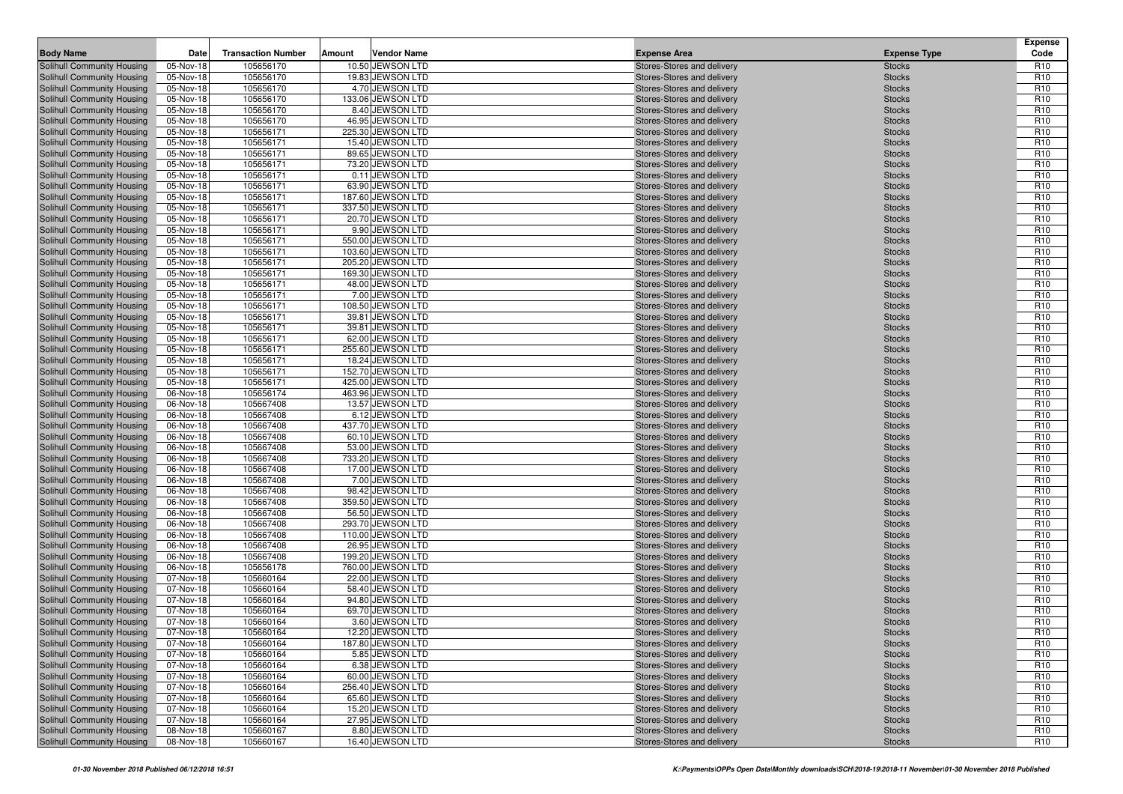| <b>Body Name</b>                                         | Date                   | <b>Transaction Number</b> | Amount | <b>Vendor Name</b>                     | <b>Expense Area</b>                                      | <b>Expense Type</b>            | <b>Expense</b><br>Code             |
|----------------------------------------------------------|------------------------|---------------------------|--------|----------------------------------------|----------------------------------------------------------|--------------------------------|------------------------------------|
| Solihull Community Housing                               | 05-Nov-18              | 105656170                 |        | 10.50 JEWSON LTD                       | Stores-Stores and delivery                               | <b>Stocks</b>                  | R <sub>10</sub>                    |
| Solihull Community Housing                               | 05-Nov-18              | 105656170                 |        | 19.83 JEWSON LTD                       | Stores-Stores and delivery                               | <b>Stocks</b>                  | R <sub>10</sub>                    |
| Solihull Community Housing                               | 05-Nov-18              | 105656170                 |        | 4.70 JEWSON LTD                        | Stores-Stores and delivery                               | <b>Stocks</b>                  | R <sub>10</sub>                    |
| Solihull Community Housing                               | 05-Nov-18              | 105656170                 |        | 133.06 JEWSON LTD                      | Stores-Stores and delivery                               | <b>Stocks</b>                  | R <sub>10</sub>                    |
| Solihull Community Housing                               | 05-Nov-18              | 105656170                 |        | 8.40 JEWSON LTD                        | Stores-Stores and delivery                               | <b>Stocks</b>                  | R <sub>10</sub>                    |
| Solihull Community Housing                               | 05-Nov-18              | 105656170                 |        | 46.95 JEWSON LTD                       | Stores-Stores and delivery                               | <b>Stocks</b>                  | R <sub>10</sub>                    |
| Solihull Community Housing                               | 05-Nov-18              | 105656171                 |        | 225.30 JEWSON LTD                      | Stores-Stores and delivery                               | <b>Stocks</b>                  | R <sub>10</sub>                    |
| Solihull Community Housing                               | 05-Nov-18              | 105656171                 |        | 15.40 JEWSON LTD                       | Stores-Stores and delivery                               | <b>Stocks</b>                  | R <sub>10</sub>                    |
| Solihull Community Housing                               | 05-Nov-18              | 105656171                 |        | 89.65 JEWSON LTD                       | Stores-Stores and delivery                               | <b>Stocks</b>                  | R <sub>10</sub>                    |
| Solihull Community Housing                               | 05-Nov-18              | 105656171                 |        | 73.20 JEWSON LTD                       | Stores-Stores and delivery                               | <b>Stocks</b>                  | R <sub>10</sub>                    |
| Solihull Community Housing                               | 05-Nov-18              | 105656171                 |        | 0.11 JEWSON LTD                        | Stores-Stores and delivery                               | <b>Stocks</b>                  | R <sub>10</sub>                    |
| Solihull Community Housing                               | 05-Nov-18              | 105656171                 |        | 63.90 JEWSON LTD                       | Stores-Stores and delivery                               | <b>Stocks</b>                  | R <sub>10</sub>                    |
| Solihull Community Housing                               | 05-Nov-18              | 105656171                 |        | 187.60 JEWSON LTD                      | Stores-Stores and delivery                               | <b>Stocks</b>                  | R <sub>10</sub>                    |
| Solihull Community Housing                               | 05-Nov-18              | 105656171                 |        | 337.50 JEWSON LTD                      | Stores-Stores and delivery                               | <b>Stocks</b>                  | R <sub>10</sub>                    |
| Solihull Community Housing                               | 05-Nov-18              | 105656171                 |        | 20.70 JEWSON LTD                       | Stores-Stores and delivery                               | <b>Stocks</b>                  | R <sub>10</sub>                    |
| Solihull Community Housing                               | 05-Nov-18              | 105656171                 |        | 9.90 JEWSON LTD                        | Stores-Stores and delivery                               | <b>Stocks</b>                  | R <sub>10</sub>                    |
| Solihull Community Housing                               | 05-Nov-18              | 105656171                 |        | 550.00 JEWSON LTD                      | Stores-Stores and delivery                               | <b>Stocks</b>                  | R <sub>10</sub>                    |
| Solihull Community Housing                               | 05-Nov-18              | 105656171                 |        | 103.60 JEWSON LTD                      | Stores-Stores and delivery                               | <b>Stocks</b>                  | R <sub>10</sub><br>R <sub>10</sub> |
| Solihull Community Housing<br>Solihull Community Housing | 05-Nov-18<br>05-Nov-18 | 105656171<br>105656171    |        | 205.20 JEWSON LTD<br>169.30 JEWSON LTD | Stores-Stores and delivery<br>Stores-Stores and delivery | <b>Stocks</b><br><b>Stocks</b> | R <sub>10</sub>                    |
| Solihull Community Housing                               | 05-Nov-18              | 105656171                 |        | 48.00 JEWSON LTD                       | Stores-Stores and delivery                               | <b>Stocks</b>                  | R <sub>10</sub>                    |
| Solihull Community Housing                               | 05-Nov-18              | 105656171                 |        | 7.00 JEWSON LTD                        | Stores-Stores and delivery                               | <b>Stocks</b>                  | R <sub>10</sub>                    |
| Solihull Community Housing                               | 05-Nov-18              | 105656171                 |        | 108.50 JEWSON LTD                      | Stores-Stores and delivery                               | <b>Stocks</b>                  | R <sub>10</sub>                    |
| Solihull Community Housing                               | 05-Nov-18              | 105656171                 |        | 39.81 JEWSON LTD                       | Stores-Stores and delivery                               | <b>Stocks</b>                  | R <sub>10</sub>                    |
| Solihull Community Housing                               | 05-Nov-18              | 105656171                 |        | 39.81 JEWSON LTD                       | Stores-Stores and delivery                               | <b>Stocks</b>                  | R <sub>10</sub>                    |
| Solihull Community Housing                               | 05-Nov-18              | 105656171                 |        | 62.00 JEWSON LTD                       | Stores-Stores and delivery                               | <b>Stocks</b>                  | R <sub>10</sub>                    |
| Solihull Community Housing                               | 05-Nov-18              | 105656171                 |        | 255.60 JEWSON LTD                      | Stores-Stores and delivery                               | <b>Stocks</b>                  | R <sub>10</sub>                    |
| Solihull Community Housing                               | 05-Nov-18              | 105656171                 |        | 18.24 JEWSON LTD                       | Stores-Stores and delivery                               | <b>Stocks</b>                  | R <sub>10</sub>                    |
| Solihull Community Housing                               | 05-Nov-18              | 105656171                 |        | 152.70 JEWSON LTD                      | Stores-Stores and delivery                               | <b>Stocks</b>                  | R <sub>10</sub>                    |
| Solihull Community Housing                               | 05-Nov-18              | 105656171                 |        | 425.00 JEWSON LTD                      | Stores-Stores and delivery                               | <b>Stocks</b>                  | R <sub>10</sub>                    |
| Solihull Community Housing                               | 06-Nov-18              | 105656174                 |        | 463.96 JEWSON LTD                      | Stores-Stores and delivery                               | <b>Stocks</b>                  | R <sub>10</sub>                    |
| Solihull Community Housing                               | 06-Nov-18              | 105667408                 |        | 13.57 JEWSON LTD                       | Stores-Stores and delivery                               | <b>Stocks</b>                  | R <sub>10</sub>                    |
| Solihull Community Housing                               | 06-Nov-18              | 105667408                 |        | 6.12 JEWSON LTD                        | Stores-Stores and delivery                               | <b>Stocks</b>                  | R <sub>10</sub>                    |
| Solihull Community Housing                               | 06-Nov-18              | 105667408                 |        | 437.70 JEWSON LTD                      | Stores-Stores and delivery                               | <b>Stocks</b>                  | R <sub>10</sub>                    |
| Solihull Community Housing                               | 06-Nov-18              | 105667408                 |        | 60.10 JEWSON LTD                       | Stores-Stores and delivery                               | <b>Stocks</b>                  | R <sub>10</sub>                    |
| Solihull Community Housing                               | 06-Nov-18              | 105667408                 |        | 53.00 JEWSON LTD                       | Stores-Stores and delivery                               | <b>Stocks</b>                  | R <sub>10</sub>                    |
| Solihull Community Housing                               | 06-Nov-18              | 105667408                 |        | 733.20 JEWSON LTD                      | Stores-Stores and delivery                               | <b>Stocks</b>                  | R <sub>10</sub>                    |
| Solihull Community Housing                               | 06-Nov-18              | 105667408                 |        | 17.00 JEWSON LTD                       | Stores-Stores and delivery                               | <b>Stocks</b>                  | R <sub>10</sub>                    |
| Solihull Community Housing                               | 06-Nov-18              | 105667408                 |        | 7.00 JEWSON LTD                        | Stores-Stores and delivery                               | <b>Stocks</b>                  | R <sub>10</sub>                    |
| Solihull Community Housing                               | 06-Nov-18              | 105667408                 |        | 98.42 JEWSON LTD                       | Stores-Stores and delivery                               | <b>Stocks</b>                  | R <sub>10</sub>                    |
| Solihull Community Housing                               | 06-Nov-18              | 105667408                 |        | 359.50 JEWSON LTD                      | Stores-Stores and delivery                               | <b>Stocks</b>                  | R <sub>10</sub>                    |
| Solihull Community Housing                               | 06-Nov-18              | 105667408                 |        | 56.50 JEWSON LTD                       | Stores-Stores and delivery                               | <b>Stocks</b>                  | R <sub>10</sub>                    |
| Solihull Community Housing                               | 06-Nov-18              | 105667408                 |        | 293.70 JEWSON LTD                      | Stores-Stores and delivery                               | <b>Stocks</b>                  | R <sub>10</sub>                    |
| Solihull Community Housing                               | 06-Nov-18<br>06-Nov-18 | 105667408<br>105667408    |        | 110.00 JEWSON LTD<br>26.95 JEWSON LTD  | Stores-Stores and delivery                               | <b>Stocks</b>                  | R <sub>10</sub><br>R <sub>10</sub> |
| Solihull Community Housing<br>Solihull Community Housing | 06-Nov-18              | 105667408                 |        | 199.20 JEWSON LTD                      | Stores-Stores and delivery<br>Stores-Stores and delivery | <b>Stocks</b><br><b>Stocks</b> | R <sub>10</sub>                    |
| Solihull Community Housing                               | 06-Nov-18              | 105656178                 |        | 760.00 JEWSON LTD                      | Stores-Stores and delivery                               | <b>Stocks</b>                  | R <sub>10</sub>                    |
| Solihull Community Housing                               | 07-Nov-18              | 105660164                 |        | 22.00 JEWSON LTD                       | Stores-Stores and delivery                               | <b>Stocks</b>                  | R <sub>10</sub>                    |
| Solihull Community Housing                               | 07-Nov-18              | 105660164                 |        | 58.40 JEWSON LTD                       | Stores-Stores and delivery                               | <b>Stocks</b>                  | R <sub>10</sub>                    |
| Solihull Community Housing                               | 07-Nov-18              | 105660164                 |        | 94.80 JEWSON LTD                       | Stores-Stores and delivery                               | <b>Stocks</b>                  | R <sub>10</sub>                    |
| Solihull Community Housing                               | 07-Nov-18              | 105660164                 |        | 69.70 JEWSON LTD                       | Stores-Stores and delivery                               | <b>Stocks</b>                  | R <sub>10</sub>                    |
| <b>Solihull Community Housing</b>                        | 07-Nov-18              | 105660164                 |        | 3.60 JEWSON LTD                        | Stores-Stores and delivery                               | <b>Stocks</b>                  | R <sub>10</sub>                    |
| Solihull Community Housing                               | 07-Nov-18              | 105660164                 |        | 12.20 JEWSON LTD                       | Stores-Stores and delivery                               | <b>Stocks</b>                  | R <sub>10</sub>                    |
| Solihull Community Housing                               | 07-Nov-18              | 105660164                 |        | 187.80 JEWSON LTD                      | Stores-Stores and delivery                               | <b>Stocks</b>                  | R <sub>10</sub>                    |
| Solihull Community Housing                               | 07-Nov-18              | 105660164                 |        | 5.85 JEWSON LTD                        | Stores-Stores and delivery                               | <b>Stocks</b>                  | R <sub>10</sub>                    |
| Solihull Community Housing                               | 07-Nov-18              | 105660164                 |        | 6.38 JEWSON LTD                        | Stores-Stores and delivery                               | <b>Stocks</b>                  | R <sub>10</sub>                    |
| Solihull Community Housing                               | 07-Nov-18              | 105660164                 |        | 60.00 JEWSON LTD                       | Stores-Stores and delivery                               | <b>Stocks</b>                  | R <sub>10</sub>                    |
| Solihull Community Housing                               | 07-Nov-18              | 105660164                 |        | 256.40 JEWSON LTD                      | Stores-Stores and delivery                               | <b>Stocks</b>                  | R <sub>10</sub>                    |
| Solihull Community Housing                               | 07-Nov-18              | 105660164                 |        | 65.60 JEWSON LTD                       | Stores-Stores and delivery                               | <b>Stocks</b>                  | R <sub>10</sub>                    |
| Solihull Community Housing                               | 07-Nov-18              | 105660164                 |        | 15.20 JEWSON LTD                       | Stores-Stores and delivery                               | <b>Stocks</b>                  | R <sub>10</sub>                    |
| Solihull Community Housing                               | 07-Nov-18              | 105660164                 |        | 27.95 JEWSON LTD                       | Stores-Stores and delivery                               | <b>Stocks</b>                  | R <sub>10</sub>                    |
| Solihull Community Housing                               | 08-Nov-18              | 105660167                 |        | 8.80 JEWSON LTD                        | Stores-Stores and delivery                               | <b>Stocks</b>                  | R <sub>10</sub>                    |
| Solihull Community Housing                               | 08-Nov-18              | 105660167                 |        | 16.40 JEWSON LTD                       | Stores-Stores and delivery                               | <b>Stocks</b>                  | R <sub>10</sub>                    |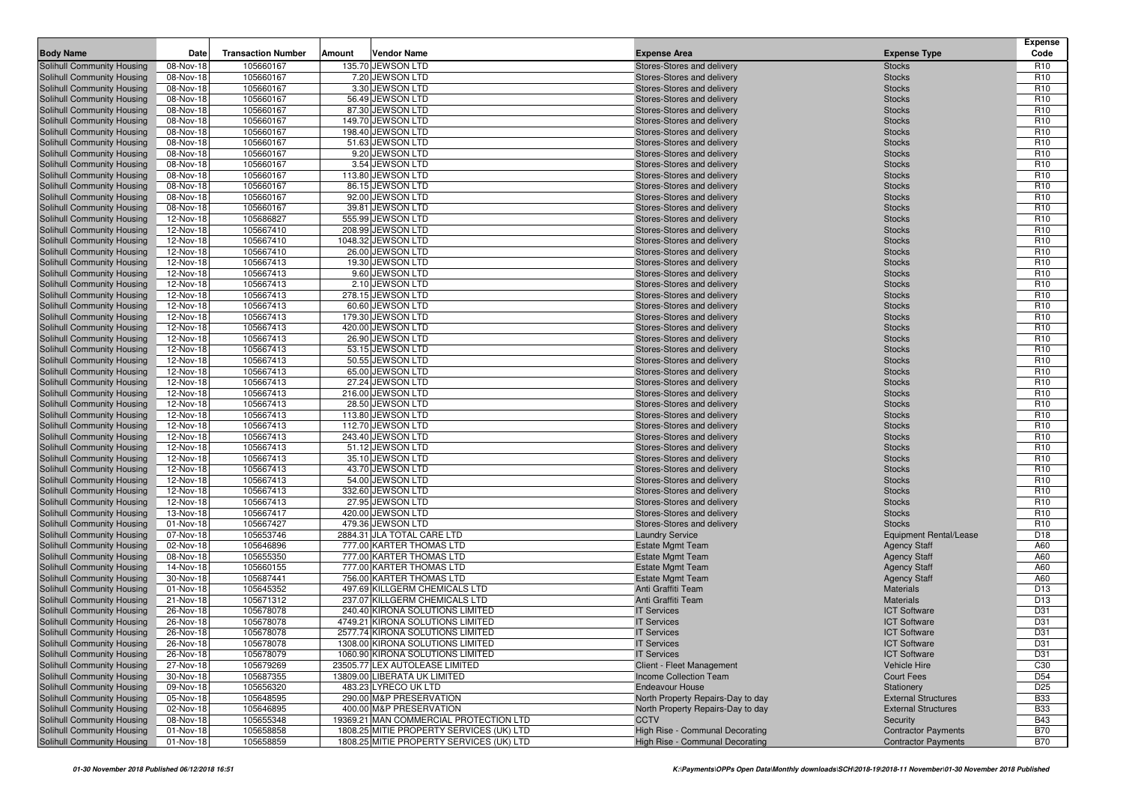|                                                          |                        |                           |        |                                          |                                                          |                                | <b>Expense</b>                     |
|----------------------------------------------------------|------------------------|---------------------------|--------|------------------------------------------|----------------------------------------------------------|--------------------------------|------------------------------------|
| <b>Body Name</b>                                         | Date                   | <b>Transaction Number</b> | Amount | <b>Vendor Name</b>                       | <b>Expense Area</b>                                      | <b>Expense Type</b>            | Code                               |
| Solihull Community Housing                               | 08-Nov-18              | 105660167                 |        | 135.70 JEWSON LTD                        | Stores-Stores and delivery                               | <b>Stocks</b>                  | R <sub>10</sub>                    |
| Solihull Community Housing                               | 08-Nov-18              | 105660167                 |        | 7.20 JEWSON LTD                          | Stores-Stores and delivery                               | <b>Stocks</b>                  | R <sub>10</sub>                    |
| Solihull Community Housing                               | 08-Nov-18              | 105660167                 |        | 3.30 JEWSON LTD                          | Stores-Stores and delivery                               | <b>Stocks</b>                  | R <sub>10</sub>                    |
| Solihull Community Housing<br>Solihull Community Housing | 08-Nov-18<br>08-Nov-18 | 105660167<br>105660167    |        | 56.49 JEWSON LTD<br>87.30 JEWSON LTD     | Stores-Stores and delivery<br>Stores-Stores and delivery | <b>Stocks</b><br><b>Stocks</b> | R <sub>10</sub><br>R <sub>10</sub> |
| Solihull Community Housing                               | 08-Nov-18              | 105660167                 |        | 149.70 JEWSON LTD                        | Stores-Stores and delivery                               | <b>Stocks</b>                  | R <sub>10</sub>                    |
| Solihull Community Housing                               | 08-Nov-18              | 105660167                 |        | 198.40 JEWSON LTD                        | Stores-Stores and delivery                               | <b>Stocks</b>                  | R <sub>10</sub>                    |
| Solihull Community Housing                               | 08-Nov-18              | 105660167                 |        | 51.63 JEWSON LTD                         | Stores-Stores and delivery                               | <b>Stocks</b>                  | R <sub>10</sub>                    |
| Solihull Community Housing                               | 08-Nov-18              | 105660167                 |        | 9.20 JEWSON LTD                          | Stores-Stores and delivery                               | <b>Stocks</b>                  | R <sub>10</sub>                    |
| Solihull Community Housing                               | 08-Nov-18              | 105660167                 |        | 3.54 JEWSON LTD                          | Stores-Stores and delivery                               | <b>Stocks</b>                  | R <sub>10</sub>                    |
| Solihull Community Housing                               | 08-Nov-18              | 105660167                 |        | 113.80 JEWSON LTD                        | Stores-Stores and delivery                               | <b>Stocks</b>                  | R <sub>10</sub>                    |
| Solihull Community Housing                               | 08-Nov-18              | 105660167                 |        | 86.15 JEWSON LTD                         | Stores-Stores and delivery                               | <b>Stocks</b>                  | R <sub>10</sub>                    |
| Solihull Community Housing                               | 08-Nov-18              | 105660167                 |        | 92.00 JEWSON LTD                         | Stores-Stores and delivery                               | <b>Stocks</b>                  | R <sub>10</sub>                    |
| Solihull Community Housing                               | 08-Nov-18              | 105660167                 |        | 39.81 JEWSON LTD                         | Stores-Stores and delivery                               | <b>Stocks</b>                  | R <sub>10</sub>                    |
| Solihull Community Housing                               | 12-Nov-18              | 105686827                 |        | 555.99 JEWSON LTD                        | Stores-Stores and delivery                               | <b>Stocks</b>                  | R <sub>10</sub>                    |
| Solihull Community Housing                               | 12-Nov-18              | 105667410                 |        | 208.99 JEWSON LTD                        | Stores-Stores and delivery                               | <b>Stocks</b>                  | R <sub>10</sub>                    |
| <b>Solihull Community Housing</b>                        | 12-Nov-18              | 105667410                 |        | 1048.32 JEWSON LTD                       | Stores-Stores and delivery                               | <b>Stocks</b>                  | R <sub>10</sub>                    |
| Solihull Community Housing                               | 12-Nov-18              | 105667410                 |        | 26.00 JEWSON LTD                         | Stores-Stores and delivery                               | <b>Stocks</b>                  | R <sub>10</sub>                    |
| Solihull Community Housing                               | 12-Nov-18              | 105667413                 |        | 19.30 JEWSON LTD                         | Stores-Stores and delivery                               | <b>Stocks</b>                  | R <sub>10</sub>                    |
| Solihull Community Housing                               | 12-Nov-18              | 105667413                 |        | 9.60 JEWSON LTD                          | Stores-Stores and delivery                               | <b>Stocks</b>                  | R <sub>10</sub>                    |
| <b>Solihull Community Housing</b>                        | 12-Nov-18              | 105667413                 |        | 2.10 JEWSON LTD                          | Stores-Stores and delivery                               | <b>Stocks</b>                  | R <sub>10</sub>                    |
| Solihull Community Housing                               | 12-Nov-18              | 105667413                 |        | 278.15 JEWSON LTD                        | Stores-Stores and delivery                               | <b>Stocks</b>                  | R <sub>10</sub>                    |
| Solihull Community Housing                               | 12-Nov-18              | 105667413                 |        | 60.60 JEWSON LTD                         | Stores-Stores and delivery                               | <b>Stocks</b>                  | R <sub>10</sub>                    |
| Solihull Community Housing                               | 12-Nov-18              | 105667413                 |        | 179.30 JEWSON LTD                        | Stores-Stores and delivery                               | <b>Stocks</b>                  | R <sub>10</sub>                    |
| <b>Solihull Community Housing</b>                        | 12-Nov-18              | 105667413                 |        | 420.00 JEWSON LTD                        | Stores-Stores and delivery                               | <b>Stocks</b>                  | R <sub>10</sub>                    |
| Solihull Community Housing                               | 12-Nov-18              | 105667413                 |        | 26.90 JEWSON LTD                         | Stores-Stores and delivery                               | <b>Stocks</b>                  | R <sub>10</sub>                    |
| Solihull Community Housing                               | 12-Nov-18              | 105667413                 |        | 53.15 JEWSON LTD                         | Stores-Stores and delivery                               | <b>Stocks</b>                  | R <sub>10</sub>                    |
| Solihull Community Housing                               | 12-Nov-18              | 105667413                 |        | 50.55 JEWSON LTD                         | Stores-Stores and delivery                               | <b>Stocks</b>                  | R <sub>10</sub>                    |
| Solihull Community Housing                               | 12-Nov-18              | 105667413                 |        | 65.00 JEWSON LTD                         | Stores-Stores and delivery                               | <b>Stocks</b>                  | R <sub>10</sub>                    |
| Solihull Community Housing                               | 12-Nov-18              | 105667413                 |        | 27.24 JEWSON LTD                         | Stores-Stores and delivery                               | <b>Stocks</b>                  | R <sub>10</sub>                    |
| Solihull Community Housing                               | 12-Nov-18              | 105667413                 |        | 216.00 JEWSON LTD                        | Stores-Stores and delivery                               | <b>Stocks</b>                  | R <sub>10</sub>                    |
| Solihull Community Housing                               | 12-Nov-18              | 105667413                 |        | 28.50 JEWSON LTD                         | Stores-Stores and delivery                               | <b>Stocks</b>                  | R <sub>10</sub>                    |
| Solihull Community Housing                               | 12-Nov-18              | 105667413                 |        | 113.80 JEWSON LTD                        | Stores-Stores and delivery                               | <b>Stocks</b>                  | R <sub>10</sub>                    |
| Solihull Community Housing                               | 12-Nov-18              | 105667413                 |        | 112.70 JEWSON LTD                        | Stores-Stores and delivery                               | <b>Stocks</b>                  | R <sub>10</sub>                    |
| Solihull Community Housing                               | 12-Nov-18              | 105667413                 |        | 243.40 JEWSON LTD                        | Stores-Stores and delivery                               | <b>Stocks</b>                  | R <sub>10</sub>                    |
| Solihull Community Housing                               | 12-Nov-18              | 105667413                 |        | 51.12 JEWSON LTD                         | Stores-Stores and delivery                               | <b>Stocks</b>                  | R <sub>10</sub>                    |
| Solihull Community Housing<br>Solihull Community Housing | 12-Nov-18<br>12-Nov-18 | 105667413<br>105667413    |        | 35.10 JEWSON LTD<br>43.70 JEWSON LTD     | Stores-Stores and delivery                               | <b>Stocks</b>                  | R <sub>10</sub><br>R <sub>10</sub> |
| Solihull Community Housing                               | 12-Nov-18              | 105667413                 |        | 54.00 JEWSON LTD                         | Stores-Stores and delivery<br>Stores-Stores and delivery | <b>Stocks</b><br><b>Stocks</b> | R <sub>10</sub>                    |
| Solihull Community Housing                               | 12-Nov-18              | 105667413                 |        | 332.60 JEWSON LTD                        | Stores-Stores and delivery                               | <b>Stocks</b>                  | R <sub>10</sub>                    |
| Solihull Community Housing                               | 12-Nov-18              | 105667413                 |        | 27.95 JEWSON LTD                         | Stores-Stores and delivery                               | <b>Stocks</b>                  | R <sub>10</sub>                    |
| Solihull Community Housing                               | 13-Nov-18              | 105667417                 |        | 420.00 JEWSON LTD                        | Stores-Stores and delivery                               | <b>Stocks</b>                  | R <sub>10</sub>                    |
| Solihull Community Housing                               | 01-Nov-18              | 105667427                 |        | 479.36 JEWSON LTD                        | Stores-Stores and delivery                               | <b>Stocks</b>                  | R <sub>10</sub>                    |
| Solihull Community Housing                               | 07-Nov-18              | 105653746                 |        | 2884.31 JLA TOTAL CARE LTD               | <b>Laundry Service</b>                                   | <b>Equipment Rental/Lease</b>  | D <sub>18</sub>                    |
| Solihull Community Housing                               | 02-Nov-18              | 105646896                 |        | 777.00 KARTER THOMAS LTD                 | <b>Estate Mgmt Team</b>                                  | <b>Agency Staff</b>            | A60                                |
| Solihull Community Housing                               | 08-Nov-18              | 105655350                 |        | 777.00 KARTER THOMAS LTD                 | <b>Estate Mgmt Team</b>                                  | <b>Agency Staff</b>            | A60                                |
| Solihull Community Housing                               | 14-Nov-18              | 105660155                 |        | 777.00 KARTER THOMAS LTD                 | <b>Estate Mgmt Team</b>                                  | <b>Agency Staff</b>            | A60                                |
| Solihull Community Housing                               | 30-Nov-18              | 105687441                 |        | 756.00 KARTER THOMAS LTD                 | <b>Estate Mgmt Team</b>                                  | <b>Agency Staff</b>            | A60                                |
| Solihull Community Housing                               | 01-Nov-18              | 105645352                 |        | 497.69 KILLGERM CHEMICALS LTD            | Anti Graffiti Team                                       | <b>Materials</b>               | D <sub>13</sub>                    |
| <b>Solihull Community Housing</b>                        | 21-Nov-18              | 105671312                 |        | 237.07 KILLGERM CHEMICALS LTD            | Anti Graffiti Team                                       | <b>Materials</b>               | D <sub>13</sub>                    |
| Solihull Community Housing                               | 26-Nov-18              | 105678078                 |        | 240.40 KIRONA SOLUTIONS LIMITED          | <b>IT Services</b>                                       | <b>ICT Software</b>            | D31                                |
| Solihull Community Housing                               | 26-Nov-18              | 105678078                 |        | 4749.21 KIRONA SOLUTIONS LIMITED         | <b>IT Services</b>                                       | <b>ICT Software</b>            | D31                                |
| Solihull Community Housing                               | 26-Nov-18              | 105678078                 |        | 2577.74 KIRONA SOLUTIONS LIMITED         | <b>IT Services</b>                                       | <b>ICT Software</b>            | D31                                |
| Solihull Community Housing                               | 26-Nov-18              | 105678078                 |        | 1308.00 KIRONA SOLUTIONS LIMITED         | <b>IT Services</b>                                       | <b>ICT Software</b>            | D31                                |
| Solihull Community Housing                               | 26-Nov-18              | 105678079                 |        | 1060.90 KIRONA SOLUTIONS LIMITED         | <b>IT Services</b>                                       | <b>ICT Software</b>            | D31                                |
| Solihull Community Housing                               | 27-Nov-18              | 105679269                 |        | 23505.77 LEX AUTOLEASE LIMITED           | Client - Fleet Management                                | Vehicle Hire                   | C <sub>30</sub>                    |
| Solihull Community Housing                               | 30-Nov-18              | 105687355                 |        | 13809.00 LIBERATA UK LIMITED             | Income Collection Team                                   | <b>Court Fees</b>              | D <sub>54</sub>                    |
| Solihull Community Housing                               | 09-Nov-18              | 105656320                 |        | 483.23 LYRECO UK LTD                     | <b>Endeavour House</b>                                   | Stationery                     | D <sub>25</sub>                    |
| Solihull Community Housing                               | 05-Nov-18              | 105648595                 |        | 290.00 M&P PRESERVATION                  | North Property Repairs-Day to day                        | <b>External Structures</b>     | <b>B33</b>                         |
| Solihull Community Housing                               | 02-Nov-18              | 105646895                 |        | 400.00 M&P PRESERVATION                  | North Property Repairs-Day to day                        | <b>External Structures</b>     | <b>B33</b>                         |
| Solihull Community Housing                               | 08-Nov-18              | 105655348                 |        | 19369.21 MAN COMMERCIAL PROTECTION LTD   | <b>CCTV</b>                                              | Security                       | <b>B43</b>                         |
| Solihull Community Housing                               | 01-Nov-18              | 105658858                 |        | 1808.25 MITIE PROPERTY SERVICES (UK) LTD | High Rise - Communal Decorating                          | <b>Contractor Payments</b>     | <b>B70</b>                         |
| Solihull Community Housing                               | 01-Nov-18              | 105658859                 |        | 1808.25 MITIE PROPERTY SERVICES (UK) LTD | High Rise - Communal Decorating                          | <b>Contractor Payments</b>     | <b>B70</b>                         |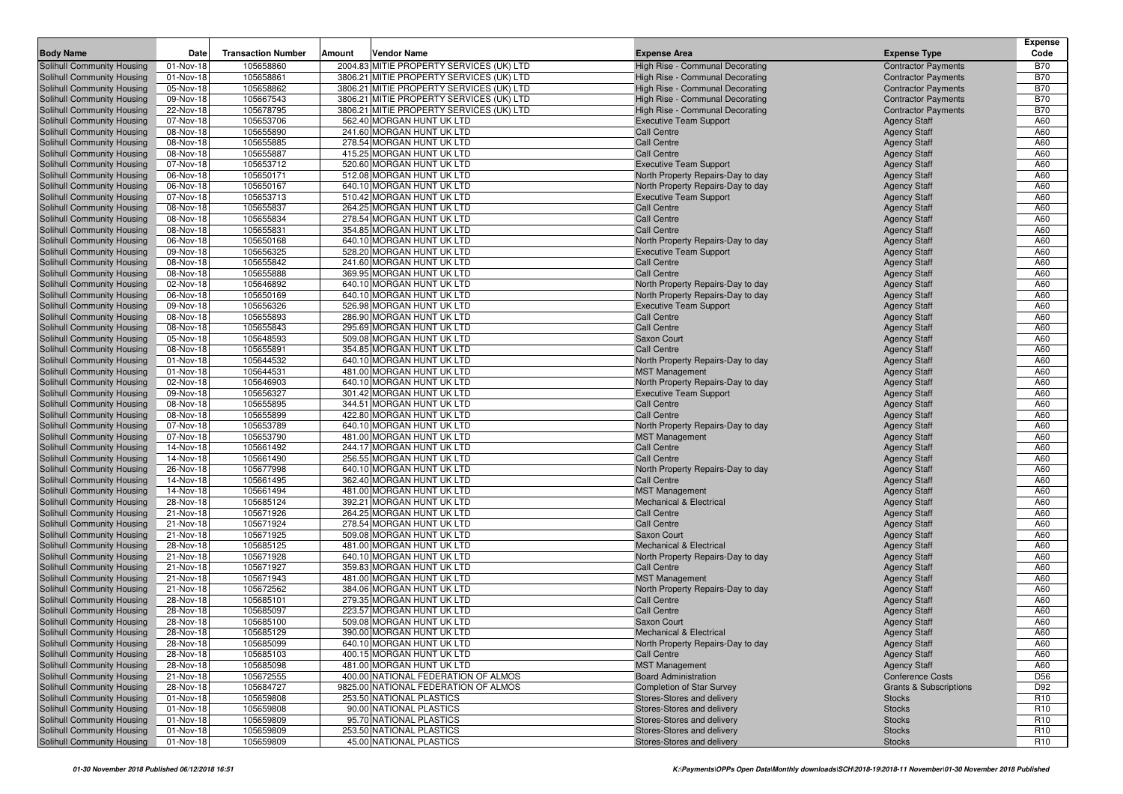| <b>Body Name</b>                                         | Date                   | <b>Transaction Number</b> | Amount | Vendor Name                                            | <b>Expense Area</b>                                      | <b>Expense Type</b>                        | <b>Expense</b><br>Code             |
|----------------------------------------------------------|------------------------|---------------------------|--------|--------------------------------------------------------|----------------------------------------------------------|--------------------------------------------|------------------------------------|
| Solihull Community Housing                               | 01-Nov-18              | 105658860                 |        | 2004.83 MITIE PROPERTY SERVICES (UK) LTD               | High Rise - Communal Decorating                          | <b>Contractor Payments</b>                 | <b>B70</b>                         |
| Solihull Community Housing                               | 01-Nov-18              | 105658861                 |        | 3806.21 MITIE PROPERTY SERVICES (UK) LTD               | High Rise - Communal Decorating                          | <b>Contractor Payments</b>                 | <b>B70</b>                         |
| Solihull Community Housing                               | 05-Nov-18              | 105658862                 |        | 3806.21 MITIE PROPERTY SERVICES (UK) LTD               | High Rise - Communal Decorating                          | <b>Contractor Payments</b>                 | <b>B70</b>                         |
| Solihull Community Housing                               | 09-Nov-18              | 105667543                 |        | 3806.21 MITIE PROPERTY SERVICES (UK) LTD               | High Rise - Communal Decorating                          | <b>Contractor Payments</b>                 | <b>B70</b>                         |
| Solihull Community Housing                               | 22-Nov-18              | 105678795                 |        | 3806.21 MITIE PROPERTY SERVICES (UK) LTD               | High Rise - Communal Decorating                          | <b>Contractor Payments</b>                 | <b>B70</b>                         |
| Solihull Community Housing                               | 07-Nov-18              | 105653706                 |        | 562.40 MORGAN HUNT UK LTD                              | <b>Executive Team Support</b>                            | <b>Agency Staff</b>                        | A60                                |
| Solihull Community Housing                               | 08-Nov-18              | 105655890                 |        | 241.60 MORGAN HUNT UK LTD                              | <b>Call Centre</b>                                       | <b>Agency Staff</b>                        | A60                                |
| Solihull Community Housing                               | 08-Nov-18              | 105655885                 |        | 278.54 MORGAN HUNT UK LTD                              | Call Centre                                              | <b>Agency Staff</b>                        | A60                                |
| Solihull Community Housing                               | 08-Nov-18              | 105655887                 |        | 415.25 MORGAN HUNT UK LTD                              | <b>Call Centre</b>                                       | <b>Agency Staff</b>                        | A60                                |
| Solihull Community Housing                               | 07-Nov-18              | 105653712                 |        | 520.60 MORGAN HUNT UK LTD                              | <b>Executive Team Support</b>                            | <b>Agency Staff</b>                        | A60                                |
| Solihull Community Housing                               | 06-Nov-18              | 105650171                 |        | 512.08 MORGAN HUNT UK LTD                              | North Property Repairs-Day to day                        | <b>Agency Staff</b>                        | A60                                |
| Solihull Community Housing                               | 06-Nov-18              | 105650167                 |        | 640.10 MORGAN HUNT UK LTD                              | North Property Repairs-Day to day                        | <b>Agency Staff</b>                        | A60                                |
| Solihull Community Housing                               | 07-Nov-18              | 105653713                 |        | 510.42 MORGAN HUNT UK LTD                              | <b>Executive Team Support</b>                            | <b>Agency Staff</b>                        | A60                                |
| Solihull Community Housing                               | 08-Nov-18              | 105655837                 |        | 264.25 MORGAN HUNT UK LTD                              | <b>Call Centre</b>                                       | <b>Agency Staff</b>                        | A60                                |
| Solihull Community Housing                               | 08-Nov-18              | 105655834                 |        | 278.54 MORGAN HUNT UK LTD                              | Call Centre                                              | <b>Agency Staff</b>                        | A60                                |
| Solihull Community Housing                               | 08-Nov-18              | 105655831                 |        | 354.85 MORGAN HUNT UK LTD                              | <b>Call Centre</b>                                       | <b>Agency Staff</b>                        | A60                                |
| Solihull Community Housing                               | 06-Nov-18              | 105650168                 |        | 640.10 MORGAN HUNT UK LTD                              | North Property Repairs-Day to day                        | <b>Agency Staff</b>                        | A60                                |
| Solihull Community Housing                               | 09-Nov-18              | 105656325                 |        | 528.20 MORGAN HUNT UK LTD                              | <b>Executive Team Support</b>                            | <b>Agency Staff</b>                        | A60                                |
| Solihull Community Housing                               | 08-Nov-18              | 105655842                 |        | 241.60 MORGAN HUNT UK LTD                              | <b>Call Centre</b>                                       | <b>Agency Staff</b>                        | A60                                |
| Solihull Community Housing                               | 08-Nov-18              | 105655888                 |        | 369.95 MORGAN HUNT UK LTD                              | <b>Call Centre</b>                                       | <b>Agency Staff</b>                        | A60                                |
| Solihull Community Housing                               | 02-Nov-18              | 105646892                 |        | 640.10 MORGAN HUNT UK LTD                              | North Property Repairs-Day to day                        | <b>Agency Staff</b>                        | A60                                |
| Solihull Community Housing                               | 06-Nov-18              | 105650169                 |        | 640.10 MORGAN HUNT UK LTD                              | North Property Repairs-Day to day                        | <b>Agency Staff</b>                        | A60                                |
| Solihull Community Housing                               | 09-Nov-18              | 105656326                 |        | 526.98 MORGAN HUNT UK LTD                              | <b>Executive Team Support</b>                            | <b>Agency Staff</b>                        | A60                                |
| Solihull Community Housing                               | 08-Nov-18              | 105655893                 |        | 286.90 MORGAN HUNT UK LTD                              | <b>Call Centre</b>                                       | <b>Agency Staff</b>                        | A60                                |
| Solihull Community Housing                               | 08-Nov-18              | 105655843                 |        | 295.69 MORGAN HUNT UK LTD                              | <b>Call Centre</b>                                       | <b>Agency Staff</b>                        | A60                                |
| Solihull Community Housing                               | 05-Nov-18              | 105648593                 |        | 509.08 MORGAN HUNT UK LTD                              | Saxon Court                                              | <b>Agency Staff</b>                        | A60                                |
| Solihull Community Housing                               | 08-Nov-18              | 105655891                 |        | 354.85 MORGAN HUNT UK LTD                              | Call Centre                                              | <b>Agency Staff</b>                        | A60                                |
| Solihull Community Housing                               | 01-Nov-18              | 105644532                 |        | 640.10 MORGAN HUNT UK LTD                              | North Property Repairs-Day to day                        | <b>Agency Staff</b>                        | A60                                |
| Solihull Community Housing                               | 01-Nov-18              | 105644531                 |        | 481.00 MORGAN HUNT UK LTD                              | <b>MST Management</b>                                    | <b>Agency Staff</b>                        | A60                                |
| Solihull Community Housing                               | 02-Nov-18              | 105646903                 |        | 640.10 MORGAN HUNT UK LTD                              | North Property Repairs-Day to day                        | <b>Agency Staff</b>                        | A60                                |
| Solihull Community Housing<br>Solihull Community Housing | 09-Nov-18<br>08-Nov-18 | 105656327                 |        | 301.42 MORGAN HUNT UK LTD<br>344.51 MORGAN HUNT UK LTD | <b>Executive Team Support</b><br><b>Call Centre</b>      | <b>Agency Staff</b>                        | A60                                |
| Solihull Community Housing                               | 08-Nov-18              | 105655895<br>105655899    |        | 422.80 MORGAN HUNT UK LTD                              | <b>Call Centre</b>                                       | <b>Agency Staff</b><br><b>Agency Staff</b> | A60<br>A60                         |
| Solihull Community Housing                               | 07-Nov-18              | 105653789                 |        | 640.10 MORGAN HUNT UK LTD                              | North Property Repairs-Day to day                        | <b>Agency Staff</b>                        | A60                                |
| Solihull Community Housing                               | 07-Nov-18              | 105653790                 |        | 481.00 MORGAN HUNT UK LTD                              | <b>MST Management</b>                                    | <b>Agency Staff</b>                        | A60                                |
| Solihull Community Housing                               | 14-Nov-18              | 105661492                 |        | 244.17 MORGAN HUNT UK LTD                              | <b>Call Centre</b>                                       | <b>Agency Staff</b>                        | A60                                |
| Solihull Community Housing                               | 14-Nov-18              | 105661490                 |        | 256.55 MORGAN HUNT UK LTD                              | <b>Call Centre</b>                                       | <b>Agency Staff</b>                        | A60                                |
| Solihull Community Housing                               | 26-Nov-18              | 105677998                 |        | 640.10 MORGAN HUNT UK LTD                              | North Property Repairs-Day to day                        | <b>Agency Staff</b>                        | A60                                |
| Solihull Community Housing                               | 14-Nov-18              | 105661495                 |        | 362.40 MORGAN HUNT UK LTD                              | <b>Call Centre</b>                                       | <b>Agency Staff</b>                        | A60                                |
| Solihull Community Housing                               | 14-Nov-18              | 105661494                 |        | 481.00 MORGAN HUNT UK LTD                              | <b>MST Management</b>                                    | <b>Agency Staff</b>                        | A60                                |
| Solihull Community Housing                               | 28-Nov-18              | 105685124                 |        | 392.21 MORGAN HUNT UK LTD                              | <b>Mechanical &amp; Electrical</b>                       | <b>Agency Staff</b>                        | A60                                |
| Solihull Community Housing                               | 21-Nov-18              | 105671926                 |        | 264.25 MORGAN HUNT UK LTD                              | <b>Call Centre</b>                                       | <b>Agency Staff</b>                        | A60                                |
| Solihull Community Housing                               | 21-Nov-18              | 105671924                 |        | 278.54 MORGAN HUNT UK LTD                              | <b>Call Centre</b>                                       | <b>Agency Staff</b>                        | A60                                |
| Solihull Community Housing                               | 21-Nov-18              | 105671925                 |        | 509.08 MORGAN HUNT UK LTD                              | Saxon Court                                              | <b>Agency Staff</b>                        | A60                                |
| Solihull Community Housing                               | 28-Nov-18              | 105685125                 |        | 481.00 MORGAN HUNT UK LTD                              | <b>Mechanical &amp; Electrical</b>                       | <b>Agency Staff</b>                        | A60                                |
| Solihull Community Housing                               | 21-Nov-18              | 105671928                 |        | 640.10 MORGAN HUNT UK LTD                              | North Property Repairs-Day to day                        | <b>Agency Staff</b>                        | A60                                |
| Solihull Community Housing                               | 21-Nov-18              | 105671927                 |        | 359.83 MORGAN HUNT UK LTD                              | <b>Call Centre</b>                                       | <b>Agency Staff</b>                        | A60                                |
| Solihull Community Housing                               | 21-Nov-18              | 105671943                 |        | 481.00 MORGAN HUNT UK LTD                              | <b>MST Management</b>                                    | <b>Agency Staff</b>                        | A60                                |
| Solihull Community Housing                               | 21-Nov-18              | 105672562                 |        | 384.06 MORGAN HUNT UK LTD                              | North Property Repairs-Day to day                        | <b>Agency Staff</b>                        | A60                                |
| Solihull Community Housing                               | 28-Nov-18              | 105685101                 |        | 279.35 MORGAN HUNT UK LTD                              | <b>Call Centre</b>                                       | <b>Agency Staff</b>                        | A60                                |
| Solihull Community Housing                               | 28-Nov-18              | 105685097                 |        | 223.57 MORGAN HUNT UK LTD                              | <b>Call Centre</b>                                       | <b>Agency Staff</b>                        | A60                                |
| Solihull Community Housing                               | 28-Nov-18              | 105685100                 |        | 509.08 MORGAN HUNT UK LTD                              | Saxon Court                                              | <b>Agency Staff</b>                        | A60                                |
| Solihull Community Housing                               | 28-Nov-18              | 105685129                 |        | 390.00 MORGAN HUNT UK LTD                              | Mechanical & Electrical                                  | <b>Agency Staff</b>                        | A60                                |
| Solihull Community Housing                               | 28-Nov-18              | 105685099                 |        | 640.10 MORGAN HUNT UK LTD                              | North Property Repairs-Day to day                        | <b>Agency Staff</b>                        | A60                                |
| Solihull Community Housing                               | 28-Nov-18              | 105685103                 |        | 400.15 MORGAN HUNT UK LTD                              | Call Centre                                              | <b>Agency Staff</b>                        | A60                                |
| Solihull Community Housing                               | 28-Nov-18              | 105685098                 |        | 481.00 MORGAN HUNT UK LTD                              | <b>MST Management</b>                                    | <b>Agency Staff</b>                        | A60                                |
| Solihull Community Housing                               | 21-Nov-18              | 105672555                 |        | 400.00 NATIONAL FEDERATION OF ALMOS                    | <b>Board Administration</b>                              | <b>Conference Costs</b>                    | D <sub>56</sub>                    |
| Solihull Community Housing                               | 28-Nov-18              | 105684727                 |        | 9825.00 NATIONAL FEDERATION OF ALMOS                   | <b>Completion of Star Survey</b>                         | <b>Grants &amp; Subscriptions</b>          | D92                                |
| Solihull Community Housing                               | 01-Nov-18              | 105659808                 |        | 253.50 NATIONAL PLASTICS                               | Stores-Stores and delivery                               | <b>Stocks</b>                              | R <sub>10</sub>                    |
| Solihull Community Housing                               | 01-Nov-18              | 105659808                 |        | 90.00 NATIONAL PLASTICS                                | Stores-Stores and delivery                               | <b>Stocks</b>                              | R <sub>10</sub>                    |
| Solihull Community Housing<br>Solihull Community Housing | 01-Nov-18              | 105659809<br>105659809    |        | 95.70 NATIONAL PLASTICS<br>253.50 NATIONAL PLASTICS    | Stores-Stores and delivery<br>Stores-Stores and delivery | <b>Stocks</b>                              | R <sub>10</sub><br>R <sub>10</sub> |
| Solihull Community Housing                               | 01-Nov-18<br>01-Nov-18 | 105659809                 |        | 45.00 NATIONAL PLASTICS                                | Stores-Stores and delivery                               | <b>Stocks</b><br><b>Stocks</b>             | R <sub>10</sub>                    |
|                                                          |                        |                           |        |                                                        |                                                          |                                            |                                    |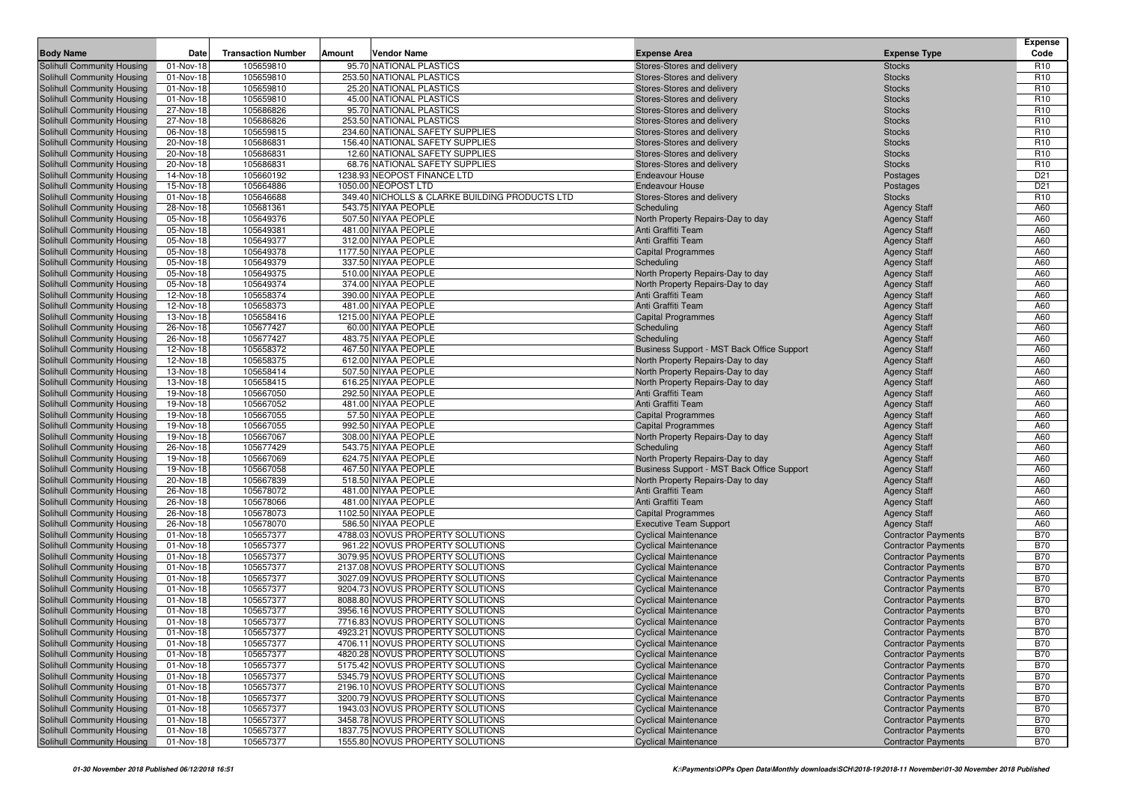|                                                          |                        |                           |        |                                                                      |                                                                                 |                                                          | <b>Expense</b>                     |
|----------------------------------------------------------|------------------------|---------------------------|--------|----------------------------------------------------------------------|---------------------------------------------------------------------------------|----------------------------------------------------------|------------------------------------|
| <b>Body Name</b>                                         | Date                   | <b>Transaction Number</b> | Amount | Vendor Name                                                          | <b>Expense Area</b>                                                             | <b>Expense Type</b>                                      | Code                               |
| Solihull Community Housing                               | 01-Nov-18              | 105659810                 |        | 95.70 NATIONAL PLASTICS                                              | Stores-Stores and delivery                                                      | <b>Stocks</b>                                            | R <sub>10</sub>                    |
| Solihull Community Housing                               | 01-Nov-18<br>01-Nov-18 | 105659810<br>105659810    |        | 253.50 NATIONAL PLASTICS<br>25.20 NATIONAL PLASTICS                  | Stores-Stores and delivery                                                      | <b>Stocks</b>                                            | R <sub>10</sub><br>R <sub>10</sub> |
| Solihull Community Housing<br>Solihull Community Housing | 01-Nov-18              | 105659810                 |        | 45.00 NATIONAL PLASTICS                                              | Stores-Stores and delivery<br>Stores-Stores and delivery                        | <b>Stocks</b><br><b>Stocks</b>                           | R <sub>10</sub>                    |
| Solihull Community Housing                               | 27-Nov-18              | 105686826                 |        | 95.70 NATIONAL PLASTICS                                              | Stores-Stores and delivery                                                      | <b>Stocks</b>                                            | R <sub>10</sub>                    |
| Solihull Community Housing                               | 27-Nov-18              | 105686826                 |        | 253.50 NATIONAL PLASTICS                                             | Stores-Stores and delivery                                                      | <b>Stocks</b>                                            | R <sub>10</sub>                    |
| Solihull Community Housing                               | 06-Nov-18              | 105659815                 |        | 234.60 NATIONAL SAFETY SUPPLIES                                      | Stores-Stores and delivery                                                      | <b>Stocks</b>                                            | R <sub>10</sub>                    |
| Solihull Community Housing                               | 20-Nov-18              | 105686831                 |        | 156.40 NATIONAL SAFETY SUPPLIES                                      | Stores-Stores and delivery                                                      | <b>Stocks</b>                                            | R <sub>10</sub>                    |
| Solihull Community Housing                               | 20-Nov-18              | 105686831                 |        | 12.60 NATIONAL SAFETY SUPPLIES                                       | Stores-Stores and delivery                                                      | <b>Stocks</b>                                            | R <sub>10</sub>                    |
| Solihull Community Housing                               | 20-Nov-18              | 105686831                 |        | 68.76 NATIONAL SAFETY SUPPLIES                                       | Stores-Stores and delivery                                                      | <b>Stocks</b>                                            | R <sub>10</sub>                    |
| Solihull Community Housing                               | 14-Nov-18              | 105660192                 |        | 1238.93 NEOPOST FINANCE LTD                                          | <b>Endeavour House</b>                                                          | Postages                                                 | D <sub>21</sub>                    |
| Solihull Community Housing                               | 15-Nov-18              | 105664886                 |        | 1050.00 NEOPOST LTD                                                  | <b>Endeavour House</b>                                                          | Postages                                                 | D <sub>21</sub>                    |
| Solihull Community Housing                               | 01-Nov-18              | 105646688                 |        | 349.40 NICHOLLS & CLARKE BUILDING PRODUCTS LTD                       | Stores-Stores and delivery                                                      | <b>Stocks</b>                                            | R <sub>10</sub>                    |
| Solihull Community Housing                               | 28-Nov-18              | 105681361                 |        | 543.75 NIYAA PEOPLE                                                  | Scheduling                                                                      | <b>Agency Staff</b>                                      | A60                                |
| Solihull Community Housing                               | 05-Nov-18              | 105649376                 |        | 507.50 NIYAA PEOPLE                                                  | North Property Repairs-Day to day                                               | <b>Agency Staff</b>                                      | A60                                |
| Solihull Community Housing                               | 05-Nov-18              | 105649381                 |        | 481.00 NIYAA PEOPLE                                                  | Anti Graffiti Team                                                              | <b>Agency Staff</b>                                      | A60                                |
| Solihull Community Housing                               | 05-Nov-18              | 105649377                 |        | 312.00 NIYAA PEOPLE                                                  | Anti Graffiti Team                                                              | <b>Agency Staff</b>                                      | A60                                |
| Solihull Community Housing                               | 05-Nov-18              | 105649378                 |        | 1177.50 NIYAA PEOPLE                                                 | <b>Capital Programmes</b>                                                       | <b>Agency Staff</b>                                      | A60                                |
| Solihull Community Housing                               | 05-Nov-18              | 105649379                 |        | 337.50 NIYAA PEOPLE                                                  | Scheduling                                                                      | <b>Agency Staff</b>                                      | A60                                |
| Solihull Community Housing                               | 05-Nov-18              | 105649375                 |        | 510.00 NIYAA PEOPLE<br>374.00 NIYAA PEOPLE                           | North Property Repairs-Day to day                                               | <b>Agency Staff</b>                                      | A60<br>A60                         |
| Solihull Community Housing<br>Solihull Community Housing | 05-Nov-18<br>12-Nov-18 | 105649374<br>105658374    |        | 390.00 NIYAA PEOPLE                                                  | North Property Repairs-Day to day<br>Anti Graffiti Team                         | <b>Agency Staff</b><br><b>Agency Staff</b>               | A60                                |
| Solihull Community Housing                               | 12-Nov-18              | 105658373                 |        | 481.00 NIYAA PEOPLE                                                  | Anti Graffiti Team                                                              | <b>Agency Staff</b>                                      | A60                                |
| Solihull Community Housing                               | 13-Nov-18              | 105658416                 |        | 1215.00 NIYAA PEOPLE                                                 | <b>Capital Programmes</b>                                                       | <b>Agency Staff</b>                                      | A60                                |
| Solihull Community Housing                               | 26-Nov-18              | 105677427                 |        | 60.00 NIYAA PEOPLE                                                   | Scheduling                                                                      | <b>Agency Staff</b>                                      | A60                                |
| Solihull Community Housing                               | 26-Nov-18              | 105677427                 |        | 483.75 NIYAA PEOPLE                                                  | Scheduling                                                                      | <b>Agency Staff</b>                                      | A60                                |
| Solihull Community Housing                               | 12-Nov-18              | 105658372                 |        | 467.50 NIYAA PEOPLE                                                  | Business Support - MST Back Office Support                                      | <b>Agency Staff</b>                                      | A60                                |
| Solihull Community Housing                               | 12-Nov-18              | 105658375                 |        | 612.00 NIYAA PEOPLE                                                  | North Property Repairs-Day to day                                               | <b>Agency Staff</b>                                      | A60                                |
| Solihull Community Housing                               | 13-Nov-18              | 105658414                 |        | 507.50 NIYAA PEOPLE                                                  | North Property Repairs-Day to day                                               | <b>Agency Staff</b>                                      | A60                                |
| Solihull Community Housing                               | 13-Nov-18              | 105658415                 |        | 616.25 NIYAA PEOPLE                                                  | North Property Repairs-Day to day                                               | <b>Agency Staff</b>                                      | A60                                |
| Solihull Community Housing                               | 19-Nov-18              | 105667050                 |        | 292.50 NIYAA PEOPLE                                                  | Anti Graffiti Team                                                              | <b>Agency Staff</b>                                      | A60                                |
| Solihull Community Housing                               | 19-Nov-18              | 105667052                 |        | 481.00 NIYAA PEOPLE                                                  | Anti Graffiti Team                                                              | <b>Agency Staff</b>                                      | A60                                |
| <b>Solihull Community Housing</b>                        | 19-Nov-18              | 105667055                 |        | 57.50 NIYAA PEOPLE                                                   | <b>Capital Programmes</b>                                                       | <b>Agency Staff</b>                                      | A60                                |
| Solihull Community Housing                               | 19-Nov-18              | 105667055                 |        | 992.50 NIYAA PEOPLE                                                  | <b>Capital Programmes</b>                                                       | <b>Agency Staff</b>                                      | A60                                |
| Solihull Community Housing                               | 19-Nov-18              | 105667067                 |        | 308.00 NIYAA PEOPLE                                                  | North Property Repairs-Day to day                                               | <b>Agency Staff</b>                                      | A60                                |
| Solihull Community Housing                               | 26-Nov-18              | 105677429                 |        | 543.75 NIYAA PEOPLE                                                  | Scheduling                                                                      | <b>Agency Staff</b>                                      | A60                                |
| Solihull Community Housing                               | 19-Nov-18              | 105667069                 |        | 624.75 NIYAA PEOPLE                                                  | North Property Repairs-Day to day                                               | <b>Agency Staff</b>                                      | A60                                |
| Solihull Community Housing                               | 19-Nov-18<br>20-Nov-18 | 105667058<br>105667839    |        | 467.50 NIYAA PEOPLE<br>518.50 NIYAA PEOPLE                           | Business Support - MST Back Office Support<br>North Property Repairs-Day to day | <b>Agency Staff</b>                                      | A60<br>A60                         |
| Solihull Community Housing<br>Solihull Community Housing | 26-Nov-18              | 105678072                 |        | 481.00 NIYAA PEOPLE                                                  | Anti Graffiti Team                                                              | <b>Agency Staff</b><br><b>Agency Staff</b>               | A60                                |
| Solihull Community Housing                               | 26-Nov-18              | 105678066                 |        | 481.00 NIYAA PEOPLE                                                  | Anti Graffiti Team                                                              | <b>Agency Staff</b>                                      | A60                                |
| Solihull Community Housing                               | 26-Nov-18              | 105678073                 |        | 1102.50 NIYAA PEOPLE                                                 | <b>Capital Programmes</b>                                                       | <b>Agency Staff</b>                                      | A60                                |
| Solihull Community Housing                               | 26-Nov-18              | 105678070                 |        | 586.50 NIYAA PEOPLE                                                  | <b>Executive Team Support</b>                                                   | <b>Agency Staff</b>                                      | A60                                |
| Solihull Community Housing                               | 01-Nov-18              | 105657377                 |        | 4788.03 NOVUS PROPERTY SOLUTIONS                                     | <b>Cyclical Maintenance</b>                                                     | <b>Contractor Payments</b>                               | <b>B70</b>                         |
| Solihull Community Housing                               | 01-Nov-18              | 105657377                 |        | 961.22 NOVUS PROPERTY SOLUTIONS                                      | <b>Cyclical Maintenance</b>                                                     | <b>Contractor Payments</b>                               | <b>B70</b>                         |
| Solihull Community Housing                               | 01-Nov-18              | 105657377                 |        | 3079.95 NOVUS PROPERTY SOLUTIONS                                     | <b>Cyclical Maintenance</b>                                                     | <b>Contractor Payments</b>                               | <b>B70</b>                         |
| Solihull Community Housing                               | 01-Nov-18              | 105657377                 |        | 2137.08 NOVUS PROPERTY SOLUTIONS                                     | <b>Cyclical Maintenance</b>                                                     | <b>Contractor Payments</b>                               | <b>B70</b>                         |
| Solihull Community Housing                               | 01-Nov-18              | 105657377                 |        | 3027.09 NOVUS PROPERTY SOLUTIONS                                     | <b>Cyclical Maintenance</b>                                                     | <b>Contractor Payments</b>                               | <b>B70</b>                         |
| Solihull Community Housing                               | 01-Nov-18              | 105657377                 |        | 9204.73 NOVUS PROPERTY SOLUTIONS                                     | <b>Cyclical Maintenance</b>                                                     | <b>Contractor Payments</b>                               | <b>B70</b>                         |
| Solihull Community Housing                               | 01-Nov-18              | 105657377                 |        | 8088.80 NOVUS PROPERTY SOLUTIONS                                     | <b>Cyclical Maintenance</b>                                                     | <b>Contractor Payments</b>                               | <b>B70</b>                         |
| Solihull Community Housing                               | 01-Nov-18              | 105657377                 |        | 3956.16 NOVUS PROPERTY SOLUTIONS                                     | <b>Cyclical Maintenance</b>                                                     | <b>Contractor Payments</b>                               | <b>B70</b>                         |
| Solihull Community Housing                               | 01-Nov-18              | 105657377                 |        | 7716.83 NOVUS PROPERTY SOLUTIONS                                     | <b>Cyclical Maintenance</b>                                                     | <b>Contractor Payments</b>                               | <b>B70</b>                         |
| Solihull Community Housing                               | 01-Nov-18              | 105657377                 |        | 4923.21 NOVUS PROPERTY SOLUTIONS                                     | <b>Cyclical Maintenance</b>                                                     | <b>Contractor Payments</b>                               | <b>B70</b>                         |
| Solihull Community Housing                               | 01-Nov-18              | 105657377                 |        | 4706.11 NOVUS PROPERTY SOLUTIONS                                     | <b>Cyclical Maintenance</b>                                                     | <b>Contractor Payments</b>                               | <b>B70</b>                         |
| Solihull Community Housing<br>Solihull Community Housing | 01-Nov-18              | 105657377                 |        | 4820.28 NOVUS PROPERTY SOLUTIONS                                     | <b>Cyclical Maintenance</b>                                                     | <b>Contractor Payments</b>                               | <b>B70</b>                         |
| Solihull Community Housing                               | 01-Nov-18<br>01-Nov-18 | 105657377                 |        | 5175.42 NOVUS PROPERTY SOLUTIONS<br>5345.79 NOVUS PROPERTY SOLUTIONS | <b>Cyclical Maintenance</b><br><b>Cyclical Maintenance</b>                      | <b>Contractor Payments</b><br><b>Contractor Payments</b> | <b>B70</b><br><b>B70</b>           |
| Solihull Community Housing                               | 01-Nov-18              | 105657377<br>105657377    |        | 2196.10 NOVUS PROPERTY SOLUTIONS                                     | <b>Cyclical Maintenance</b>                                                     | <b>Contractor Payments</b>                               | <b>B70</b>                         |
| Solihull Community Housing                               | 01-Nov-18              | 105657377                 |        | 3200.79 NOVUS PROPERTY SOLUTIONS                                     | <b>Cyclical Maintenance</b>                                                     | <b>Contractor Payments</b>                               | <b>B70</b>                         |
| Solihull Community Housing                               | 01-Nov-18              | 105657377                 |        | 1943.03 NOVUS PROPERTY SOLUTIONS                                     | <b>Cyclical Maintenance</b>                                                     | <b>Contractor Payments</b>                               | <b>B70</b>                         |
| Solihull Community Housing                               | 01-Nov-18              | 105657377                 |        | 3458.78 NOVUS PROPERTY SOLUTIONS                                     | <b>Cyclical Maintenance</b>                                                     | <b>Contractor Payments</b>                               | <b>B70</b>                         |
| Solihull Community Housing                               | 01-Nov-18              | 105657377                 |        | 1837.75 NOVUS PROPERTY SOLUTIONS                                     | <b>Cyclical Maintenance</b>                                                     | <b>Contractor Payments</b>                               | <b>B70</b>                         |
| Solihull Community Housing                               | 01-Nov-18              | 105657377                 |        | 1555.80 NOVUS PROPERTY SOLUTIONS                                     | <b>Cyclical Maintenance</b>                                                     | <b>Contractor Payments</b>                               | <b>B70</b>                         |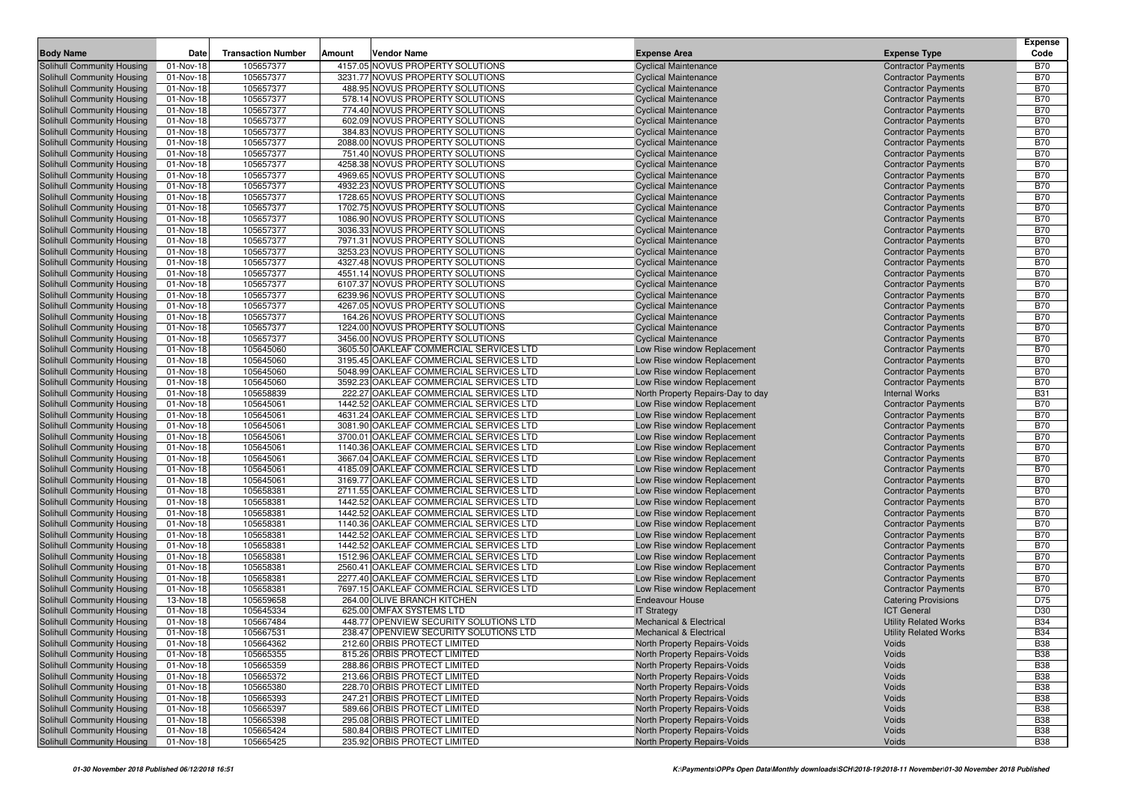|                                                          |                        |                           |        |                                                                                    |                                                                  |                                                          | <b>Expense</b>           |
|----------------------------------------------------------|------------------------|---------------------------|--------|------------------------------------------------------------------------------------|------------------------------------------------------------------|----------------------------------------------------------|--------------------------|
| <b>Body Name</b>                                         | Date                   | <b>Transaction Number</b> | Amount | Vendor Name                                                                        | <b>Expense Area</b>                                              | <b>Expense Type</b>                                      | Code                     |
| Solihull Community Housing                               | 01-Nov-18              | 105657377                 |        | 4157.05 NOVUS PROPERTY SOLUTIONS                                                   | <b>Cyclical Maintenance</b>                                      | <b>Contractor Payments</b>                               | <b>B70</b>               |
| Solihull Community Housing                               | 01-Nov-18              | 105657377                 |        | 3231.77 NOVUS PROPERTY SOLUTIONS                                                   | <b>Cyclical Maintenance</b>                                      | <b>Contractor Payments</b>                               | <b>B70</b>               |
| Solihull Community Housing                               | 01-Nov-18              | 105657377                 |        | 488.95 NOVUS PROPERTY SOLUTIONS                                                    | <b>Cyclical Maintenance</b>                                      | <b>Contractor Payments</b>                               | <b>B70</b>               |
| Solihull Community Housing                               | 01-Nov-18              | 105657377                 |        | 578.14 NOVUS PROPERTY SOLUTIONS                                                    | <b>Cyclical Maintenance</b>                                      | <b>Contractor Payments</b>                               | <b>B70</b>               |
| Solihull Community Housing                               | 01-Nov-18              | 105657377                 |        | 774.40 NOVUS PROPERTY SOLUTIONS                                                    | <b>Cyclical Maintenance</b>                                      | <b>Contractor Payments</b>                               | <b>B70</b>               |
| Solihull Community Housing                               | 01-Nov-18              | 105657377                 |        | 602.09 NOVUS PROPERTY SOLUTIONS                                                    | <b>Cyclical Maintenance</b>                                      | <b>Contractor Payments</b>                               | <b>B70</b>               |
| Solihull Community Housing                               | 01-Nov-18              | 105657377                 |        | 384.83 NOVUS PROPERTY SOLUTIONS                                                    | <b>Cyclical Maintenance</b>                                      | <b>Contractor Payments</b>                               | <b>B70</b>               |
| Solihull Community Housing                               | 01-Nov-18              | 105657377                 |        | 2088.00 NOVUS PROPERTY SOLUTIONS                                                   | <b>Cyclical Maintenance</b>                                      | <b>Contractor Payments</b>                               | <b>B70</b>               |
| Solihull Community Housing                               | 01-Nov-18              | 105657377                 |        | 751.40 NOVUS PROPERTY SOLUTIONS<br>4258.38 NOVUS PROPERTY SOLUTIONS                | <b>Cyclical Maintenance</b>                                      | <b>Contractor Payments</b>                               | <b>B70</b><br><b>B70</b> |
| Solihull Community Housing<br>Solihull Community Housing | 01-Nov-18<br>01-Nov-18 | 105657377<br>105657377    |        | 4969.65 NOVUS PROPERTY SOLUTIONS                                                   | <b>Cyclical Maintenance</b><br><b>Cyclical Maintenance</b>       | <b>Contractor Payments</b><br><b>Contractor Payments</b> | <b>B70</b>               |
| Solihull Community Housing                               | 01-Nov-18              | 105657377                 |        | 4932.23 NOVUS PROPERTY SOLUTIONS                                                   | <b>Cyclical Maintenance</b>                                      | <b>Contractor Payments</b>                               | <b>B70</b>               |
| Solihull Community Housing                               | 01-Nov-18              | 105657377                 |        | 1728.65 NOVUS PROPERTY SOLUTIONS                                                   | <b>Cyclical Maintenance</b>                                      | <b>Contractor Payments</b>                               | <b>B70</b>               |
| Solihull Community Housing                               | 01-Nov-18              | 105657377                 |        | 1702.75 NOVUS PROPERTY SOLUTIONS                                                   | <b>Cyclical Maintenance</b>                                      | <b>Contractor Payments</b>                               | <b>B70</b>               |
| Solihull Community Housing                               | 01-Nov-18              | 105657377                 |        | 1086.90 NOVUS PROPERTY SOLUTIONS                                                   | <b>Cyclical Maintenance</b>                                      | <b>Contractor Payments</b>                               | <b>B70</b>               |
| Solihull Community Housing                               | 01-Nov-18              | 105657377                 |        | 3036.33 NOVUS PROPERTY SOLUTIONS                                                   | <b>Cyclical Maintenance</b>                                      | <b>Contractor Payments</b>                               | <b>B70</b>               |
| Solihull Community Housing                               | 01-Nov-18              | 105657377                 |        | 7971.31 NOVUS PROPERTY SOLUTIONS                                                   | <b>Cyclical Maintenance</b>                                      | <b>Contractor Payments</b>                               | <b>B70</b>               |
| Solihull Community Housing                               | 01-Nov-18              | 105657377                 |        | 3253.23 NOVUS PROPERTY SOLUTIONS                                                   | <b>Cyclical Maintenance</b>                                      | <b>Contractor Payments</b>                               | <b>B70</b>               |
| Solihull Community Housing                               | 01-Nov-18              | 105657377                 |        | 4327.48 NOVUS PROPERTY SOLUTIONS                                                   | <b>Cyclical Maintenance</b>                                      | <b>Contractor Payments</b>                               | <b>B70</b>               |
| Solihull Community Housing                               | 01-Nov-18              | 105657377                 |        | 4551.14 NOVUS PROPERTY SOLUTIONS                                                   | <b>Cyclical Maintenance</b>                                      | <b>Contractor Payments</b>                               | <b>B70</b>               |
| Solihull Community Housing                               | 01-Nov-18              | 105657377                 |        | 6107.37 NOVUS PROPERTY SOLUTIONS                                                   | <b>Cyclical Maintenance</b>                                      | <b>Contractor Payments</b>                               | <b>B70</b>               |
| Solihull Community Housing                               | 01-Nov-18              | 105657377                 |        | 6239.96 NOVUS PROPERTY SOLUTIONS                                                   | <b>Cyclical Maintenance</b>                                      | <b>Contractor Payments</b>                               | <b>B70</b>               |
| Solihull Community Housing                               | 01-Nov-18              | 105657377                 |        | 4267.05 NOVUS PROPERTY SOLUTIONS                                                   | <b>Cyclical Maintenance</b>                                      | <b>Contractor Payments</b>                               | <b>B70</b>               |
| Solihull Community Housing                               | 01-Nov-18              | 105657377                 |        | 164.26 NOVUS PROPERTY SOLUTIONS                                                    | <b>Cyclical Maintenance</b>                                      | <b>Contractor Payments</b>                               | <b>B70</b>               |
| Solihull Community Housing                               | 01-Nov-18              | 105657377                 |        | 1224.00 NOVUS PROPERTY SOLUTIONS                                                   | <b>Cyclical Maintenance</b>                                      | <b>Contractor Payments</b>                               | <b>B70</b>               |
| Solihull Community Housing                               | 01-Nov-18              | 105657377                 |        | 3456.00 NOVUS PROPERTY SOLUTIONS                                                   | <b>Cyclical Maintenance</b>                                      | <b>Contractor Payments</b>                               | <b>B70</b>               |
| Solihull Community Housing                               | 01-Nov-18              | 105645060                 |        | 3605.50 OAKLEAF COMMERCIAL SERVICES LTD                                            | Low Rise window Replacement                                      | <b>Contractor Payments</b>                               | <b>B70</b>               |
| Solihull Community Housing                               | 01-Nov-18              | 105645060                 |        | 3195.45 OAKLEAF COMMERCIAL SERVICES LTD                                            | Low Rise window Replacement                                      | <b>Contractor Payments</b>                               | <b>B70</b>               |
| Solihull Community Housing                               | 01-Nov-18              | 105645060                 |        | 5048.99 OAKLEAF COMMERCIAL SERVICES LTD                                            | Low Rise window Replacement                                      | <b>Contractor Payments</b>                               | <b>B70</b>               |
| Solihull Community Housing                               | 01-Nov-18              | 105645060<br>105658839    |        | 3592.23 OAKLEAF COMMERCIAL SERVICES LTD                                            | Low Rise window Replacement                                      | <b>Contractor Payments</b>                               | <b>B70</b><br><b>B31</b> |
| Solihull Community Housing<br>Solihull Community Housing | 01-Nov-18<br>01-Nov-18 | 105645061                 |        | 222.27 OAKLEAF COMMERCIAL SERVICES LTD<br>1442.52 OAKLEAF COMMERCIAL SERVICES LTD  | North Property Repairs-Day to day<br>Low Rise window Replacement | <b>Internal Works</b><br><b>Contractor Payments</b>      | <b>B70</b>               |
| Solihull Community Housing                               | 01-Nov-18              | 105645061                 |        | 4631.24 OAKLEAF COMMERCIAL SERVICES LTD                                            | Low Rise window Replacement                                      | <b>Contractor Payments</b>                               | <b>B70</b>               |
| Solihull Community Housing                               | 01-Nov-18              | 105645061                 |        | 3081.90 OAKLEAF COMMERCIAL SERVICES LTD                                            | Low Rise window Replacement                                      | <b>Contractor Payments</b>                               | <b>B70</b>               |
| Solihull Community Housing                               | 01-Nov-18              | 105645061                 |        | 3700.01 OAKLEAF COMMERCIAL SERVICES LTD                                            | Low Rise window Replacement                                      | <b>Contractor Payments</b>                               | <b>B70</b>               |
| Solihull Community Housing                               | 01-Nov-18              | 105645061                 |        | 1140.36 OAKLEAF COMMERCIAL SERVICES LTD                                            | Low Rise window Replacement                                      | <b>Contractor Payments</b>                               | <b>B70</b>               |
| Solihull Community Housing                               | 01-Nov-18              | 105645061                 |        | 3667.04 OAKLEAF COMMERCIAL SERVICES LTD                                            | Low Rise window Replacement                                      | <b>Contractor Payments</b>                               | <b>B70</b>               |
| Solihull Community Housing                               | 01-Nov-18              | 105645061                 |        | 4185.09 OAKLEAF COMMERCIAL SERVICES LTD                                            | Low Rise window Replacement                                      | <b>Contractor Payments</b>                               | <b>B70</b>               |
| Solihull Community Housing                               | 01-Nov-18              | 105645061                 |        | 3169.77 OAKLEAF COMMERCIAL SERVICES LTD                                            | Low Rise window Replacement                                      | <b>Contractor Payments</b>                               | <b>B70</b>               |
| Solihull Community Housing                               | 01-Nov-18              | 105658381                 |        | 2711.55 OAKLEAF COMMERCIAL SERVICES LTD                                            | Low Rise window Replacement                                      | <b>Contractor Payments</b>                               | <b>B70</b>               |
| Solihull Community Housing                               | 01-Nov-18              | 105658381                 |        | 1442.52 OAKLEAF COMMERCIAL SERVICES LTD                                            | Low Rise window Replacement                                      | <b>Contractor Payments</b>                               | <b>B70</b>               |
| Solihull Community Housing                               | 01-Nov-18              | 105658381                 |        | 1442.52 OAKLEAF COMMERCIAL SERVICES LTD                                            | Low Rise window Replacement                                      | <b>Contractor Payments</b>                               | <b>B70</b>               |
| Solihull Community Housing                               | 01-Nov-18              | 105658381                 |        | 1140.36 OAKLEAF COMMERCIAL SERVICES LTD                                            | Low Rise window Replacement                                      | <b>Contractor Payments</b>                               | <b>B70</b>               |
| Solihull Community Housing                               | 01-Nov-18              | 105658381                 |        | 1442.52 OAKLEAF COMMERCIAL SERVICES LTD                                            | Low Rise window Replacement                                      | <b>Contractor Payments</b>                               | <b>B70</b>               |
| Solihull Community Housing                               | 01-Nov-18              | 105658381                 |        | 1442.52 OAKLEAF COMMERCIAL SERVICES LTD                                            | Low Rise window Replacement                                      | <b>Contractor Payments</b>                               | <b>B70</b>               |
| Solihull Community Housing                               | 01-Nov-18              | 105658381                 |        | 1512.96 OAKLEAF COMMERCIAL SERVICES LTD                                            | Low Rise window Replacement                                      | <b>Contractor Payments</b>                               | <b>B70</b>               |
| Solihull Community Housing                               | 01-Nov-18              | 105658381                 |        | 2560.41 OAKLEAF COMMERCIAL SERVICES LTD                                            | Low Rise window Replacement                                      | <b>Contractor Payments</b>                               | <b>B70</b>               |
| Solihull Community Housing<br>Solihull Community Housing | 01-Nov-18              | 105658381<br>105658381    |        | 2277.40 OAKLEAF COMMERCIAL SERVICES LTD<br>7697.15 OAKLEAF COMMERCIAL SERVICES LTD | Low Rise window Replacement                                      | <b>Contractor Payments</b>                               | <b>B70</b><br><b>B70</b> |
| Solihull Community Housing                               | 01-Nov-18<br>13-Nov-18 | 105659658                 |        | 264.00 OLIVE BRANCH KITCHEN                                                        | Low Rise window Replacement<br><b>Endeavour House</b>            | <b>Contractor Payments</b><br><b>Catering Provisions</b> | D75                      |
| Solihull Community Housing                               | 01-Nov-18              | 105645334                 |        | 625.00 OMFAX SYSTEMS LTD                                                           | <b>IT Strategy</b>                                               | <b>ICT General</b>                                       | D30                      |
| Solihull Community Housing                               | 01-Nov-18              | 105667484                 |        | 448.77 OPENVIEW SECURITY SOLUTIONS LTD                                             | <b>Mechanical &amp; Electrical</b>                               | <b>Utility Related Works</b>                             | <b>B34</b>               |
| Solihull Community Housing                               | 01-Nov-18              | 105667531                 |        | 238.47 OPENVIEW SECURITY SOLUTIONS LTD                                             | Mechanical & Electrical                                          | <b>Utility Related Works</b>                             | <b>B34</b>               |
| Solihull Community Housing                               | 01-Nov-18              | 105664362                 |        | 212.60 ORBIS PROTECT LIMITED                                                       | North Property Repairs-Voids                                     | Voids                                                    | <b>B38</b>               |
| <b>Solihull Community Housing</b>                        | 01-Nov-18              | 105665355                 |        | 815.26 ORBIS PROTECT LIMITED                                                       | North Property Repairs-Voids                                     | Voids                                                    | <b>B38</b>               |
| Solihull Community Housing                               | 01-Nov-18              | 105665359                 |        | 288.86 ORBIS PROTECT LIMITED                                                       | North Property Repairs-Voids                                     | Voids                                                    | <b>B38</b>               |
| Solihull Community Housing                               | 01-Nov-18              | 105665372                 |        | 213.66 ORBIS PROTECT LIMITED                                                       | North Property Repairs-Voids                                     | Voids                                                    | <b>B38</b>               |
| Solihull Community Housing                               | 01-Nov-18              | 105665380                 |        | 228.70 ORBIS PROTECT LIMITED                                                       | North Property Repairs-Voids                                     | Voids                                                    | <b>B38</b>               |
| Solihull Community Housing                               | 01-Nov-18              | 105665393                 |        | 247.21 ORBIS PROTECT LIMITED                                                       | North Property Repairs-Voids                                     | Voids                                                    | <b>B38</b>               |
| Solihull Community Housing                               | 01-Nov-18              | 105665397                 |        | 589.66 ORBIS PROTECT LIMITED                                                       | North Property Repairs-Voids                                     | Voids                                                    | <b>B38</b>               |
| Solihull Community Housing                               | 01-Nov-18              | 105665398                 |        | 295.08 ORBIS PROTECT LIMITED                                                       | North Property Repairs-Voids                                     | Voids                                                    | <b>B38</b>               |
| Solihull Community Housing                               | 01-Nov-18              | 105665424                 |        | 580.84 ORBIS PROTECT LIMITED                                                       | North Property Repairs-Voids                                     | Voids                                                    | <b>B38</b>               |
| Solihull Community Housing                               | 01-Nov-18              | 105665425                 |        | 235.92 ORBIS PROTECT LIMITED                                                       | North Property Repairs-Voids                                     | Voids                                                    | <b>B38</b>               |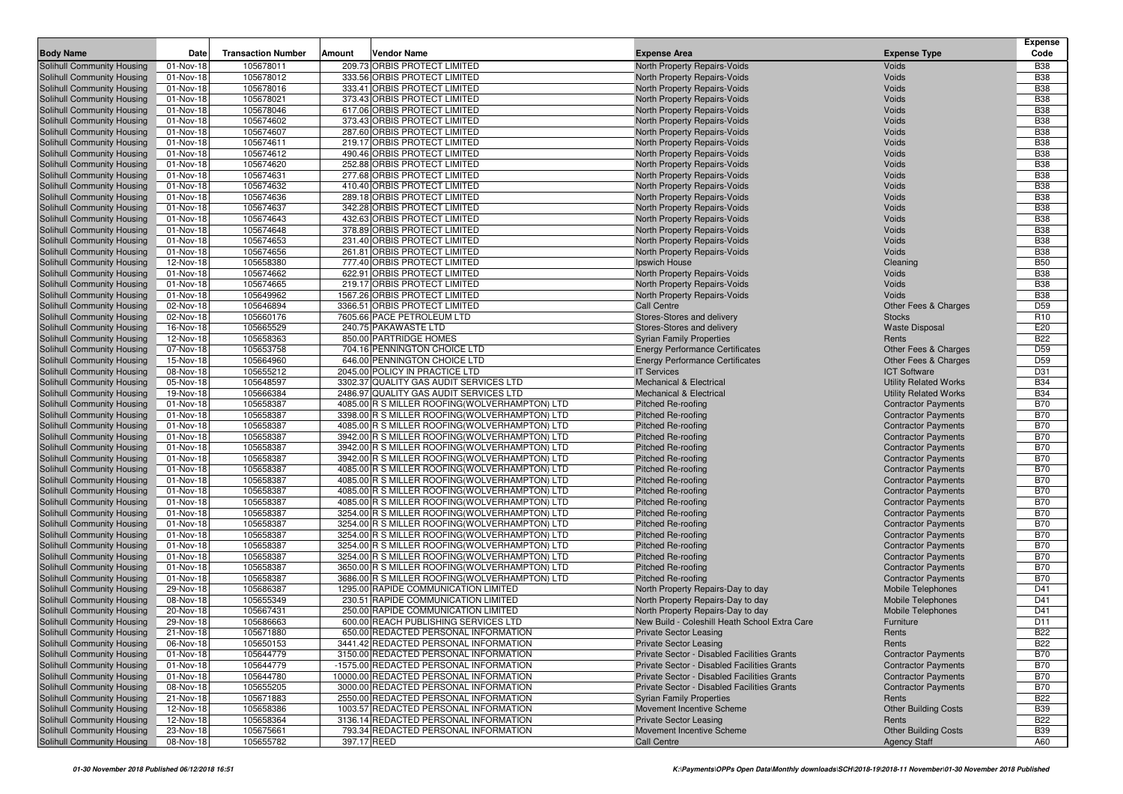| <b>Body Name</b>                                         | Date                   | <b>Transaction Number</b> | Amount      | <b>Vendor Name</b>                                                                             | <b>Expense Area</b>                                        | <b>Expense Type</b>                                      | <b>Expense</b><br>Code   |
|----------------------------------------------------------|------------------------|---------------------------|-------------|------------------------------------------------------------------------------------------------|------------------------------------------------------------|----------------------------------------------------------|--------------------------|
| Solihull Community Housing                               | 01-Nov-18              | 105678011                 |             | 209.73 ORBIS PROTECT LIMITED                                                                   | North Property Repairs-Voids                               | Voids                                                    | <b>B38</b>               |
| Solihull Community Housing                               | 01-Nov-18              | 105678012                 |             | 333.56 ORBIS PROTECT LIMITED                                                                   | North Property Repairs-Voids                               | Voids                                                    | <b>B38</b>               |
| Solihull Community Housing                               | 01-Nov-18              | 105678016                 |             | 333.41 ORBIS PROTECT LIMITED                                                                   | North Property Repairs-Voids                               | Voids                                                    | <b>B38</b>               |
| Solihull Community Housing                               | 01-Nov-18              | 105678021                 |             | 373.43 ORBIS PROTECT LIMITED                                                                   | North Property Repairs-Voids                               | Voids                                                    | <b>B38</b>               |
| Solihull Community Housing                               | 01-Nov-18              | 105678046                 |             | 617.06 ORBIS PROTECT LIMITED                                                                   | North Property Repairs-Voids                               | Voids                                                    | <b>B38</b>               |
| Solihull Community Housing                               | 01-Nov-18              | 105674602                 |             | 373.43 ORBIS PROTECT LIMITED                                                                   | North Property Repairs-Voids                               | Voids                                                    | <b>B38</b>               |
| Solihull Community Housing                               | 01-Nov-18              | 105674607                 |             | 287.60 ORBIS PROTECT LIMITED                                                                   | North Property Repairs-Voids                               | Voids                                                    | <b>B38</b>               |
| Solihull Community Housing                               | 01-Nov-18              | 105674611                 |             | 219.17 ORBIS PROTECT LIMITED                                                                   | North Property Repairs-Voids                               | Voids                                                    | <b>B38</b>               |
| Solihull Community Housing                               | 01-Nov-18              | 105674612                 |             | 490.46 ORBIS PROTECT LIMITED                                                                   | North Property Repairs-Voids                               | Voids                                                    | <b>B38</b>               |
| Solihull Community Housing                               | 01-Nov-18              | 105674620                 |             | 252.88 ORBIS PROTECT LIMITED                                                                   | North Property Repairs-Voids                               | Voids                                                    | <b>B38</b>               |
| Solihull Community Housing                               | 01-Nov-18              | 105674631                 |             | 277.68 ORBIS PROTECT LIMITED                                                                   | North Property Repairs-Voids                               | Voids                                                    | <b>B38</b>               |
| Solihull Community Housing                               | 01-Nov-18              | 105674632                 |             | 410.40 ORBIS PROTECT LIMITED                                                                   | North Property Repairs-Voids                               | Voids                                                    | <b>B38</b>               |
| Solihull Community Housing                               | 01-Nov-18              | 105674636                 |             | 289.18 ORBIS PROTECT LIMITED                                                                   | North Property Repairs-Voids                               | Voids                                                    | <b>B38</b>               |
| Solihull Community Housing                               | 01-Nov-18              | 105674637                 |             | 342.28 ORBIS PROTECT LIMITED                                                                   | North Property Repairs-Voids                               | Voids                                                    | <b>B38</b>               |
| Solihull Community Housing                               | 01-Nov-18              | 105674643                 |             | 432.63 ORBIS PROTECT LIMITED                                                                   | North Property Repairs-Voids                               | Voids                                                    | <b>B38</b>               |
| Solihull Community Housing                               | 01-Nov-18              | 105674648                 |             | 378.89 ORBIS PROTECT LIMITED                                                                   | North Property Repairs-Voids                               | Voids                                                    | <b>B38</b>               |
| Solihull Community Housing                               | 01-Nov-18              | 105674653                 |             | 231.40 ORBIS PROTECT LIMITED                                                                   | North Property Repairs-Voids                               | Voids                                                    | <b>B38</b>               |
| Solihull Community Housing                               | 01-Nov-18              | 105674656                 |             | 261.81 ORBIS PROTECT LIMITED                                                                   | North Property Repairs-Voids                               | Voids                                                    | <b>B38</b>               |
| Solihull Community Housing                               | 12-Nov-18              | 105658380                 |             | 777.40 ORBIS PROTECT LIMITED                                                                   | Ipswich House                                              | Cleaning                                                 | <b>B50</b>               |
| Solihull Community Housing                               | 01-Nov-18              | 105674662                 |             | 622.91 ORBIS PROTECT LIMITED                                                                   | North Property Repairs-Voids                               | Voids                                                    | <b>B38</b>               |
| Solihull Community Housing<br>Solihull Community Housing | 01-Nov-18              | 105674665                 |             | 219.17 ORBIS PROTECT LIMITED                                                                   | North Property Repairs-Voids                               | Voids                                                    | <b>B38</b><br><b>B38</b> |
| Solihull Community Housing                               | 01-Nov-18<br>02-Nov-18 | 105649962<br>105646894    |             | 1567.26 ORBIS PROTECT LIMITED<br>3366.51 ORBIS PROTECT LIMITED                                 | North Property Repairs-Voids<br><b>Call Centre</b>         | Voids<br>Other Fees & Charges                            | D <sub>59</sub>          |
| Solihull Community Housing                               | 02-Nov-18              | 105660176                 |             | 7605.66 PACE PETROLEUM LTD                                                                     | Stores-Stores and delivery                                 | <b>Stocks</b>                                            | R <sub>10</sub>          |
| Solihull Community Housing                               | 16-Nov-18              | 105665529                 |             | 240.75 PAKAWASTE LTD                                                                           | Stores-Stores and delivery                                 | <b>Waste Disposal</b>                                    | E20                      |
| Solihull Community Housing                               | 12-Nov-18              | 105658363                 |             | 850.00 PARTRIDGE HOMES                                                                         | <b>Syrian Family Properties</b>                            | Rents                                                    | <b>B22</b>               |
| Solihull Community Housing                               | 07-Nov-18              | 105653758                 |             | 704.16 PENNINGTON CHOICE LTD                                                                   | <b>Energy Performance Certificates</b>                     | Other Fees & Charges                                     | D <sub>59</sub>          |
| Solihull Community Housing                               | 15-Nov-18              | 105664960                 |             | 646.00 PENNINGTON CHOICE LTD                                                                   | <b>Energy Performance Certificates</b>                     | Other Fees & Charges                                     | D <sub>59</sub>          |
| Solihull Community Housing                               | 08-Nov-18              | 105655212                 |             | 2045.00 POLICY IN PRACTICE LTD                                                                 | <b>IT Services</b>                                         | <b>ICT Software</b>                                      | D31                      |
| Solihull Community Housing                               | 05-Nov-18              | 105648597                 |             | 3302.37 QUALITY GAS AUDIT SERVICES LTD                                                         | <b>Mechanical &amp; Electrical</b>                         | <b>Utility Related Works</b>                             | <b>B34</b>               |
| Solihull Community Housing                               | 19-Nov-18              | 105666384                 |             | 2486.97 QUALITY GAS AUDIT SERVICES LTD                                                         | <b>Mechanical &amp; Electrical</b>                         | <b>Utility Related Works</b>                             | <b>B34</b>               |
| Solihull Community Housing                               | 01-Nov-18              | 105658387                 |             | 4085.00 R S MILLER ROOFING (WOLVERHAMPTON) LTD                                                 | <b>Pitched Re-roofing</b>                                  | <b>Contractor Payments</b>                               | <b>B70</b>               |
| Solihull Community Housing                               | 01-Nov-18              | 105658387                 |             | 3398.00 R S MILLER ROOFING(WOLVERHAMPTON) LTD                                                  | <b>Pitched Re-roofing</b>                                  | <b>Contractor Payments</b>                               | <b>B70</b>               |
| Solihull Community Housing                               | 01-Nov-18              | 105658387                 |             | 4085.00 R S MILLER ROOFING (WOLVERHAMPTON) LTD                                                 | <b>Pitched Re-roofing</b>                                  | <b>Contractor Payments</b>                               | <b>B70</b>               |
| Solihull Community Housing                               | 01-Nov-18              | 105658387                 |             | 3942.00 R S MILLER ROOFING(WOLVERHAMPTON) LTD                                                  | <b>Pitched Re-roofing</b>                                  | <b>Contractor Payments</b>                               | <b>B70</b>               |
| Solihull Community Housing                               | 01-Nov-18              | 105658387                 |             | 3942.00 R S MILLER ROOFING(WOLVERHAMPTON) LTD                                                  | <b>Pitched Re-roofing</b>                                  | <b>Contractor Payments</b>                               | <b>B70</b>               |
| Solihull Community Housing                               | 01-Nov-18              | 105658387                 |             | 3942.00 R S MILLER ROOFING (WOLVERHAMPTON) LTD                                                 | <b>Pitched Re-roofing</b>                                  | <b>Contractor Payments</b>                               | <b>B70</b>               |
| Solihull Community Housing                               | 01-Nov-18              | 105658387                 |             | 4085.00 R S MILLER ROOFING (WOLVERHAMPTON) LTD                                                 | <b>Pitched Re-roofing</b>                                  | <b>Contractor Payments</b>                               | <b>B70</b>               |
| Solihull Community Housing                               | 01-Nov-18              | 105658387                 |             | 4085.00 R S MILLER ROOFING (WOLVERHAMPTON) LTD                                                 | <b>Pitched Re-roofing</b>                                  | <b>Contractor Payments</b>                               | <b>B70</b>               |
| Solihull Community Housing                               | 01-Nov-18              | 105658387<br>105658387    |             | 4085.00 R S MILLER ROOFING(WOLVERHAMPTON) LTD<br>4085.00 R S MILLER ROOFING(WOLVERHAMPTON) LTD | <b>Pitched Re-roofing</b>                                  | <b>Contractor Payments</b>                               | <b>B70</b><br><b>B70</b> |
| Solihull Community Housing<br>Solihull Community Housing | 01-Nov-18<br>01-Nov-18 | 105658387                 |             | 3254.00 R S MILLER ROOFING (WOLVERHAMPTON) LTD                                                 | <b>Pitched Re-roofing</b><br><b>Pitched Re-roofing</b>     | <b>Contractor Payments</b><br><b>Contractor Payments</b> | <b>B70</b>               |
| Solihull Community Housing                               | 01-Nov-18              | 105658387                 |             | 3254.00 R S MILLER ROOFING (WOLVERHAMPTON) LTD                                                 | <b>Pitched Re-roofing</b>                                  | <b>Contractor Payments</b>                               | <b>B70</b>               |
| Solihull Community Housing                               | 01-Nov-18              | 105658387                 |             | 3254.00 R S MILLER ROOFING (WOLVERHAMPTON) LTD                                                 | <b>Pitched Re-roofing</b>                                  | <b>Contractor Payments</b>                               | <b>B70</b>               |
| Solihull Community Housing                               | 01-Nov-18              | 105658387                 |             | 3254.00 R S MILLER ROOFING(WOLVERHAMPTON) LTD                                                  | Pitched Re-roofing                                         | <b>Contractor Payments</b>                               | <b>B70</b>               |
| Solihull Community Housing                               | 01-Nov-18              | 105658387                 |             | 3254.00 R S MILLER ROOFING(WOLVERHAMPTON) LTD                                                  | <b>Pitched Re-roofing</b>                                  | <b>Contractor Payments</b>                               | <b>B70</b>               |
| Solihull Community Housing                               | 01-Nov-18              | 105658387                 |             | 3650.00 R S MILLER ROOFING (WOLVERHAMPTON) LTD                                                 | <b>Pitched Re-roofing</b>                                  | <b>Contractor Payments</b>                               | <b>B70</b>               |
| Solihull Community Housing                               | 01-Nov-18              | 105658387                 |             | 3686.00 R S MILLER ROOFING(WOLVERHAMPTON) LTD                                                  | <b>Pitched Re-roofing</b>                                  | <b>Contractor Payments</b>                               | <b>B70</b>               |
| Solihull Community Housing                               | 29-Nov-18              | 105686387                 |             | 1295.00 RAPIDE COMMUNICATION LIMITED                                                           | North Property Repairs-Day to day                          | <b>Mobile Telephones</b>                                 | D41                      |
| Solihull Community Housing                               | 08-Nov-18              | 105655349                 |             | 230.51 RAPIDE COMMUNICATION LIMITED                                                            | North Property Repairs-Day to day                          | <b>Mobile Telephones</b>                                 | D41                      |
| Solihull Community Housing                               | 20-Nov-18              | 105667431                 |             | 250.00 RAPIDE COMMUNICATION LIMITED                                                            | North Property Repairs-Day to day                          | <b>Mobile Telephones</b>                                 | D41                      |
| Solihull Community Housing                               | 29-Nov-18              | 105686663                 |             | 600.00 REACH PUBLISHING SERVICES LTD                                                           | New Build - Coleshill Heath School Extra Care              | Furniture                                                | D <sub>11</sub>          |
| Solihull Community Housing                               | 21-Nov-18              | 105671880                 |             | 650.00 REDACTED PERSONAL INFORMATION                                                           | <b>Private Sector Leasing</b>                              | Rents                                                    | <b>B22</b>               |
| Solihull Community Housing                               | 06-Nov-18              | 105650153                 |             | 3441.42 REDACTED PERSONAL INFORMATION                                                          | <b>Private Sector Leasing</b>                              | Rents                                                    | <b>B22</b>               |
| Solihull Community Housing                               | 01-Nov-18              | 105644779                 |             | 3150.00 REDACTED PERSONAL INFORMATION                                                          | Private Sector - Disabled Facilities Grants                | <b>Contractor Payments</b>                               | <b>B70</b>               |
| Solihull Community Housing                               | 01-Nov-18              | 105644779                 |             | -1575.00 REDACTED PERSONAL INFORMATION                                                         | Private Sector - Disabled Facilities Grants                | <b>Contractor Payments</b>                               | <b>B70</b>               |
| Solihull Community Housing                               | 01-Nov-18              | 105644780                 |             | 10000.00 REDACTED PERSONAL INFORMATION                                                         | Private Sector - Disabled Facilities Grants                | <b>Contractor Payments</b>                               | <b>B70</b>               |
| Solihull Community Housing                               | 08-Nov-18              | 105655205                 |             | 3000.00 REDACTED PERSONAL INFORMATION                                                          | Private Sector - Disabled Facilities Grants                | <b>Contractor Payments</b>                               | <b>B70</b>               |
| Solihull Community Housing                               | 21-Nov-18              | 105671883                 |             | 2550.00 REDACTED PERSONAL INFORMATION                                                          | <b>Syrian Family Properties</b>                            | Rents                                                    | <b>B22</b>               |
| Solihull Community Housing                               | 12-Nov-18              | 105658386                 |             | 1003.57 REDACTED PERSONAL INFORMATION                                                          | Movement Incentive Scheme                                  | <b>Other Building Costs</b>                              | <b>B39</b>               |
| Solihull Community Housing<br>Solihull Community Housing | 12-Nov-18              | 105658364<br>105675661    |             | 3136.14 REDACTED PERSONAL INFORMATION<br>793.34 REDACTED PERSONAL INFORMATION                  | <b>Private Sector Leasing</b><br>Movement Incentive Scheme | Rents                                                    | <b>B22</b><br><b>B39</b> |
| Solihull Community Housing                               | 23-Nov-18<br>08-Nov-18 | 105655782                 | 397.17 REED |                                                                                                | Call Centre                                                | <b>Other Building Costs</b><br><b>Agency Staff</b>       | A60                      |
|                                                          |                        |                           |             |                                                                                                |                                                            |                                                          |                          |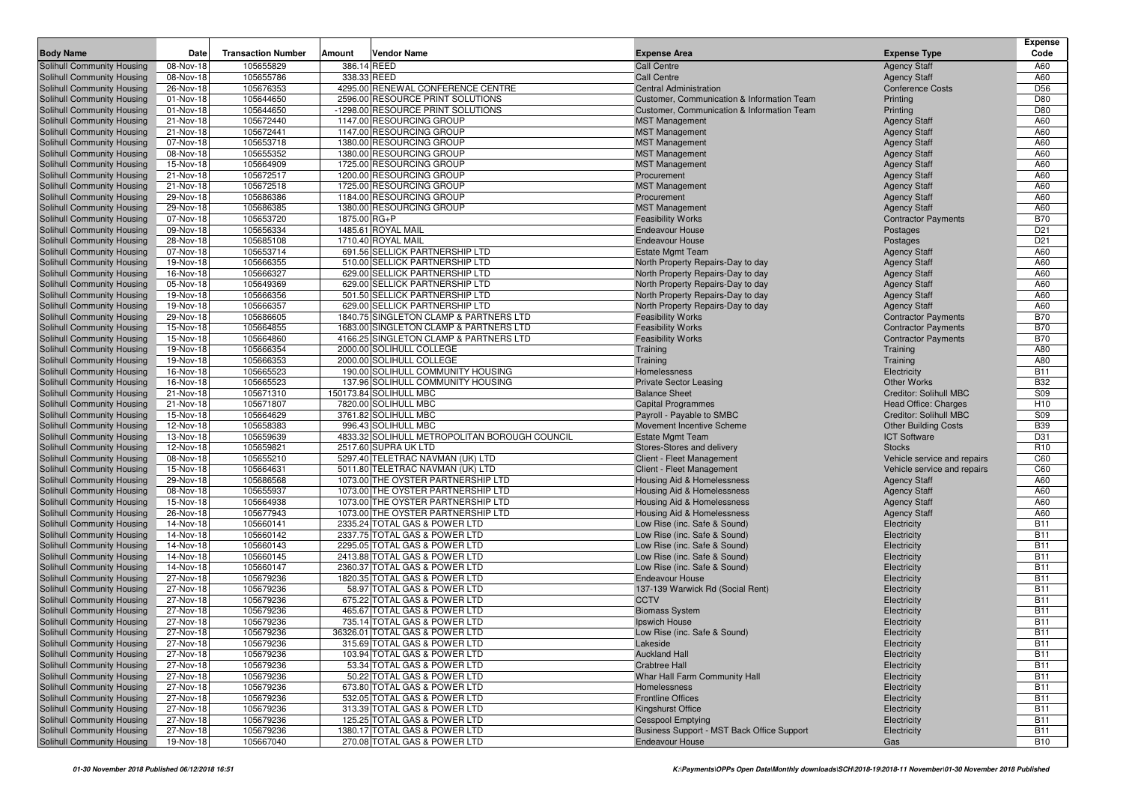|                                                          |                                      |                           |              |                                                                |                                                              |                                            | <b>Expense</b>           |
|----------------------------------------------------------|--------------------------------------|---------------------------|--------------|----------------------------------------------------------------|--------------------------------------------------------------|--------------------------------------------|--------------------------|
| <b>Body Name</b>                                         | Date                                 | <b>Transaction Number</b> | Amount       | Vendor Name                                                    | <b>Expense Area</b>                                          | <b>Expense Type</b>                        | Code                     |
| Solihull Community Housing                               | 08-Nov-18                            | 105655829                 |              | 386.14 REED                                                    | <b>Call Centre</b>                                           | <b>Agency Staff</b>                        | A60                      |
| Solihull Community Housing                               | 08-Nov-18                            | 105655786                 |              | 338.33 REED                                                    | <b>Call Centre</b>                                           | <b>Agency Staff</b>                        | A60                      |
| Solihull Community Housing                               | 26-Nov-18                            | 105676353                 |              | 4295.00 RENEWAL CONFERENCE CENTRE                              | <b>Central Administration</b>                                | <b>Conference Costs</b>                    | D <sub>56</sub>          |
| Solihull Community Housing                               | 01-Nov-18                            | 105644650                 |              | 2596.00 RESOURCE PRINT SOLUTIONS                               | Customer, Communication & Information Team                   | Printing                                   | D80                      |
| Solihull Community Housing                               | 01-Nov-18                            | 105644650                 |              | -1298.00 RESOURCE PRINT SOLUTIONS                              | Customer, Communication & Information Team                   | Printing                                   | D80                      |
| Solihull Community Housing                               | 21-Nov-18                            | 105672440                 |              | 1147.00 RESOURCING GROUP                                       | <b>MST Management</b>                                        | <b>Agency Staff</b>                        | A60                      |
| Solihull Community Housing                               | 21-Nov-18                            | 105672441                 |              | 1147.00 RESOURCING GROUP                                       | <b>MST Management</b>                                        | <b>Agency Staff</b>                        | A60                      |
| Solihull Community Housing                               | 07-Nov-18                            | 105653718                 |              | 1380.00 RESOURCING GROUP                                       | <b>MST Management</b>                                        | <b>Agency Staff</b>                        | A60                      |
| Solihull Community Housing                               | 08-Nov-18                            | 105655352                 |              | 1380.00 RESOURCING GROUP                                       | <b>MST Management</b>                                        | <b>Agency Staff</b>                        | A60                      |
| Solihull Community Housing                               | 15-Nov-18                            | 105664909                 |              | 1725.00 RESOURCING GROUP                                       | <b>MST Management</b>                                        | <b>Agency Staff</b>                        | A60                      |
| Solihull Community Housing                               | 21-Nov-18                            | 105672517                 |              | 1200.00 RESOURCING GROUP                                       | Procurement                                                  | <b>Agency Staff</b>                        | A60                      |
| Solihull Community Housing                               | 21-Nov-18                            | 105672518                 |              | 1725.00 RESOURCING GROUP                                       | <b>MST Management</b>                                        | <b>Agency Staff</b>                        | A60                      |
| Solihull Community Housing                               | 29-Nov-18                            | 105686386<br>105686385    |              | 1184.00 RESOURCING GROUP                                       | Procurement                                                  | <b>Agency Staff</b><br><b>Agency Staff</b> | A60                      |
| Solihull Community Housing                               | 29-Nov-18                            |                           |              | 1380.00 RESOURCING GROUP                                       | <b>MST Management</b><br><b>Feasibility Works</b>            |                                            | A60<br><b>B70</b>        |
| Solihull Community Housing                               | 07-Nov-18<br>09-Nov-18               | 105653720<br>105656334    | 1875.00 RG+P | 1485.61 ROYAL MAIL                                             | <b>Endeavour House</b>                                       | <b>Contractor Payments</b>                 | D <sub>21</sub>          |
| Solihull Community Housing<br>Solihull Community Housing | 28-Nov-18                            | 105685108                 |              | 1710.40 ROYAL MAIL                                             | <b>Endeavour House</b>                                       | Postages<br>Postages                       | D <sub>21</sub>          |
| Solihull Community Housing                               | 07-Nov-18                            | 105653714                 |              | 691.56 SELLICK PARTNERSHIP LTD                                 | <b>Estate Mgmt Team</b>                                      | <b>Agency Staff</b>                        | A60                      |
| Solihull Community Housing                               | 19-Nov-18                            | 105666355                 |              | 510.00 SELLICK PARTNERSHIP LTD                                 | North Property Repairs-Day to day                            | <b>Agency Staff</b>                        | A60                      |
| Solihull Community Housing                               | 16-Nov-18                            | 105666327                 |              | 629.00 SELLICK PARTNERSHIP LTD                                 | North Property Repairs-Day to day                            | <b>Agency Staff</b>                        | A60                      |
| Solihull Community Housing                               | 05-Nov-18                            | 105649369                 |              | 629.00 SELLICK PARTNERSHIP LTD                                 | North Property Repairs-Day to day                            | <b>Agency Staff</b>                        | A60                      |
| Solihull Community Housing                               | 19-Nov-18                            | 105666356                 |              | 501.50 SELLICK PARTNERSHIP LTD                                 | North Property Repairs-Day to day                            | <b>Agency Staff</b>                        | A60                      |
| Solihull Community Housing                               | 19-Nov-18                            | 105666357                 |              | 629.00 SELLICK PARTNERSHIP LTD                                 | North Property Repairs-Day to day                            | <b>Agency Staff</b>                        | A60                      |
| Solihull Community Housing                               | 29-Nov-18                            | 105686605                 |              | 1840.75 SINGLETON CLAMP & PARTNERS LTD                         | <b>Feasibility Works</b>                                     | <b>Contractor Payments</b>                 | <b>B70</b>               |
| Solihull Community Housing                               | 15-Nov-18                            | 105664855                 |              | 1683.00 SINGLETON CLAMP & PARTNERS LTD                         | <b>Feasibility Works</b>                                     | <b>Contractor Payments</b>                 | <b>B70</b>               |
| Solihull Community Housing                               | 15-Nov-18                            | 105664860                 |              | 4166.25 SINGLETON CLAMP & PARTNERS LTD                         | <b>Feasibility Works</b>                                     | <b>Contractor Payments</b>                 | <b>B70</b>               |
| Solihull Community Housing                               | 19-Nov-18                            | 105666354                 |              | 2000.00 SOLIHULL COLLEGE                                       | Training                                                     | Training                                   | A80                      |
| Solihull Community Housing                               | 19-Nov-18                            | 105666353                 |              | 2000.00 SOLIHULL COLLEGE                                       | Training                                                     | Training                                   | A80                      |
| Solihull Community Housing                               | 16-Nov-18                            | 105665523                 |              | 190.00 SOLIHULL COMMUNITY HOUSING                              | Homelessness                                                 | Electricity                                | <b>B11</b>               |
| Solihull Community Housing                               | 16-Nov-18                            | 105665523                 |              | 137.96 SOLIHULL COMMUNITY HOUSING                              | <b>Private Sector Leasing</b>                                | <b>Other Works</b>                         | <b>B32</b>               |
| Solihull Community Housing                               | 21-Nov-18                            | 105671310                 |              | 150173.84 SOLIHULL MBC                                         | <b>Balance Sheet</b>                                         | Creditor: Solihull MBC                     | S09                      |
| Solihull Community Housing                               | 21-Nov-18                            | 105671807                 |              | 7820.00 SOLIHULL MBC                                           | <b>Capital Programmes</b>                                    | Head Office: Charges                       | H <sub>10</sub>          |
| Solihull Community Housing                               | 15-Nov-18                            | 105664629                 |              | 3761.82 SOLIHULL MBC                                           | Payroll - Payable to SMBC                                    | <b>Creditor: Solihull MBC</b>              | S09                      |
| Solihull Community Housing                               | 12-Nov-18                            | 105658383                 |              | 996.43 SOLIHULL MBC                                            | Movement Incentive Scheme                                    | <b>Other Building Costs</b>                | <b>B39</b>               |
| Solihull Community Housing                               | 13-Nov-18                            | 105659639                 |              | 4833.32 SOLIHULL METROPOLITAN BOROUGH COUNCIL                  | <b>Estate Mgmt Team</b>                                      | <b>ICT Software</b>                        | D31                      |
| Solihull Community Housing                               | 12-Nov-18                            | 105659821                 |              | 2517.60 SUPRA UK LTD                                           | Stores-Stores and delivery                                   | <b>Stocks</b>                              | R <sub>10</sub>          |
| Solihull Community Housing                               | 08-Nov-18                            | 105655210                 |              | 5297.40 TELETRAC NAVMAN (UK) LTD                               | Client - Fleet Management                                    | Vehicle service and repairs                | C60                      |
| Solihull Community Housing                               | 15-Nov-18                            | 105664631                 |              | 5011.80 TELETRAC NAVMAN (UK) LTD                               | Client - Fleet Management                                    | Vehicle service and repairs                | C60                      |
| Solihull Community Housing                               | 29-Nov-18                            | 105686568                 |              | 1073.00 THE OYSTER PARTNERSHIP LTD                             | Housing Aid & Homelessness                                   | <b>Agency Staff</b>                        | A60                      |
| Solihull Community Housing                               | 08-Nov-18                            | 105655937                 |              | 1073.00 THE OYSTER PARTNERSHIP LTD                             | Housing Aid & Homelessness                                   | <b>Agency Staff</b>                        | A60                      |
| Solihull Community Housing                               | 15-Nov-18                            | 105664938                 |              | 1073.00 THE OYSTER PARTNERSHIP LTD                             | Housing Aid & Homelessness                                   | <b>Agency Staff</b>                        | A60                      |
| Solihull Community Housing                               | 26-Nov-18                            | 105677943                 |              | 1073.00 THE OYSTER PARTNERSHIP LTD                             | Housing Aid & Homelessness                                   | <b>Agency Staff</b>                        | A60                      |
| Solihull Community Housing                               | 14-Nov-18<br>$\overline{14}$ -Nov-18 | 105660141<br>105660142    |              | 2335.24 TOTAL GAS & POWER LTD<br>2337.75 TOTAL GAS & POWER LTD | Low Rise (inc. Safe & Sound)                                 | Electricity                                | <b>B11</b><br><b>B11</b> |
| Solihull Community Housing                               |                                      |                           |              |                                                                | Low Rise (inc. Safe & Sound)                                 | Electricity                                | <b>B11</b>               |
| Solihull Community Housing<br>Solihull Community Housing | 14-Nov-18<br>14-Nov-18               | 105660143<br>105660145    |              | 2295.05 TOTAL GAS & POWER LTD<br>2413.88 TOTAL GAS & POWER LTD | Low Rise (inc. Safe & Sound)<br>Low Rise (inc. Safe & Sound) | Electricity<br>Electricity                 | <b>B11</b>               |
| Solihull Community Housing                               | 14-Nov-18                            | 105660147                 |              | 2360.37 TOTAL GAS & POWER LTD                                  | Low Rise (inc. Safe & Sound)                                 | Electricity                                | <b>B11</b>               |
| Solihull Community Housing                               | 27-Nov-18                            | 105679236                 |              | 1820.35 TOTAL GAS & POWER LTD                                  | <b>Endeavour House</b>                                       | Electricity                                | <b>B11</b>               |
| Solihull Community Housing                               | 27-Nov-18                            | 105679236                 |              | 58.97 TOTAL GAS & POWER LTD                                    | 137-139 Warwick Rd (Social Rent)                             | Electricity                                | <b>B11</b>               |
| <b>Solihull Community Housing</b>                        | 27-Nov-18                            | 105679236                 |              | 675.22 TOTAL GAS & POWER LTD                                   | <b>CCTV</b>                                                  | Electricity                                | <b>B11</b>               |
| Solihull Community Housing                               | 27-Nov-18                            | 105679236                 |              | 465.67 TOTAL GAS & POWER LTD                                   | <b>Biomass System</b>                                        | Electricity                                | <b>B11</b>               |
| Solihull Community Housing                               | 27-Nov-18                            | 105679236                 |              | 735.14 TOTAL GAS & POWER LTD                                   | Ipswich House                                                | Electricity                                | <b>B11</b>               |
| Solihull Community Housing                               | 27-Nov-18                            | 105679236                 |              | 36326.01 TOTAL GAS & POWER LTD                                 | Low Rise (inc. Safe & Sound)                                 | Electricity                                | <b>B11</b>               |
| Solihull Community Housing                               | 27-Nov-18                            | 105679236                 |              | 315.69 TOTAL GAS & POWER LTD                                   | Lakeside                                                     | Electricity                                | <b>B11</b>               |
| Solihull Community Housing                               | 27-Nov-18                            | 105679236                 |              | 103.94 TOTAL GAS & POWER LTD                                   | <b>Auckland Hall</b>                                         | Electricity                                | <b>B11</b>               |
| Solihull Community Housing                               | 27-Nov-18                            | 105679236                 |              | 53.34 TOTAL GAS & POWER LTD                                    | <b>Crabtree Hall</b>                                         | Electricity                                | <b>B11</b>               |
| Solihull Community Housing                               | 27-Nov-18                            | 105679236                 |              | 50.22 TOTAL GAS & POWER LTD                                    | Whar Hall Farm Community Hall                                | Electricity                                | <b>B11</b>               |
| Solihull Community Housing                               | 27-Nov-18                            | 105679236                 |              | 673.80 TOTAL GAS & POWER LTD                                   | Homelessness                                                 | Electricity                                | <b>B11</b>               |
| Solihull Community Housing                               | 27-Nov-18                            | 105679236                 |              | 532.05 TOTAL GAS & POWER LTD                                   | <b>Frontline Offices</b>                                     | Electricity                                | <b>B11</b>               |
| Solihull Community Housing                               | 27-Nov-18                            | 105679236                 |              | 313.39 TOTAL GAS & POWER LTD                                   | Kingshurst Office                                            | Electricity                                | <b>B11</b>               |
| Solihull Community Housing                               | 27-Nov-18                            | 105679236                 |              | 125.25 TOTAL GAS & POWER LTD                                   | <b>Cesspool Emptying</b>                                     | Electricity                                | <b>B11</b>               |
| Solihull Community Housing                               | 27-Nov-18                            | 105679236                 |              | 1380.17 TOTAL GAS & POWER LTD                                  | Business Support - MST Back Office Support                   | Electricity                                | <b>B11</b>               |
| Solihull Community Housing                               | 19-Nov-18                            | 105667040                 |              | 270.08 TOTAL GAS & POWER LTD                                   | Endeavour House                                              | Gas                                        | <b>B10</b>               |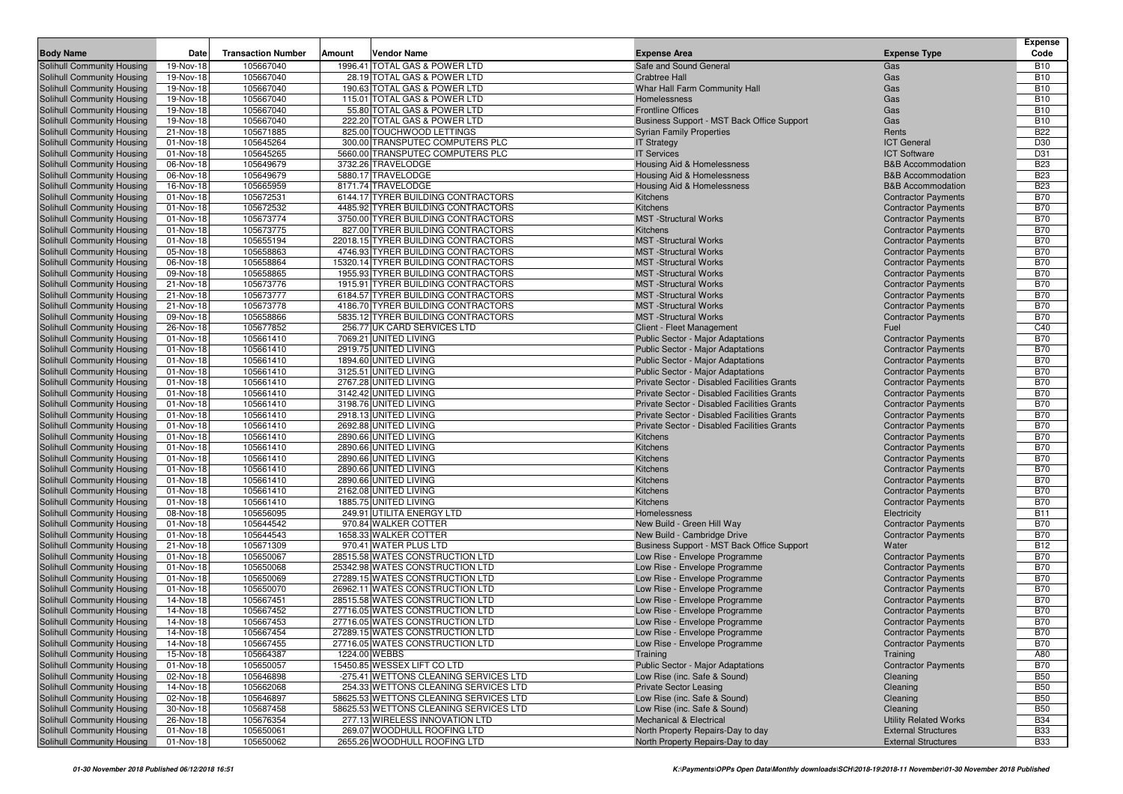|                                                          |                        |                           |                                                                          |                                                                |                                                          | <b>Expense</b>           |
|----------------------------------------------------------|------------------------|---------------------------|--------------------------------------------------------------------------|----------------------------------------------------------------|----------------------------------------------------------|--------------------------|
| <b>Body Name</b>                                         | Date                   | <b>Transaction Number</b> | Amount<br>Vendor Name                                                    | <b>Expense Area</b>                                            | <b>Expense Type</b>                                      | Code                     |
| Solihull Community Housing                               | 19-Nov-18              | 105667040                 | 1996.41 TOTAL GAS & POWER LTD                                            | Safe and Sound General                                         | Gas                                                      | <b>B10</b>               |
| Solihull Community Housing                               | 19-Nov-18              | 105667040<br>105667040    | 28.19 TOTAL GAS & POWER LTD                                              | <b>Crabtree Hall</b>                                           | Gas<br>Gas                                               | <b>B10</b><br><b>B10</b> |
| Solihull Community Housing<br>Solihull Community Housing | 19-Nov-18<br>19-Nov-18 | 105667040                 | 190.63 TOTAL GAS & POWER LTD<br>115.01 TOTAL GAS & POWER LTD             | Whar Hall Farm Community Hall<br>Homelessness                  | Gas                                                      | <b>B10</b>               |
| Solihull Community Housing                               | 19-Nov-18              | 105667040                 | 55.80 TOTAL GAS & POWER LTD                                              | <b>Frontline Offices</b>                                       | Gas                                                      | <b>B10</b>               |
| Solihull Community Housing                               | 19-Nov-18              | 105667040                 | 222.20 TOTAL GAS & POWER LTD                                             | Business Support - MST Back Office Support                     | Gas                                                      | <b>B10</b>               |
| Solihull Community Housing                               | 21-Nov-18              | 105671885                 | 825.00 TOUCHWOOD LETTINGS                                                | <b>Syrian Family Properties</b>                                | Rents                                                    | <b>B22</b>               |
| Solihull Community Housing                               | 01-Nov-18              | 105645264                 | 300.00 TRANSPUTEC COMPUTERS PLC                                          | <b>IT Strategy</b>                                             | <b>ICT General</b>                                       | D30                      |
| Solihull Community Housing                               | 01-Nov-18              | 105645265                 | 5660.00 TRANSPUTEC COMPUTERS PLC                                         | <b>IT Services</b>                                             | <b>ICT Software</b>                                      | D31                      |
| Solihull Community Housing                               | 06-Nov-18              | 105649679                 | 3732.26 TRAVELODGE                                                       | Housing Aid & Homelessness                                     | <b>B&amp;B Accommodation</b>                             | <b>B23</b>               |
| Solihull Community Housing                               | 06-Nov-18              | 105649679                 | 5880.17 TRAVELODGE                                                       | <b>Housing Aid &amp; Homelessness</b>                          | <b>B&amp;B</b> Accommodation                             | <b>B23</b>               |
| Solihull Community Housing                               | 16-Nov-18              | 105665959                 | 8171.74 TRAVELODGE                                                       | Housing Aid & Homelessness                                     | <b>B&amp;B Accommodation</b>                             | <b>B23</b>               |
| Solihull Community Housing                               | 01-Nov-18              | 105672531                 | 6144.17 TYRER BUILDING CONTRACTORS                                       | Kitchens                                                       | <b>Contractor Payments</b>                               | <b>B70</b>               |
| Solihull Community Housing                               | 01-Nov-18              | 105672532                 | 4485.92 TYRER BUILDING CONTRACTORS                                       | Kitchens                                                       | <b>Contractor Payments</b>                               | <b>B70</b>               |
| Solihull Community Housing                               | 01-Nov-18              | 105673774                 | 3750.00 TYRER BUILDING CONTRACTORS                                       | <b>MST</b> -Structural Works                                   | <b>Contractor Payments</b>                               | <b>B70</b>               |
| Solihull Community Housing                               | 01-Nov-18              | 105673775                 | 827.00 TYRER BUILDING CONTRACTORS                                        | <b>Kitchens</b>                                                | <b>Contractor Payments</b>                               | <b>B70</b>               |
| Solihull Community Housing                               | 01-Nov-18              | 105655194                 | 22018.15 TYRER BUILDING CONTRACTORS                                      | <b>MST</b> -Structural Works                                   | <b>Contractor Payments</b>                               | <b>B70</b>               |
| Solihull Community Housing                               | 05-Nov-18              | 105658863                 | 4746.93 TYRER BUILDING CONTRACTORS                                       | <b>MST</b> -Structural Works                                   | <b>Contractor Payments</b>                               | <b>B70</b>               |
| Solihull Community Housing                               | 06-Nov-18              | 105658864                 | 15320.14 TYRER BUILDING CONTRACTORS                                      | <b>MST</b> -Structural Works                                   | <b>Contractor Payments</b>                               | <b>B70</b><br><b>B70</b> |
| Solihull Community Housing<br>Solihull Community Housing | 09-Nov-18<br>21-Nov-18 | 105658865<br>105673776    | 1955.93 TYRER BUILDING CONTRACTORS<br>1915.91 TYRER BUILDING CONTRACTORS | <b>MST</b> -Structural Works<br><b>MST</b> -Structural Works   | <b>Contractor Payments</b><br><b>Contractor Payments</b> | <b>B70</b>               |
| Solihull Community Housing                               | 21-Nov-18              | 105673777                 | 6184.57 TYRER BUILDING CONTRACTORS                                       | <b>MST</b> -Structural Works                                   | <b>Contractor Payments</b>                               | <b>B70</b>               |
| Solihull Community Housing                               | 21-Nov-18              | 105673778                 | 4186.70 TYRER BUILDING CONTRACTORS                                       | <b>MST</b> -Structural Works                                   | <b>Contractor Payments</b>                               | <b>B70</b>               |
| Solihull Community Housing                               | 09-Nov-18              | 105658866                 | 5835.12 TYRER BUILDING CONTRACTORS                                       | <b>MST</b> -Structural Works                                   | <b>Contractor Payments</b>                               | <b>B70</b>               |
| Solihull Community Housing                               | 26-Nov-18              | 105677852                 | 256.77 UK CARD SERVICES LTD                                              | Client - Fleet Management                                      | Fuel                                                     | C40                      |
| Solihull Community Housing                               | 01-Nov-18              | 105661410                 | 7069.21 UNITED LIVING                                                    | <b>Public Sector - Major Adaptations</b>                       | <b>Contractor Payments</b>                               | <b>B70</b>               |
| Solihull Community Housing                               | 01-Nov-18              | 105661410                 | 2919.75 UNITED LIVING                                                    | Public Sector - Major Adaptations                              | <b>Contractor Payments</b>                               | <b>B70</b>               |
| Solihull Community Housing                               | 01-Nov-18              | 105661410                 | 1894.60 UNITED LIVING                                                    | Public Sector - Major Adaptations                              | <b>Contractor Payments</b>                               | <b>B70</b>               |
| Solihull Community Housing                               | 01-Nov-18              | 105661410                 | 3125.51 UNITED LIVING                                                    | <b>Public Sector - Major Adaptations</b>                       | <b>Contractor Payments</b>                               | <b>B70</b>               |
| Solihull Community Housing                               | 01-Nov-18              | 105661410                 | 2767.28 UNITED LIVING                                                    | Private Sector - Disabled Facilities Grants                    | <b>Contractor Payments</b>                               | <b>B70</b>               |
| Solihull Community Housing                               | 01-Nov-18              | 105661410                 | 3142.42 UNITED LIVING                                                    | Private Sector - Disabled Facilities Grants                    | <b>Contractor Payments</b>                               | <b>B70</b>               |
| Solihull Community Housing                               | 01-Nov-18              | 105661410                 | 3198.76 UNITED LIVING                                                    | Private Sector - Disabled Facilities Grants                    | <b>Contractor Payments</b>                               | <b>B70</b>               |
| Solihull Community Housing                               | 01-Nov-18              | 105661410                 | 2918.13 UNITED LIVING                                                    | Private Sector - Disabled Facilities Grants                    | <b>Contractor Payments</b>                               | <b>B70</b>               |
| Solihull Community Housing<br>Solihull Community Housing | 01-Nov-18<br>01-Nov-18 | 105661410<br>105661410    | 2692.88 UNITED LIVING<br>2890.66 UNITED LIVING                           | Private Sector - Disabled Facilities Grants<br>Kitchens        | <b>Contractor Payments</b><br><b>Contractor Payments</b> | <b>B70</b><br><b>B70</b> |
| Solihull Community Housing                               | 01-Nov-18              | 105661410                 | 2890.66 UNITED LIVING                                                    | Kitchens                                                       | <b>Contractor Payments</b>                               | <b>B70</b>               |
| Solihull Community Housing                               | 01-Nov-18              | 105661410                 | 2890.66 UNITED LIVING                                                    | Kitchens                                                       | <b>Contractor Payments</b>                               | <b>B70</b>               |
| Solihull Community Housing                               | 01-Nov-18              | 105661410                 | 2890.66 UNITED LIVING                                                    | Kitchens                                                       | <b>Contractor Payments</b>                               | <b>B70</b>               |
| Solihull Community Housing                               | 01-Nov-18              | 105661410                 | 2890.66 UNITED LIVING                                                    | Kitchens                                                       | <b>Contractor Payments</b>                               | <b>B70</b>               |
| Solihull Community Housing                               | 01-Nov-18              | 105661410                 | 2162.08 UNITED LIVING                                                    | Kitchens                                                       | <b>Contractor Payments</b>                               | <b>B70</b>               |
| Solihull Community Housing                               | 01-Nov-18              | 105661410                 | 1885.75 UNITED LIVING                                                    | <b>Kitchens</b>                                                | <b>Contractor Payments</b>                               | <b>B70</b>               |
| Solihull Community Housing                               | 08-Nov-18              | 105656095                 | 249.91 UTILITA ENERGY LTD                                                | Homelessness                                                   | Electricity                                              | <b>B11</b>               |
| Solihull Community Housing                               | 01-Nov-18              | 105644542                 | 970.84 WALKER COTTER                                                     | New Build - Green Hill Way                                     | <b>Contractor Payments</b>                               | <b>B70</b>               |
| Solihull Community Housing                               | 01-Nov-18              | 105644543                 | 1658.33 WALKER COTTER                                                    | New Build - Cambridge Drive                                    | <b>Contractor Payments</b>                               | <b>B70</b>               |
| Solihull Community Housing                               | 21-Nov-18              | 105671309                 | 970.41 WATER PLUS LTD                                                    | Business Support - MST Back Office Support                     | Water                                                    | <b>B12</b>               |
| Solihull Community Housing                               | 01-Nov-18              | 105650067                 | 28515.58 WATES CONSTRUCTION LTD                                          | Low Rise - Envelope Programme                                  | <b>Contractor Payments</b>                               | <b>B70</b>               |
| Solihull Community Housing                               | 01-Nov-18<br>01-Nov-18 | 105650068                 | 25342.98 WATES CONSTRUCTION LTD                                          | Low Rise - Envelope Programme                                  | <b>Contractor Payments</b>                               | <b>B70</b>               |
| Solihull Community Housing<br>Solihull Community Housing |                        | 105650069<br>105650070    | 27289.15 WATES CONSTRUCTION LTD<br>26962.11 WATES CONSTRUCTION LTD       | Low Rise - Envelope Programme                                  | <b>Contractor Payments</b>                               | <b>B70</b><br><b>B70</b> |
| Solihull Community Housing                               | 01-Nov-18<br>14-Nov-18 | 105667451                 | 28515.58 WATES CONSTRUCTION LTD                                          | Low Rise - Envelope Programme<br>Low Rise - Envelope Programme | <b>Contractor Payments</b><br><b>Contractor Payments</b> | <b>B70</b>               |
| Solihull Community Housing                               | 14-Nov-18              | 105667452                 | 27716.05 WATES CONSTRUCTION LTD                                          | Low Rise - Envelope Programme                                  | <b>Contractor Payments</b>                               | <b>B70</b>               |
| Solihull Community Housing                               | 14-Nov-18              | 105667453                 | 27716.05 WATES CONSTRUCTION LTD                                          | Low Rise - Envelope Programme                                  | <b>Contractor Payments</b>                               | <b>B70</b>               |
| Solihull Community Housing                               | 14-Nov-18              | 105667454                 | 27289.15 WATES CONSTRUCTION LTD                                          | Low Rise - Envelope Programme                                  | <b>Contractor Payments</b>                               | <b>B70</b>               |
| Solihull Community Housing                               | 14-Nov-18              | 105667455                 | 27716.05 WATES CONSTRUCTION LTD                                          | Low Rise - Envelope Programme                                  | <b>Contractor Payments</b>                               | <b>B70</b>               |
| Solihull Community Housing                               | 15-Nov-18              | 105664387                 | 1224.00 WEBBS                                                            | Training                                                       | Training                                                 | A80                      |
| Solihull Community Housing                               | 01-Nov-18              | 105650057                 | 15450.85 WESSEX LIFT CO LTD                                              | Public Sector - Major Adaptations                              | <b>Contractor Payments</b>                               | <b>B70</b>               |
| Solihull Community Housing                               | 02-Nov-18              | 105646898                 | -275.41 WETTONS CLEANING SERVICES LTD                                    | Low Rise (inc. Safe & Sound)                                   | Cleaning                                                 | <b>B50</b>               |
| Solihull Community Housing                               | 14-Nov-18              | 105662068                 | 254.33 WETTONS CLEANING SERVICES LTD                                     | <b>Private Sector Leasing</b>                                  | Cleaning                                                 | <b>B50</b>               |
| Solihull Community Housing                               | 02-Nov-18              | 105646897                 | 58625.53 WETTONS CLEANING SERVICES LTD                                   | Low Rise (inc. Safe & Sound)                                   | Cleaning                                                 | <b>B50</b>               |
| Solihull Community Housing                               | 30-Nov-18              | 105687458                 | 58625.53 WETTONS CLEANING SERVICES LTD                                   | Low Rise (inc. Safe & Sound)                                   | Cleaning                                                 | <b>B50</b>               |
| Solihull Community Housing                               | 26-Nov-18              | 105676354                 | 277.13 WIRELESS INNOVATION LTD                                           | Mechanical & Electrical                                        | <b>Utility Related Works</b>                             | <b>B34</b>               |
| Solihull Community Housing                               | 01-Nov-18              | 105650061                 | 269.07 WOODHULL ROOFING LTD                                              | North Property Repairs-Day to day                              | <b>External Structures</b>                               | <b>B33</b>               |
| Solihull Community Housing                               | 01-Nov-18              | 105650062                 | 2655.26 WOODHULL ROOFING LTD                                             | North Property Repairs-Day to day                              | <b>External Structures</b>                               | <b>B33</b>               |